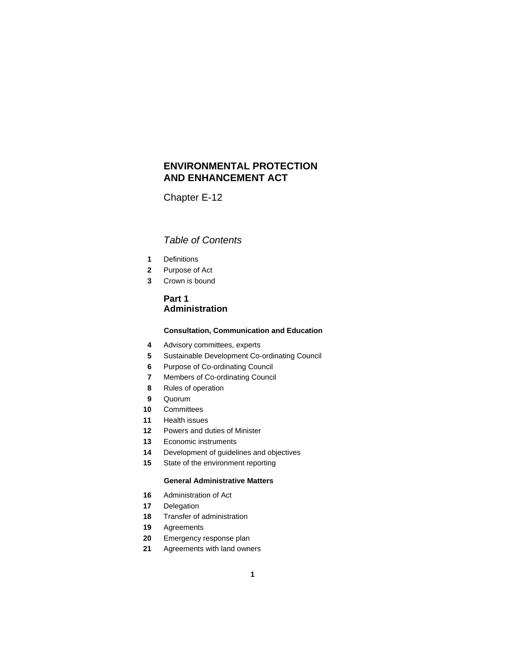## **ENVIRONMENTAL PROTECTION AND ENHANCEMENT ACT**

Chapter E-12

### *Table of Contents*

- Definitions
- Purpose of Act
- Crown is bound

### **Part 1 Administration**

### **Consultation, Communication and Education**

- Advisory committees, experts
- Sustainable Development Co-ordinating Council
- Purpose of Co-ordinating Council
- Members of Co-ordinating Council
- Rules of operation
- Quorum
- Committees
- Health issues
- Powers and duties of Minister
- Economic instruments
- Development of guidelines and objectives
- State of the environment reporting

### **General Administrative Matters**

- Administration of Act
- Delegation
- Transfer of administration
- Agreements
- Emergency response plan
- Agreements with land owners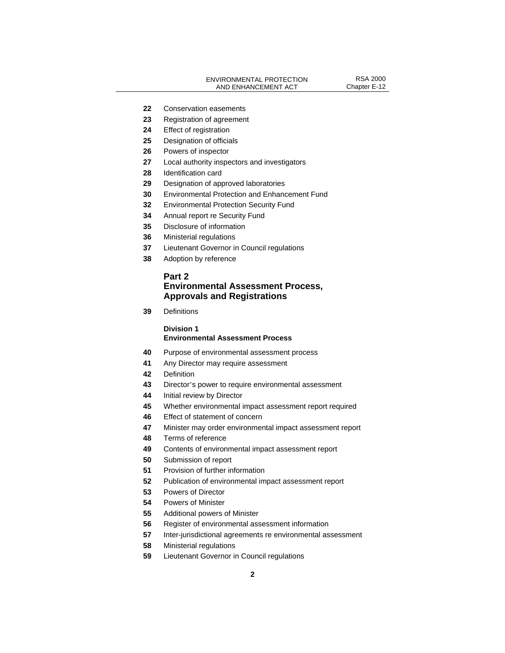- Conservation easements
- Registration of agreement
- Effect of registration
- Designation of officials
- Powers of inspector
- Local authority inspectors and investigators
- Identification card
- Designation of approved laboratories
- Environmental Protection and Enhancement Fund
- Environmental Protection Security Fund
- Annual report re Security Fund
- Disclosure of information
- Ministerial regulations
- Lieutenant Governor in Council regulations
- Adoption by reference

### **Part 2 Environmental Assessment Process, Approvals and Registrations**

Definitions

### **Division 1 Environmental Assessment Process**

- Purpose of environmental assessment process
- Any Director may require assessment
- Definition
- Director's power to require environmental assessment
- Initial review by Director
- Whether environmental impact assessment report required
- Effect of statement of concern
- Minister may order environmental impact assessment report
- Terms of reference
- Contents of environmental impact assessment report
- Submission of report
- Provision of further information
- Publication of environmental impact assessment report
- Powers of Director
- Powers of Minister
- Additional powers of Minister
- Register of environmental assessment information
- Inter-jurisdictional agreements re environmental assessment
- Ministerial regulations
- Lieutenant Governor in Council regulations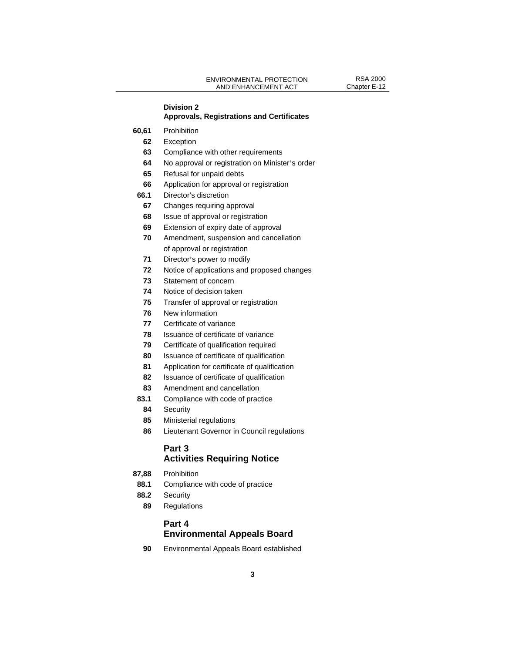# **Division 2**

### **Approvals, Registrations and Certificates**

- **60,61** Prohibition
	- Exception
	- Compliance with other requirements
	- No approval or registration on Minister's order
	- Refusal for unpaid debts
	- Application for approval or registration
- **66.1** Director's discretion
	- Changes requiring approval
- Issue of approval or registration
- Extension of expiry date of approval
- Amendment, suspension and cancellation of approval or registration
- Director's power to modify
- Notice of applications and proposed changes
- Statement of concern
- Notice of decision taken
- Transfer of approval or registration
- New information
- Certificate of variance
- Issuance of certificate of variance
- Certificate of qualification required
- Issuance of certificate of qualification
- Application for certificate of qualification
- Issuance of certificate of qualification
- Amendment and cancellation
- **83.1** Compliance with code of practice
- Security
- Ministerial regulations
- Lieutenant Governor in Council regulations

### **Part 3**

### **Activities Requiring Notice**

- **87,88** Prohibition
- **88.1** Compliance with code of practice
- **88.2** Security
	- Regulations

### **Part 4 Environmental Appeals Board**

Environmental Appeals Board established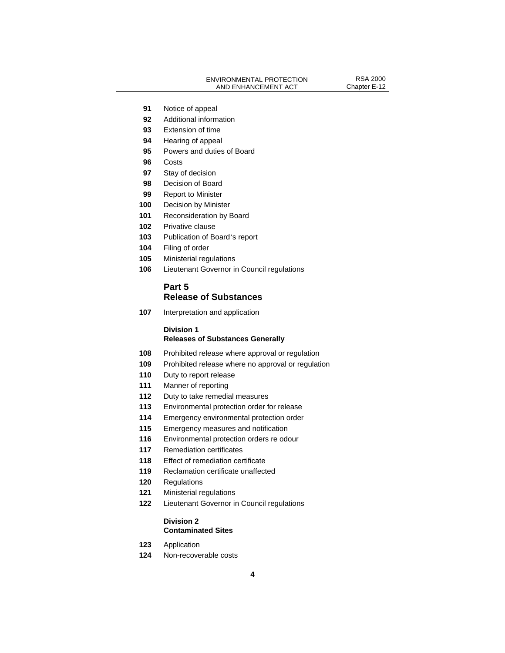- Notice of appeal
- Additional information
- Extension of time
- Hearing of appeal
- Powers and duties of Board
- Costs
- Stay of decision
- Decision of Board
- Report to Minister
- Decision by Minister
- Reconsideration by Board
- Privative clause
- Publication of Board's report
- Filing of order
- Ministerial regulations
- Lieutenant Governor in Council regulations

### **Part 5 Release of Substances**

Interpretation and application

### **Division 1 Releases of Substances Generally**

- Prohibited release where approval or regulation
- Prohibited release where no approval or regulation
- Duty to report release
- Manner of reporting
- Duty to take remedial measures
- Environmental protection order for release
- Emergency environmental protection order
- Emergency measures and notification
- Environmental protection orders re odour
- Remediation certificates
- Effect of remediation certificate
- Reclamation certificate unaffected
- Regulations
- Ministerial regulations
- Lieutenant Governor in Council regulations

#### **Division 2 Contaminated Sites**

- Application
- Non-recoverable costs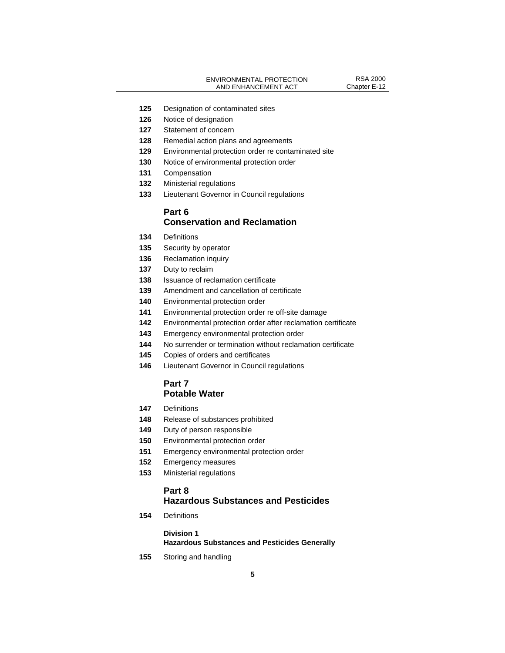- Designation of contaminated sites
- Notice of designation
- Statement of concern
- Remedial action plans and agreements
- Environmental protection order re contaminated site
- Notice of environmental protection order
- Compensation
- Ministerial regulations
- Lieutenant Governor in Council regulations

### **Part 6 Conservation and Reclamation**

- Definitions
- Security by operator
- Reclamation inquiry
- Duty to reclaim
- Issuance of reclamation certificate
- Amendment and cancellation of certificate
- Environmental protection order
- Environmental protection order re off-site damage
- Environmental protection order after reclamation certificate
- Emergency environmental protection order
- No surrender or termination without reclamation certificate
- Copies of orders and certificates
- Lieutenant Governor in Council regulations

### **Part 7 Potable Water**

- Definitions
- Release of substances prohibited
- Duty of person responsible
- Environmental protection order
- Emergency environmental protection order
- Emergency measures
- Ministerial regulations

### **Part 8**

### **Hazardous Substances and Pesticides**

Definitions

#### **Division 1**

**Hazardous Substances and Pesticides Generally** 

Storing and handling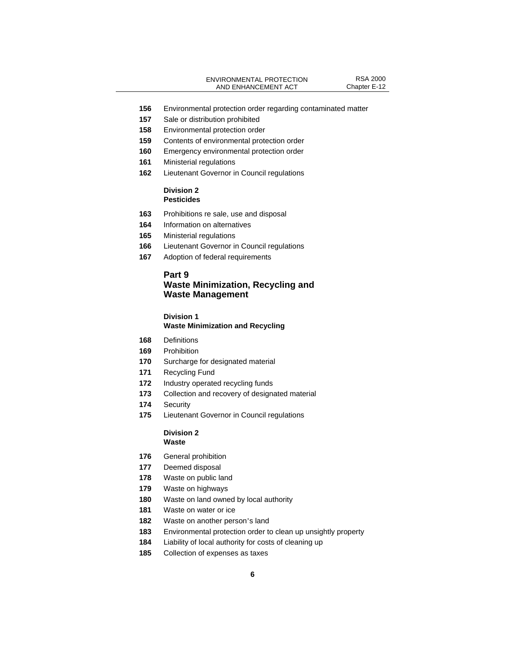- Environmental protection order regarding contaminated matter
- Sale or distribution prohibited
- Environmental protection order
- Contents of environmental protection order
- Emergency environmental protection order
- Ministerial regulations
- Lieutenant Governor in Council regulations

#### **Division 2 Pesticides**

- Prohibitions re sale, use and disposal
- Information on alternatives
- Ministerial regulations
- Lieutenant Governor in Council regulations
- Adoption of federal requirements

### **Part 9 Waste Minimization, Recycling and Waste Management**

#### **Division 1**

#### **Waste Minimization and Recycling**

- Definitions
- Prohibition
- Surcharge for designated material
- Recycling Fund
- Industry operated recycling funds
- Collection and recovery of designated material
- Security
- Lieutenant Governor in Council regulations

#### **Division 2 Waste**

- General prohibition
- Deemed disposal
- Waste on public land
- Waste on highways
- Waste on land owned by local authority
- Waste on water or ice
- Waste on another person's land
- Environmental protection order to clean up unsightly property
- Liability of local authority for costs of cleaning up
- Collection of expenses as taxes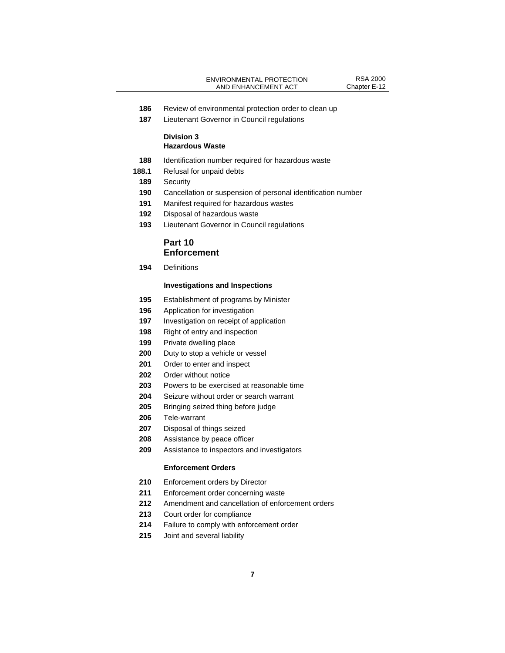- Review of environmental protection order to clean up
- Lieutenant Governor in Council regulations

#### **Division 3 Hazardous Waste**

- Identification number required for hazardous waste
- **188.1** Refusal for unpaid debts
- Security
- Cancellation or suspension of personal identification number
- Manifest required for hazardous wastes
- Disposal of hazardous waste
- Lieutenant Governor in Council regulations

### **Part 10 Enforcement**

Definitions

#### **Investigations and Inspections**

- Establishment of programs by Minister
- Application for investigation
- Investigation on receipt of application
- Right of entry and inspection
- Private dwelling place
- Duty to stop a vehicle or vessel
- Order to enter and inspect
- Order without notice
- Powers to be exercised at reasonable time
- Seizure without order or search warrant
- Bringing seized thing before judge
- Tele-warrant
- Disposal of things seized
- Assistance by peace officer
- Assistance to inspectors and investigators

#### **Enforcement Orders**

- 210 Enforcement orders by Director
- Enforcement order concerning waste
- Amendment and cancellation of enforcement orders
- Court order for compliance
- Failure to comply with enforcement order
- Joint and several liability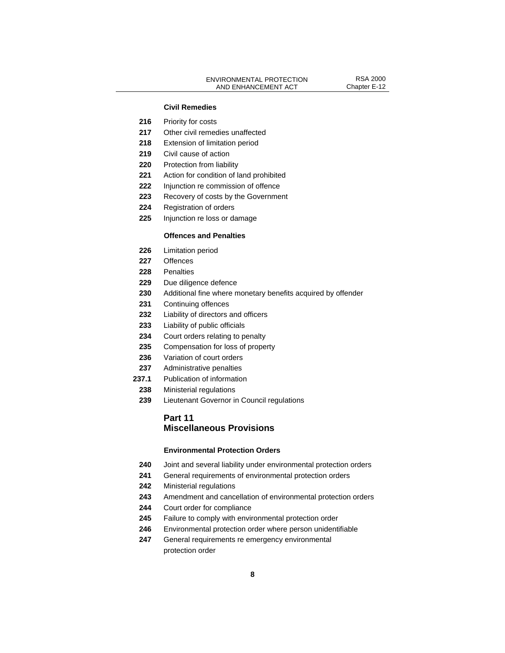#### **Civil Remedies**

- 216 Priority for costs
- Other civil remedies unaffected
- Extension of limitation period
- Civil cause of action
- Protection from liability
- Action for condition of land prohibited
- Injunction re commission of offence
- Recovery of costs by the Government
- Registration of orders
- Injunction re loss or damage

#### **Offences and Penalties**

- Limitation period
- Offences
- Penalties
- Due diligence defence
- Additional fine where monetary benefits acquired by offender
- Continuing offences
- Liability of directors and officers
- Liability of public officials
- Court orders relating to penalty
- Compensation for loss of property
- Variation of court orders
- Administrative penalties
- **237.1** Publication of information
- Ministerial regulations
- Lieutenant Governor in Council regulations

### **Part 11 Miscellaneous Provisions**

#### **Environmental Protection Orders**

- Joint and several liability under environmental protection orders
- General requirements of environmental protection orders
- Ministerial regulations

- Amendment and cancellation of environmental protection orders
- Court order for compliance
- Failure to comply with environmental protection order
- Environmental protection order where person unidentifiable
- General requirements re emergency environmental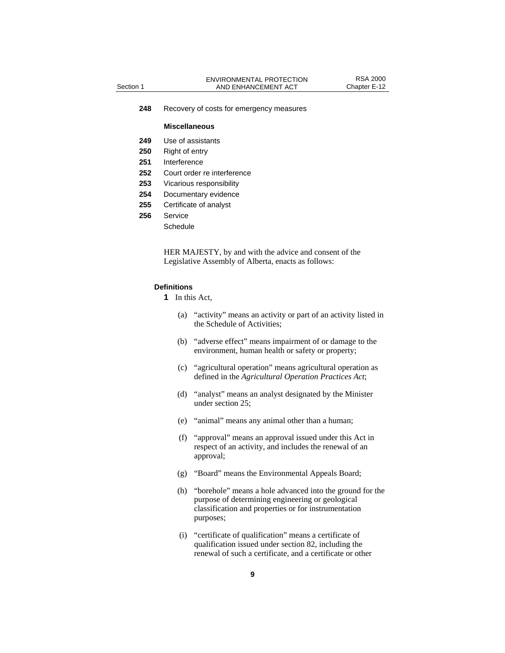**248** Recovery of costs for emergency measures

#### **Miscellaneous**

- **249** Use of assistants
- **250** Right of entry
- **251** Interference
- **252** Court order re interference
- **253** Vicarious responsibility
- **254** Documentary evidence
- **255** Certificate of analyst
- **256** Service
	- **Schedule**

HER MAJESTY, by and with the advice and consent of the Legislative Assembly of Alberta, enacts as follows:

#### **Definitions**

- **1** In this Act,
	- (a) "activity" means an activity or part of an activity listed in the Schedule of Activities;
	- (b) "adverse effect" means impairment of or damage to the environment, human health or safety or property;
	- (c) "agricultural operation" means agricultural operation as defined in the *Agricultural Operation Practices Act*;
	- (d) "analyst" means an analyst designated by the Minister under section 25;
	- (e) "animal" means any animal other than a human;
	- (f) "approval" means an approval issued under this Act in respect of an activity, and includes the renewal of an approval;
	- (g) "Board" means the Environmental Appeals Board;
	- (h) "borehole" means a hole advanced into the ground for the purpose of determining engineering or geological classification and properties or for instrumentation purposes;
	- (i) "certificate of qualification" means a certificate of qualification issued under section 82, including the renewal of such a certificate, and a certificate or other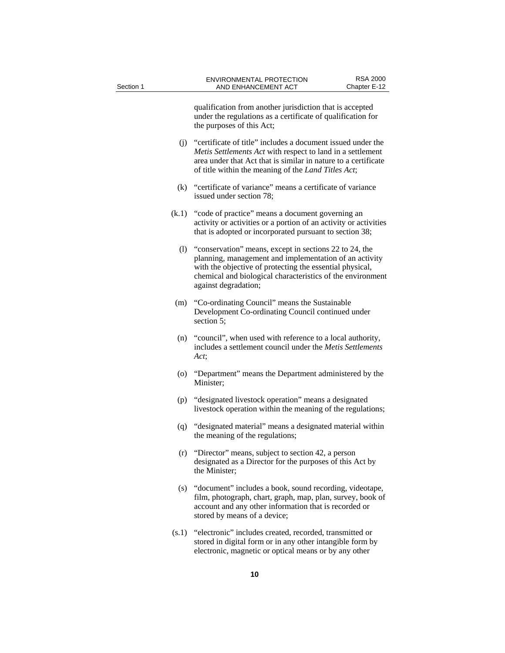qualification from another jurisdiction that is accepted under the regulations as a certificate of qualification for the purposes of this Act;

- (j) "certificate of title" includes a document issued under the *Metis Settlements Act* with respect to land in a settlement area under that Act that is similar in nature to a certificate of title within the meaning of the *Land Titles Act*;
- (k) "certificate of variance" means a certificate of variance issued under section 78;
- (k.1) "code of practice" means a document governing an activity or activities or a portion of an activity or activities that is adopted or incorporated pursuant to section 38;
	- (l) "conservation" means, except in sections 22 to 24, the planning, management and implementation of an activity with the objective of protecting the essential physical, chemical and biological characteristics of the environment against degradation;
- (m) "Co-ordinating Council" means the Sustainable Development Co-ordinating Council continued under section 5;
- (n) "council", when used with reference to a local authority, includes a settlement council under the *Metis Settlements Act*;
- (o) "Department" means the Department administered by the Minister;
- (p) "designated livestock operation" means a designated livestock operation within the meaning of the regulations;
- (q) "designated material" means a designated material within the meaning of the regulations;
- (r) "Director" means, subject to section 42, a person designated as a Director for the purposes of this Act by the Minister;
- (s) "document" includes a book, sound recording, videotape, film, photograph, chart, graph, map, plan, survey, book of account and any other information that is recorded or stored by means of a device;
- (s.1) "electronic" includes created, recorded, transmitted or stored in digital form or in any other intangible form by electronic, magnetic or optical means or by any other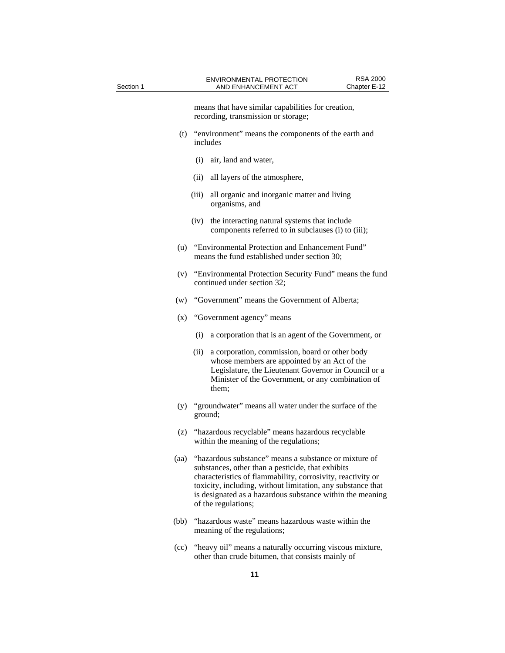means that have similar capabilities for creation, recording, transmission or storage;

- (t) "environment" means the components of the earth and includes
	- (i) air, land and water,
	- (ii) all layers of the atmosphere,
	- (iii) all organic and inorganic matter and living organisms, and
	- (iv) the interacting natural systems that include components referred to in subclauses (i) to (iii);
- (u) "Environmental Protection and Enhancement Fund" means the fund established under section 30;
- (v) "Environmental Protection Security Fund" means the fund continued under section 32;
- (w) "Government" means the Government of Alberta;
- (x) "Government agency" means
	- (i) a corporation that is an agent of the Government, or
	- (ii) a corporation, commission, board or other body whose members are appointed by an Act of the Legislature, the Lieutenant Governor in Council or a Minister of the Government, or any combination of them;
- (y) "groundwater" means all water under the surface of the ground;
- (z) "hazardous recyclable" means hazardous recyclable within the meaning of the regulations;
- (aa) "hazardous substance" means a substance or mixture of substances, other than a pesticide, that exhibits characteristics of flammability, corrosivity, reactivity or toxicity, including, without limitation, any substance that is designated as a hazardous substance within the meaning of the regulations;
- (bb) "hazardous waste" means hazardous waste within the meaning of the regulations;
- (cc) "heavy oil" means a naturally occurring viscous mixture, other than crude bitumen, that consists mainly of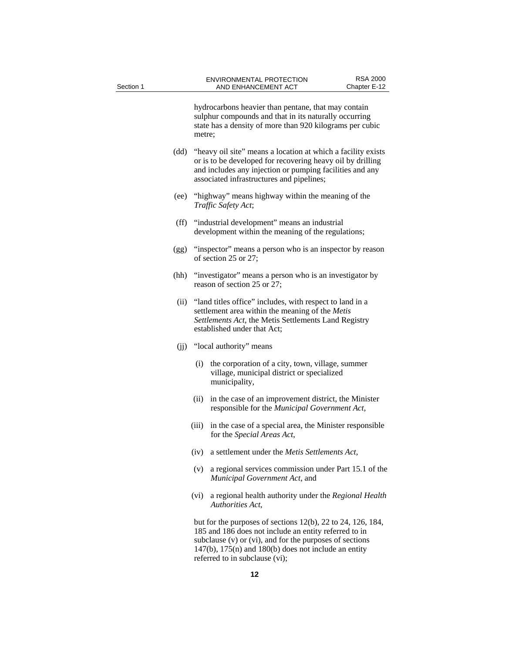hydrocarbons heavier than pentane, that may contain sulphur compounds and that in its naturally occurring state has a density of more than 920 kilograms per cubic metre; (dd) "heavy oil site" means a location at which a facility exists or is to be developed for recovering heavy oil by drilling and includes any injection or pumping facilities and any associated infrastructures and pipelines; (ee) "highway" means highway within the meaning of the *Traffic Safety Act*; (ff) "industrial development" means an industrial development within the meaning of the regulations; (gg) "inspector" means a person who is an inspector by reason of section 25 or 27; (hh) "investigator" means a person who is an investigator by reason of section 25 or 27; (ii) "land titles office" includes, with respect to land in a settlement area within the meaning of the *Metis Settlements Act*, the Metis Settlements Land Registry established under that Act; (ii) "local authority" means (i) the corporation of a city, town, village, summer village, municipal district or specialized municipality, (ii) in the case of an improvement district, the Minister responsible for the *Municipal Government Act*, (iii) in the case of a special area, the Minister responsible for the *Special Areas Act*, (iv) a settlement under the *Metis Settlements Act*, (v) a regional services commission under Part 15.1 of the *Municipal Government Act*, and

> (vi) a regional health authority under the *Regional Health Authorities Act*,

 but for the purposes of sections 12(b), 22 to 24, 126, 184, 185 and 186 does not include an entity referred to in subclause (v) or (vi), and for the purposes of sections  $147(b)$ ,  $175(n)$  and  $180(b)$  does not include an entity referred to in subclause (vi);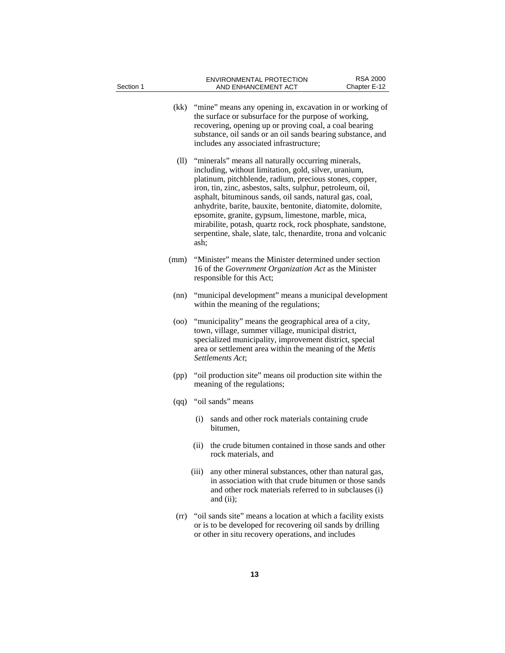| Section 1 | ENVIRONMENTAL PROTECTION<br>AND ENHANCEMENT ACT                                                                                                                                                                                                                                                                                                                                                                                                                                                                                                                 | <b>RSA 2000</b><br>Chapter E-12 |  |  |
|-----------|-----------------------------------------------------------------------------------------------------------------------------------------------------------------------------------------------------------------------------------------------------------------------------------------------------------------------------------------------------------------------------------------------------------------------------------------------------------------------------------------------------------------------------------------------------------------|---------------------------------|--|--|
| (kk)      | "mine" means any opening in, excavation in or working of<br>the surface or subsurface for the purpose of working,<br>recovering, opening up or proving coal, a coal bearing<br>substance, oil sands or an oil sands bearing substance, and<br>includes any associated infrastructure;                                                                                                                                                                                                                                                                           |                                 |  |  |
| (11)      | "minerals" means all naturally occurring minerals,<br>including, without limitation, gold, silver, uranium,<br>platinum, pitchblende, radium, precious stones, copper,<br>iron, tin, zinc, asbestos, salts, sulphur, petroleum, oil,<br>asphalt, bituminous sands, oil sands, natural gas, coal,<br>anhydrite, barite, bauxite, bentonite, diatomite, dolomite,<br>epsomite, granite, gypsum, limestone, marble, mica,<br>mirabilite, potash, quartz rock, rock phosphate, sandstone,<br>serpentine, shale, slate, talc, thenardite, trona and volcanic<br>ash; |                                 |  |  |
| (mm)      | "Minister" means the Minister determined under section<br>16 of the Government Organization Act as the Minister<br>responsible for this Act;                                                                                                                                                                                                                                                                                                                                                                                                                    |                                 |  |  |
| (nn)      | "municipal development" means a municipal development<br>within the meaning of the regulations;                                                                                                                                                                                                                                                                                                                                                                                                                                                                 |                                 |  |  |
| (00)      | "municipality" means the geographical area of a city,<br>town, village, summer village, municipal district,<br>specialized municipality, improvement district, special<br>area or settlement area within the meaning of the Metis<br>Settlements Act;                                                                                                                                                                                                                                                                                                           |                                 |  |  |
| (pp)      | "oil production site" means oil production site within the<br>meaning of the regulations;                                                                                                                                                                                                                                                                                                                                                                                                                                                                       |                                 |  |  |
|           | (qq) "oil sands" means                                                                                                                                                                                                                                                                                                                                                                                                                                                                                                                                          |                                 |  |  |
|           | sands and other rock materials containing crude<br>(i)<br>bitumen,                                                                                                                                                                                                                                                                                                                                                                                                                                                                                              |                                 |  |  |
|           | (ii) the crude bitumen contained in those sands and other<br>rock materials, and                                                                                                                                                                                                                                                                                                                                                                                                                                                                                |                                 |  |  |
|           | any other mineral substances, other than natural gas,<br>(iii)<br>in association with that crude bitumen or those sands<br>and other rock materials referred to in subclauses (i)<br>and (ii);                                                                                                                                                                                                                                                                                                                                                                  |                                 |  |  |
| (rr)      | "oil sands site" means a location at which a facility exists<br>or is to be developed for recovering oil sands by drilling<br>or other in situ recovery operations, and includes                                                                                                                                                                                                                                                                                                                                                                                |                                 |  |  |

**13**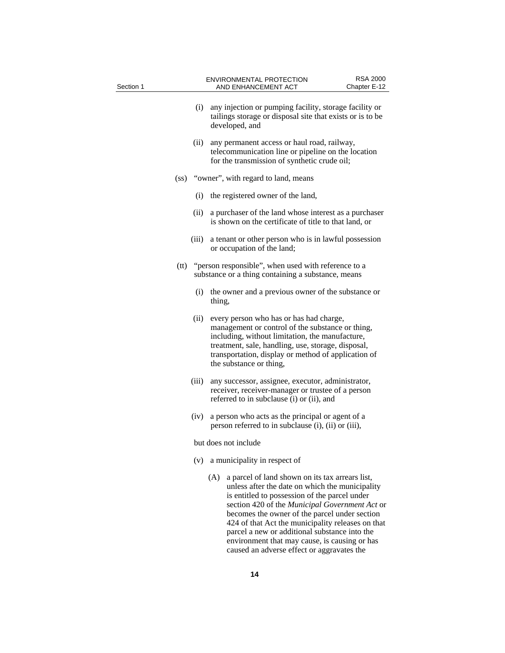| Section 1         |       | <b>RSA 2000</b><br><b>ENVIRONMENTAL PROTECTION</b><br>AND ENHANCEMENT ACT<br>Chapter E-12                                                                                                                                                                                                                                                                           |
|-------------------|-------|---------------------------------------------------------------------------------------------------------------------------------------------------------------------------------------------------------------------------------------------------------------------------------------------------------------------------------------------------------------------|
|                   | (i)   | any injection or pumping facility, storage facility or<br>tailings storage or disposal site that exists or is to be<br>developed, and                                                                                                                                                                                                                               |
|                   | (ii)  | any permanent access or haul road, railway,<br>telecommunication line or pipeline on the location<br>for the transmission of synthetic crude oil;                                                                                                                                                                                                                   |
| (s <sub>s</sub> ) |       | "owner", with regard to land, means                                                                                                                                                                                                                                                                                                                                 |
|                   | (i)   | the registered owner of the land,                                                                                                                                                                                                                                                                                                                                   |
|                   | (ii)  | a purchaser of the land whose interest as a purchaser<br>is shown on the certificate of title to that land, or                                                                                                                                                                                                                                                      |
|                   | (iii) | a tenant or other person who is in lawful possession<br>or occupation of the land;                                                                                                                                                                                                                                                                                  |
| (tt)              |       | "person responsible", when used with reference to a<br>substance or a thing containing a substance, means                                                                                                                                                                                                                                                           |
|                   | (i)   | the owner and a previous owner of the substance or<br>thing,                                                                                                                                                                                                                                                                                                        |
|                   | (ii)  | every person who has or has had charge,<br>management or control of the substance or thing,<br>including, without limitation, the manufacture,<br>treatment, sale, handling, use, storage, disposal,<br>transportation, display or method of application of<br>the substance or thing,                                                                              |
|                   | (iii) | any successor, assignee, executor, administrator,<br>receiver, receiver-manager or trustee of a person<br>referred to in subclause (i) or (ii), and                                                                                                                                                                                                                 |
|                   | (iv)  | a person who acts as the principal or agent of a<br>person referred to in subclause (i), (ii) or (iii),                                                                                                                                                                                                                                                             |
|                   |       | but does not include                                                                                                                                                                                                                                                                                                                                                |
|                   | (v)   | a municipality in respect of                                                                                                                                                                                                                                                                                                                                        |
|                   |       | (A)<br>a parcel of land shown on its tax arrears list,<br>unless after the date on which the municipality<br>is entitled to possession of the parcel under<br>section 420 of the Municipal Government Act or<br>becomes the owner of the parcel under section<br>424 of that Act the municipality releases on that<br>parcel a new or additional substance into the |

environment that may cause, is causing or has caused an adverse effect or aggravates the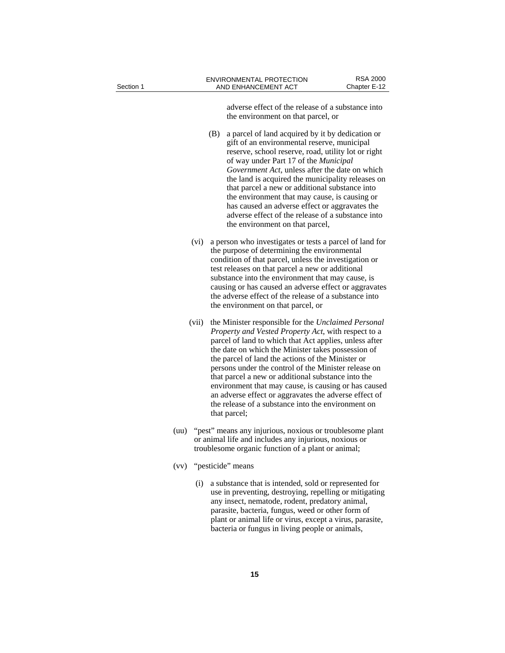| Section 1 |       | <b>ENVIRONMENTAL PROTECTION</b><br>AND ENHANCEMENT ACT                                                                                                                                                                                                                                                                                                                                                                                                                                                                                                                               | <b>RSA 2000</b><br>Chapter E-12 |
|-----------|-------|--------------------------------------------------------------------------------------------------------------------------------------------------------------------------------------------------------------------------------------------------------------------------------------------------------------------------------------------------------------------------------------------------------------------------------------------------------------------------------------------------------------------------------------------------------------------------------------|---------------------------------|
|           |       | adverse effect of the release of a substance into<br>the environment on that parcel, or                                                                                                                                                                                                                                                                                                                                                                                                                                                                                              |                                 |
|           |       | a parcel of land acquired by it by dedication or<br>(B)<br>gift of an environmental reserve, municipal<br>reserve, school reserve, road, utility lot or right<br>of way under Part 17 of the <i>Municipal</i><br>Government Act, unless after the date on which<br>the land is acquired the municipality releases on<br>that parcel a new or additional substance into<br>the environment that may cause, is causing or<br>has caused an adverse effect or aggravates the<br>adverse effect of the release of a substance into<br>the environment on that parcel,                    |                                 |
|           | (vi)  | a person who investigates or tests a parcel of land for<br>the purpose of determining the environmental<br>condition of that parcel, unless the investigation or<br>test releases on that parcel a new or additional<br>substance into the environment that may cause, is<br>causing or has caused an adverse effect or aggravates<br>the adverse effect of the release of a substance into<br>the environment on that parcel, or                                                                                                                                                    |                                 |
|           | (vii) | the Minister responsible for the Unclaimed Personal<br>Property and Vested Property Act, with respect to a<br>parcel of land to which that Act applies, unless after<br>the date on which the Minister takes possession of<br>the parcel of land the actions of the Minister or<br>persons under the control of the Minister release on<br>that parcel a new or additional substance into the<br>environment that may cause, is causing or has caused<br>an adverse effect or aggravates the adverse effect of<br>the release of a substance into the environment on<br>that parcel; |                                 |
|           | (uu)  | "pest" means any injurious, noxious or troublesome plant<br>or animal life and includes any injurious, noxious or<br>troublesome organic function of a plant or animal;                                                                                                                                                                                                                                                                                                                                                                                                              |                                 |
|           |       | (vv) "pesticide" means                                                                                                                                                                                                                                                                                                                                                                                                                                                                                                                                                               |                                 |
|           | (i)   | a substance that is intended, sold or represented for<br>use in preventing, destroying, repelling or mitigating<br>any insect, nematode, rodent, predatory animal,<br>parasite, bacteria, fungus, weed or other form of<br>plant or animal life or virus, except a virus, parasite,<br>bacteria or fungus in living people or animals,                                                                                                                                                                                                                                               |                                 |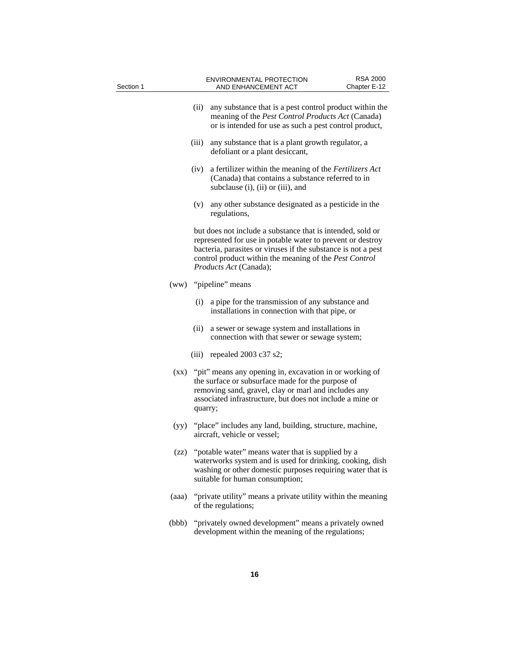| Section 1 |       |         | <b>ENVIRONMENTAL PROTECTION</b><br>AND ENHANCEMENT ACT                                                                                                                                                                                                                        | <b>RSA 2000</b><br>Chapter E-12 |
|-----------|-------|---------|-------------------------------------------------------------------------------------------------------------------------------------------------------------------------------------------------------------------------------------------------------------------------------|---------------------------------|
|           |       | (ii)    | any substance that is a pest control product within the<br>meaning of the Pest Control Products Act (Canada)<br>or is intended for use as such a pest control product,                                                                                                        |                                 |
|           |       | (iii)   | any substance that is a plant growth regulator, a<br>defoliant or a plant desiccant,                                                                                                                                                                                          |                                 |
|           |       | (iv)    | a fertilizer within the meaning of the Fertilizers Act<br>(Canada) that contains a substance referred to in<br>subclause (i), (ii) or (iii), and                                                                                                                              |                                 |
|           |       | (v)     | any other substance designated as a pesticide in the<br>regulations,                                                                                                                                                                                                          |                                 |
|           |       |         | but does not include a substance that is intended, sold or<br>represented for use in potable water to prevent or destroy<br>bacteria, parasites or viruses if the substance is not a pest<br>control product within the meaning of the Pest Control<br>Products Act (Canada); |                                 |
|           |       |         | (ww) "pipeline" means                                                                                                                                                                                                                                                         |                                 |
|           |       | (i)     | a pipe for the transmission of any substance and<br>installations in connection with that pipe, or                                                                                                                                                                            |                                 |
|           |       | (11)    | a sewer or sewage system and installations in<br>connection with that sewer or sewage system;                                                                                                                                                                                 |                                 |
|           |       |         | (iii) repealed 2003 c37 s2;                                                                                                                                                                                                                                                   |                                 |
|           |       | quarry; | (xx) "pit" means any opening in, excavation in or working of<br>the surface or subsurface made for the purpose of<br>removing sand, gravel, clay or marl and includes any<br>associated infrastructure, but does not include a mine or                                        |                                 |
|           | (yy)  |         | "place" includes any land, building, structure, machine,<br>aircraft, vehicle or vessel;                                                                                                                                                                                      |                                 |
|           |       |         | (zz) "potable water" means water that is supplied by a<br>waterworks system and is used for drinking, cooking, dish<br>washing or other domestic purposes requiring water that is<br>suitable for human consumption;                                                          |                                 |
|           | (aaa) |         | "private utility" means a private utility within the meaning<br>of the regulations;                                                                                                                                                                                           |                                 |
|           | (bbb) |         | "privately owned development" means a privately owned<br>development within the meaning of the regulations;                                                                                                                                                                   |                                 |
|           |       |         |                                                                                                                                                                                                                                                                               |                                 |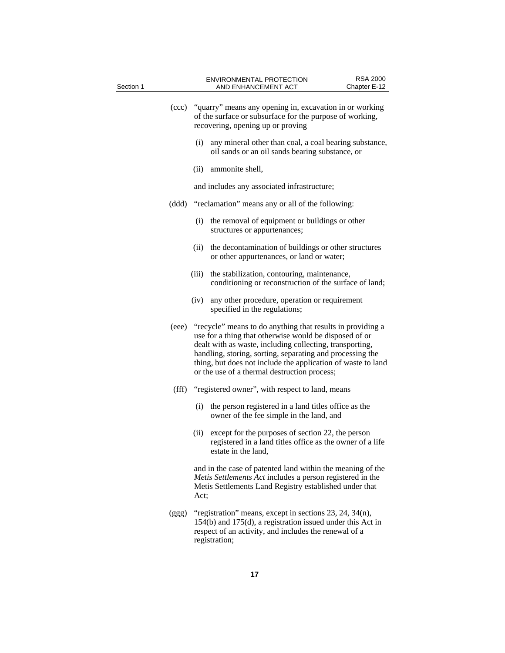| Section 1 |               | <b>RSA 2000</b><br><b>ENVIRONMENTAL PROTECTION</b><br>AND ENHANCEMENT ACT<br>Chapter E-12                                                                                                                                                                                                                                                                           |
|-----------|---------------|---------------------------------------------------------------------------------------------------------------------------------------------------------------------------------------------------------------------------------------------------------------------------------------------------------------------------------------------------------------------|
|           |               | (ccc) "quarry" means any opening in, excavation in or working<br>of the surface or subsurface for the purpose of working,<br>recovering, opening up or proving                                                                                                                                                                                                      |
|           |               | any mineral other than coal, a coal bearing substance,<br>(i)<br>oil sands or an oil sands bearing substance, or                                                                                                                                                                                                                                                    |
|           |               | (ii) ammonite shell,                                                                                                                                                                                                                                                                                                                                                |
|           |               | and includes any associated infrastructure;                                                                                                                                                                                                                                                                                                                         |
|           |               | (ddd) "reclamation" means any or all of the following:                                                                                                                                                                                                                                                                                                              |
|           |               | the removal of equipment or buildings or other<br>(i)<br>structures or appurtenances;                                                                                                                                                                                                                                                                               |
|           |               | the decontamination of buildings or other structures<br>(ii)<br>or other appurtenances, or land or water;                                                                                                                                                                                                                                                           |
|           |               | the stabilization, contouring, maintenance,<br>(iii)<br>conditioning or reconstruction of the surface of land;                                                                                                                                                                                                                                                      |
|           |               | (iv)<br>any other procedure, operation or requirement<br>specified in the regulations;                                                                                                                                                                                                                                                                              |
|           |               | (eee) "recycle" means to do anything that results in providing a<br>use for a thing that otherwise would be disposed of or<br>dealt with as waste, including collecting, transporting,<br>handling, storing, sorting, separating and processing the<br>thing, but does not include the application of waste to land<br>or the use of a thermal destruction process; |
|           | $(f\hat{f}f)$ | "registered owner", with respect to land, means                                                                                                                                                                                                                                                                                                                     |
|           |               | the person registered in a land titles office as the<br>(i)<br>owner of the fee simple in the land, and                                                                                                                                                                                                                                                             |
|           |               | except for the purposes of section 22, the person<br>(ii)<br>registered in a land titles office as the owner of a life<br>estate in the land,                                                                                                                                                                                                                       |
|           |               | and in the case of patented land within the meaning of the<br>Metis Settlements Act includes a person registered in the<br>Metis Settlements Land Registry established under that<br>Act;                                                                                                                                                                           |
|           | (ggg)         | "registration" means, except in sections 23, 24, 34(n),<br>154(b) and 175(d), a registration issued under this Act in<br>respect of an activity, and includes the renewal of a<br>registration;                                                                                                                                                                     |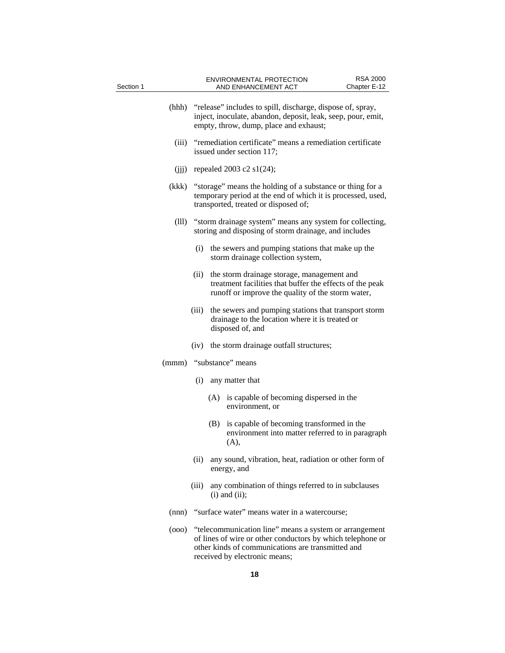| Section 1 |       |       |                                                                                                                                                                  | <b>ENVIRONMENTAL PROTECTION</b><br>AND ENHANCEMENT ACT                                                                                                                                                     | <b>RSA 2000</b><br>Chapter E-12 |
|-----------|-------|-------|------------------------------------------------------------------------------------------------------------------------------------------------------------------|------------------------------------------------------------------------------------------------------------------------------------------------------------------------------------------------------------|---------------------------------|
|           | (hhh) |       |                                                                                                                                                                  | "release" includes to spill, discharge, dispose of, spray,<br>inject, inoculate, abandon, deposit, leak, seep, pour, emit,<br>empty, throw, dump, place and exhaust;                                       |                                 |
|           | (iii) |       |                                                                                                                                                                  | "remediation certificate" means a remediation certificate<br>issued under section 117;                                                                                                                     |                                 |
|           | (ijj) |       |                                                                                                                                                                  | repealed 2003 c2 $s1(24)$ ;                                                                                                                                                                                |                                 |
|           | (kkk) |       | "storage" means the holding of a substance or thing for a<br>temporary period at the end of which it is processed, used,<br>transported, treated or disposed of; |                                                                                                                                                                                                            |                                 |
|           | (III) |       |                                                                                                                                                                  | "storm drainage system" means any system for collecting,<br>storing and disposing of storm drainage, and includes                                                                                          |                                 |
|           |       | (i)   |                                                                                                                                                                  | the sewers and pumping stations that make up the<br>storm drainage collection system,                                                                                                                      |                                 |
|           |       | (ii)  |                                                                                                                                                                  | the storm drainage storage, management and<br>treatment facilities that buffer the effects of the peak<br>runoff or improve the quality of the storm water,                                                |                                 |
|           |       | (iii) |                                                                                                                                                                  | the sewers and pumping stations that transport storm<br>drainage to the location where it is treated or<br>disposed of, and                                                                                |                                 |
|           |       | (iv)  |                                                                                                                                                                  | the storm drainage outfall structures;                                                                                                                                                                     |                                 |
|           |       |       |                                                                                                                                                                  | (mmm) "substance" means                                                                                                                                                                                    |                                 |
|           |       | (i)   |                                                                                                                                                                  | any matter that                                                                                                                                                                                            |                                 |
|           |       |       |                                                                                                                                                                  | (A) is capable of becoming dispersed in the<br>environment, or                                                                                                                                             |                                 |
|           |       |       | (B)                                                                                                                                                              | is capable of becoming transformed in the<br>environment into matter referred to in paragraph<br>(A),                                                                                                      |                                 |
|           |       | (ii)  |                                                                                                                                                                  | any sound, vibration, heat, radiation or other form of<br>energy, and                                                                                                                                      |                                 |
|           |       | (iii) |                                                                                                                                                                  | any combination of things referred to in subclauses<br>$(i)$ and $(ii)$ ;                                                                                                                                  |                                 |
|           | (nnn) |       |                                                                                                                                                                  | "surface water" means water in a watercourse;                                                                                                                                                              |                                 |
|           | (000) |       |                                                                                                                                                                  | "telecommunication line" means a system or arrangement<br>of lines of wire or other conductors by which telephone or<br>other kinds of communications are transmitted and<br>received by electronic means; |                                 |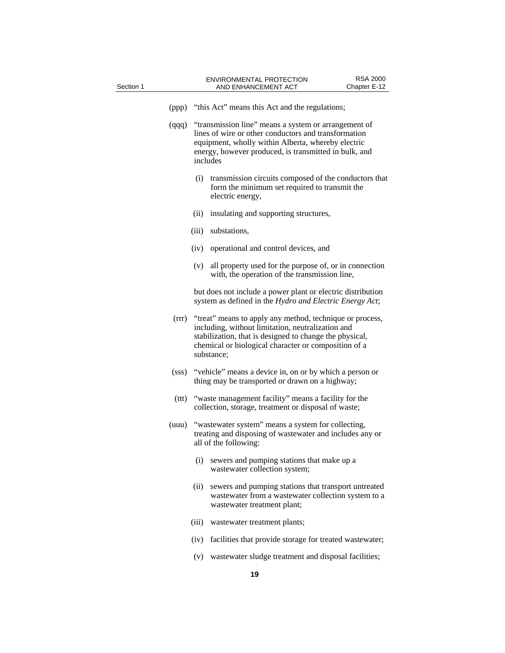| Section 1 |       |                                                                 | AND ENHANCEMENT ACT                                                                                                                                                                                                                            | Chapter E-12 |  |
|-----------|-------|-----------------------------------------------------------------|------------------------------------------------------------------------------------------------------------------------------------------------------------------------------------------------------------------------------------------------|--------------|--|
|           | (ppp) |                                                                 | "this Act" means this Act and the regulations;                                                                                                                                                                                                 |              |  |
|           | (qqq) |                                                                 | "transmission line" means a system or arrangement of<br>lines of wire or other conductors and transformation<br>equipment, wholly within Alberta, whereby electric<br>energy, however produced, is transmitted in bulk, and<br>includes        |              |  |
|           |       | (i)                                                             | transmission circuits composed of the conductors that<br>form the minimum set required to transmit the<br>electric energy,                                                                                                                     |              |  |
|           |       | (ii)                                                            | insulating and supporting structures,                                                                                                                                                                                                          |              |  |
|           |       | (iii)                                                           | substations,                                                                                                                                                                                                                                   |              |  |
|           |       | (iv)                                                            | operational and control devices, and                                                                                                                                                                                                           |              |  |
|           |       | (v)                                                             | all property used for the purpose of, or in connection<br>with, the operation of the transmission line,                                                                                                                                        |              |  |
|           |       |                                                                 | but does not include a power plant or electric distribution<br>system as defined in the Hydro and Electric Energy Act;                                                                                                                         |              |  |
|           | (rrr) |                                                                 | "treat" means to apply any method, technique or process,<br>including, without limitation, neutralization and<br>stabilization, that is designed to change the physical,<br>chemical or biological character or composition of a<br>substance; |              |  |
|           | (sss) |                                                                 | "vehicle" means a device in, on or by which a person or<br>thing may be transported or drawn on a highway;                                                                                                                                     |              |  |
|           | (ttt) |                                                                 | "waste management facility" means a facility for the<br>collection, storage, treatment or disposal of waste;                                                                                                                                   |              |  |
|           | (uuu) |                                                                 | "wastewater system" means a system for collecting,<br>treating and disposing of wastewater and includes any or<br>all of the following:                                                                                                        |              |  |
|           |       | (i)                                                             | sewers and pumping stations that make up a<br>wastewater collection system;                                                                                                                                                                    |              |  |
|           |       | (ii)                                                            | sewers and pumping stations that transport untreated<br>wastewater from a wastewater collection system to a<br>wastewater treatment plant;                                                                                                     |              |  |
|           |       | (iii)                                                           | wastewater treatment plants;                                                                                                                                                                                                                   |              |  |
|           |       | facilities that provide storage for treated wastewater;<br>(iv) |                                                                                                                                                                                                                                                |              |  |
|           |       | (v)                                                             | wastewater sludge treatment and disposal facilities;                                                                                                                                                                                           |              |  |
|           |       |                                                                 | 19                                                                                                                                                                                                                                             |              |  |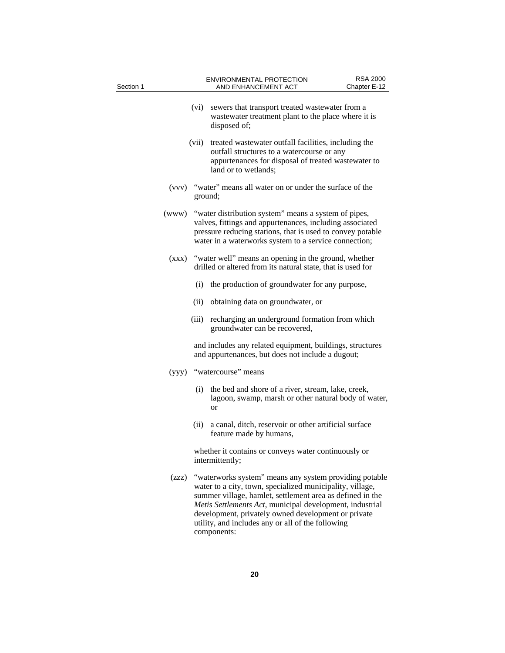| Section 1 |       |         | ENVIRONMENTAL PROTECTION<br>AND ENHANCEMENT ACT                                                                                                                                                                                                                                                                                                                         | <b>RSA 2000</b><br>Chapter E-12 |
|-----------|-------|---------|-------------------------------------------------------------------------------------------------------------------------------------------------------------------------------------------------------------------------------------------------------------------------------------------------------------------------------------------------------------------------|---------------------------------|
|           |       | (vi)    | sewers that transport treated wastewater from a<br>wastewater treatment plant to the place where it is<br>disposed of;                                                                                                                                                                                                                                                  |                                 |
|           |       | (vii)   | treated was tewater outfall facilities, including the<br>outfall structures to a watercourse or any<br>appurtenances for disposal of treated wastewater to<br>land or to wetlands;                                                                                                                                                                                      |                                 |
|           | (vvv) | ground; | "water" means all water on or under the surface of the                                                                                                                                                                                                                                                                                                                  |                                 |
|           | (www) |         | "water distribution system" means a system of pipes,<br>valves, fittings and appurtenances, including associated<br>pressure reducing stations, that is used to convey potable<br>water in a waterworks system to a service connection;                                                                                                                                 |                                 |
|           | (xxx) |         | "water well" means an opening in the ground, whether<br>drilled or altered from its natural state, that is used for                                                                                                                                                                                                                                                     |                                 |
|           |       | (i)     | the production of groundwater for any purpose,                                                                                                                                                                                                                                                                                                                          |                                 |
|           |       | (ii)    | obtaining data on groundwater, or                                                                                                                                                                                                                                                                                                                                       |                                 |
|           |       | (iii)   | recharging an underground formation from which<br>groundwater can be recovered,                                                                                                                                                                                                                                                                                         |                                 |
|           |       |         | and includes any related equipment, buildings, structures<br>and appurtenances, but does not include a dugout;                                                                                                                                                                                                                                                          |                                 |
|           |       |         | (yyy) "watercourse" means                                                                                                                                                                                                                                                                                                                                               |                                 |
|           |       | (i)     | the bed and shore of a river, stream, lake, creek,<br>lagoon, swamp, marsh or other natural body of water,<br><b>or</b>                                                                                                                                                                                                                                                 |                                 |
|           |       | (ii)    | a canal, ditch, reservoir or other artificial surface<br>feature made by humans,                                                                                                                                                                                                                                                                                        |                                 |
|           |       |         | whether it contains or conveys water continuously or<br>intermittently;                                                                                                                                                                                                                                                                                                 |                                 |
|           | (zzz) |         | "waterworks system" means any system providing potable<br>water to a city, town, specialized municipality, village,<br>summer village, hamlet, settlement area as defined in the<br>Metis Settlements Act, municipal development, industrial<br>development, privately owned development or private<br>utility, and includes any or all of the following<br>components: |                                 |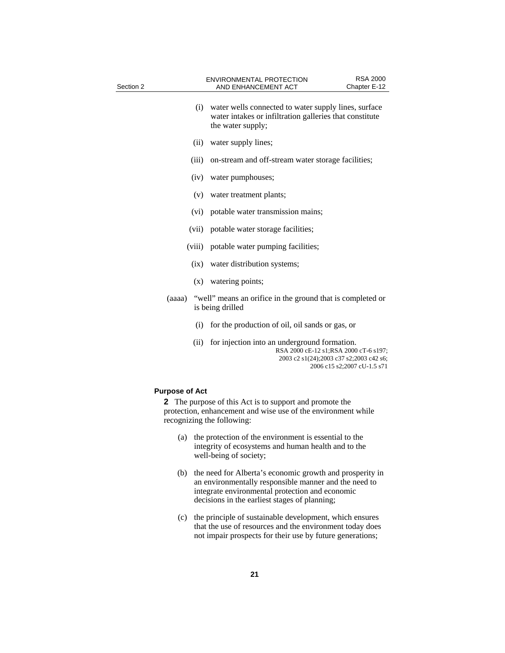| Section 2 |        | ENVIRONMENTAL PROTECTION<br>AND ENHANCEMENT ACT                                                                                      | <b>RSA 2000</b><br>Chapter E-12 |  |
|-----------|--------|--------------------------------------------------------------------------------------------------------------------------------------|---------------------------------|--|
| (i)       |        | water wells connected to water supply lines, surface<br>water intakes or infiltration galleries that constitute<br>the water supply; |                                 |  |
|           | (ii)   | water supply lines;                                                                                                                  |                                 |  |
|           | (iii)  | on-stream and off-stream water storage facilities;                                                                                   |                                 |  |
|           | (iv)   | water pumphouses;                                                                                                                    |                                 |  |
|           | (v)    | water treatment plants;                                                                                                              |                                 |  |
|           | (vi)   | potable water transmission mains;                                                                                                    |                                 |  |
|           | (vii)  | potable water storage facilities;                                                                                                    |                                 |  |
|           | (viii) | potable water pumping facilities;<br>(ix) water distribution systems;<br>(x) watering points;                                        |                                 |  |
|           |        |                                                                                                                                      |                                 |  |
|           |        |                                                                                                                                      |                                 |  |
| (aaaa)    |        | "well" means an orifice in the ground that is completed or<br>is being drilled                                                       |                                 |  |
|           | (i)    | for the production of oil, oil sands or gas, or                                                                                      |                                 |  |
| (ii)      |        | for injection into an underground formation.<br>RSA 2000 cE-12 s1;RSA 2000 cT-6 s197;<br>2003 c2 s1(24);2003 c37 s2;2003 c42 s6;     | 2006 c15 s2;2007 cU-1.5 s71     |  |

### **Purpose of Act**

**2** The purpose of this Act is to support and promote the protection, enhancement and wise use of the environment while recognizing the following:

- (a) the protection of the environment is essential to the integrity of ecosystems and human health and to the well-being of society;
- (b) the need for Alberta's economic growth and prosperity in an environmentally responsible manner and the need to integrate environmental protection and economic decisions in the earliest stages of planning;
- (c) the principle of sustainable development, which ensures that the use of resources and the environment today does not impair prospects for their use by future generations;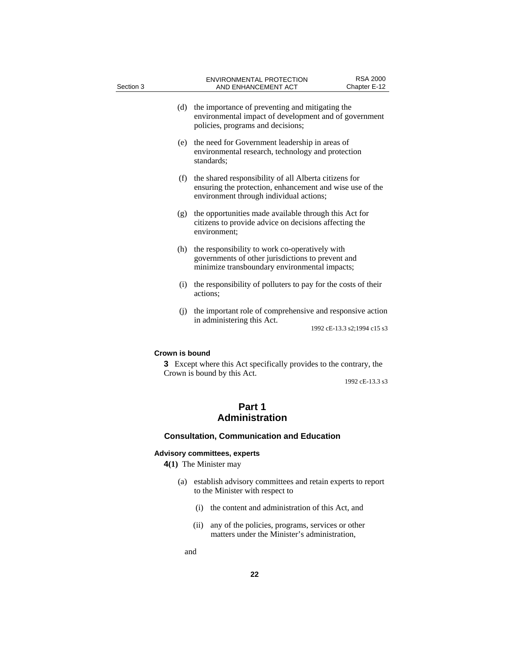| Section 3                       | ENVIRONMENTAL PROTECTION<br>AND ENHANCEMENT ACT                                                                                                              | <b>RSA 2000</b><br>Chapter E-12 |  |  |
|---------------------------------|--------------------------------------------------------------------------------------------------------------------------------------------------------------|---------------------------------|--|--|
| (d)                             | the importance of preventing and mitigating the<br>environmental impact of development and of government<br>policies, programs and decisions;                |                                 |  |  |
|                                 | (e) the need for Government leadership in areas of<br>environmental research, technology and protection<br>standards;                                        |                                 |  |  |
| (f)                             | the shared responsibility of all Alberta citizens for<br>ensuring the protection, enhancement and wise use of the<br>environment through individual actions; |                                 |  |  |
| (g)                             | the opportunities made available through this Act for<br>citizens to provide advice on decisions affecting the<br>environment;                               |                                 |  |  |
|                                 | (h) the responsibility to work co-operatively with<br>governments of other jurisdictions to prevent and<br>minimize transboundary environmental impacts;     |                                 |  |  |
|                                 | (i) the responsibility of polluters to pay for the costs of their<br>actions;                                                                                |                                 |  |  |
|                                 | (j) the important role of comprehensive and responsive action                                                                                                |                                 |  |  |
|                                 | in administering this Act.                                                                                                                                   | 1992 cE-13.3 s2;1994 c15 s3     |  |  |
| Crown is bound                  | <b>3</b> Except where this Act specifically provides to the contrary, the<br>Crown is bound by this Act.                                                     | 1992 cE-13.3 s3                 |  |  |
| Part 1<br><b>Administration</b> |                                                                                                                                                              |                                 |  |  |
|                                 | <b>Consultation, Communication and Education</b>                                                                                                             |                                 |  |  |
|                                 | <b>Advisory committees, experts</b>                                                                                                                          |                                 |  |  |

**4(1)** The Minister may

- (a) establish advisory committees and retain experts to report to the Minister with respect to
	- (i) the content and administration of this Act, and
	- (ii) any of the policies, programs, services or other matters under the Minister's administration,

and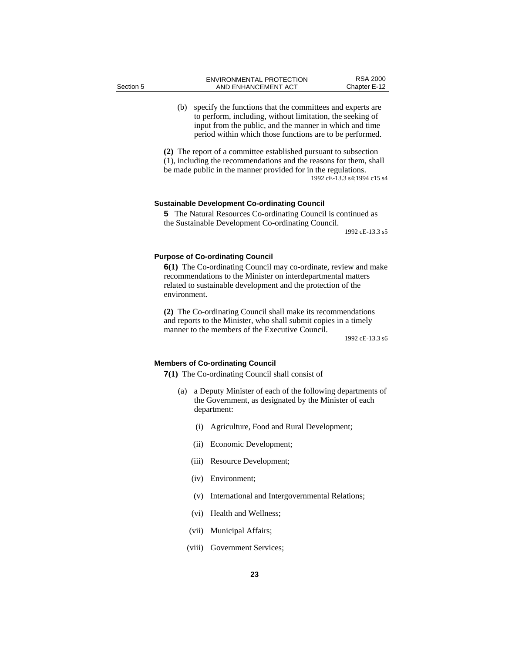(b) specify the functions that the committees and experts are to perform, including, without limitation, the seeking of input from the public, and the manner in which and time period within which those functions are to be performed.

**(2)** The report of a committee established pursuant to subsection (1), including the recommendations and the reasons for them, shall be made public in the manner provided for in the regulations. 1992 cE-13.3 s4;1994 c15 s4

#### **Sustainable Development Co-ordinating Council**

**5** The Natural Resources Co-ordinating Council is continued as the Sustainable Development Co-ordinating Council.

1992 cE-13.3 s5

#### **Purpose of Co-ordinating Council**

**6(1)** The Co-ordinating Council may co-ordinate, review and make recommendations to the Minister on interdepartmental matters related to sustainable development and the protection of the environment.

**(2)** The Co-ordinating Council shall make its recommendations and reports to the Minister, who shall submit copies in a timely manner to the members of the Executive Council.

1992 cE-13.3 s6

#### **Members of Co-ordinating Council**

**7(1)** The Co-ordinating Council shall consist of

- (a) a Deputy Minister of each of the following departments of the Government, as designated by the Minister of each department:
	- (i) Agriculture, Food and Rural Development;
	- (ii) Economic Development;
	- (iii) Resource Development;
	- (iv) Environment;
	- (v) International and Intergovernmental Relations;
	- (vi) Health and Wellness;
	- (vii) Municipal Affairs;
	- (viii) Government Services;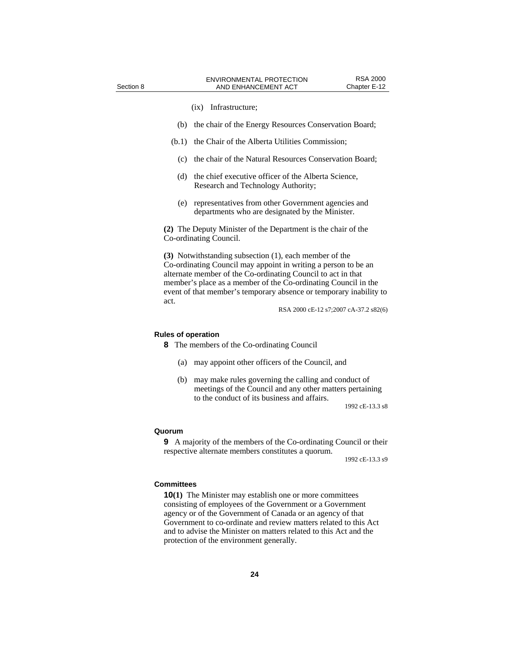#### (ix) Infrastructure;

- (b) the chair of the Energy Resources Conservation Board;
- (b.1) the Chair of the Alberta Utilities Commission;
	- (c) the chair of the Natural Resources Conservation Board;
- (d) the chief executive officer of the Alberta Science, Research and Technology Authority;
- (e) representatives from other Government agencies and departments who are designated by the Minister.

**(2)** The Deputy Minister of the Department is the chair of the Co-ordinating Council.

**(3)** Notwithstanding subsection (1), each member of the Co-ordinating Council may appoint in writing a person to be an alternate member of the Co-ordinating Council to act in that member's place as a member of the Co-ordinating Council in the event of that member's temporary absence or temporary inability to act.

RSA 2000 cE-12 s7;2007 cA-37.2 s82(6)

#### **Rules of operation**

**8** The members of the Co-ordinating Council

- (a) may appoint other officers of the Council, and
- (b) may make rules governing the calling and conduct of meetings of the Council and any other matters pertaining to the conduct of its business and affairs.

1992 cE-13.3 s8

#### **Quorum**

**9** A majority of the members of the Co-ordinating Council or their respective alternate members constitutes a quorum.

1992 cE-13.3 s9

#### **Committees**

**10(1)** The Minister may establish one or more committees consisting of employees of the Government or a Government agency or of the Government of Canada or an agency of that Government to co-ordinate and review matters related to this Act and to advise the Minister on matters related to this Act and the protection of the environment generally.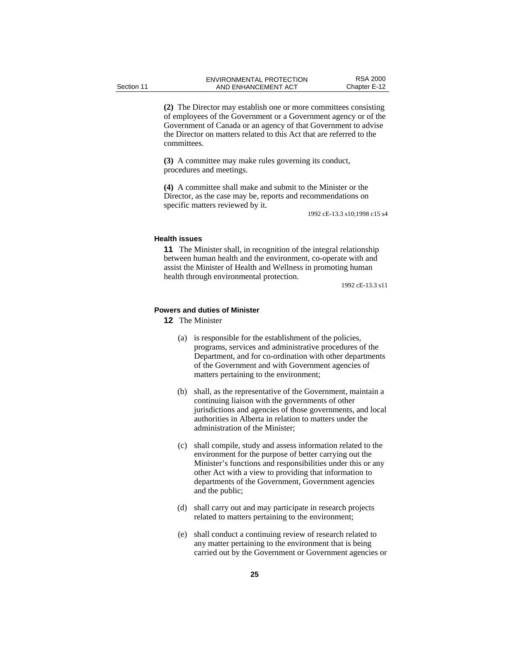**(2)** The Director may establish one or more committees consisting of employees of the Government or a Government agency or of the Government of Canada or an agency of that Government to advise the Director on matters related to this Act that are referred to the committees.

**(3)** A committee may make rules governing its conduct, procedures and meetings.

**(4)** A committee shall make and submit to the Minister or the Director, as the case may be, reports and recommendations on specific matters reviewed by it.

1992 cE-13.3 s10;1998 c15 s4

#### **Health issues**

**11** The Minister shall, in recognition of the integral relationship between human health and the environment, co-operate with and assist the Minister of Health and Wellness in promoting human health through environmental protection.

1992 cE-13.3 s11

#### **Powers and duties of Minister**

- **12** The Minister
	- (a) is responsible for the establishment of the policies, programs, services and administrative procedures of the Department, and for co-ordination with other departments of the Government and with Government agencies of matters pertaining to the environment;
	- (b) shall, as the representative of the Government, maintain a continuing liaison with the governments of other jurisdictions and agencies of those governments, and local authorities in Alberta in relation to matters under the administration of the Minister;
	- (c) shall compile, study and assess information related to the environment for the purpose of better carrying out the Minister's functions and responsibilities under this or any other Act with a view to providing that information to departments of the Government, Government agencies and the public;
	- (d) shall carry out and may participate in research projects related to matters pertaining to the environment;
	- (e) shall conduct a continuing review of research related to any matter pertaining to the environment that is being carried out by the Government or Government agencies or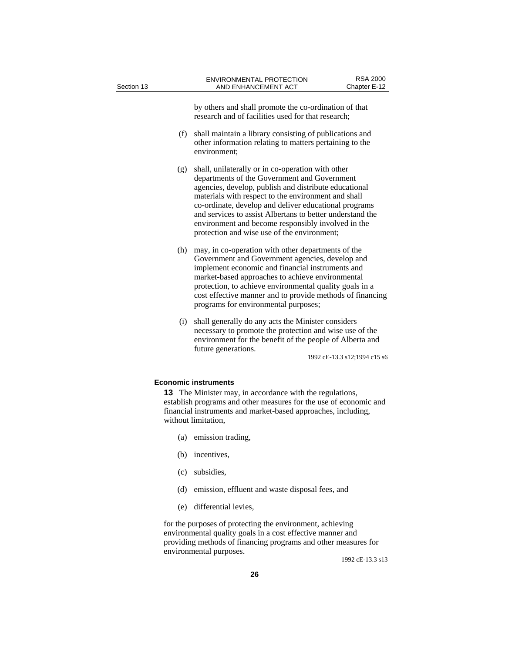by others and shall promote the co-ordination of that research and of facilities used for that research;

- (f) shall maintain a library consisting of publications and other information relating to matters pertaining to the environment;
- (g) shall, unilaterally or in co-operation with other departments of the Government and Government agencies, develop, publish and distribute educational materials with respect to the environment and shall co-ordinate, develop and deliver educational programs and services to assist Albertans to better understand the environment and become responsibly involved in the protection and wise use of the environment;
- (h) may, in co-operation with other departments of the Government and Government agencies, develop and implement economic and financial instruments and market-based approaches to achieve environmental protection, to achieve environmental quality goals in a cost effective manner and to provide methods of financing programs for environmental purposes;
- (i) shall generally do any acts the Minister considers necessary to promote the protection and wise use of the environment for the benefit of the people of Alberta and future generations.

1992 cE-13.3 s12;1994 c15 s6

#### **Economic instruments**

**13** The Minister may, in accordance with the regulations, establish programs and other measures for the use of economic and financial instruments and market-based approaches, including, without limitation,

- (a) emission trading,
- (b) incentives,
- (c) subsidies,
- (d) emission, effluent and waste disposal fees, and
- (e) differential levies,

for the purposes of protecting the environment, achieving environmental quality goals in a cost effective manner and providing methods of financing programs and other measures for environmental purposes.

1992 cE-13.3 s13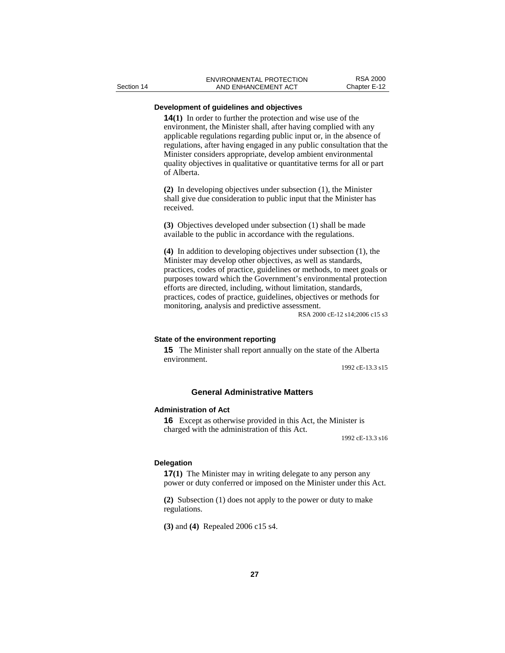#### **Development of guidelines and objectives**

**14(1)** In order to further the protection and wise use of the environment, the Minister shall, after having complied with any applicable regulations regarding public input or, in the absence of regulations, after having engaged in any public consultation that the Minister considers appropriate, develop ambient environmental quality objectives in qualitative or quantitative terms for all or part of Alberta.

**(2)** In developing objectives under subsection (1), the Minister shall give due consideration to public input that the Minister has received.

**(3)** Objectives developed under subsection (1) shall be made available to the public in accordance with the regulations.

**(4)** In addition to developing objectives under subsection (1), the Minister may develop other objectives, as well as standards, practices, codes of practice, guidelines or methods, to meet goals or purposes toward which the Government's environmental protection efforts are directed, including, without limitation, standards, practices, codes of practice, guidelines, objectives or methods for monitoring, analysis and predictive assessment.

RSA 2000 cE-12 s14;2006 c15 s3

#### **State of the environment reporting**

**15** The Minister shall report annually on the state of the Alberta environment.

1992 cE-13.3 s15

#### **General Administrative Matters**

#### **Administration of Act**

**16** Except as otherwise provided in this Act, the Minister is charged with the administration of this Act.

1992 cE-13.3 s16

#### **Delegation**

**17(1)** The Minister may in writing delegate to any person any power or duty conferred or imposed on the Minister under this Act.

**(2)** Subsection (1) does not apply to the power or duty to make regulations.

**(3)** and **(4)** Repealed 2006 c15 s4.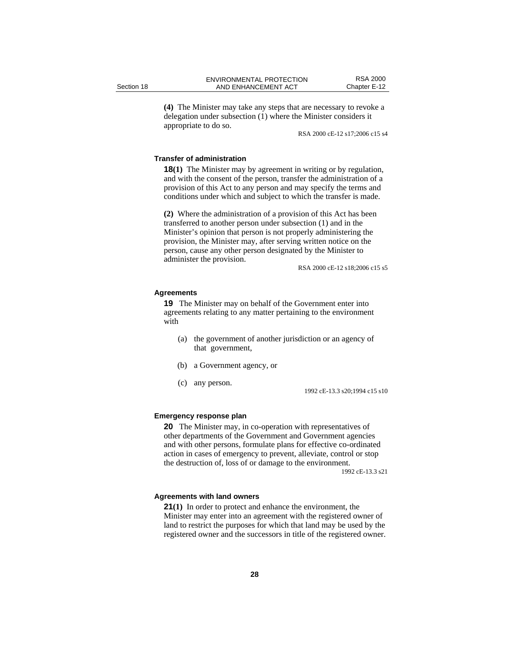**(4)** The Minister may take any steps that are necessary to revoke a delegation under subsection (1) where the Minister considers it appropriate to do so.

RSA 2000 cE-12 s17;2006 c15 s4

#### **Transfer of administration**

**18(1)** The Minister may by agreement in writing or by regulation, and with the consent of the person, transfer the administration of a provision of this Act to any person and may specify the terms and conditions under which and subject to which the transfer is made.

**(2)** Where the administration of a provision of this Act has been transferred to another person under subsection (1) and in the Minister's opinion that person is not properly administering the provision, the Minister may, after serving written notice on the person, cause any other person designated by the Minister to administer the provision.

RSA 2000 cE-12 s18;2006 c15 s5

#### **Agreements**

**19** The Minister may on behalf of the Government enter into agreements relating to any matter pertaining to the environment with

- (a) the government of another jurisdiction or an agency of that government,
- (b) a Government agency, or
- (c) any person.

1992 cE-13.3 s20;1994 c15 s10

#### **Emergency response plan**

**20** The Minister may, in co-operation with representatives of other departments of the Government and Government agencies and with other persons, formulate plans for effective co-ordinated action in cases of emergency to prevent, alleviate, control or stop the destruction of, loss of or damage to the environment.

1992 cE-13.3 s21

#### **Agreements with land owners**

**21(1)** In order to protect and enhance the environment, the Minister may enter into an agreement with the registered owner of land to restrict the purposes for which that land may be used by the registered owner and the successors in title of the registered owner.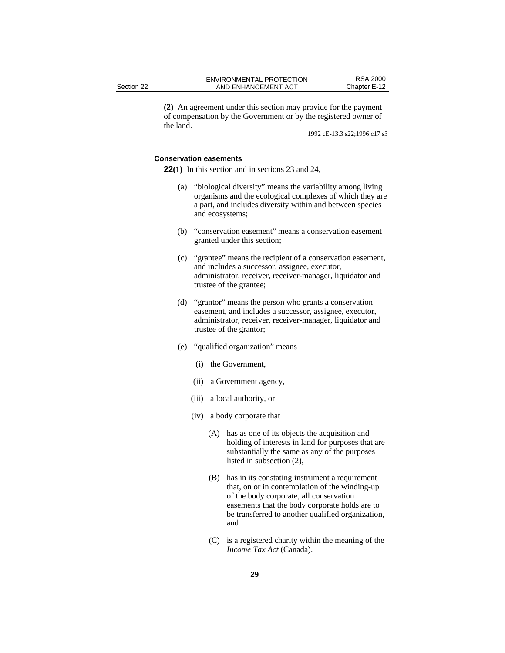**(2)** An agreement under this section may provide for the payment of compensation by the Government or by the registered owner of the land.

1992 cE-13.3 s22;1996 c17 s3

#### **Conservation easements**

**22(1)** In this section and in sections 23 and 24,

- (a) "biological diversity" means the variability among living organisms and the ecological complexes of which they are a part, and includes diversity within and between species and ecosystems;
- (b) "conservation easement" means a conservation easement granted under this section;
- (c) "grantee" means the recipient of a conservation easement, and includes a successor, assignee, executor, administrator, receiver, receiver-manager, liquidator and trustee of the grantee;
- (d) "grantor" means the person who grants a conservation easement, and includes a successor, assignee, executor, administrator, receiver, receiver-manager, liquidator and trustee of the grantor;
- (e) "qualified organization" means
	- (i) the Government,
	- (ii) a Government agency,
	- (iii) a local authority, or
	- (iv) a body corporate that
		- (A) has as one of its objects the acquisition and holding of interests in land for purposes that are substantially the same as any of the purposes listed in subsection (2),
		- (B) has in its constating instrument a requirement that, on or in contemplation of the winding-up of the body corporate, all conservation easements that the body corporate holds are to be transferred to another qualified organization, and
		- (C) is a registered charity within the meaning of the *Income Tax Act* (Canada).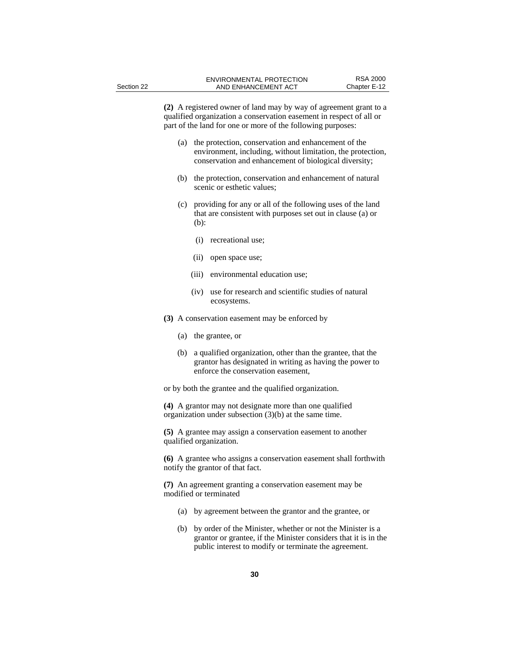**(2)** A registered owner of land may by way of agreement grant to a qualified organization a conservation easement in respect of all or part of the land for one or more of the following purposes:

- (a) the protection, conservation and enhancement of the environment, including, without limitation, the protection, conservation and enhancement of biological diversity;
- (b) the protection, conservation and enhancement of natural scenic or esthetic values;
- (c) providing for any or all of the following uses of the land that are consistent with purposes set out in clause (a) or (b):
	- (i) recreational use;
	- (ii) open space use;
	- (iii) environmental education use;
	- (iv) use for research and scientific studies of natural ecosystems.
- **(3)** A conservation easement may be enforced by
	- (a) the grantee, or
	- (b) a qualified organization, other than the grantee, that the grantor has designated in writing as having the power to enforce the conservation easement,

or by both the grantee and the qualified organization.

**(4)** A grantor may not designate more than one qualified organization under subsection (3)(b) at the same time.

**(5)** A grantee may assign a conservation easement to another qualified organization.

**(6)** A grantee who assigns a conservation easement shall forthwith notify the grantor of that fact.

**(7)** An agreement granting a conservation easement may be modified or terminated

- (a) by agreement between the grantor and the grantee, or
- (b) by order of the Minister, whether or not the Minister is a grantor or grantee, if the Minister considers that it is in the public interest to modify or terminate the agreement.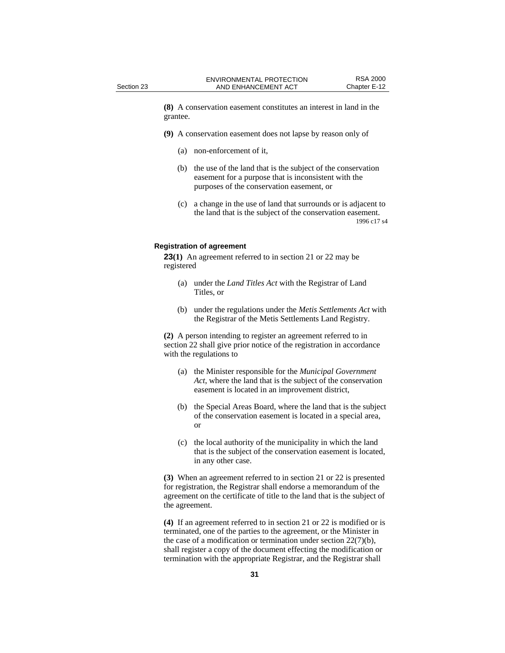**(8)** A conservation easement constitutes an interest in land in the grantee.

- **(9)** A conservation easement does not lapse by reason only of
	- (a) non-enforcement of it,
	- (b) the use of the land that is the subject of the conservation easement for a purpose that is inconsistent with the purposes of the conservation easement, or
	- (c) a change in the use of land that surrounds or is adjacent to the land that is the subject of the conservation easement. 1996 c17 s4

#### **Registration of agreement**

**23(1)** An agreement referred to in section 21 or 22 may be registered

- (a) under the *Land Titles Act* with the Registrar of Land Titles, or
- (b) under the regulations under the *Metis Settlements Act* with the Registrar of the Metis Settlements Land Registry.

**(2)** A person intending to register an agreement referred to in section 22 shall give prior notice of the registration in accordance with the regulations to

- (a) the Minister responsible for the *Municipal Government Act*, where the land that is the subject of the conservation easement is located in an improvement district,
- (b) the Special Areas Board, where the land that is the subject of the conservation easement is located in a special area, or
- (c) the local authority of the municipality in which the land that is the subject of the conservation easement is located, in any other case.

**(3)** When an agreement referred to in section 21 or 22 is presented for registration, the Registrar shall endorse a memorandum of the agreement on the certificate of title to the land that is the subject of the agreement.

**(4)** If an agreement referred to in section 21 or 22 is modified or is terminated, one of the parties to the agreement, or the Minister in the case of a modification or termination under section 22(7)(b), shall register a copy of the document effecting the modification or termination with the appropriate Registrar, and the Registrar shall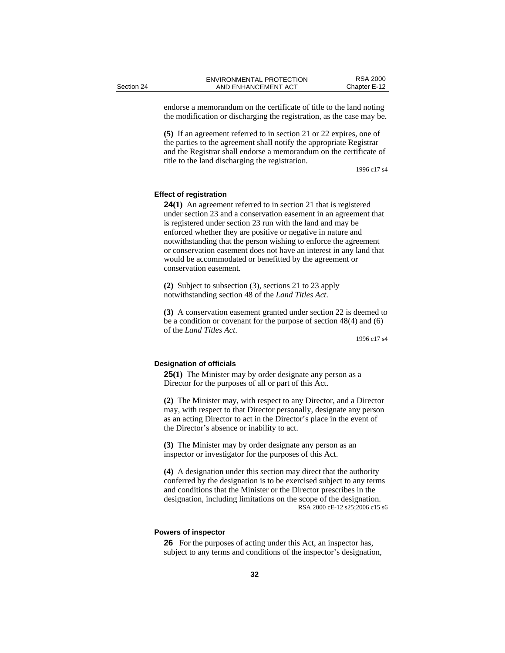endorse a memorandum on the certificate of title to the land noting the modification or discharging the registration, as the case may be.

**(5)** If an agreement referred to in section 21 or 22 expires, one of the parties to the agreement shall notify the appropriate Registrar and the Registrar shall endorse a memorandum on the certificate of title to the land discharging the registration.

1996 c17 s4

#### **Effect of registration**

**24(1)** An agreement referred to in section 21 that is registered under section 23 and a conservation easement in an agreement that is registered under section 23 run with the land and may be enforced whether they are positive or negative in nature and notwithstanding that the person wishing to enforce the agreement or conservation easement does not have an interest in any land that would be accommodated or benefitted by the agreement or conservation easement.

**(2)** Subject to subsection (3), sections 21 to 23 apply notwithstanding section 48 of the *Land Titles Act*.

**(3)** A conservation easement granted under section 22 is deemed to be a condition or covenant for the purpose of section 48(4) and (6) of the *Land Titles Act*.

#### **Designation of officials**

**25(1)** The Minister may by order designate any person as a Director for the purposes of all or part of this Act.

**(2)** The Minister may, with respect to any Director, and a Director may, with respect to that Director personally, designate any person as an acting Director to act in the Director's place in the event of the Director's absence or inability to act.

**(3)** The Minister may by order designate any person as an inspector or investigator for the purposes of this Act.

**(4)** A designation under this section may direct that the authority conferred by the designation is to be exercised subject to any terms and conditions that the Minister or the Director prescribes in the designation, including limitations on the scope of the designation. RSA 2000 cE-12 s25;2006 c15 s6

#### **Powers of inspector**

**26** For the purposes of acting under this Act, an inspector has, subject to any terms and conditions of the inspector's designation,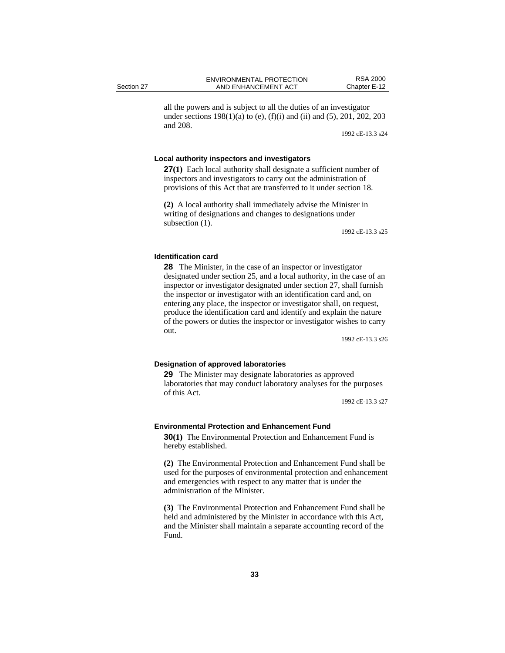all the powers and is subject to all the duties of an investigator under sections  $198(1)(a)$  to (e), (f)(i) and (ii) and (5), 201, 202, 203 and 208.

1992 cE-13.3 s24

#### **Local authority inspectors and investigators**

**27(1)** Each local authority shall designate a sufficient number of inspectors and investigators to carry out the administration of provisions of this Act that are transferred to it under section 18.

**(2)** A local authority shall immediately advise the Minister in writing of designations and changes to designations under subsection  $(1)$ .

1992 cE-13.3 s25

#### **Identification card**

**28** The Minister, in the case of an inspector or investigator designated under section 25, and a local authority, in the case of an inspector or investigator designated under section 27, shall furnish the inspector or investigator with an identification card and, on entering any place, the inspector or investigator shall, on request, produce the identification card and identify and explain the nature of the powers or duties the inspector or investigator wishes to carry out.

1992 cE-13.3 s26

#### **Designation of approved laboratories**

**29** The Minister may designate laboratories as approved laboratories that may conduct laboratory analyses for the purposes of this Act.

1992 cE-13.3 s27

#### **Environmental Protection and Enhancement Fund**

**30(1)** The Environmental Protection and Enhancement Fund is hereby established.

**(2)** The Environmental Protection and Enhancement Fund shall be used for the purposes of environmental protection and enhancement and emergencies with respect to any matter that is under the administration of the Minister.

**(3)** The Environmental Protection and Enhancement Fund shall be held and administered by the Minister in accordance with this Act, and the Minister shall maintain a separate accounting record of the Fund.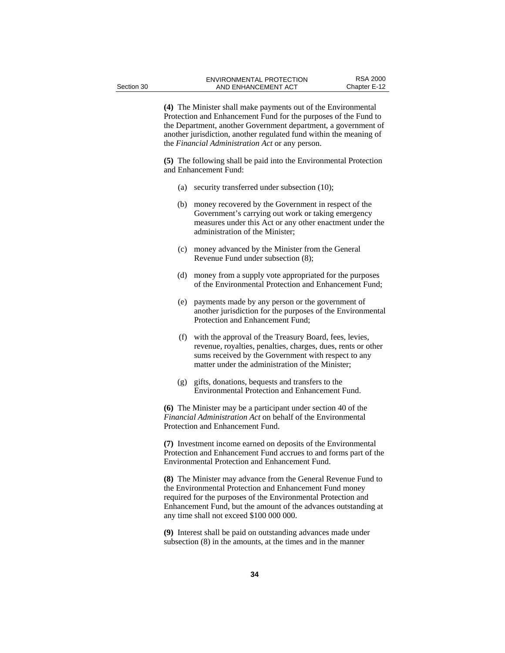**(4)** The Minister shall make payments out of the Environmental Protection and Enhancement Fund for the purposes of the Fund to the Department, another Government department, a government of another jurisdiction, another regulated fund within the meaning of the *Financial Administration Act* or any person.

**(5)** The following shall be paid into the Environmental Protection and Enhancement Fund:

- (a) security transferred under subsection (10);
- (b) money recovered by the Government in respect of the Government's carrying out work or taking emergency measures under this Act or any other enactment under the administration of the Minister;
- (c) money advanced by the Minister from the General Revenue Fund under subsection (8);
- (d) money from a supply vote appropriated for the purposes of the Environmental Protection and Enhancement Fund;
- (e) payments made by any person or the government of another jurisdiction for the purposes of the Environmental Protection and Enhancement Fund;
- (f) with the approval of the Treasury Board, fees, levies, revenue, royalties, penalties, charges, dues, rents or other sums received by the Government with respect to any matter under the administration of the Minister;
- (g) gifts, donations, bequests and transfers to the Environmental Protection and Enhancement Fund.

**(6)** The Minister may be a participant under section 40 of the *Financial Administration Act* on behalf of the Environmental Protection and Enhancement Fund.

**(7)** Investment income earned on deposits of the Environmental Protection and Enhancement Fund accrues to and forms part of the Environmental Protection and Enhancement Fund.

**(8)** The Minister may advance from the General Revenue Fund to the Environmental Protection and Enhancement Fund money required for the purposes of the Environmental Protection and Enhancement Fund, but the amount of the advances outstanding at any time shall not exceed \$100 000 000.

**(9)** Interest shall be paid on outstanding advances made under subsection (8) in the amounts, at the times and in the manner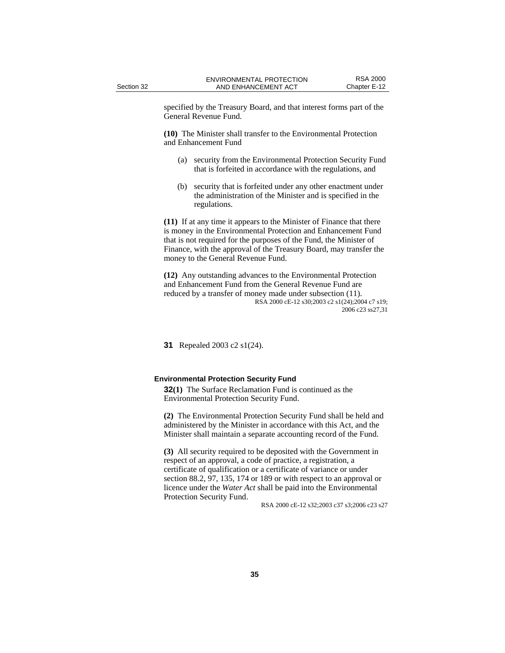specified by the Treasury Board, and that interest forms part of the General Revenue Fund.

**(10)** The Minister shall transfer to the Environmental Protection and Enhancement Fund

- (a) security from the Environmental Protection Security Fund that is forfeited in accordance with the regulations, and
- (b) security that is forfeited under any other enactment under the administration of the Minister and is specified in the regulations.

**(11)** If at any time it appears to the Minister of Finance that there is money in the Environmental Protection and Enhancement Fund that is not required for the purposes of the Fund, the Minister of Finance, with the approval of the Treasury Board, may transfer the money to the General Revenue Fund.

**(12)** Any outstanding advances to the Environmental Protection and Enhancement Fund from the General Revenue Fund are reduced by a transfer of money made under subsection (11). RSA 2000 cE-12 s30;2003 c2 s1(24);2004 c7 s19; 2006 c23 ss27,31

**31** Repealed 2003 c2 s1(24).

#### **Environmental Protection Security Fund**

**32(1)** The Surface Reclamation Fund is continued as the Environmental Protection Security Fund.

**(2)** The Environmental Protection Security Fund shall be held and administered by the Minister in accordance with this Act, and the Minister shall maintain a separate accounting record of the Fund.

**(3)** All security required to be deposited with the Government in respect of an approval, a code of practice, a registration, a certificate of qualification or a certificate of variance or under section 88.2, 97, 135, 174 or 189 or with respect to an approval or licence under the *Water Act* shall be paid into the Environmental Protection Security Fund.

RSA 2000 cE-12 s32;2003 c37 s3;2006 c23 s27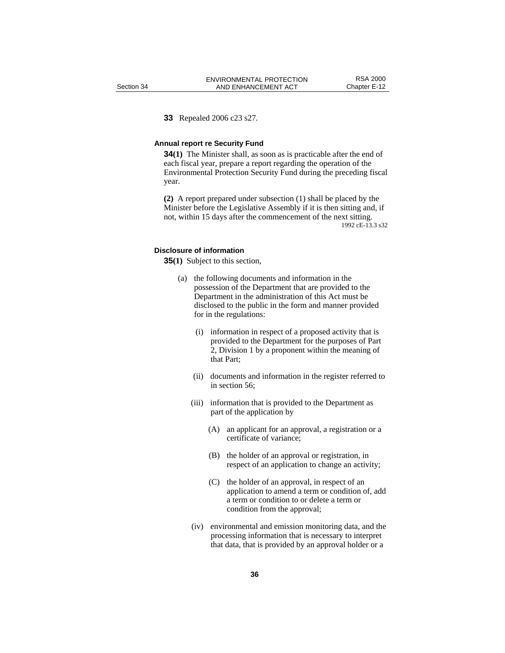#### **33** Repealed 2006 c23 s27.

#### **Annual report re Security Fund**

**34(1)** The Minister shall, as soon as is practicable after the end of each fiscal year, prepare a report regarding the operation of the Environmental Protection Security Fund during the preceding fiscal year.

**(2)** A report prepared under subsection (1) shall be placed by the Minister before the Legislative Assembly if it is then sitting and, if not, within 15 days after the commencement of the next sitting. 1992 cE-13.3 s32

#### **Disclosure of information**

**35(1)** Subject to this section,

- (a) the following documents and information in the possession of the Department that are provided to the Department in the administration of this Act must be disclosed to the public in the form and manner provided for in the regulations:
	- (i) information in respect of a proposed activity that is provided to the Department for the purposes of Part 2, Division 1 by a proponent within the meaning of that Part;
	- (ii) documents and information in the register referred to in section 56;
	- (iii) information that is provided to the Department as part of the application by
		- (A) an applicant for an approval, a registration or a certificate of variance;
		- (B) the holder of an approval or registration, in respect of an application to change an activity;
		- (C) the holder of an approval, in respect of an application to amend a term or condition of, add a term or condition to or delete a term or condition from the approval;
	- (iv) environmental and emission monitoring data, and the processing information that is necessary to interpret that data, that is provided by an approval holder or a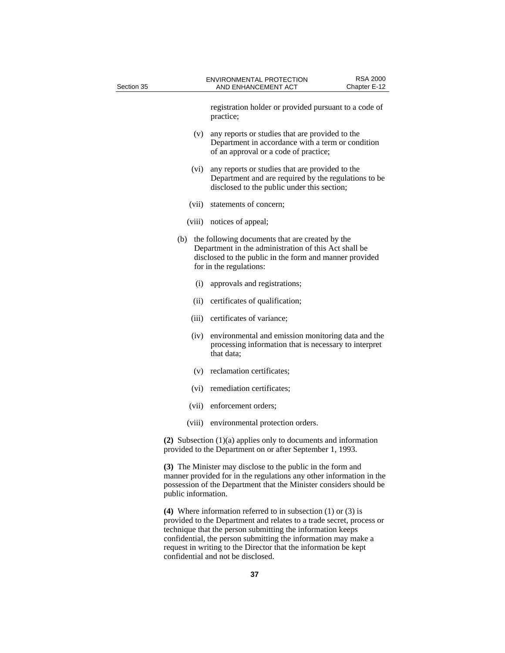| Section 35          | <b>RSA 2000</b><br>ENVIRONMENTAL PROTECTION<br>Chapter E-12<br>AND ENHANCEMENT ACT                                                                                                                       |
|---------------------|----------------------------------------------------------------------------------------------------------------------------------------------------------------------------------------------------------|
|                     | registration holder or provided pursuant to a code of<br>practice;                                                                                                                                       |
| (v)                 | any reports or studies that are provided to the<br>Department in accordance with a term or condition<br>of an approval or a code of practice;                                                            |
| (vi)                | any reports or studies that are provided to the<br>Department and are required by the regulations to be<br>disclosed to the public under this section;                                                   |
| (vii)               | statements of concern;                                                                                                                                                                                   |
|                     | (viii) notices of appeal;                                                                                                                                                                                |
| (b)                 | the following documents that are created by the<br>Department in the administration of this Act shall be<br>disclosed to the public in the form and manner provided<br>for in the regulations:           |
| (i)                 | approvals and registrations;                                                                                                                                                                             |
| (ii)                | certificates of qualification;                                                                                                                                                                           |
|                     | (iii) certificates of variance;                                                                                                                                                                          |
| (iv)                | environmental and emission monitoring data and the<br>processing information that is necessary to interpret<br>that data;                                                                                |
|                     | (v) reclamation certificates;                                                                                                                                                                            |
|                     | (vi) remediation certificates;                                                                                                                                                                           |
|                     | (vii) enforcement orders;                                                                                                                                                                                |
|                     | (viii) environmental protection orders.                                                                                                                                                                  |
|                     | (2) Subsection $(1)(a)$ applies only to documents and information<br>provided to the Department on or after September 1, 1993.                                                                           |
| public information. | (3) The Minister may disclose to the public in the form and<br>manner provided for in the regulations any other information in the<br>possession of the Department that the Minister considers should be |
|                     | (4) Where information referred to in subsection $(1)$ or $(3)$ is<br>provided to the Department and relates to a trade secret process or                                                                 |

provided to the Department and relates to a trade secret, process or technique that the person submitting the information keeps confidential, the person submitting the information may make a request in writing to the Director that the information be kept confidential and not be disclosed.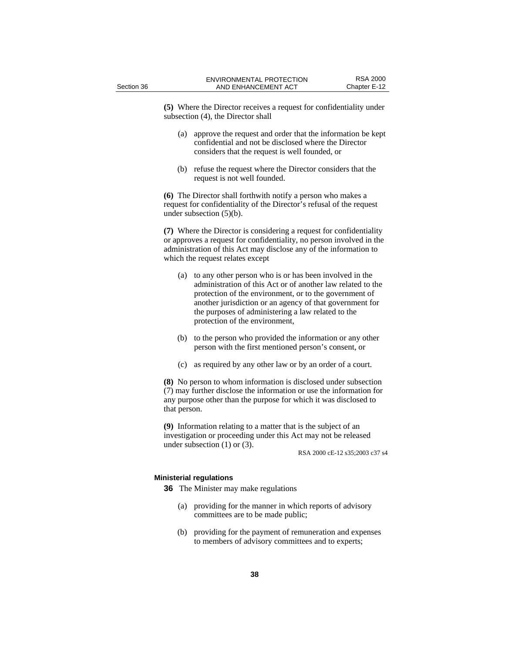**(5)** Where the Director receives a request for confidentiality under subsection (4), the Director shall

- (a) approve the request and order that the information be kept confidential and not be disclosed where the Director considers that the request is well founded, or
- (b) refuse the request where the Director considers that the request is not well founded.

**(6)** The Director shall forthwith notify a person who makes a request for confidentiality of the Director's refusal of the request under subsection (5)(b).

**(7)** Where the Director is considering a request for confidentiality or approves a request for confidentiality, no person involved in the administration of this Act may disclose any of the information to which the request relates except

- (a) to any other person who is or has been involved in the administration of this Act or of another law related to the protection of the environment, or to the government of another jurisdiction or an agency of that government for the purposes of administering a law related to the protection of the environment,
- (b) to the person who provided the information or any other person with the first mentioned person's consent, or
- (c) as required by any other law or by an order of a court.

**(8)** No person to whom information is disclosed under subsection (7) may further disclose the information or use the information for any purpose other than the purpose for which it was disclosed to that person.

**(9)** Information relating to a matter that is the subject of an investigation or proceeding under this Act may not be released under subsection (1) or (3).

RSA 2000 cE-12 s35;2003 c37 s4

## **Ministerial regulations**

**36** The Minister may make regulations

- (a) providing for the manner in which reports of advisory committees are to be made public;
- (b) providing for the payment of remuneration and expenses to members of advisory committees and to experts;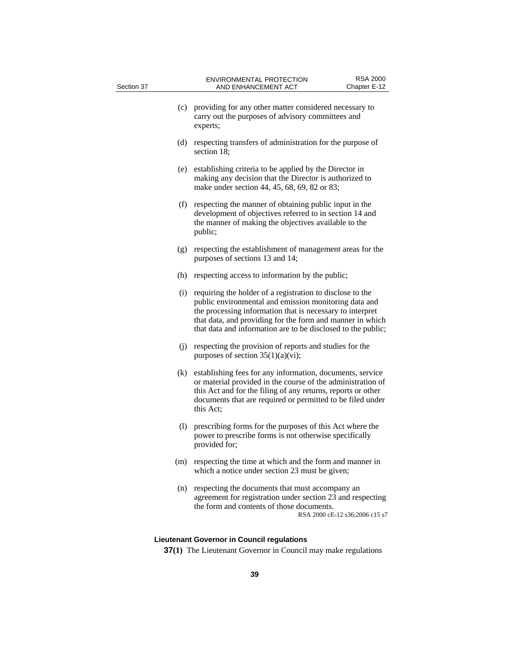| Section 37 |     | <b>ENVIRONMENTAL PROTECTION</b><br>AND ENHANCEMENT ACT                                                                                                                                                                                                                                                       | <b>RSA 2000</b><br>Chapter E-12 |
|------------|-----|--------------------------------------------------------------------------------------------------------------------------------------------------------------------------------------------------------------------------------------------------------------------------------------------------------------|---------------------------------|
|            | (c) | providing for any other matter considered necessary to<br>carry out the purposes of advisory committees and<br>experts;                                                                                                                                                                                      |                                 |
|            | (d) | respecting transfers of administration for the purpose of<br>section 18;                                                                                                                                                                                                                                     |                                 |
|            | (e) | establishing criteria to be applied by the Director in<br>making any decision that the Director is authorized to<br>make under section 44, 45, 68, 69, 82 or 83;                                                                                                                                             |                                 |
|            | (f) | respecting the manner of obtaining public input in the<br>development of objectives referred to in section 14 and<br>the manner of making the objectives available to the<br>public;                                                                                                                         |                                 |
|            | (g) | respecting the establishment of management areas for the<br>purposes of sections 13 and 14;                                                                                                                                                                                                                  |                                 |
|            | (h) | respecting access to information by the public;                                                                                                                                                                                                                                                              |                                 |
|            | (i) | requiring the holder of a registration to disclose to the<br>public environmental and emission monitoring data and<br>the processing information that is necessary to interpret<br>that data, and providing for the form and manner in which<br>that data and information are to be disclosed to the public; |                                 |
|            | (i) | respecting the provision of reports and studies for the<br>purposes of section $35(1)(a)(vi)$ ;                                                                                                                                                                                                              |                                 |
|            | (k) | establishing fees for any information, documents, service<br>or material provided in the course of the administration of<br>this Act and for the filing of any returns, reports or other<br>documents that are required or permitted to be filed under<br>this Act;                                          |                                 |
|            | (1) | prescribing forms for the purposes of this Act where the<br>power to prescribe forms is not otherwise specifically<br>provided for:                                                                                                                                                                          |                                 |
|            | (m) | respecting the time at which and the form and manner in<br>which a notice under section 23 must be given;                                                                                                                                                                                                    |                                 |
|            | (n) | respecting the documents that must accompany an<br>agreement for registration under section 23 and respecting<br>the form and contents of those documents.                                                                                                                                                   | RSA 2000 cE-12 s36;2006 c15 s7  |
|            |     | <b>Lieutenant Governor in Council regulations</b>                                                                                                                                                                                                                                                            |                                 |

# **37(1)** The Lieutenant Governor in Council may make regulations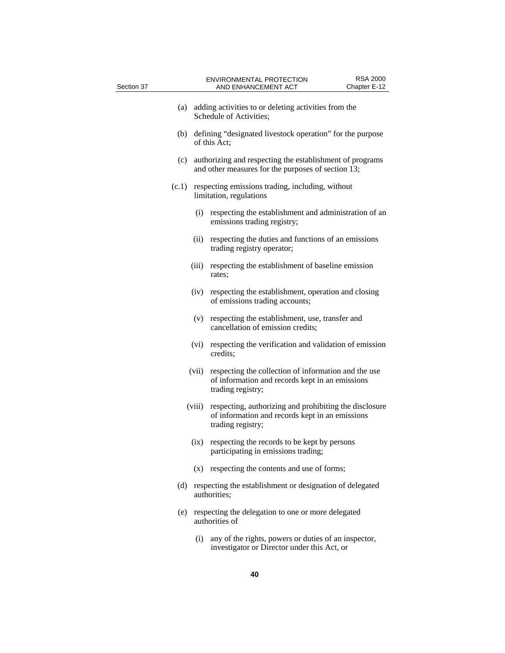| Section 37 |        | <b>ENVIRONMENTAL PROTECTION</b><br>AND ENHANCEMENT ACT                                                                         | <b>RSA 2000</b><br>Chapter E-12 |
|------------|--------|--------------------------------------------------------------------------------------------------------------------------------|---------------------------------|
|            | (a)    | adding activities to or deleting activities from the<br>Schedule of Activities;                                                |                                 |
|            | (b)    | defining "designated livestock operation" for the purpose<br>of this Act:                                                      |                                 |
|            | (c)    | authorizing and respecting the establishment of programs<br>and other measures for the purposes of section 13;                 |                                 |
|            | (c.1)  | respecting emissions trading, including, without<br>limitation, regulations                                                    |                                 |
|            |        | (i)<br>respecting the establishment and administration of an<br>emissions trading registry;                                    |                                 |
|            |        | respecting the duties and functions of an emissions<br>(ii)<br>trading registry operator;                                      |                                 |
|            |        | (iii)<br>respecting the establishment of baseline emission<br>rates;                                                           |                                 |
|            |        | respecting the establishment, operation and closing<br>(iv)<br>of emissions trading accounts;                                  |                                 |
|            |        | respecting the establishment, use, transfer and<br>(v)<br>cancellation of emission credits;                                    |                                 |
|            |        | (vi)<br>respecting the verification and validation of emission<br>credits;                                                     |                                 |
|            | (vii)  | respecting the collection of information and the use<br>of information and records kept in an emissions<br>trading registry;   |                                 |
|            | (viii) | respecting, authorizing and prohibiting the disclosure<br>of information and records kept in an emissions<br>trading registry; |                                 |
|            |        | respecting the records to be kept by persons<br>(ix)<br>participating in emissions trading;                                    |                                 |
|            |        | respecting the contents and use of forms;<br>(x)                                                                               |                                 |
|            | (d)    | respecting the establishment or designation of delegated<br>authorities;                                                       |                                 |
|            | (e)    | respecting the delegation to one or more delegated<br>authorities of                                                           |                                 |
|            |        | any of the rights, powers or duties of an inspector,<br>(i)<br>investigator or Director under this Act, or                     |                                 |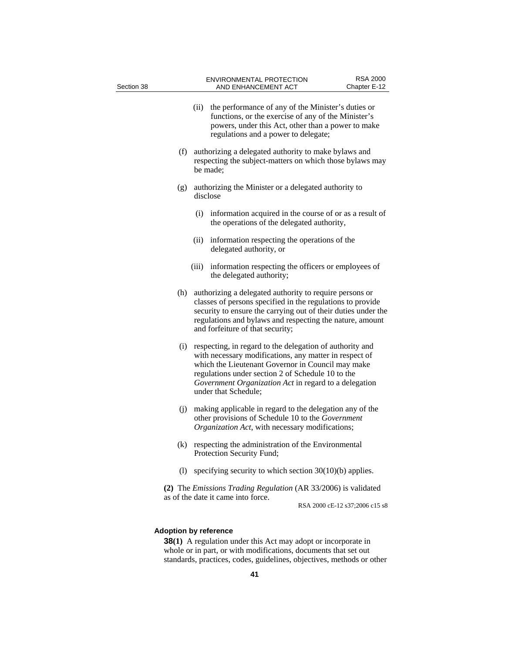| Section 38                   |      | <b>ENVIRONMENTAL PROTECTION</b><br>AND ENHANCEMENT ACT                                                                                                                                                                                                                                                        | <b>RSA 2000</b><br>Chapter E-12 |
|------------------------------|------|---------------------------------------------------------------------------------------------------------------------------------------------------------------------------------------------------------------------------------------------------------------------------------------------------------------|---------------------------------|
|                              | (ii) | the performance of any of the Minister's duties or<br>functions, or the exercise of any of the Minister's<br>powers, under this Act, other than a power to make<br>regulations and a power to delegate;                                                                                                       |                                 |
| (f)                          |      | authorizing a delegated authority to make bylaws and<br>respecting the subject-matters on which those bylaws may<br>be made;                                                                                                                                                                                  |                                 |
| (g)                          |      | authorizing the Minister or a delegated authority to<br>disclose                                                                                                                                                                                                                                              |                                 |
|                              | (i)  | information acquired in the course of or as a result of<br>the operations of the delegated authority,                                                                                                                                                                                                         |                                 |
|                              | (ii) | information respecting the operations of the<br>delegated authority, or                                                                                                                                                                                                                                       |                                 |
|                              |      | (iii) information respecting the officers or employees of<br>the delegated authority;                                                                                                                                                                                                                         |                                 |
| (h)                          |      | authorizing a delegated authority to require persons or<br>classes of persons specified in the regulations to provide<br>security to ensure the carrying out of their duties under the<br>regulations and bylaws and respecting the nature, amount<br>and forfeiture of that security;                        |                                 |
| (i)                          |      | respecting, in regard to the delegation of authority and<br>with necessary modifications, any matter in respect of<br>which the Lieutenant Governor in Council may make<br>regulations under section 2 of Schedule 10 to the<br>Government Organization Act in regard to a delegation<br>under that Schedule; |                                 |
| (j)                          |      | making applicable in regard to the delegation any of the<br>other provisions of Schedule 10 to the Government<br>Organization Act, with necessary modifications;                                                                                                                                              |                                 |
| (k)                          |      | respecting the administration of the Environmental<br>Protection Security Fund;                                                                                                                                                                                                                               |                                 |
| (1)                          |      | specifying security to which section $30(10)(b)$ applies.                                                                                                                                                                                                                                                     |                                 |
|                              |      | (2) The Emissions Trading Regulation (AR 33/2006) is validated<br>as of the date it came into force.                                                                                                                                                                                                          | RSA 2000 cE-12 s37;2006 c15 s8  |
| <b>Adoption by reference</b> |      | <b>38(1)</b> A regulation under this Act may adopt or incorporate in                                                                                                                                                                                                                                          |                                 |

whole or in part, or with modifications, documents that set out standards, practices, codes, guidelines, objectives, methods or other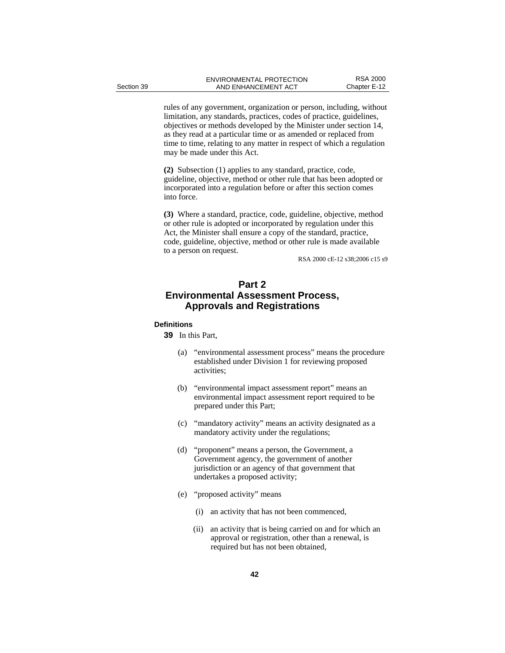rules of any government, organization or person, including, without limitation, any standards, practices, codes of practice, guidelines, objectives or methods developed by the Minister under section 14, as they read at a particular time or as amended or replaced from time to time, relating to any matter in respect of which a regulation may be made under this Act.

**(2)** Subsection (1) applies to any standard, practice, code, guideline, objective, method or other rule that has been adopted or incorporated into a regulation before or after this section comes into force.

**(3)** Where a standard, practice, code, guideline, objective, method or other rule is adopted or incorporated by regulation under this Act, the Minister shall ensure a copy of the standard, practice, code, guideline, objective, method or other rule is made available to a person on request.

RSA 2000 cE-12 s38;2006 c15 s9

# **Part 2 Environmental Assessment Process, Approvals and Registrations**

#### **Definitions**

**39** In this Part,

- (a) "environmental assessment process" means the procedure established under Division 1 for reviewing proposed activities;
- (b) "environmental impact assessment report" means an environmental impact assessment report required to be prepared under this Part;
- (c) "mandatory activity" means an activity designated as a mandatory activity under the regulations;
- (d) "proponent" means a person, the Government, a Government agency, the government of another jurisdiction or an agency of that government that undertakes a proposed activity;
- (e) "proposed activity" means
	- (i) an activity that has not been commenced,
	- (ii) an activity that is being carried on and for which an approval or registration, other than a renewal, is required but has not been obtained,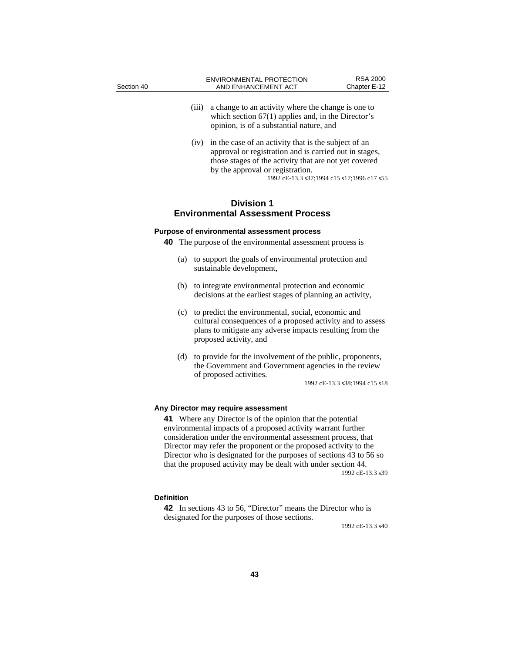| Section 40 |       | <b>ENVIRONMENTAL PROTECTION</b><br>AND ENHANCEMENT ACT                                                                                                                                                                                                    | <b>RSA 2000</b><br>Chapter E-12 |
|------------|-------|-----------------------------------------------------------------------------------------------------------------------------------------------------------------------------------------------------------------------------------------------------------|---------------------------------|
|            | (iii) | a change to an activity where the change is one to<br>which section $67(1)$ applies and, in the Director's<br>opinion, is of a substantial nature, and                                                                                                    |                                 |
|            | (iv)  | in the case of an activity that is the subject of an<br>approval or registration and is carried out in stages,<br>those stages of the activity that are not yet covered<br>by the approval or registration.<br>1992 cE-13.3 s37;1994 c15 s17;1996 c17 s55 |                                 |

## **Division 1 Environmental Assessment Process**

## **Purpose of environmental assessment process**

**40** The purpose of the environmental assessment process is

- (a) to support the goals of environmental protection and sustainable development,
- (b) to integrate environmental protection and economic decisions at the earliest stages of planning an activity,
- (c) to predict the environmental, social, economic and cultural consequences of a proposed activity and to assess plans to mitigate any adverse impacts resulting from the proposed activity, and
- (d) to provide for the involvement of the public, proponents, the Government and Government agencies in the review of proposed activities.

1992 cE-13.3 s38;1994 c15 s18

## **Any Director may require assessment**

**41** Where any Director is of the opinion that the potential environmental impacts of a proposed activity warrant further consideration under the environmental assessment process, that Director may refer the proponent or the proposed activity to the Director who is designated for the purposes of sections 43 to 56 so that the proposed activity may be dealt with under section 44. 1992 cE-13.3 s39

## **Definition**

**42** In sections 43 to 56, "Director" means the Director who is designated for the purposes of those sections.

1992 cE-13.3 s40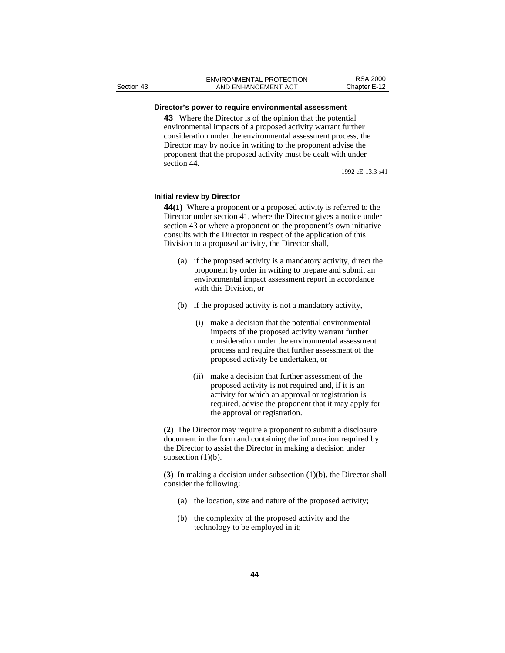## **Director's power to require environmental assessment**

**43** Where the Director is of the opinion that the potential environmental impacts of a proposed activity warrant further consideration under the environmental assessment process, the Director may by notice in writing to the proponent advise the proponent that the proposed activity must be dealt with under section 44.

1992 cE-13.3 s41

## **Initial review by Director**

**44(1)** Where a proponent or a proposed activity is referred to the Director under section 41, where the Director gives a notice under section 43 or where a proponent on the proponent's own initiative consults with the Director in respect of the application of this Division to a proposed activity, the Director shall,

- (a) if the proposed activity is a mandatory activity, direct the proponent by order in writing to prepare and submit an environmental impact assessment report in accordance with this Division, or
- (b) if the proposed activity is not a mandatory activity,
	- (i) make a decision that the potential environmental impacts of the proposed activity warrant further consideration under the environmental assessment process and require that further assessment of the proposed activity be undertaken, or
	- (ii) make a decision that further assessment of the proposed activity is not required and, if it is an activity for which an approval or registration is required, advise the proponent that it may apply for the approval or registration.

**(2)** The Director may require a proponent to submit a disclosure document in the form and containing the information required by the Director to assist the Director in making a decision under subsection (1)(b).

**(3)** In making a decision under subsection (1)(b), the Director shall consider the following:

- (a) the location, size and nature of the proposed activity;
- (b) the complexity of the proposed activity and the technology to be employed in it;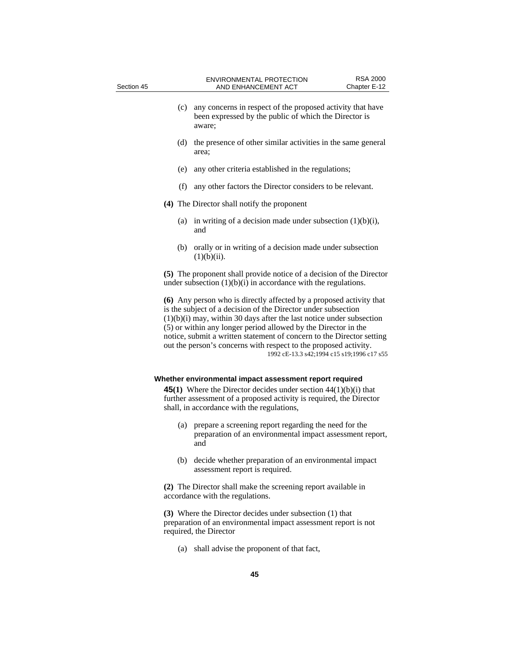| Section 45 |     | <b>ENVIRONMENTAL PROTECTION</b><br>AND ENHANCEMENT ACT                                                                                                                                                                                                                                                                                                                                                                                                                      | <b>RSA 2000</b><br>Chapter E-12 |
|------------|-----|-----------------------------------------------------------------------------------------------------------------------------------------------------------------------------------------------------------------------------------------------------------------------------------------------------------------------------------------------------------------------------------------------------------------------------------------------------------------------------|---------------------------------|
|            | (c) | any concerns in respect of the proposed activity that have<br>been expressed by the public of which the Director is<br>aware;                                                                                                                                                                                                                                                                                                                                               |                                 |
|            | (d) | the presence of other similar activities in the same general<br>area;                                                                                                                                                                                                                                                                                                                                                                                                       |                                 |
|            | (e) | any other criteria established in the regulations;                                                                                                                                                                                                                                                                                                                                                                                                                          |                                 |
|            | (f) | any other factors the Director considers to be relevant.                                                                                                                                                                                                                                                                                                                                                                                                                    |                                 |
|            |     | (4) The Director shall notify the proponent                                                                                                                                                                                                                                                                                                                                                                                                                                 |                                 |
|            | (a) | in writing of a decision made under subsection $(1)(b)(i)$ ,<br>and                                                                                                                                                                                                                                                                                                                                                                                                         |                                 |
|            | (b) | orally or in writing of a decision made under subsection<br>$(1)(b)(ii)$ .                                                                                                                                                                                                                                                                                                                                                                                                  |                                 |
|            |     | (5) The proponent shall provide notice of a decision of the Director<br>under subsection $(1)(b)(i)$ in accordance with the regulations.                                                                                                                                                                                                                                                                                                                                    |                                 |
|            |     | (6) Any person who is directly affected by a proposed activity that<br>is the subject of a decision of the Director under subsection<br>$(1)(b)(i)$ may, within 30 days after the last notice under subsection<br>(5) or within any longer period allowed by the Director in the<br>notice, submit a written statement of concern to the Director setting<br>out the person's concerns with respect to the proposed activity.<br>1992 cE-13.3 s42;1994 c15 s19;1996 c17 s55 |                                 |
|            |     | Whether environmental impact assessment report required                                                                                                                                                                                                                                                                                                                                                                                                                     |                                 |
|            |     | <b>45(1)</b> Where the Director decides under section $44(1)(b)(i)$ that<br>further assessment of a proposed activity is required, the Director<br>shall, in accordance with the regulations,                                                                                                                                                                                                                                                                               |                                 |
|            | (a) | prepare a screening report regarding the need for the<br>preparation of an environmental impact assessment report,<br>and                                                                                                                                                                                                                                                                                                                                                   |                                 |
|            |     | (b) decide whether preparation of an environmental impact<br>assessment report is required.                                                                                                                                                                                                                                                                                                                                                                                 |                                 |
|            |     | (2) The Director shall make the screening report available in<br>accordance with the regulations.                                                                                                                                                                                                                                                                                                                                                                           |                                 |
|            |     |                                                                                                                                                                                                                                                                                                                                                                                                                                                                             |                                 |

**(3)** Where the Director decides under subsection (1) that preparation of an environmental impact assessment report is not required, the Director

(a) shall advise the proponent of that fact,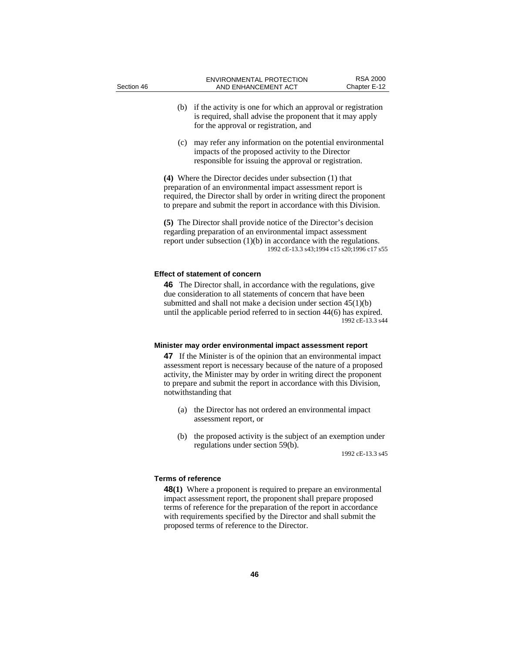| Section 46 |     | <b>ENVIRONMENTAL PROTECTION</b><br>AND ENHANCEMENT ACT                                                                                                                                                                                                                                 | <b>RSA 2000</b><br>Chapter E-12 |
|------------|-----|----------------------------------------------------------------------------------------------------------------------------------------------------------------------------------------------------------------------------------------------------------------------------------------|---------------------------------|
|            | (b) | if the activity is one for which an approval or registration<br>is required, shall advise the proponent that it may apply<br>for the approval or registration, and                                                                                                                     |                                 |
|            | (c) | may refer any information on the potential environmental<br>impacts of the proposed activity to the Director<br>responsible for issuing the approval or registration.                                                                                                                  |                                 |
|            |     | (4) Where the Director decides under subsection (1) that<br>preparation of an environmental impact assessment report is<br>required, the Director shall by order in writing direct the proponent<br>to prepare and submit the report in accordance with this Division.                 |                                 |
|            |     | (5) The Director shall provide notice of the Director's decision<br>regarding preparation of an environmental impact assessment<br>report under subsection $(1)(b)$ in accordance with the regulations.<br>1992 cE-13.3 s43;1994 c15 s20;1996 c17 s55                                  |                                 |
|            |     | <b>Effect of statement of concern</b>                                                                                                                                                                                                                                                  |                                 |
|            |     | <b>46</b> The Director shall, in accordance with the regulations, give<br>due consideration to all statements of concern that have been<br>submitted and shall not make a decision under section $45(1)(b)$<br>until the applicable period referred to in section $44(6)$ has expired. | 1992 cE-13.3 s44                |

#### **Minister may order environmental impact assessment report**

**47** If the Minister is of the opinion that an environmental impact assessment report is necessary because of the nature of a proposed activity, the Minister may by order in writing direct the proponent to prepare and submit the report in accordance with this Division, notwithstanding that

- (a) the Director has not ordered an environmental impact assessment report, or
- (b) the proposed activity is the subject of an exemption under regulations under section 59(b).

1992 cE-13.3 s45

## **Terms of reference**

**48(1)** Where a proponent is required to prepare an environmental impact assessment report, the proponent shall prepare proposed terms of reference for the preparation of the report in accordance with requirements specified by the Director and shall submit the proposed terms of reference to the Director.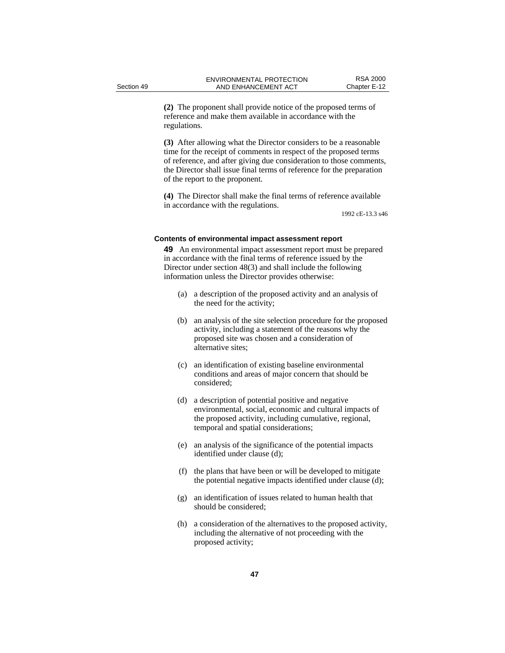**(2)** The proponent shall provide notice of the proposed terms of reference and make them available in accordance with the regulations.

**(3)** After allowing what the Director considers to be a reasonable time for the receipt of comments in respect of the proposed terms of reference, and after giving due consideration to those comments, the Director shall issue final terms of reference for the preparation of the report to the proponent.

**(4)** The Director shall make the final terms of reference available in accordance with the regulations.

1992 cE-13.3 s46

#### **Contents of environmental impact assessment report**

**49** An environmental impact assessment report must be prepared in accordance with the final terms of reference issued by the Director under section 48(3) and shall include the following information unless the Director provides otherwise:

- (a) a description of the proposed activity and an analysis of the need for the activity;
- (b) an analysis of the site selection procedure for the proposed activity, including a statement of the reasons why the proposed site was chosen and a consideration of alternative sites;
- (c) an identification of existing baseline environmental conditions and areas of major concern that should be considered;
- (d) a description of potential positive and negative environmental, social, economic and cultural impacts of the proposed activity, including cumulative, regional, temporal and spatial considerations;
- (e) an analysis of the significance of the potential impacts identified under clause (d);
- (f) the plans that have been or will be developed to mitigate the potential negative impacts identified under clause (d);
- (g) an identification of issues related to human health that should be considered;
- (h) a consideration of the alternatives to the proposed activity, including the alternative of not proceeding with the proposed activity;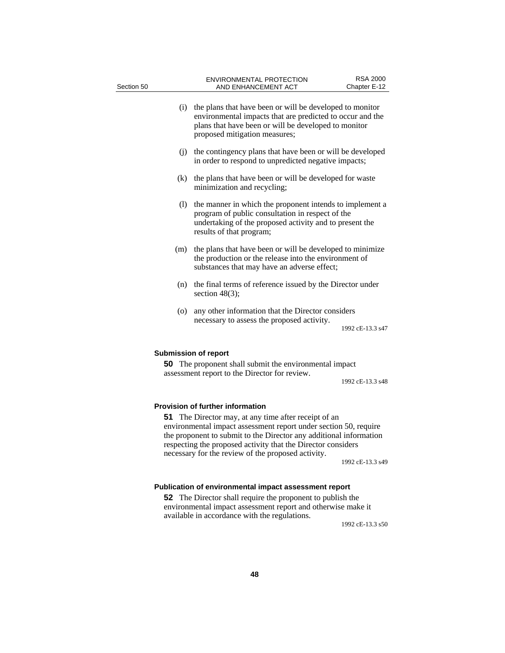| Section 50 | <b>ENVIRONMENTAL PROTECTION</b><br>AND ENHANCEMENT ACT                                                                                                                                                                                                                                                                                                                 | <b>RSA 2000</b><br>Chapter E-12 |
|------------|------------------------------------------------------------------------------------------------------------------------------------------------------------------------------------------------------------------------------------------------------------------------------------------------------------------------------------------------------------------------|---------------------------------|
| (i)        | the plans that have been or will be developed to monitor<br>environmental impacts that are predicted to occur and the<br>plans that have been or will be developed to monitor<br>proposed mitigation measures;                                                                                                                                                         |                                 |
|            | (j) the contingency plans that have been or will be developed<br>in order to respond to unpredicted negative impacts;                                                                                                                                                                                                                                                  |                                 |
| (k)        | the plans that have been or will be developed for waste<br>minimization and recycling;                                                                                                                                                                                                                                                                                 |                                 |
| (1)        | the manner in which the proponent intends to implement a<br>program of public consultation in respect of the<br>undertaking of the proposed activity and to present the<br>results of that program;                                                                                                                                                                    |                                 |
| (m)        | the plans that have been or will be developed to minimize<br>the production or the release into the environment of<br>substances that may have an adverse effect;                                                                                                                                                                                                      |                                 |
| (n)        | the final terms of reference issued by the Director under<br>section $48(3)$ ;                                                                                                                                                                                                                                                                                         |                                 |
| (0)        | any other information that the Director considers<br>necessary to assess the proposed activity.                                                                                                                                                                                                                                                                        | 1992 cE-13.3 s47                |
|            | <b>Submission of report</b><br><b>50</b> The proponent shall submit the environmental impact<br>assessment report to the Director for review.                                                                                                                                                                                                                          | 1992 cE-13.3 s48                |
|            | <b>Provision of further information</b><br><b>51</b> The Director may, at any time after receipt of an<br>environmental impact assessment report under section 50, require<br>the proponent to submit to the Director any additional information<br>respecting the proposed activity that the Director considers<br>necessary for the review of the proposed activity. | 1992 cE-13.3 s49                |
|            | Publication of environmental impact assessment report                                                                                                                                                                                                                                                                                                                  |                                 |

**52** The Director shall require the proponent to publish the environmental impact assessment report and otherwise make it available in accordance with the regulations.

1992 cE-13.3 s50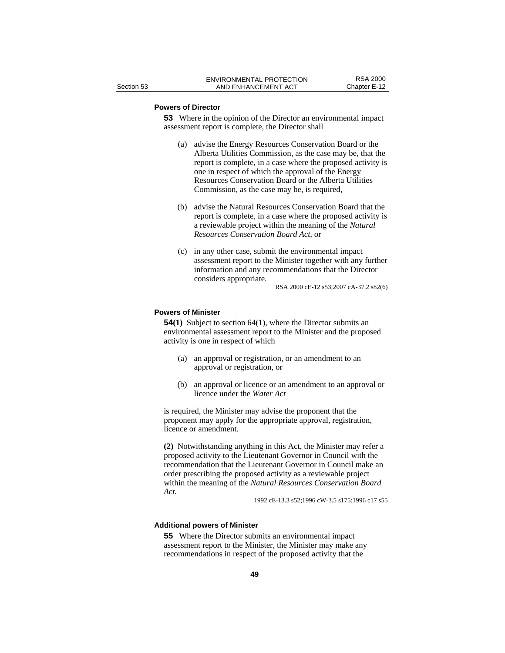## **Powers of Director**

**53** Where in the opinion of the Director an environmental impact assessment report is complete, the Director shall

- (a) advise the Energy Resources Conservation Board or the Alberta Utilities Commission, as the case may be, that the report is complete, in a case where the proposed activity is one in respect of which the approval of the Energy Resources Conservation Board or the Alberta Utilities Commission, as the case may be, is required,
- (b) advise the Natural Resources Conservation Board that the report is complete, in a case where the proposed activity is a reviewable project within the meaning of the *Natural Resources Conservation Board Act*, or
- (c) in any other case, submit the environmental impact assessment report to the Minister together with any further information and any recommendations that the Director considers appropriate.

RSA 2000 cE-12 s53;2007 cA-37.2 s82(6)

## **Powers of Minister**

**54(1)** Subject to section 64(1), where the Director submits an environmental assessment report to the Minister and the proposed activity is one in respect of which

- (a) an approval or registration, or an amendment to an approval or registration, or
- (b) an approval or licence or an amendment to an approval or licence under the *Water Act*

is required, the Minister may advise the proponent that the proponent may apply for the appropriate approval, registration, licence or amendment.

**(2)** Notwithstanding anything in this Act, the Minister may refer a proposed activity to the Lieutenant Governor in Council with the recommendation that the Lieutenant Governor in Council make an order prescribing the proposed activity as a reviewable project within the meaning of the *Natural Resources Conservation Board Act*. 1992 cE-13.3 s52;1996 cW-3.5 s175;1996 c17 s55

## **Additional powers of Minister**

**55** Where the Director submits an environmental impact assessment report to the Minister, the Minister may make any recommendations in respect of the proposed activity that the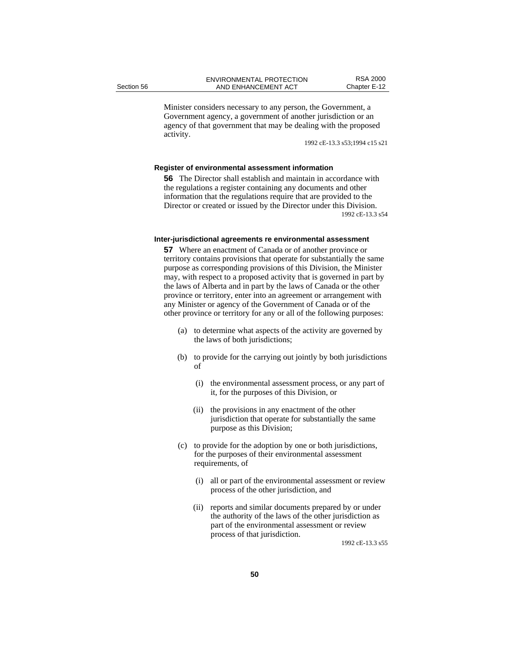Minister considers necessary to any person, the Government, a Government agency, a government of another jurisdiction or an agency of that government that may be dealing with the proposed activity.

1992 cE-13.3 s53;1994 c15 s21

## **Register of environmental assessment information**

**56** The Director shall establish and maintain in accordance with the regulations a register containing any documents and other information that the regulations require that are provided to the Director or created or issued by the Director under this Division. 1992 cE-13.3 s54

#### **Inter-jurisdictional agreements re environmental assessment**

**57** Where an enactment of Canada or of another province or territory contains provisions that operate for substantially the same purpose as corresponding provisions of this Division, the Minister may, with respect to a proposed activity that is governed in part by the laws of Alberta and in part by the laws of Canada or the other province or territory, enter into an agreement or arrangement with any Minister or agency of the Government of Canada or of the other province or territory for any or all of the following purposes:

- (a) to determine what aspects of the activity are governed by the laws of both jurisdictions;
- (b) to provide for the carrying out jointly by both jurisdictions of
	- (i) the environmental assessment process, or any part of it, for the purposes of this Division, or
	- (ii) the provisions in any enactment of the other jurisdiction that operate for substantially the same purpose as this Division;
- (c) to provide for the adoption by one or both jurisdictions, for the purposes of their environmental assessment requirements, of
	- (i) all or part of the environmental assessment or review process of the other jurisdiction, and
	- (ii) reports and similar documents prepared by or under the authority of the laws of the other jurisdiction as part of the environmental assessment or review process of that jurisdiction.

1992 cE-13.3 s55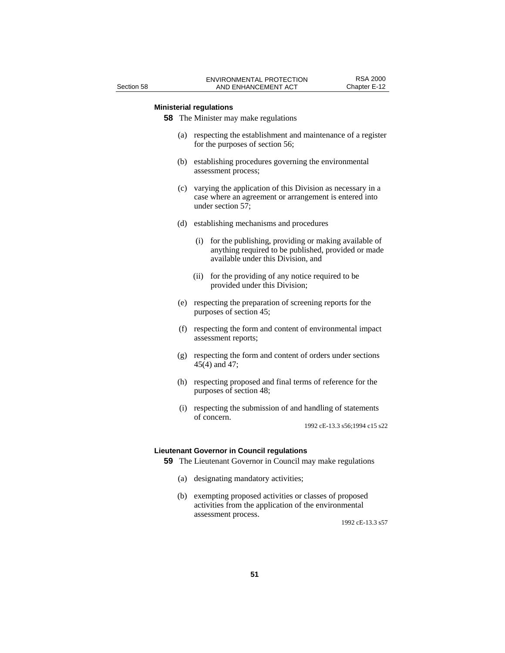## **Ministerial regulations**

**58** The Minister may make regulations

- (a) respecting the establishment and maintenance of a register for the purposes of section 56;
- (b) establishing procedures governing the environmental assessment process;
- (c) varying the application of this Division as necessary in a case where an agreement or arrangement is entered into under section 57;
- (d) establishing mechanisms and procedures
	- (i) for the publishing, providing or making available of anything required to be published, provided or made available under this Division, and
	- (ii) for the providing of any notice required to be provided under this Division;
- (e) respecting the preparation of screening reports for the purposes of section 45;
- (f) respecting the form and content of environmental impact assessment reports;
- (g) respecting the form and content of orders under sections 45(4) and 47;
- (h) respecting proposed and final terms of reference for the purposes of section 48;
- (i) respecting the submission of and handling of statements of concern.

1992 cE-13.3 s56;1994 c15 s22

#### **Lieutenant Governor in Council regulations**

**59** The Lieutenant Governor in Council may make regulations

- (a) designating mandatory activities;
- (b) exempting proposed activities or classes of proposed activities from the application of the environmental assessment process.

1992 cE-13.3 s57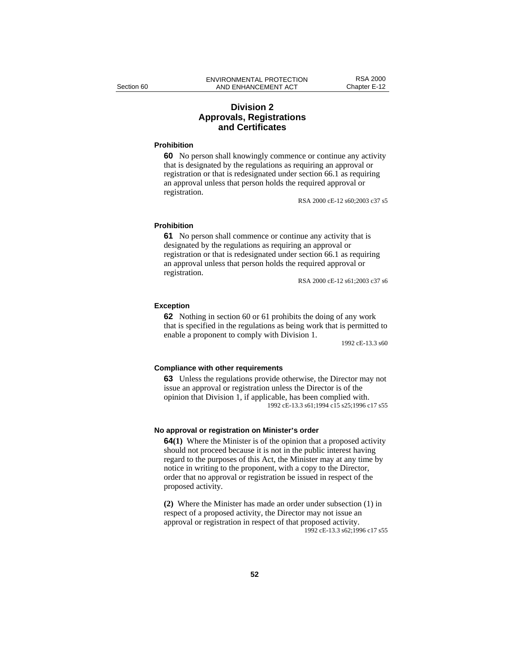## **Division 2 Approvals, Registrations and Certificates**

## **Prohibition**

**60** No person shall knowingly commence or continue any activity that is designated by the regulations as requiring an approval or registration or that is redesignated under section 66.1 as requiring an approval unless that person holds the required approval or registration.

RSA 2000 cE-12 s60;2003 c37 s5

#### **Prohibition**

**61** No person shall commence or continue any activity that is designated by the regulations as requiring an approval or registration or that is redesignated under section 66.1 as requiring an approval unless that person holds the required approval or registration.

RSA 2000 cE-12 s61;2003 c37 s6

## **Exception**

**62** Nothing in section 60 or 61 prohibits the doing of any work that is specified in the regulations as being work that is permitted to enable a proponent to comply with Division 1.

1992 cE-13.3 s60

#### **Compliance with other requirements**

**63** Unless the regulations provide otherwise, the Director may not issue an approval or registration unless the Director is of the opinion that Division 1, if applicable, has been complied with. 1992 cE-13.3 s61;1994 c15 s25;1996 c17 s55

#### **No approval or registration on Minister's order**

**64(1)** Where the Minister is of the opinion that a proposed activity should not proceed because it is not in the public interest having regard to the purposes of this Act, the Minister may at any time by notice in writing to the proponent, with a copy to the Director, order that no approval or registration be issued in respect of the proposed activity.

**(2)** Where the Minister has made an order under subsection (1) in respect of a proposed activity, the Director may not issue an approval or registration in respect of that proposed activity. 1992 cE-13.3 s62;1996 c17 s55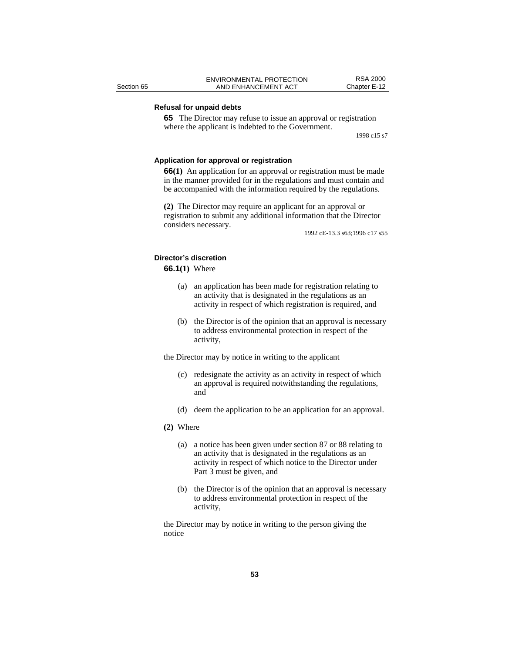## **Refusal for unpaid debts**

**65** The Director may refuse to issue an approval or registration where the applicant is indebted to the Government.

1998 c15 s7

#### **Application for approval or registration**

**66(1)** An application for an approval or registration must be made in the manner provided for in the regulations and must contain and be accompanied with the information required by the regulations.

**(2)** The Director may require an applicant for an approval or registration to submit any additional information that the Director considers necessary.

1992 cE-13.3 s63;1996 c17 s55

## **Director's discretion**

## **66.1(1)** Where

- (a) an application has been made for registration relating to an activity that is designated in the regulations as an activity in respect of which registration is required, and
- (b) the Director is of the opinion that an approval is necessary to address environmental protection in respect of the activity,

the Director may by notice in writing to the applicant

- (c) redesignate the activity as an activity in respect of which an approval is required notwithstanding the regulations, and
- (d) deem the application to be an application for an approval.

#### **(2)** Where

- (a) a notice has been given under section 87 or 88 relating to an activity that is designated in the regulations as an activity in respect of which notice to the Director under Part 3 must be given, and
- (b) the Director is of the opinion that an approval is necessary to address environmental protection in respect of the activity,

the Director may by notice in writing to the person giving the notice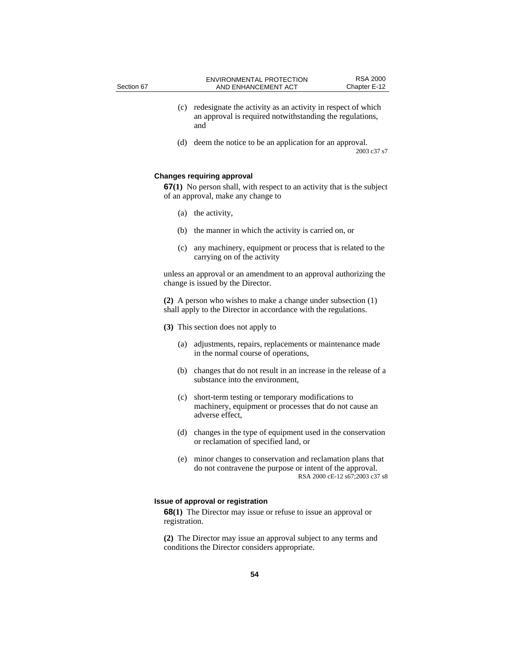- (c) redesignate the activity as an activity in respect of which an approval is required notwithstanding the regulations, and
- (d) deem the notice to be an application for an approval. 2003 c37 s7

## **Changes requiring approval**

**67(1)** No person shall, with respect to an activity that is the subject of an approval, make any change to

- (a) the activity,
- (b) the manner in which the activity is carried on, or
- (c) any machinery, equipment or process that is related to the carrying on of the activity

unless an approval or an amendment to an approval authorizing the change is issued by the Director.

**(2)** A person who wishes to make a change under subsection (1) shall apply to the Director in accordance with the regulations.

**(3)** This section does not apply to

- (a) adjustments, repairs, replacements or maintenance made in the normal course of operations,
- (b) changes that do not result in an increase in the release of a substance into the environment,
- (c) short-term testing or temporary modifications to machinery, equipment or processes that do not cause an adverse effect,
- (d) changes in the type of equipment used in the conservation or reclamation of specified land, or
- (e) minor changes to conservation and reclamation plans that do not contravene the purpose or intent of the approval. RSA 2000 cE-12 s67;2003 c37 s8

## **Issue of approval or registration**

**68(1)** The Director may issue or refuse to issue an approval or registration.

**(2)** The Director may issue an approval subject to any terms and conditions the Director considers appropriate.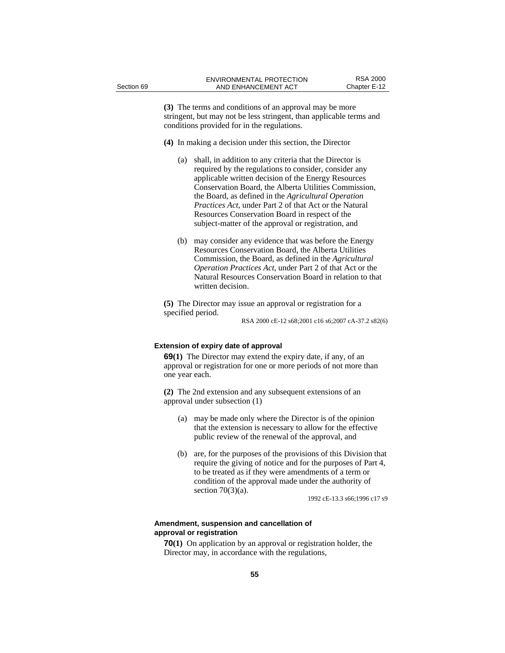**(3)** The terms and conditions of an approval may be more stringent, but may not be less stringent, than applicable terms and conditions provided for in the regulations.

- **(4)** In making a decision under this section, the Director
	- (a) shall, in addition to any criteria that the Director is required by the regulations to consider, consider any applicable written decision of the Energy Resources Conservation Board, the Alberta Utilities Commission, the Board, as defined in the *Agricultural Operation Practices Act*, under Part 2 of that Act or the Natural Resources Conservation Board in respect of the subject-matter of the approval or registration, and
	- (b) may consider any evidence that was before the Energy Resources Conservation Board, the Alberta Utilities Commission, the Board, as defined in the *Agricultural Operation Practices Act*, under Part 2 of that Act or the Natural Resources Conservation Board in relation to that written decision.

**(5)** The Director may issue an approval or registration for a specified period.

RSA 2000 cE-12 s68;2001 c16 s6;2007 cA-37.2 s82(6)

## **Extension of expiry date of approval**

**69(1)** The Director may extend the expiry date, if any, of an approval or registration for one or more periods of not more than one year each.

**(2)** The 2nd extension and any subsequent extensions of an approval under subsection (1)

- (a) may be made only where the Director is of the opinion that the extension is necessary to allow for the effective public review of the renewal of the approval, and
- (b) are, for the purposes of the provisions of this Division that require the giving of notice and for the purposes of Part 4, to be treated as if they were amendments of a term or condition of the approval made under the authority of section  $70(3)(a)$ .

1992 cE-13.3 s66;1996 c17 s9

## **Amendment, suspension and cancellation of approval or registration**

**70(1)** On application by an approval or registration holder, the Director may, in accordance with the regulations,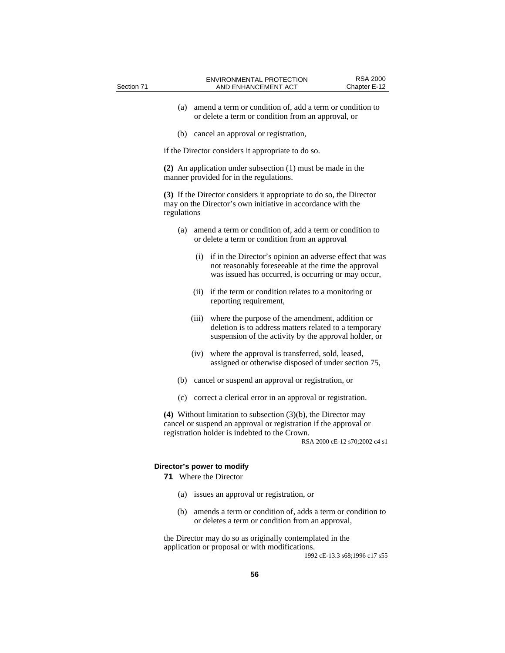- (a) amend a term or condition of, add a term or condition to or delete a term or condition from an approval, or
- (b) cancel an approval or registration,

if the Director considers it appropriate to do so.

**(2)** An application under subsection (1) must be made in the manner provided for in the regulations.

**(3)** If the Director considers it appropriate to do so, the Director may on the Director's own initiative in accordance with the regulations

- (a) amend a term or condition of, add a term or condition to or delete a term or condition from an approval
	- (i) if in the Director's opinion an adverse effect that was not reasonably foreseeable at the time the approval was issued has occurred, is occurring or may occur,
	- (ii) if the term or condition relates to a monitoring or reporting requirement,
	- (iii) where the purpose of the amendment, addition or deletion is to address matters related to a temporary suspension of the activity by the approval holder, or
	- (iv) where the approval is transferred, sold, leased, assigned or otherwise disposed of under section 75,
- (b) cancel or suspend an approval or registration, or
- (c) correct a clerical error in an approval or registration.

**(4)** Without limitation to subsection (3)(b), the Director may cancel or suspend an approval or registration if the approval or registration holder is indebted to the Crown.

RSA 2000 cE-12 s70;2002 c4 s1

## **Director's power to modify**

**71** Where the Director

- (a) issues an approval or registration, or
- (b) amends a term or condition of, adds a term or condition to or deletes a term or condition from an approval,

the Director may do so as originally contemplated in the application or proposal or with modifications.

1992 cE-13.3 s68;1996 c17 s55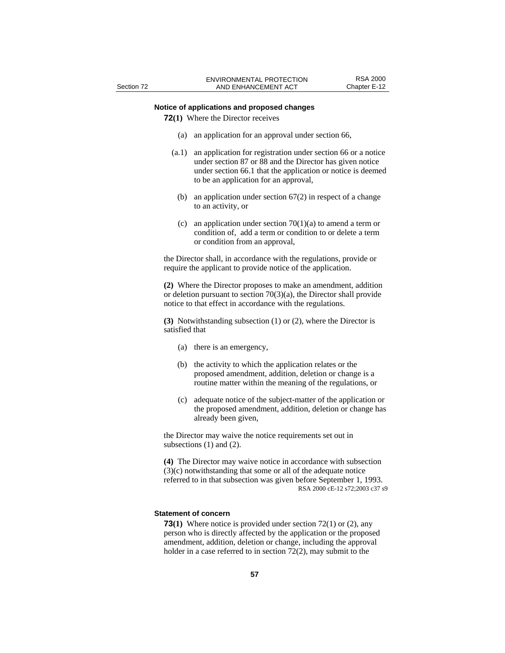## **Notice of applications and proposed changes**

**72(1)** Where the Director receives

- (a) an application for an approval under section 66,
- (a.1) an application for registration under section 66 or a notice under section 87 or 88 and the Director has given notice under section 66.1 that the application or notice is deemed to be an application for an approval,
- (b) an application under section 67(2) in respect of a change to an activity, or
- (c) an application under section  $70(1)(a)$  to amend a term or condition of, add a term or condition to or delete a term or condition from an approval,

the Director shall, in accordance with the regulations, provide or require the applicant to provide notice of the application.

**(2)** Where the Director proposes to make an amendment, addition or deletion pursuant to section 70(3)(a), the Director shall provide notice to that effect in accordance with the regulations.

**(3)** Notwithstanding subsection (1) or (2), where the Director is satisfied that

- (a) there is an emergency,
- (b) the activity to which the application relates or the proposed amendment, addition, deletion or change is a routine matter within the meaning of the regulations, or
- (c) adequate notice of the subject-matter of the application or the proposed amendment, addition, deletion or change has already been given,

the Director may waive the notice requirements set out in subsections (1) and (2).

**(4)** The Director may waive notice in accordance with subsection (3)(c) notwithstanding that some or all of the adequate notice referred to in that subsection was given before September 1, 1993. RSA 2000 cE-12 s72;2003 c37 s9

## **Statement of concern**

**73(1)** Where notice is provided under section 72(1) or (2), any person who is directly affected by the application or the proposed amendment, addition, deletion or change, including the approval holder in a case referred to in section 72(2), may submit to the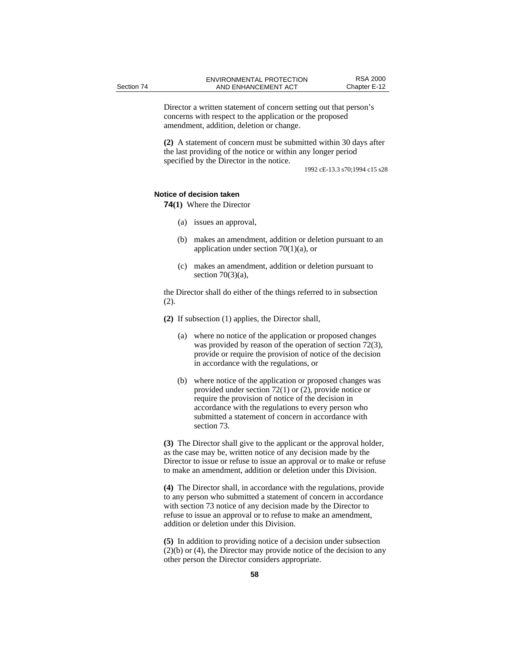Director a written statement of concern setting out that person's concerns with respect to the application or the proposed amendment, addition, deletion or change.

**(2)** A statement of concern must be submitted within 30 days after the last providing of the notice or within any longer period specified by the Director in the notice.

1992 cE-13.3 s70;1994 c15 s28

## **Notice of decision taken**

**74(1)** Where the Director

- (a) issues an approval,
- (b) makes an amendment, addition or deletion pursuant to an application under section  $70(1)(a)$ , or
- (c) makes an amendment, addition or deletion pursuant to section  $70(3)(a)$ ,

the Director shall do either of the things referred to in subsection (2).

- **(2)** If subsection (1) applies, the Director shall,
	- (a) where no notice of the application or proposed changes was provided by reason of the operation of section 72(3), provide or require the provision of notice of the decision in accordance with the regulations, or
	- (b) where notice of the application or proposed changes was provided under section 72(1) or (2), provide notice or require the provision of notice of the decision in accordance with the regulations to every person who submitted a statement of concern in accordance with section 73.

**(3)** The Director shall give to the applicant or the approval holder, as the case may be, written notice of any decision made by the Director to issue or refuse to issue an approval or to make or refuse to make an amendment, addition or deletion under this Division.

**(4)** The Director shall, in accordance with the regulations, provide to any person who submitted a statement of concern in accordance with section 73 notice of any decision made by the Director to refuse to issue an approval or to refuse to make an amendment, addition or deletion under this Division.

**(5)** In addition to providing notice of a decision under subsection (2)(b) or (4), the Director may provide notice of the decision to any other person the Director considers appropriate.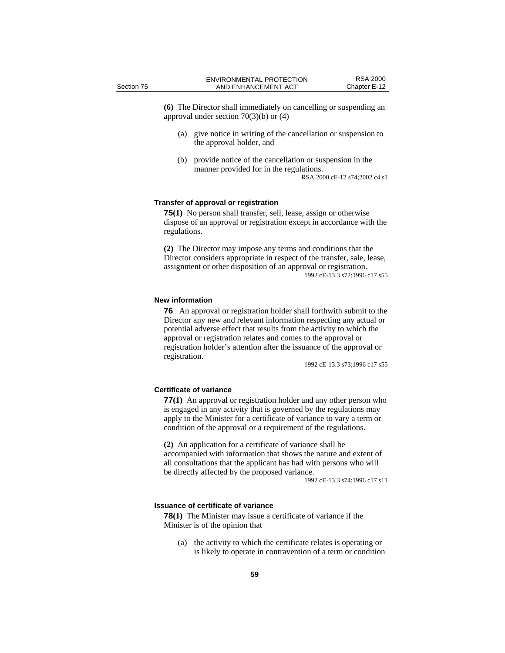**(6)** The Director shall immediately on cancelling or suspending an approval under section 70(3)(b) or (4)

- (a) give notice in writing of the cancellation or suspension to the approval holder, and
- (b) provide notice of the cancellation or suspension in the manner provided for in the regulations.

RSA 2000 cE-12 s74;2002 c4 s1

## **Transfer of approval or registration**

**75(1)** No person shall transfer, sell, lease, assign or otherwise dispose of an approval or registration except in accordance with the regulations.

**(2)** The Director may impose any terms and conditions that the Director considers appropriate in respect of the transfer, sale, lease, assignment or other disposition of an approval or registration. 1992 cE-13.3 s72;1996 c17 s55

## **New information**

**76** An approval or registration holder shall forthwith submit to the Director any new and relevant information respecting any actual or potential adverse effect that results from the activity to which the approval or registration relates and comes to the approval or registration holder's attention after the issuance of the approval or registration.

1992 cE-13.3 s73;1996 c17 s55

## **Certificate of variance**

**77(1)** An approval or registration holder and any other person who is engaged in any activity that is governed by the regulations may apply to the Minister for a certificate of variance to vary a term or condition of the approval or a requirement of the regulations.

**(2)** An application for a certificate of variance shall be accompanied with information that shows the nature and extent of all consultations that the applicant has had with persons who will be directly affected by the proposed variance.

1992 cE-13.3 s74;1996 c17 s11

#### **Issuance of certificate of variance**

**78(1)** The Minister may issue a certificate of variance if the Minister is of the opinion that

(a) the activity to which the certificate relates is operating or is likely to operate in contravention of a term or condition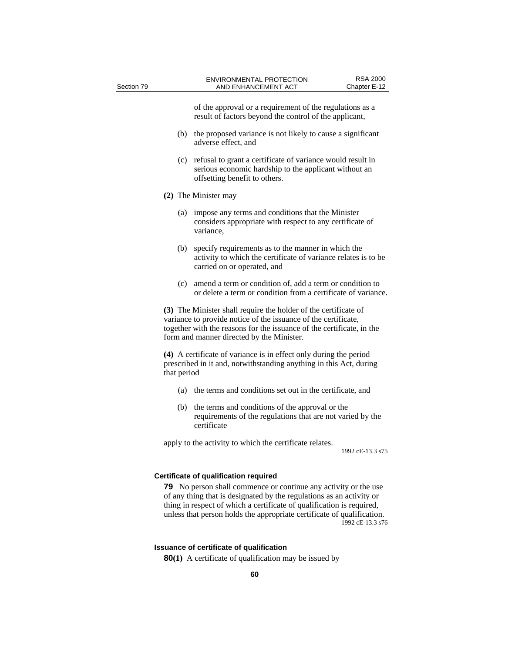of the approval or a requirement of the regulations as a result of factors beyond the control of the applicant,

- (b) the proposed variance is not likely to cause a significant adverse effect, and
- (c) refusal to grant a certificate of variance would result in serious economic hardship to the applicant without an offsetting benefit to others.
- **(2)** The Minister may
	- (a) impose any terms and conditions that the Minister considers appropriate with respect to any certificate of variance,
	- (b) specify requirements as to the manner in which the activity to which the certificate of variance relates is to be carried on or operated, and
	- (c) amend a term or condition of, add a term or condition to or delete a term or condition from a certificate of variance.

**(3)** The Minister shall require the holder of the certificate of variance to provide notice of the issuance of the certificate, together with the reasons for the issuance of the certificate, in the form and manner directed by the Minister.

**(4)** A certificate of variance is in effect only during the period prescribed in it and, notwithstanding anything in this Act, during that period

- (a) the terms and conditions set out in the certificate, and
- (b) the terms and conditions of the approval or the requirements of the regulations that are not varied by the certificate

apply to the activity to which the certificate relates.

1992 cE-13.3 s75

#### **Certificate of qualification required**

**79** No person shall commence or continue any activity or the use of any thing that is designated by the regulations as an activity or thing in respect of which a certificate of qualification is required, unless that person holds the appropriate certificate of qualification. 1992 cE-13.3 s76

#### **Issuance of certificate of qualification**

**80(1)** A certificate of qualification may be issued by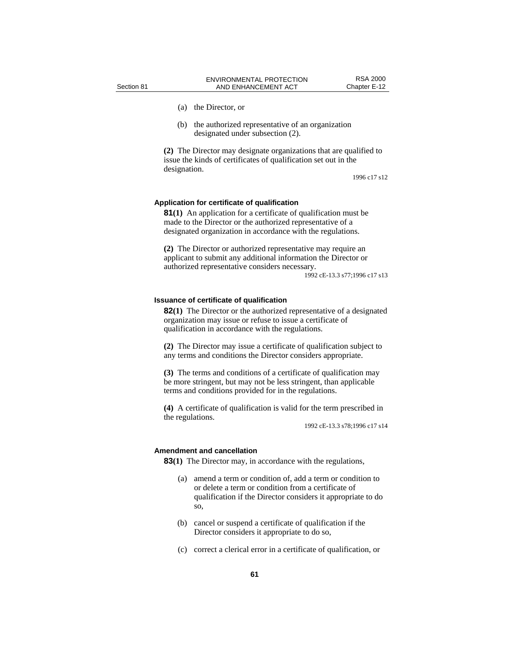- 
- (a) the Director, or
- (b) the authorized representative of an organization designated under subsection (2).

**(2)** The Director may designate organizations that are qualified to issue the kinds of certificates of qualification set out in the designation.

1996 c17 s12

## **Application for certificate of qualification**

**81(1)** An application for a certificate of qualification must be made to the Director or the authorized representative of a designated organization in accordance with the regulations.

**(2)** The Director or authorized representative may require an applicant to submit any additional information the Director or authorized representative considers necessary.

1992 cE-13.3 s77;1996 c17 s13

## **Issuance of certificate of qualification**

**82(1)** The Director or the authorized representative of a designated organization may issue or refuse to issue a certificate of qualification in accordance with the regulations.

**(2)** The Director may issue a certificate of qualification subject to any terms and conditions the Director considers appropriate.

**(3)** The terms and conditions of a certificate of qualification may be more stringent, but may not be less stringent, than applicable terms and conditions provided for in the regulations.

**(4)** A certificate of qualification is valid for the term prescribed in the regulations.

1992 cE-13.3 s78;1996 c17 s14

#### **Amendment and cancellation**

**83(1)** The Director may, in accordance with the regulations,

- (a) amend a term or condition of, add a term or condition to or delete a term or condition from a certificate of qualification if the Director considers it appropriate to do so,
- (b) cancel or suspend a certificate of qualification if the Director considers it appropriate to do so,
- (c) correct a clerical error in a certificate of qualification, or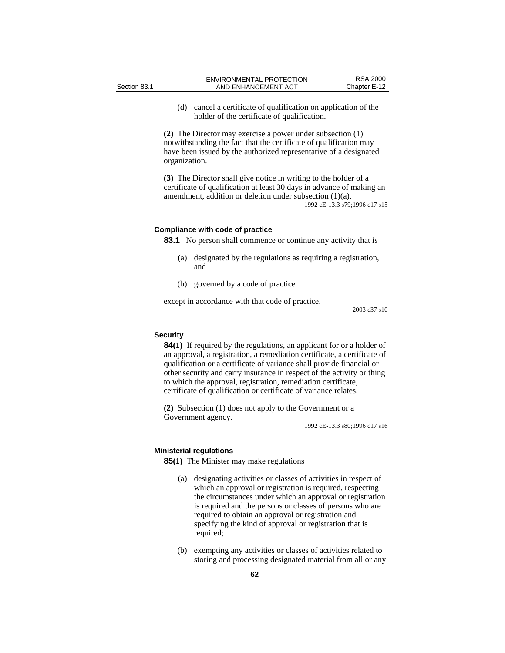(d) cancel a certificate of qualification on application of the holder of the certificate of qualification.

**(2)** The Director may exercise a power under subsection (1) notwithstanding the fact that the certificate of qualification may have been issued by the authorized representative of a designated organization.

**(3)** The Director shall give notice in writing to the holder of a certificate of qualification at least 30 days in advance of making an amendment, addition or deletion under subsection (1)(a). 1992 cE-13.3 s79;1996 c17 s15

## **Compliance with code of practice**

**83.1** No person shall commence or continue any activity that is

- (a) designated by the regulations as requiring a registration, and
- (b) governed by a code of practice

except in accordance with that code of practice.

2003 c37 s10

## **Security**

**84(1)** If required by the regulations, an applicant for or a holder of an approval, a registration, a remediation certificate, a certificate of qualification or a certificate of variance shall provide financial or other security and carry insurance in respect of the activity or thing to which the approval, registration, remediation certificate, certificate of qualification or certificate of variance relates.

**(2)** Subsection (1) does not apply to the Government or a Government agency.

1992 cE-13.3 s80;1996 c17 s16

#### **Ministerial regulations**

**85(1)** The Minister may make regulations

- (a) designating activities or classes of activities in respect of which an approval or registration is required, respecting the circumstances under which an approval or registration is required and the persons or classes of persons who are required to obtain an approval or registration and specifying the kind of approval or registration that is required;
- (b) exempting any activities or classes of activities related to storing and processing designated material from all or any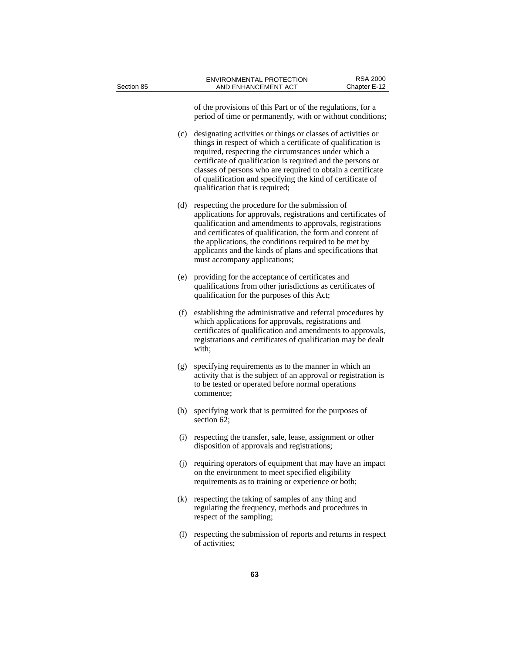| Section 85 |     | ENVIRONMENTAL PROTECTION<br>AND ENHANCEMENT ACT                                                                                                                                                                                                                                                                                                                                                                     | <b>RSA 2000</b><br>Chapter E-12 |
|------------|-----|---------------------------------------------------------------------------------------------------------------------------------------------------------------------------------------------------------------------------------------------------------------------------------------------------------------------------------------------------------------------------------------------------------------------|---------------------------------|
|            |     | of the provisions of this Part or of the regulations, for a<br>period of time or permanently, with or without conditions;                                                                                                                                                                                                                                                                                           |                                 |
|            | (c) | designating activities or things or classes of activities or<br>things in respect of which a certificate of qualification is<br>required, respecting the circumstances under which a<br>certificate of qualification is required and the persons or<br>classes of persons who are required to obtain a certificate<br>of qualification and specifying the kind of certificate of<br>qualification that is required; |                                 |
|            | (d) | respecting the procedure for the submission of<br>applications for approvals, registrations and certificates of<br>qualification and amendments to approvals, registrations<br>and certificates of qualification, the form and content of<br>the applications, the conditions required to be met by<br>applicants and the kinds of plans and specifications that<br>must accompany applications;                    |                                 |
|            | (e) | providing for the acceptance of certificates and<br>qualifications from other jurisdictions as certificates of<br>qualification for the purposes of this Act;                                                                                                                                                                                                                                                       |                                 |
|            |     | (f) establishing the administrative and referral procedures by<br>which applications for approvals, registrations and<br>certificates of qualification and amendments to approvals,<br>registrations and certificates of qualification may be dealt<br>with;                                                                                                                                                        |                                 |
|            | (g) | specifying requirements as to the manner in which an<br>activity that is the subject of an approval or registration is<br>to be tested or operated before normal operations<br>commence;                                                                                                                                                                                                                            |                                 |
|            | (h) | specifying work that is permitted for the purposes of<br>section 62;                                                                                                                                                                                                                                                                                                                                                |                                 |
|            |     | (i) respecting the transfer, sale, lease, assignment or other<br>disposition of approvals and registrations;                                                                                                                                                                                                                                                                                                        |                                 |
|            | (i) | requiring operators of equipment that may have an impact<br>on the environment to meet specified eligibility<br>requirements as to training or experience or both;                                                                                                                                                                                                                                                  |                                 |
|            |     | (k) respecting the taking of samples of any thing and<br>regulating the frequency, methods and procedures in<br>respect of the sampling;                                                                                                                                                                                                                                                                            |                                 |
|            | (1) | respecting the submission of reports and returns in respect<br>of activities;                                                                                                                                                                                                                                                                                                                                       |                                 |
|            |     | 63                                                                                                                                                                                                                                                                                                                                                                                                                  |                                 |
|            |     |                                                                                                                                                                                                                                                                                                                                                                                                                     |                                 |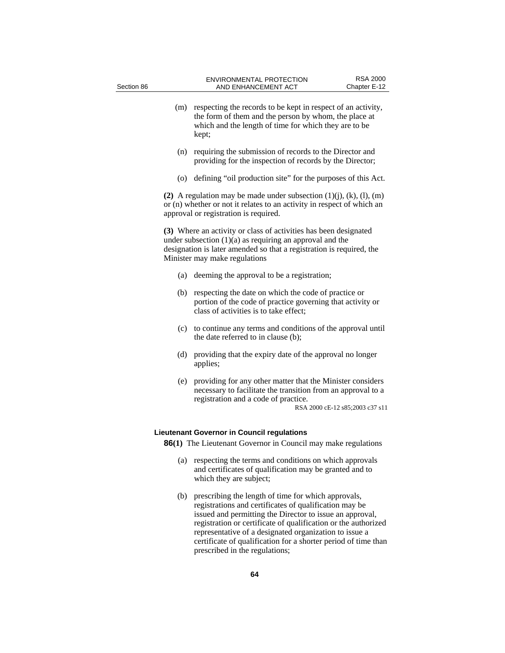- (m) respecting the records to be kept in respect of an activity, the form of them and the person by whom, the place at which and the length of time for which they are to be kept;
- (n) requiring the submission of records to the Director and providing for the inspection of records by the Director;
- (o) defining "oil production site" for the purposes of this Act.

**(2)** A regulation may be made under subsection  $(1)(i)$ ,  $(k)$ ,  $(l)$ ,  $(m)$ or (n) whether or not it relates to an activity in respect of which an approval or registration is required.

**(3)** Where an activity or class of activities has been designated under subsection (1)(a) as requiring an approval and the designation is later amended so that a registration is required, the Minister may make regulations

- (a) deeming the approval to be a registration;
- (b) respecting the date on which the code of practice or portion of the code of practice governing that activity or class of activities is to take effect;
- (c) to continue any terms and conditions of the approval until the date referred to in clause (b);
- (d) providing that the expiry date of the approval no longer applies;
- (e) providing for any other matter that the Minister considers necessary to facilitate the transition from an approval to a registration and a code of practice.

RSA 2000 cE-12 s85;2003 c37 s11

## **Lieutenant Governor in Council regulations**

**86(1)** The Lieutenant Governor in Council may make regulations

- (a) respecting the terms and conditions on which approvals and certificates of qualification may be granted and to which they are subject;
- (b) prescribing the length of time for which approvals, registrations and certificates of qualification may be issued and permitting the Director to issue an approval, registration or certificate of qualification or the authorized representative of a designated organization to issue a certificate of qualification for a shorter period of time than prescribed in the regulations;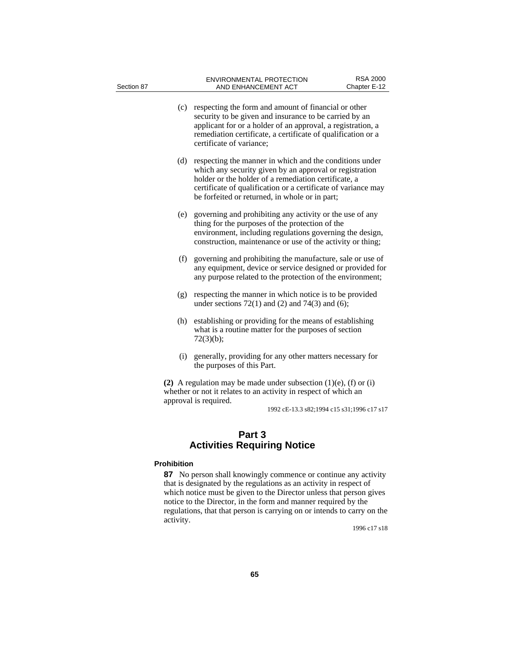| Section 87 |                    | <b>ENVIRONMENTAL PROTECTION</b><br>AND ENHANCEMENT ACT                                                                                                                                                                                                                                        | <b>RSA 2000</b><br>Chapter E-12 |
|------------|--------------------|-----------------------------------------------------------------------------------------------------------------------------------------------------------------------------------------------------------------------------------------------------------------------------------------------|---------------------------------|
|            |                    | (c) respecting the form and amount of financial or other<br>security to be given and insurance to be carried by an<br>applicant for or a holder of an approval, a registration, a<br>remediation certificate, a certificate of qualification or a<br>certificate of variance;                 |                                 |
|            | (d)                | respecting the manner in which and the conditions under<br>which any security given by an approval or registration<br>holder or the holder of a remediation certificate, a<br>certificate of qualification or a certificate of variance may<br>be forfeited or returned, in whole or in part; |                                 |
|            | (e)                | governing and prohibiting any activity or the use of any<br>thing for the purposes of the protection of the<br>environment, including regulations governing the design,<br>construction, maintenance or use of the activity or thing;                                                         |                                 |
|            | (f)                | governing and prohibiting the manufacture, sale or use of<br>any equipment, device or service designed or provided for<br>any purpose related to the protection of the environment;                                                                                                           |                                 |
|            | (g)                | respecting the manner in which notice is to be provided<br>under sections $72(1)$ and $(2)$ and $74(3)$ and $(6)$ ;                                                                                                                                                                           |                                 |
|            | (h)                | establishing or providing for the means of establishing<br>what is a routine matter for the purposes of section<br>72(3)(b);                                                                                                                                                                  |                                 |
|            | (i)                | generally, providing for any other matters necessary for<br>the purposes of this Part.                                                                                                                                                                                                        |                                 |
|            |                    | (2) A regulation may be made under subsection $(1)(e)$ , $(f)$ or $(i)$<br>whether or not it relates to an activity in respect of which an<br>approval is required.<br>1992 cE-13.3 s82;1994 c15 s31;1996 c17 s17                                                                             |                                 |
|            |                    | Part 3<br><b>Activities Requiring Notice</b>                                                                                                                                                                                                                                                  |                                 |
|            | <b>Prohibition</b> |                                                                                                                                                                                                                                                                                               |                                 |

**87** No person shall knowingly commence or continue any activity that is designated by the regulations as an activity in respect of which notice must be given to the Director unless that person gives notice to the Director, in the form and manner required by the regulations, that that person is carrying on or intends to carry on the activity.

1996 c17 s18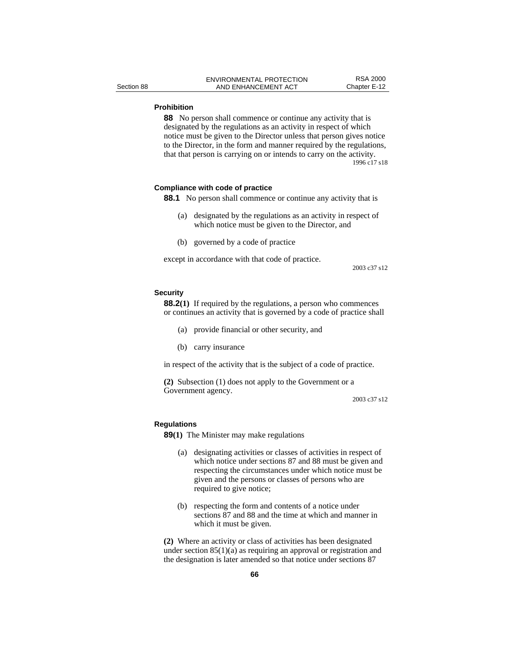## **Prohibition**

**88** No person shall commence or continue any activity that is designated by the regulations as an activity in respect of which notice must be given to the Director unless that person gives notice to the Director, in the form and manner required by the regulations, that that person is carrying on or intends to carry on the activity. 1996 c17 s18

## **Compliance with code of practice**

- **88.1** No person shall commence or continue any activity that is
	- (a) designated by the regulations as an activity in respect of which notice must be given to the Director, and
	- (b) governed by a code of practice

except in accordance with that code of practice.

2003 c37 s12

## **Security**

**88.2(1)** If required by the regulations, a person who commences or continues an activity that is governed by a code of practice shall

- (a) provide financial or other security, and
- (b) carry insurance

in respect of the activity that is the subject of a code of practice.

**(2)** Subsection (1) does not apply to the Government or a Government agency.

2003 c37 s12

## **Regulations**

**89(1)** The Minister may make regulations

- (a) designating activities or classes of activities in respect of which notice under sections 87 and 88 must be given and respecting the circumstances under which notice must be given and the persons or classes of persons who are required to give notice;
- (b) respecting the form and contents of a notice under sections 87 and 88 and the time at which and manner in which it must be given.

**(2)** Where an activity or class of activities has been designated under section 85(1)(a) as requiring an approval or registration and the designation is later amended so that notice under sections 87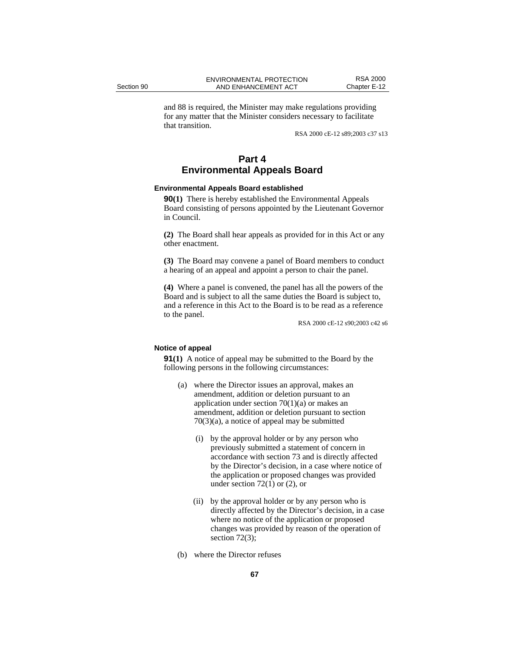and 88 is required, the Minister may make regulations providing for any matter that the Minister considers necessary to facilitate that transition.

RSA 2000 cE-12 s89;2003 c37 s13

# **Part 4 Environmental Appeals Board**

## **Environmental Appeals Board established**

**90(1)** There is hereby established the Environmental Appeals Board consisting of persons appointed by the Lieutenant Governor in Council.

**(2)** The Board shall hear appeals as provided for in this Act or any other enactment.

**(3)** The Board may convene a panel of Board members to conduct a hearing of an appeal and appoint a person to chair the panel.

**(4)** Where a panel is convened, the panel has all the powers of the Board and is subject to all the same duties the Board is subject to, and a reference in this Act to the Board is to be read as a reference to the panel.

RSA 2000 cE-12 s90;2003 c42 s6

## **Notice of appeal**

**91(1)** A notice of appeal may be submitted to the Board by the following persons in the following circumstances:

- (a) where the Director issues an approval, makes an amendment, addition or deletion pursuant to an application under section  $70(1)(a)$  or makes an amendment, addition or deletion pursuant to section 70(3)(a), a notice of appeal may be submitted
	- (i) by the approval holder or by any person who previously submitted a statement of concern in accordance with section 73 and is directly affected by the Director's decision, in a case where notice of the application or proposed changes was provided under section  $72(1)$  or  $(2)$ , or
	- (ii) by the approval holder or by any person who is directly affected by the Director's decision, in a case where no notice of the application or proposed changes was provided by reason of the operation of section 72(3);
- (b) where the Director refuses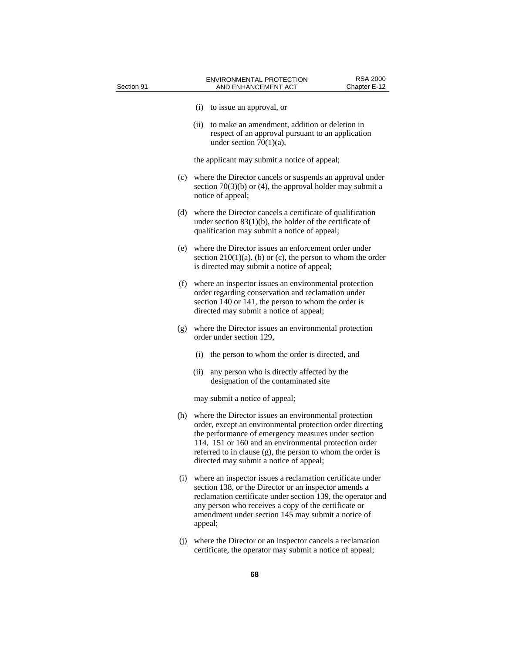| Section 91 |     | <b>RSA 2000</b><br>ENVIRONMENTAL PROTECTION<br>Chapter E-12<br>AND ENHANCEMENT ACT                                                                                                                                                                                                                                                          |
|------------|-----|---------------------------------------------------------------------------------------------------------------------------------------------------------------------------------------------------------------------------------------------------------------------------------------------------------------------------------------------|
|            |     | (i) to issue an approval, or                                                                                                                                                                                                                                                                                                                |
|            |     | (ii)<br>to make an amendment, addition or deletion in<br>respect of an approval pursuant to an application<br>under section $70(1)(a)$ ,                                                                                                                                                                                                    |
|            |     | the applicant may submit a notice of appeal;                                                                                                                                                                                                                                                                                                |
|            |     | (c) where the Director cancels or suspends an approval under<br>section $70(3)(b)$ or (4), the approval holder may submit a<br>notice of appeal;                                                                                                                                                                                            |
|            | (d) | where the Director cancels a certificate of qualification<br>under section $83(1)(b)$ , the holder of the certificate of<br>qualification may submit a notice of appeal;                                                                                                                                                                    |
|            |     | (e) where the Director issues an enforcement order under<br>section $210(1)(a)$ , (b) or (c), the person to whom the order<br>is directed may submit a notice of appeal;                                                                                                                                                                    |
|            | (f) | where an inspector issues an environmental protection<br>order regarding conservation and reclamation under<br>section 140 or 141, the person to whom the order is<br>directed may submit a notice of appeal;                                                                                                                               |
|            | (g) | where the Director issues an environmental protection<br>order under section 129,                                                                                                                                                                                                                                                           |
|            |     | (i)<br>the person to whom the order is directed, and                                                                                                                                                                                                                                                                                        |
|            |     | (ii)<br>any person who is directly affected by the<br>designation of the contaminated site                                                                                                                                                                                                                                                  |
|            |     | may submit a notice of appeal;                                                                                                                                                                                                                                                                                                              |
|            | (h) | where the Director issues an environmental protection<br>order, except an environmental protection order directing<br>the performance of emergency measures under section<br>114, 151 or 160 and an environmental protection order<br>referred to in clause (g), the person to whom the order is<br>directed may submit a notice of appeal; |
|            | (i) | where an inspector issues a reclamation certificate under<br>section 138, or the Director or an inspector amends a<br>reclamation certificate under section 139, the operator and<br>any person who receives a copy of the certificate or<br>amendment under section 145 may submit a notice of<br>appeal;                                  |
|            | (i) | where the Director or an inspector cancels a reclamation<br>certificate, the operator may submit a notice of appeal;                                                                                                                                                                                                                        |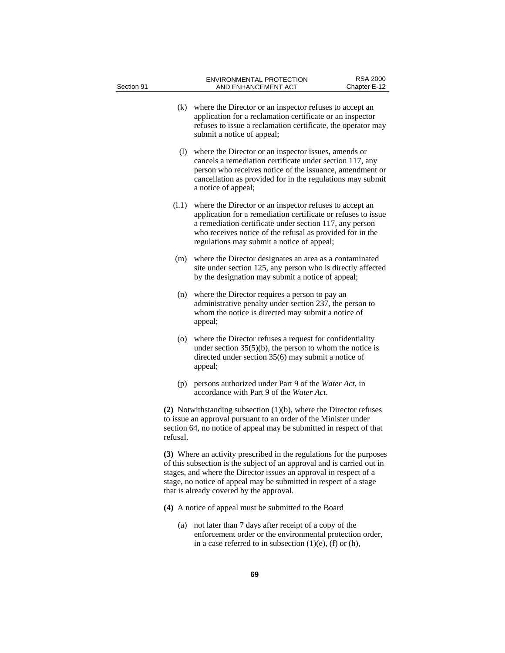| Section 91 |          | <b>ENVIRONMENTAL PROTECTION</b><br>AND ENHANCEMENT ACT                                                                                                                                                                                                                                                                               | <b>RSA 2000</b><br>Chapter E-12 |
|------------|----------|--------------------------------------------------------------------------------------------------------------------------------------------------------------------------------------------------------------------------------------------------------------------------------------------------------------------------------------|---------------------------------|
|            | (k)      | where the Director or an inspector refuses to accept an<br>application for a reclamation certificate or an inspector<br>refuses to issue a reclamation certificate, the operator may<br>submit a notice of appeal;                                                                                                                   |                                 |
|            | (1)      | where the Director or an inspector issues, amends or<br>cancels a remediation certificate under section 117, any<br>person who receives notice of the issuance, amendment or<br>cancellation as provided for in the regulations may submit<br>a notice of appeal;                                                                    |                                 |
|            | (1.1)    | where the Director or an inspector refuses to accept an<br>application for a remediation certificate or refuses to issue<br>a remediation certificate under section 117, any person<br>who receives notice of the refusal as provided for in the<br>regulations may submit a notice of appeal;                                       |                                 |
|            | (m)      | where the Director designates an area as a contaminated<br>site under section 125, any person who is directly affected<br>by the designation may submit a notice of appeal;                                                                                                                                                          |                                 |
|            | (n)      | where the Director requires a person to pay an<br>administrative penalty under section 237, the person to<br>whom the notice is directed may submit a notice of<br>appeal;                                                                                                                                                           |                                 |
|            | (o)      | where the Director refuses a request for confidentiality<br>under section $35(5)(b)$ , the person to whom the notice is<br>directed under section $35(6)$ may submit a notice of<br>appeal;                                                                                                                                          |                                 |
| (p)        |          | persons authorized under Part 9 of the Water Act, in<br>accordance with Part 9 of the Water Act.                                                                                                                                                                                                                                     |                                 |
|            | refusal. | (2) Notwithstanding subsection $(1)(b)$ , where the Director refuses<br>to issue an approval pursuant to an order of the Minister under<br>section 64, no notice of appeal may be submitted in respect of that                                                                                                                       |                                 |
|            |          | (3) Where an activity prescribed in the regulations for the purposes<br>of this subsection is the subject of an approval and is carried out in<br>stages, and where the Director issues an approval in respect of a<br>stage, no notice of appeal may be submitted in respect of a stage<br>that is already covered by the approval. |                                 |
|            |          | (4) A notice of appeal must be submitted to the Board                                                                                                                                                                                                                                                                                |                                 |
|            | (a)      | not later than 7 days after receipt of a copy of the<br>enforcement order or the environmental protection order,<br>in a case referred to in subsection $(1)(e)$ , (f) or (h),                                                                                                                                                       |                                 |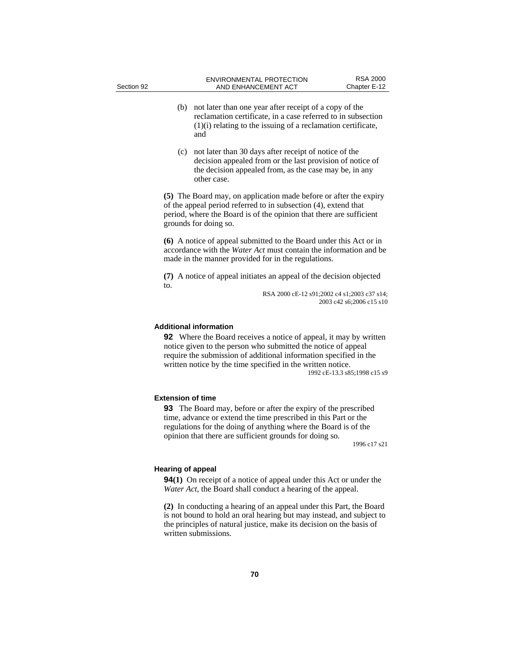- (b) not later than one year after receipt of a copy of the reclamation certificate, in a case referred to in subsection (1)(i) relating to the issuing of a reclamation certificate, and
- (c) not later than 30 days after receipt of notice of the decision appealed from or the last provision of notice of the decision appealed from, as the case may be, in any other case.

**(5)** The Board may, on application made before or after the expiry of the appeal period referred to in subsection (4), extend that period, where the Board is of the opinion that there are sufficient grounds for doing so.

**(6)** A notice of appeal submitted to the Board under this Act or in accordance with the *Water Act* must contain the information and be made in the manner provided for in the regulations.

**(7)** A notice of appeal initiates an appeal of the decision objected to.

> RSA 2000 cE-12 s91;2002 c4 s1;2003 c37 s14; 2003 c42 s6;2006 c15 s10

## **Additional information**

**92** Where the Board receives a notice of appeal, it may by written notice given to the person who submitted the notice of appeal require the submission of additional information specified in the written notice by the time specified in the written notice. 1992 cE-13.3 s85;1998 c15 s9

## **Extension of time**

**93** The Board may, before or after the expiry of the prescribed time, advance or extend the time prescribed in this Part or the regulations for the doing of anything where the Board is of the opinion that there are sufficient grounds for doing so.

1996 c17 s21

#### **Hearing of appeal**

**94(1)** On receipt of a notice of appeal under this Act or under the *Water Act*, the Board shall conduct a hearing of the appeal.

**(2)** In conducting a hearing of an appeal under this Part, the Board is not bound to hold an oral hearing but may instead, and subject to the principles of natural justice, make its decision on the basis of written submissions.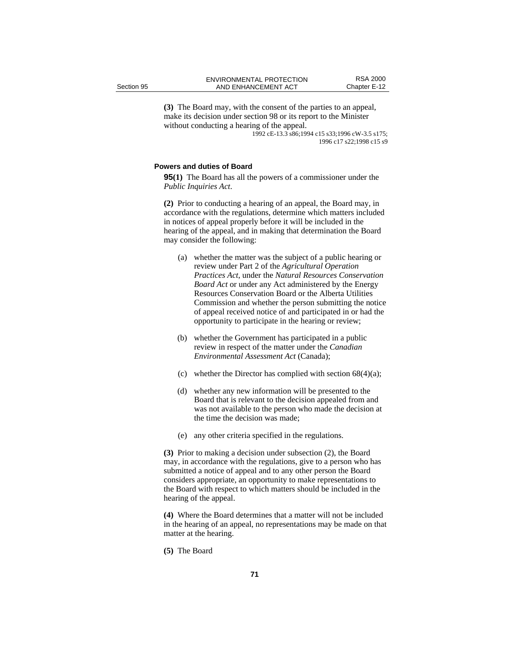**(3)** The Board may, with the consent of the parties to an appeal, make its decision under section 98 or its report to the Minister without conducting a hearing of the appeal.

1992 cE-13.3 s86;1994 c15 s33;1996 cW-3.5 s175; 1996 c17 s22;1998 c15 s9

## **Powers and duties of Board**

**95(1)** The Board has all the powers of a commissioner under the *Public Inquiries Act*.

**(2)** Prior to conducting a hearing of an appeal, the Board may, in accordance with the regulations, determine which matters included in notices of appeal properly before it will be included in the hearing of the appeal, and in making that determination the Board may consider the following:

- (a) whether the matter was the subject of a public hearing or review under Part 2 of the *Agricultural Operation Practices Act*, under the *Natural Resources Conservation Board Act* or under any Act administered by the Energy Resources Conservation Board or the Alberta Utilities Commission and whether the person submitting the notice of appeal received notice of and participated in or had the opportunity to participate in the hearing or review;
- (b) whether the Government has participated in a public review in respect of the matter under the *Canadian Environmental Assessment Act* (Canada);
- (c) whether the Director has complied with section  $68(4)(a)$ ;
- (d) whether any new information will be presented to the Board that is relevant to the decision appealed from and was not available to the person who made the decision at the time the decision was made;
- (e) any other criteria specified in the regulations.

**(3)** Prior to making a decision under subsection (2), the Board may, in accordance with the regulations, give to a person who has submitted a notice of appeal and to any other person the Board considers appropriate, an opportunity to make representations to the Board with respect to which matters should be included in the hearing of the appeal.

**(4)** Where the Board determines that a matter will not be included in the hearing of an appeal, no representations may be made on that matter at the hearing.

**(5)** The Board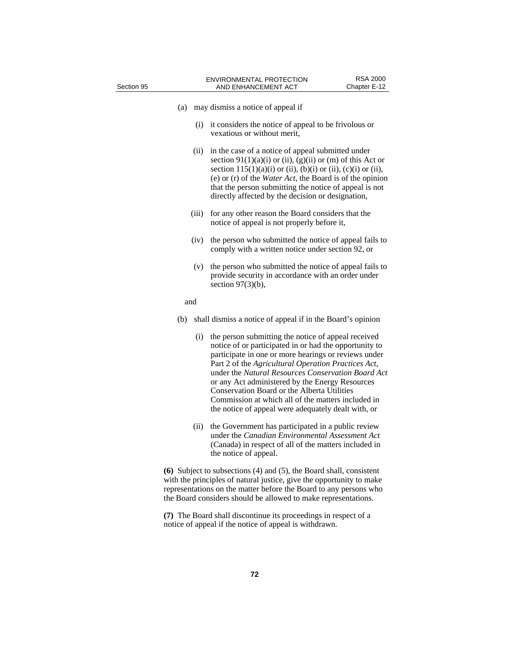| Section 95 |       | <b>ENVIRONMENTAL PROTECTION</b><br>AND ENHANCEMENT ACT                                                                                                                                                                                                                                                                                                                                                                                                                                            | <b>RSA 2000</b><br>Chapter E-12 |
|------------|-------|---------------------------------------------------------------------------------------------------------------------------------------------------------------------------------------------------------------------------------------------------------------------------------------------------------------------------------------------------------------------------------------------------------------------------------------------------------------------------------------------------|---------------------------------|
| (a)        |       | may dismiss a notice of appeal if                                                                                                                                                                                                                                                                                                                                                                                                                                                                 |                                 |
|            | (i)   | it considers the notice of appeal to be frivolous or<br>vexatious or without merit.                                                                                                                                                                                                                                                                                                                                                                                                               |                                 |
|            | (ii)  | in the case of a notice of appeal submitted under<br>section $91(1)(a)(i)$ or (ii), (g)(ii) or (m) of this Act or<br>section $115(1)(a)(i)$ or (ii), (b)(i) or (ii), (c)(i) or (ii),<br>(e) or $(r)$ of the <i>Water Act</i> , the Board is of the opinion<br>that the person submitting the notice of appeal is not<br>directly affected by the decision or designation,                                                                                                                         |                                 |
|            | (iii) | for any other reason the Board considers that the<br>notice of appeal is not properly before it,                                                                                                                                                                                                                                                                                                                                                                                                  |                                 |
|            | (iv)  | the person who submitted the notice of appeal fails to<br>comply with a written notice under section 92, or                                                                                                                                                                                                                                                                                                                                                                                       |                                 |
|            | (v)   | the person who submitted the notice of appeal fails to<br>provide security in accordance with an order under<br>section $97(3)(b)$ ,                                                                                                                                                                                                                                                                                                                                                              |                                 |
| and        |       |                                                                                                                                                                                                                                                                                                                                                                                                                                                                                                   |                                 |
| (b)        |       | shall dismiss a notice of appeal if in the Board's opinion                                                                                                                                                                                                                                                                                                                                                                                                                                        |                                 |
|            | (i)   | the person submitting the notice of appeal received<br>notice of or participated in or had the opportunity to<br>participate in one or more hearings or reviews under<br>Part 2 of the Agricultural Operation Practices Act,<br>under the Natural Resources Conservation Board Act<br>or any Act administered by the Energy Resources<br>Conservation Board or the Alberta Utilities<br>Commission at which all of the matters included in<br>the notice of appeal were adequately dealt with, or |                                 |
|            | (ii)  | the Government has participated in a public review<br>under the Canadian Environmental Assessment Act<br>(Canada) in respect of all of the matters included in<br>the notice of appeal.                                                                                                                                                                                                                                                                                                           |                                 |
|            |       | (6) Subject to subsections $(4)$ and $(5)$ , the Board shall, consistent<br>with the principles of natural justice, give the opportunity to make<br>representations on the matter before the Board to any persons who                                                                                                                                                                                                                                                                             |                                 |

**(7)** The Board shall discontinue its proceedings in respect of a notice of appeal if the notice of appeal is withdrawn.

the Board considers should be allowed to make representations.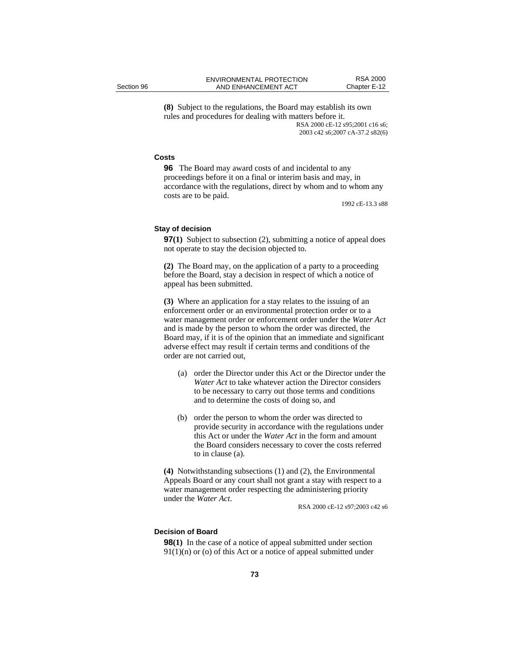**(8)** Subject to the regulations, the Board may establish its own rules and procedures for dealing with matters before it. RSA 2000 cE-12 s95;2001 c16 s6; 2003 c42 s6;2007 cA-37.2 s82(6)

## **Costs**

**96** The Board may award costs of and incidental to any proceedings before it on a final or interim basis and may, in accordance with the regulations, direct by whom and to whom any costs are to be paid.

1992 cE-13.3 s88

### **Stay of decision**

**97(1)** Subject to subsection (2), submitting a notice of appeal does not operate to stay the decision objected to.

**(2)** The Board may, on the application of a party to a proceeding before the Board, stay a decision in respect of which a notice of appeal has been submitted.

**(3)** Where an application for a stay relates to the issuing of an enforcement order or an environmental protection order or to a water management order or enforcement order under the *Water Act* and is made by the person to whom the order was directed, the Board may, if it is of the opinion that an immediate and significant adverse effect may result if certain terms and conditions of the order are not carried out,

- (a) order the Director under this Act or the Director under the *Water Act* to take whatever action the Director considers to be necessary to carry out those terms and conditions and to determine the costs of doing so, and
- (b) order the person to whom the order was directed to provide security in accordance with the regulations under this Act or under the *Water Act* in the form and amount the Board considers necessary to cover the costs referred to in clause (a).

**(4)** Notwithstanding subsections (1) and (2), the Environmental Appeals Board or any court shall not grant a stay with respect to a water management order respecting the administering priority under the *Water Act*.<br>RSA 2000 cE-12 s97;2003 c42 s6

# **Decision of Board**

**98(1)** In the case of a notice of appeal submitted under section  $91(1)(n)$  or (o) of this Act or a notice of appeal submitted under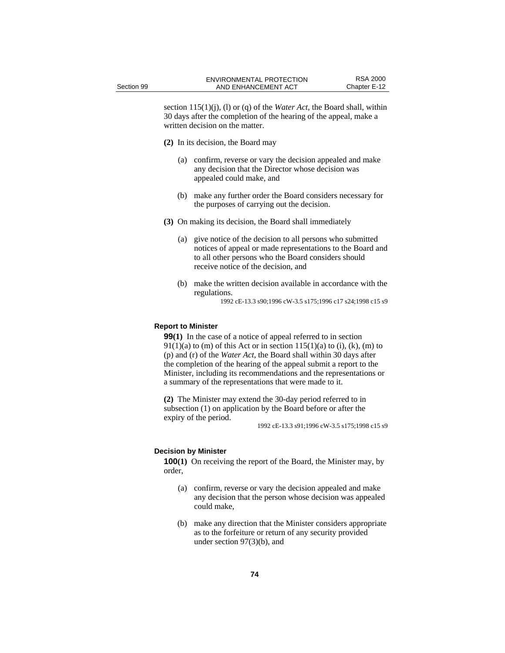section 115(1)(j), (l) or (q) of the *Water Act*, the Board shall, within 30 days after the completion of the hearing of the appeal, make a written decision on the matter.

- **(2)** In its decision, the Board may
	- (a) confirm, reverse or vary the decision appealed and make any decision that the Director whose decision was appealed could make, and
	- (b) make any further order the Board considers necessary for the purposes of carrying out the decision.
- **(3)** On making its decision, the Board shall immediately
	- (a) give notice of the decision to all persons who submitted notices of appeal or made representations to the Board and to all other persons who the Board considers should receive notice of the decision, and
	- (b) make the written decision available in accordance with the regulations.

1992 cE-13.3 s90;1996 cW-3.5 s175;1996 c17 s24;1998 c15 s9

## **Report to Minister**

**99(1)** In the case of a notice of appeal referred to in section  $91(1)(a)$  to (m) of this Act or in section  $115(1)(a)$  to (i), (k), (m) to (p) and (r) of the *Water Act*, the Board shall within 30 days after the completion of the hearing of the appeal submit a report to the Minister, including its recommendations and the representations or a summary of the representations that were made to it.

**(2)** The Minister may extend the 30-day period referred to in subsection (1) on application by the Board before or after the expiry of the period.

1992 cE-13.3 s91;1996 cW-3.5 s175;1998 c15 s9

## **Decision by Minister**

**100**(1) On receiving the report of the Board, the Minister may, by order,

- (a) confirm, reverse or vary the decision appealed and make any decision that the person whose decision was appealed could make,
- (b) make any direction that the Minister considers appropriate as to the forfeiture or return of any security provided under section 97(3)(b), and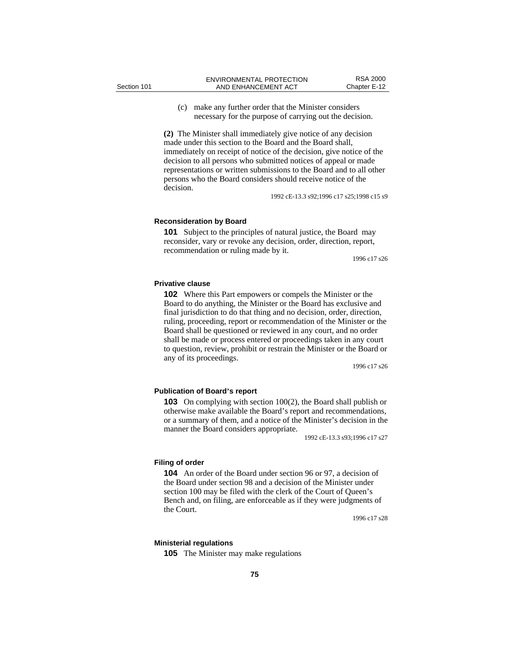(c) make any further order that the Minister considers necessary for the purpose of carrying out the decision.

**(2)** The Minister shall immediately give notice of any decision made under this section to the Board and the Board shall, immediately on receipt of notice of the decision, give notice of the decision to all persons who submitted notices of appeal or made representations or written submissions to the Board and to all other persons who the Board considers should receive notice of the decision.

1992 cE-13.3 s92;1996 c17 s25;1998 c15 s9

### **Reconsideration by Board**

**101** Subject to the principles of natural justice, the Board may reconsider, vary or revoke any decision, order, direction, report, recommendation or ruling made by it.

1996 c17 s26

### **Privative clause**

**102** Where this Part empowers or compels the Minister or the Board to do anything, the Minister or the Board has exclusive and final jurisdiction to do that thing and no decision, order, direction, ruling, proceeding, report or recommendation of the Minister or the Board shall be questioned or reviewed in any court, and no order shall be made or process entered or proceedings taken in any court to question, review, prohibit or restrain the Minister or the Board or any of its proceedings.

1996 c17 s26

## **Publication of Board's report**

**103** On complying with section 100(2), the Board shall publish or otherwise make available the Board's report and recommendations, or a summary of them, and a notice of the Minister's decision in the manner the Board considers appropriate.

1992 cE-13.3 s93;1996 c17 s27

## **Filing of order**

**104** An order of the Board under section 96 or 97, a decision of the Board under section 98 and a decision of the Minister under section 100 may be filed with the clerk of the Court of Queen's Bench and, on filing, are enforceable as if they were judgments of the Court.

1996 c17 s28

### **Ministerial regulations**

**105** The Minister may make regulations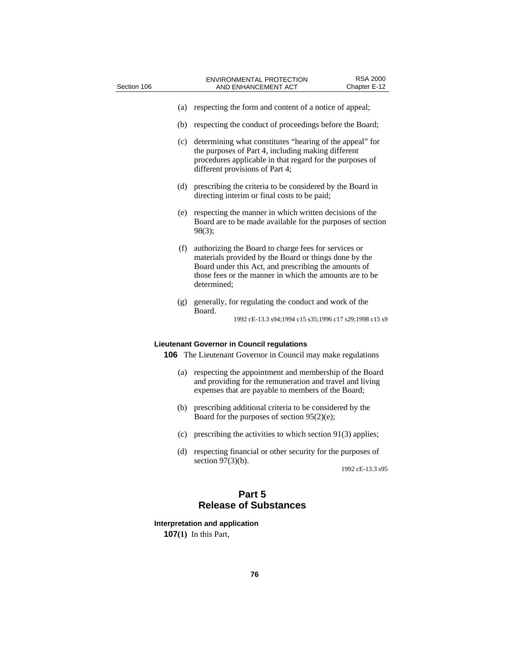| Section 106 | <b>ENVIRONMENTAL PROTECTION</b><br>AND ENHANCEMENT ACT                                                                                                                                                                                          | <b>RSA 2000</b><br>Chapter E-12 |
|-------------|-------------------------------------------------------------------------------------------------------------------------------------------------------------------------------------------------------------------------------------------------|---------------------------------|
|             |                                                                                                                                                                                                                                                 |                                 |
| (a)         | respecting the form and content of a notice of appeal;                                                                                                                                                                                          |                                 |
| (b)         | respecting the conduct of proceedings before the Board;                                                                                                                                                                                         |                                 |
| (c)         | determining what constitutes "hearing of the appeal" for<br>the purposes of Part 4, including making different<br>procedures applicable in that regard for the purposes of<br>different provisions of Part 4;                                   |                                 |
| (d)         | prescribing the criteria to be considered by the Board in<br>directing interim or final costs to be paid;                                                                                                                                       |                                 |
| (e)         | respecting the manner in which written decisions of the<br>Board are to be made available for the purposes of section<br>$98(3)$ :                                                                                                              |                                 |
| (f)         | authorizing the Board to charge fees for services or<br>materials provided by the Board or things done by the<br>Board under this Act, and prescribing the amounts of<br>those fees or the manner in which the amounts are to be<br>determined; |                                 |
| (g)         | generally, for regulating the conduct and work of the<br>Board.<br>1992 cE-13.3 s94;1994 c15 s35;1996 c17 s29;1998 c15 s9                                                                                                                       |                                 |
|             | <b>Lieutenant Governor in Council regulations</b>                                                                                                                                                                                               |                                 |
|             | <b>106</b> The Lieutenant Governor in Council may make regulations                                                                                                                                                                              |                                 |
| (a)         | respecting the appointment and membership of the Board<br>and providing for the remuneration and travel and living<br>expenses that are payable to members of the Board;                                                                        |                                 |

- (b) prescribing additional criteria to be considered by the Board for the purposes of section 95(2)(e);
- (c) prescribing the activities to which section 91(3) applies;
- (d) respecting financial or other security for the purposes of section  $97(3)(b)$ .

1992 cE-13.3 s95

# **Part 5 Release of Substances**

# **Interpretation and application**

**107(1)** In this Part,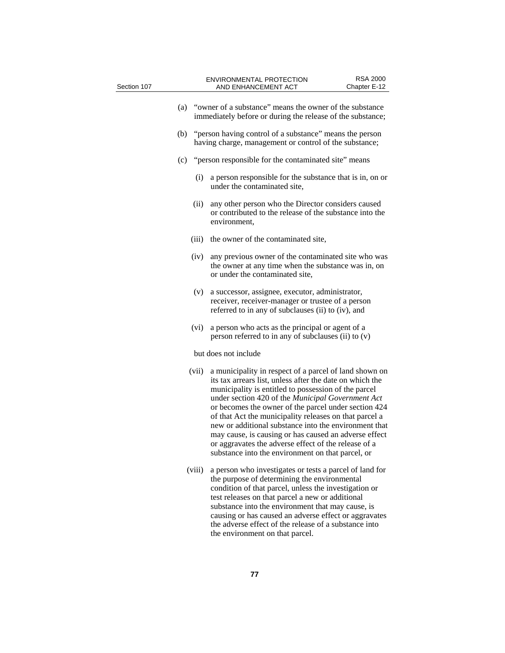| Section 107 |        | <b>RSA 2000</b><br><b>ENVIRONMENTAL PROTECTION</b><br>AND ENHANCEMENT ACT<br>Chapter E-12                                                                                                                                                                                                                                                                                                                                                                                                                                                                                        |
|-------------|--------|----------------------------------------------------------------------------------------------------------------------------------------------------------------------------------------------------------------------------------------------------------------------------------------------------------------------------------------------------------------------------------------------------------------------------------------------------------------------------------------------------------------------------------------------------------------------------------|
|             | (a)    | "owner of a substance" means the owner of the substance<br>immediately before or during the release of the substance;                                                                                                                                                                                                                                                                                                                                                                                                                                                            |
|             | (b)    | "person having control of a substance" means the person<br>having charge, management or control of the substance;                                                                                                                                                                                                                                                                                                                                                                                                                                                                |
|             | (c)    | "person responsible for the contaminated site" means                                                                                                                                                                                                                                                                                                                                                                                                                                                                                                                             |
|             | (i)    | a person responsible for the substance that is in, on or<br>under the contaminated site.                                                                                                                                                                                                                                                                                                                                                                                                                                                                                         |
|             | (ii)   | any other person who the Director considers caused<br>or contributed to the release of the substance into the<br>environment,                                                                                                                                                                                                                                                                                                                                                                                                                                                    |
|             | (iii)  | the owner of the contaminated site,                                                                                                                                                                                                                                                                                                                                                                                                                                                                                                                                              |
|             | (iv)   | any previous owner of the contaminated site who was<br>the owner at any time when the substance was in, on<br>or under the contaminated site,                                                                                                                                                                                                                                                                                                                                                                                                                                    |
|             | (v)    | a successor, assignee, executor, administrator,<br>receiver, receiver-manager or trustee of a person<br>referred to in any of subclauses (ii) to (iv), and                                                                                                                                                                                                                                                                                                                                                                                                                       |
|             | (vi)   | a person who acts as the principal or agent of a<br>person referred to in any of subclauses (ii) to (v)                                                                                                                                                                                                                                                                                                                                                                                                                                                                          |
|             |        | but does not include                                                                                                                                                                                                                                                                                                                                                                                                                                                                                                                                                             |
|             | (vii)  | a municipality in respect of a parcel of land shown on<br>its tax arrears list, unless after the date on which the<br>municipality is entitled to possession of the parcel<br>under section 420 of the Municipal Government Act<br>or becomes the owner of the parcel under section 424<br>of that Act the municipality releases on that parcel a<br>new or additional substance into the environment that<br>may cause, is causing or has caused an adverse effect<br>or aggravates the adverse effect of the release of a<br>substance into the environment on that parcel, or |
|             | (viii) | a person who investigates or tests a parcel of land for<br>the purpose of determining the environmental<br>condition of that parcel, unless the investigation or<br>test releases on that parcel a new or additional<br>substance into the environment that may cause, is<br>causing or has caused an adverse effect or aggravates<br>the adverse effect of the release of a substance into<br>the environment on that parcel.                                                                                                                                                   |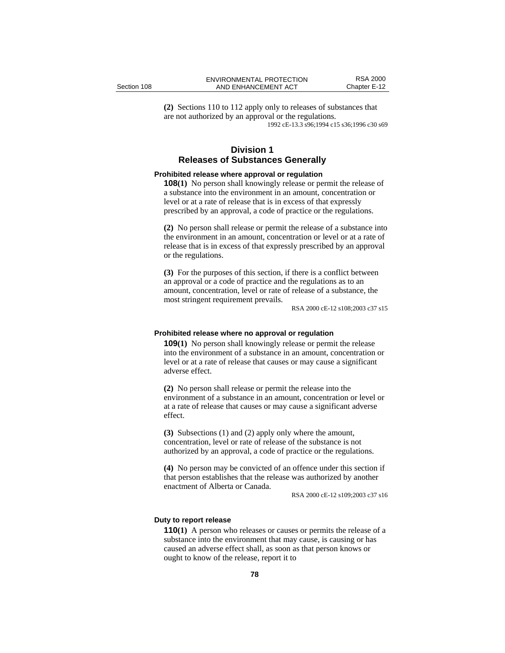**(2)** Sections 110 to 112 apply only to releases of substances that are not authorized by an approval or the regulations. 1992 cE-13.3 s96;1994 c15 s36;1996 c30 s69

# **Division 1 Releases of Substances Generally**

## **Prohibited release where approval or regulation**

**108(1)** No person shall knowingly release or permit the release of a substance into the environment in an amount, concentration or level or at a rate of release that is in excess of that expressly prescribed by an approval, a code of practice or the regulations.

**(2)** No person shall release or permit the release of a substance into the environment in an amount, concentration or level or at a rate of release that is in excess of that expressly prescribed by an approval or the regulations.

**(3)** For the purposes of this section, if there is a conflict between an approval or a code of practice and the regulations as to an amount, concentration, level or rate of release of a substance, the most stringent requirement prevails.

RSA 2000 cE-12 s108;2003 c37 s15

### **Prohibited release where no approval or regulation**

**109(1)** No person shall knowingly release or permit the release into the environment of a substance in an amount, concentration or level or at a rate of release that causes or may cause a significant adverse effect.

**(2)** No person shall release or permit the release into the environment of a substance in an amount, concentration or level or at a rate of release that causes or may cause a significant adverse effect.

**(3)** Subsections (1) and (2) apply only where the amount, concentration, level or rate of release of the substance is not authorized by an approval, a code of practice or the regulations.

**(4)** No person may be convicted of an offence under this section if that person establishes that the release was authorized by another enactment of Alberta or Canada.

RSA 2000 cE-12 s109;2003 c37 s16

#### **Duty to report release**

**110(1)** A person who releases or causes or permits the release of a substance into the environment that may cause, is causing or has caused an adverse effect shall, as soon as that person knows or ought to know of the release, report it to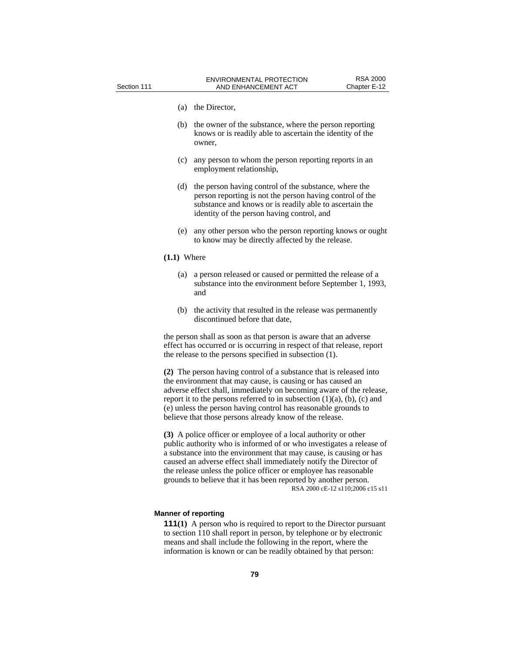- (a) the Director,
- (b) the owner of the substance, where the person reporting knows or is readily able to ascertain the identity of the owner,
- (c) any person to whom the person reporting reports in an employment relationship,
- (d) the person having control of the substance, where the person reporting is not the person having control of the substance and knows or is readily able to ascertain the identity of the person having control, and
- (e) any other person who the person reporting knows or ought to know may be directly affected by the release.

## **(1.1)** Where

- (a) a person released or caused or permitted the release of a substance into the environment before September 1, 1993, and
- (b) the activity that resulted in the release was permanently discontinued before that date,

the person shall as soon as that person is aware that an adverse effect has occurred or is occurring in respect of that release, report the release to the persons specified in subsection (1).

**(2)** The person having control of a substance that is released into the environment that may cause, is causing or has caused an adverse effect shall, immediately on becoming aware of the release, report it to the persons referred to in subsection  $(1)(a)$ ,  $(b)$ ,  $(c)$  and (e) unless the person having control has reasonable grounds to believe that those persons already know of the release.

**(3)** A police officer or employee of a local authority or other public authority who is informed of or who investigates a release of a substance into the environment that may cause, is causing or has caused an adverse effect shall immediately notify the Director of the release unless the police officer or employee has reasonable grounds to believe that it has been reported by another person. RSA 2000 cE-12 s110;2006 c15 s11

## **Manner of reporting**

**111(1)** A person who is required to report to the Director pursuant to section 110 shall report in person, by telephone or by electronic means and shall include the following in the report, where the information is known or can be readily obtained by that person: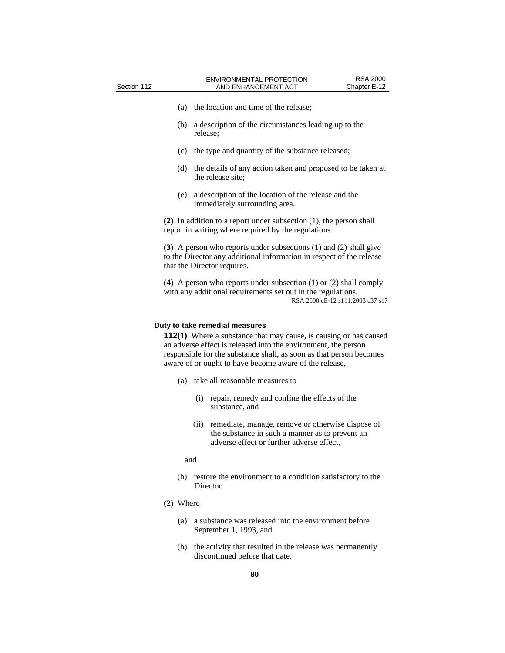- (a) the location and time of the release;
- (b) a description of the circumstances leading up to the release;
- (c) the type and quantity of the substance released;
- (d) the details of any action taken and proposed to be taken at the release site;
- (e) a description of the location of the release and the immediately surrounding area.

**(2)** In addition to a report under subsection (1), the person shall report in writing where required by the regulations.

**(3)** A person who reports under subsections (1) and (2) shall give to the Director any additional information in respect of the release that the Director requires.

**(4)** A person who reports under subsection (1) or (2) shall comply with any additional requirements set out in the regulations. RSA 2000 cE-12 s111;2003 c37 s17

### **Duty to take remedial measures**

**112(1)** Where a substance that may cause, is causing or has caused an adverse effect is released into the environment, the person responsible for the substance shall, as soon as that person becomes aware of or ought to have become aware of the release,

- (a) take all reasonable measures to
	- (i) repair, remedy and confine the effects of the substance, and
	- (ii) remediate, manage, remove or otherwise dispose of the substance in such a manner as to prevent an adverse effect or further adverse effect,
	- and
- (b) restore the environment to a condition satisfactory to the Director.
- **(2)** Where
	- (a) a substance was released into the environment before September 1, 1993, and
	- (b) the activity that resulted in the release was permanently discontinued before that date,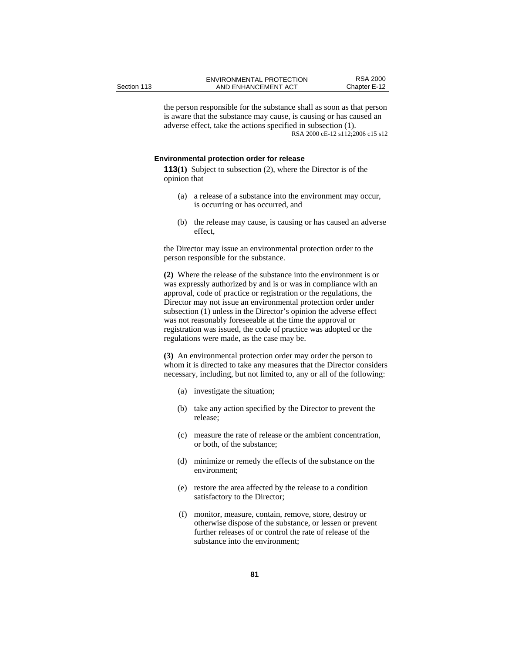the person responsible for the substance shall as soon as that person is aware that the substance may cause, is causing or has caused an adverse effect, take the actions specified in subsection (1). RSA 2000 cE-12 s112;2006 c15 s12

### **Environmental protection order for release**

**113(1)** Subject to subsection (2), where the Director is of the opinion that

- (a) a release of a substance into the environment may occur, is occurring or has occurred, and
- (b) the release may cause, is causing or has caused an adverse effect,

the Director may issue an environmental protection order to the person responsible for the substance.

**(2)** Where the release of the substance into the environment is or was expressly authorized by and is or was in compliance with an approval, code of practice or registration or the regulations, the Director may not issue an environmental protection order under subsection (1) unless in the Director's opinion the adverse effect was not reasonably foreseeable at the time the approval or registration was issued, the code of practice was adopted or the regulations were made, as the case may be.

**(3)** An environmental protection order may order the person to whom it is directed to take any measures that the Director considers necessary, including, but not limited to, any or all of the following:

- (a) investigate the situation;
- (b) take any action specified by the Director to prevent the release;
- (c) measure the rate of release or the ambient concentration, or both, of the substance;
- (d) minimize or remedy the effects of the substance on the environment;
- (e) restore the area affected by the release to a condition satisfactory to the Director;
- (f) monitor, measure, contain, remove, store, destroy or otherwise dispose of the substance, or lessen or prevent further releases of or control the rate of release of the substance into the environment;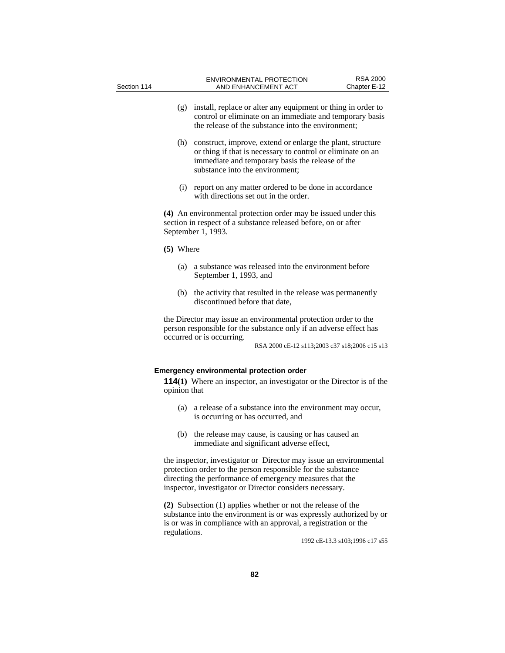| Section 114 |             |                                 | ENVIRONMENTAL PROTECTION<br>AND ENHANCEMENT ACT                                                                                                                                        | <b>RSA 2000</b><br>Chapter E-12 |
|-------------|-------------|---------------------------------|----------------------------------------------------------------------------------------------------------------------------------------------------------------------------------------|---------------------------------|
|             | (g)         |                                 | install, replace or alter any equipment or thing in order to<br>control or eliminate on an immediate and temporary basis<br>the release of the substance into the environment;         |                                 |
|             | (h)         | substance into the environment; | construct, improve, extend or enlarge the plant, structure<br>or thing if that is necessary to control or eliminate on an<br>immediate and temporary basis the release of the          |                                 |
|             | (i)         |                                 | report on any matter ordered to be done in accordance<br>with directions set out in the order.                                                                                         |                                 |
|             |             | September 1, 1993.              | (4) An environmental protection order may be issued under this<br>section in respect of a substance released before, on or after                                                       |                                 |
|             | $(5)$ Where |                                 |                                                                                                                                                                                        |                                 |
|             | (a)         | September 1, 1993, and          | a substance was released into the environment before                                                                                                                                   |                                 |
|             | (b)         | discontinued before that date,  | the activity that resulted in the release was permanently                                                                                                                              |                                 |
|             |             | occurred or is occurring.       | the Director may issue an environmental protection order to the<br>person responsible for the substance only if an adverse effect has<br>RSA 2000 cE-12 s113;2003 c37 s18;2006 c15 s13 |                                 |

## **Emergency environmental protection order**

**114(1)** Where an inspector, an investigator or the Director is of the opinion that

- (a) a release of a substance into the environment may occur, is occurring or has occurred, and
- (b) the release may cause, is causing or has caused an immediate and significant adverse effect,

the inspector, investigator or Director may issue an environmental protection order to the person responsible for the substance directing the performance of emergency measures that the inspector, investigator or Director considers necessary.

**(2)** Subsection (1) applies whether or not the release of the substance into the environment is or was expressly authorized by or is or was in compliance with an approval, a registration or the regulations.

1992 cE-13.3 s103;1996 c17 s55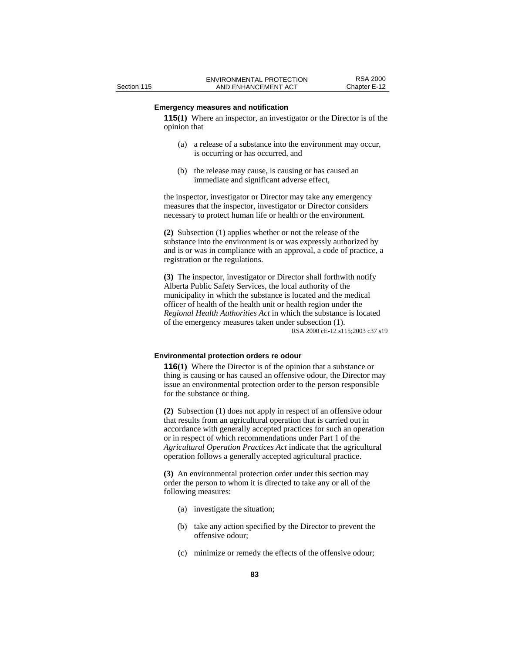# **Emergency measures and notification**

**115(1)** Where an inspector, an investigator or the Director is of the opinion that

- (a) a release of a substance into the environment may occur, is occurring or has occurred, and
- (b) the release may cause, is causing or has caused an immediate and significant adverse effect,

the inspector, investigator or Director may take any emergency measures that the inspector, investigator or Director considers necessary to protect human life or health or the environment.

**(2)** Subsection (1) applies whether or not the release of the substance into the environment is or was expressly authorized by and is or was in compliance with an approval, a code of practice, a registration or the regulations.

**(3)** The inspector, investigator or Director shall forthwith notify Alberta Public Safety Services, the local authority of the municipality in which the substance is located and the medical officer of health of the health unit or health region under the *Regional Health Authorities Act* in which the substance is located of the emergency measures taken under subsection (1). RSA 2000 cE-12 s115;2003 c37 s19

#### **Environmental protection orders re odour**

**116(1)** Where the Director is of the opinion that a substance or thing is causing or has caused an offensive odour, the Director may issue an environmental protection order to the person responsible for the substance or thing.

**(2)** Subsection (1) does not apply in respect of an offensive odour that results from an agricultural operation that is carried out in accordance with generally accepted practices for such an operation or in respect of which recommendations under Part 1 of the *Agricultural Operation Practices Act* indicate that the agricultural operation follows a generally accepted agricultural practice.

**(3)** An environmental protection order under this section may order the person to whom it is directed to take any or all of the following measures:

- (a) investigate the situation;
- (b) take any action specified by the Director to prevent the offensive odour;
- (c) minimize or remedy the effects of the offensive odour;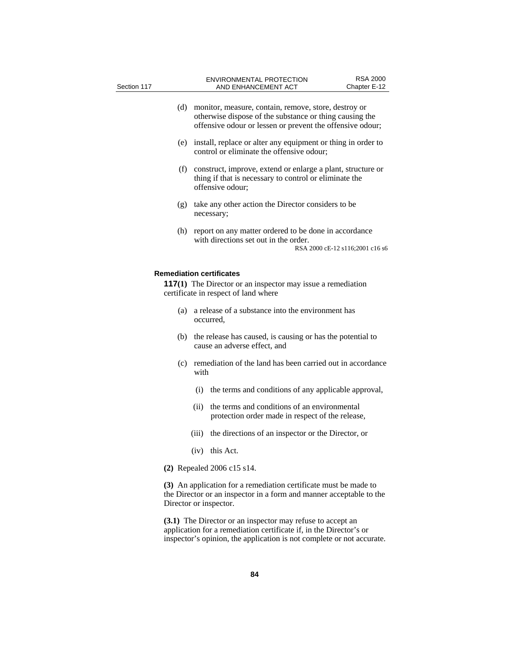| Section 117                                                                                                                                                                                               |       | AND ENHANCEMENT ACT                                                                                                                                                          | Chapter E-12                    |
|-----------------------------------------------------------------------------------------------------------------------------------------------------------------------------------------------------------|-------|------------------------------------------------------------------------------------------------------------------------------------------------------------------------------|---------------------------------|
| (d)                                                                                                                                                                                                       |       | monitor, measure, contain, remove, store, destroy or<br>otherwise dispose of the substance or thing causing the<br>offensive odour or lessen or prevent the offensive odour; |                                 |
| (e)                                                                                                                                                                                                       |       | install, replace or alter any equipment or thing in order to<br>control or eliminate the offensive odour;                                                                    |                                 |
| (f)                                                                                                                                                                                                       |       | construct, improve, extend or enlarge a plant, structure or<br>thing if that is necessary to control or eliminate the<br>offensive odour;                                    |                                 |
| (g)                                                                                                                                                                                                       |       | take any other action the Director considers to be<br>necessary;                                                                                                             |                                 |
| (h)                                                                                                                                                                                                       |       | report on any matter ordered to be done in accordance<br>with directions set out in the order.                                                                               | RSA 2000 cE-12 s116;2001 c16 s6 |
|                                                                                                                                                                                                           |       | <b>Remediation certificates</b><br><b>117(1)</b> The Director or an inspector may issue a remediation<br>certificate in respect of land where                                |                                 |
| (a)                                                                                                                                                                                                       |       | a release of a substance into the environment has<br>occurred,                                                                                                               |                                 |
| (b)                                                                                                                                                                                                       |       | the release has caused, is causing or has the potential to<br>cause an adverse effect, and                                                                                   |                                 |
| (c)                                                                                                                                                                                                       | with  | remediation of the land has been carried out in accordance                                                                                                                   |                                 |
|                                                                                                                                                                                                           |       | (i) the terms and conditions of any applicable approval,                                                                                                                     |                                 |
|                                                                                                                                                                                                           | (ii)  | the terms and conditions of an environmental<br>protection order made in respect of the release,                                                                             |                                 |
|                                                                                                                                                                                                           | (iii) | the directions of an inspector or the Director, or                                                                                                                           |                                 |
|                                                                                                                                                                                                           | (iv)  | this Act.                                                                                                                                                                    |                                 |
|                                                                                                                                                                                                           |       | (2) Repealed 2006 c15 s14.                                                                                                                                                   |                                 |
|                                                                                                                                                                                                           |       | (3) An application for a remediation certificate must be made to<br>the Director or an inspector in a form and manner acceptable to the<br>Director or inspector.            |                                 |
| (3.1) The Director or an inspector may refuse to accept an<br>application for a remediation certificate if, in the Director's or<br>inspector's opinion, the application is not complete or not accurate. |       |                                                                                                                                                                              |                                 |

ENVIRONMENTAL PROTECTION FINAL RSA 2000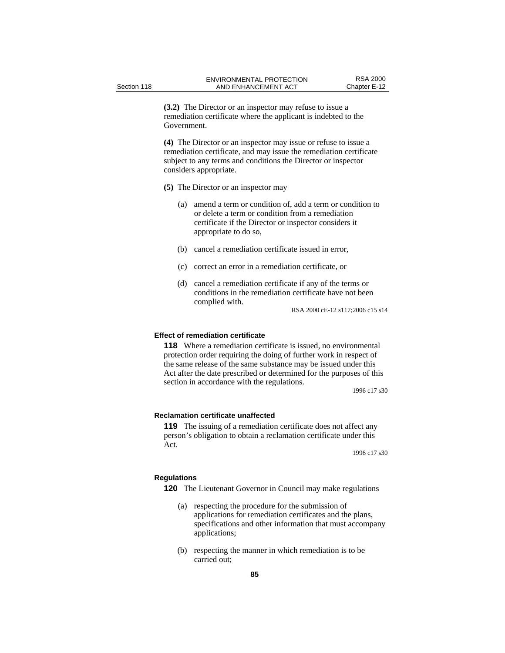**(3.2)** The Director or an inspector may refuse to issue a remediation certificate where the applicant is indebted to the Government.

**(4)** The Director or an inspector may issue or refuse to issue a remediation certificate, and may issue the remediation certificate subject to any terms and conditions the Director or inspector considers appropriate.

- **(5)** The Director or an inspector may
	- (a) amend a term or condition of, add a term or condition to or delete a term or condition from a remediation certificate if the Director or inspector considers it appropriate to do so,
	- (b) cancel a remediation certificate issued in error,
	- (c) correct an error in a remediation certificate, or
	- (d) cancel a remediation certificate if any of the terms or conditions in the remediation certificate have not been complied with.

RSA 2000 cE-12 s117;2006 c15 s14

### **Effect of remediation certificate**

**118** Where a remediation certificate is issued, no environmental protection order requiring the doing of further work in respect of the same release of the same substance may be issued under this Act after the date prescribed or determined for the purposes of this section in accordance with the regulations.

1996 c17 s30

#### **Reclamation certificate unaffected**

**119** The issuing of a remediation certificate does not affect any person's obligation to obtain a reclamation certificate under this Act.

1996 c17 s30

### **Regulations**

**120** The Lieutenant Governor in Council may make regulations

- (a) respecting the procedure for the submission of applications for remediation certificates and the plans, specifications and other information that must accompany applications;
- (b) respecting the manner in which remediation is to be carried out;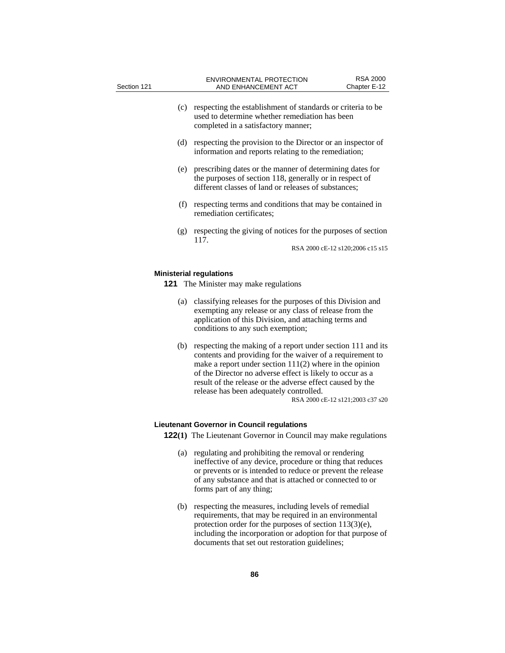| Section 121 |     | <b>ENVIRONMENTAL PROTECTION</b><br>AND ENHANCEMENT ACT                                                                                                                                                             | <b>RSA 2000</b><br>Chapter E-12  |
|-------------|-----|--------------------------------------------------------------------------------------------------------------------------------------------------------------------------------------------------------------------|----------------------------------|
|             | (c) | respecting the establishment of standards or criteria to be<br>used to determine whether remediation has been<br>completed in a satisfactory manner;                                                               |                                  |
|             | (d) | respecting the provision to the Director or an inspector of<br>information and reports relating to the remediation;                                                                                                |                                  |
|             | (e) | prescribing dates or the manner of determining dates for<br>the purposes of section 118, generally or in respect of<br>different classes of land or releases of substances;                                        |                                  |
|             | (f) | respecting terms and conditions that may be contained in<br>remediation certificates;                                                                                                                              |                                  |
|             | (g) | respecting the giving of notices for the purposes of section<br>117.                                                                                                                                               | RSA 2000 cE-12 s120;2006 c15 s15 |
|             |     | <b>Ministerial regulations</b><br><b>121</b> The Minister may make regulations                                                                                                                                     |                                  |
|             | (a) | classifying releases for the purposes of this Division and<br>exempting any release or any class of release from the<br>application of this Division, and attaching terms and<br>conditions to any such exemption; |                                  |
|             | (b) | respecting the making of a report under section 111 and its                                                                                                                                                        |                                  |

(b) respecting the making of a report under section 111 and its contents and providing for the waiver of a requirement to make a report under section 111(2) where in the opinion of the Director no adverse effect is likely to occur as a result of the release or the adverse effect caused by the release has been adequately controlled. RSA 2000 cE-12 s121;2003 c37 s20

### **Lieutenant Governor in Council regulations**

**122(1)** The Lieutenant Governor in Council may make regulations

- (a) regulating and prohibiting the removal or rendering ineffective of any device, procedure or thing that reduces or prevents or is intended to reduce or prevent the release of any substance and that is attached or connected to or forms part of any thing;
- (b) respecting the measures, including levels of remedial requirements, that may be required in an environmental protection order for the purposes of section 113(3)(e), including the incorporation or adoption for that purpose of documents that set out restoration guidelines;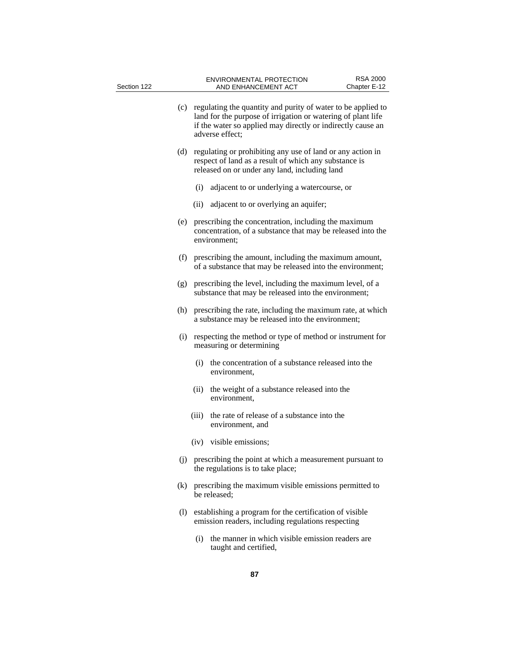| Section 122 | <b>ENVIRONMENTAL PROTECTION</b><br>AND ENHANCEMENT ACT                                                                                                                                                             | <b>RSA 2000</b><br>Chapter E-12 |
|-------------|--------------------------------------------------------------------------------------------------------------------------------------------------------------------------------------------------------------------|---------------------------------|
|             | (c) regulating the quantity and purity of water to be applied to<br>land for the purpose of irrigation or watering of plant life<br>if the water so applied may directly or indirectly cause an<br>adverse effect; |                                 |
| (d)         | regulating or prohibiting any use of land or any action in<br>respect of land as a result of which any substance is<br>released on or under any land, including land                                               |                                 |
|             | adjacent to or underlying a watercourse, or<br>(i)                                                                                                                                                                 |                                 |
|             | adjacent to or overlying an aquifer;<br>(ii)                                                                                                                                                                       |                                 |
| (e)         | prescribing the concentration, including the maximum<br>concentration, of a substance that may be released into the<br>environment;                                                                                |                                 |
| (f)         | prescribing the amount, including the maximum amount,<br>of a substance that may be released into the environment;                                                                                                 |                                 |
| (g)         | prescribing the level, including the maximum level, of a<br>substance that may be released into the environment;                                                                                                   |                                 |
| (h)         | prescribing the rate, including the maximum rate, at which<br>a substance may be released into the environment;                                                                                                    |                                 |
| (i)         | respecting the method or type of method or instrument for<br>measuring or determining                                                                                                                              |                                 |
|             | (i) the concentration of a substance released into the<br>environment,                                                                                                                                             |                                 |
|             | (ii)<br>the weight of a substance released into the<br>environment,                                                                                                                                                |                                 |
|             | the rate of release of a substance into the<br>(iii)<br>environment, and                                                                                                                                           |                                 |
|             | (iv) visible emissions;                                                                                                                                                                                            |                                 |
|             | (j) prescribing the point at which a measurement pursuant to<br>the regulations is to take place;                                                                                                                  |                                 |
| (k)         | prescribing the maximum visible emissions permitted to<br>be released;                                                                                                                                             |                                 |
| (1)         | establishing a program for the certification of visible<br>emission readers, including regulations respecting                                                                                                      |                                 |
|             | the manner in which visible emission readers are<br>(i)<br>taught and certified,                                                                                                                                   |                                 |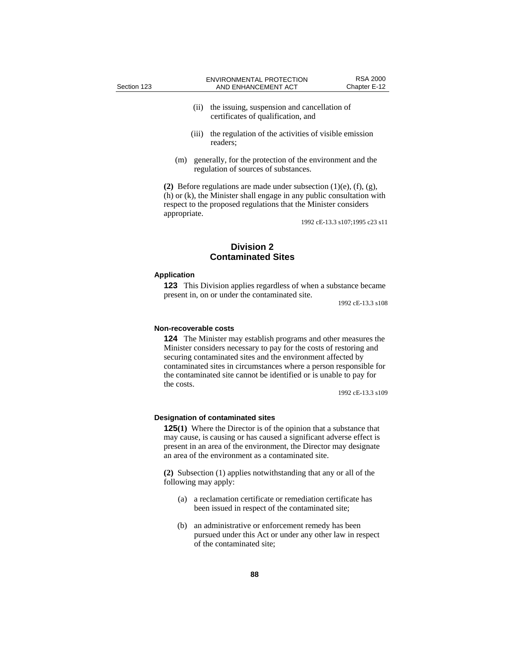- (ii) the issuing, suspension and cancellation of certificates of qualification, and
- (iii) the regulation of the activities of visible emission readers;
- (m) generally, for the protection of the environment and the regulation of sources of substances.

**(2)** Before regulations are made under subsection (1)(e), (f), (g), (h) or (k), the Minister shall engage in any public consultation with respect to the proposed regulations that the Minister considers appropriate.

1992 cE-13.3 s107;1995 c23 s11

# **Division 2 Contaminated Sites**

### **Application**

**123** This Division applies regardless of when a substance became present in, on or under the contaminated site.

1992 cE-13.3 s108

### **Non-recoverable costs**

**124** The Minister may establish programs and other measures the Minister considers necessary to pay for the costs of restoring and securing contaminated sites and the environment affected by contaminated sites in circumstances where a person responsible for the contaminated site cannot be identified or is unable to pay for the costs.

1992 cE-13.3 s109

#### **Designation of contaminated sites**

**125(1)** Where the Director is of the opinion that a substance that may cause, is causing or has caused a significant adverse effect is present in an area of the environment, the Director may designate an area of the environment as a contaminated site.

**(2)** Subsection (1) applies notwithstanding that any or all of the following may apply:

- (a) a reclamation certificate or remediation certificate has been issued in respect of the contaminated site;
- (b) an administrative or enforcement remedy has been pursued under this Act or under any other law in respect of the contaminated site;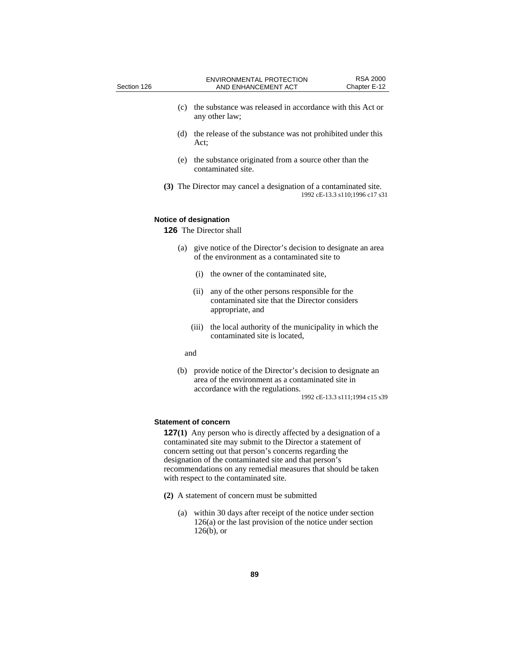| Section 126 |     |       | <b>ENVIRONMENTAL PROTECTION</b><br>AND ENHANCEMENT ACT                                                                                             | <b>RSA 2000</b><br>Chapter E-12 |
|-------------|-----|-------|----------------------------------------------------------------------------------------------------------------------------------------------------|---------------------------------|
|             | (c) |       | the substance was released in accordance with this Act or<br>any other law;                                                                        |                                 |
|             | (d) | Act;  | the release of the substance was not prohibited under this                                                                                         |                                 |
|             | (e) |       | the substance originated from a source other than the<br>contaminated site.                                                                        |                                 |
|             |     |       | (3) The Director may cancel a designation of a contaminated site.                                                                                  | 1992 cE-13.3 s110;1996 c17 s31  |
|             |     |       | Notice of designation<br><b>126</b> The Director shall                                                                                             |                                 |
|             | (a) |       | give notice of the Director's decision to designate an area<br>of the environment as a contaminated site to                                        |                                 |
|             |     | (i)   | the owner of the contaminated site,                                                                                                                |                                 |
|             |     | (ii)  | any of the other persons responsible for the<br>contaminated site that the Director considers<br>appropriate, and                                  |                                 |
|             |     | (iii) | the local authority of the municipality in which the<br>contaminated site is located,                                                              |                                 |
|             | and |       |                                                                                                                                                    |                                 |
|             | (b) |       | provide notice of the Director's decision to designate an<br>area of the environment as a contaminated site in<br>accordance with the regulations. | 1992 cE-13.3 s111;1994 c15 s39  |

# **Statement of concern**

**127(1)** Any person who is directly affected by a designation of a contaminated site may submit to the Director a statement of concern setting out that person's concerns regarding the designation of the contaminated site and that person's recommendations on any remedial measures that should be taken with respect to the contaminated site.

- **(2)** A statement of concern must be submitted
	- (a) within 30 days after receipt of the notice under section 126(a) or the last provision of the notice under section 126(b), or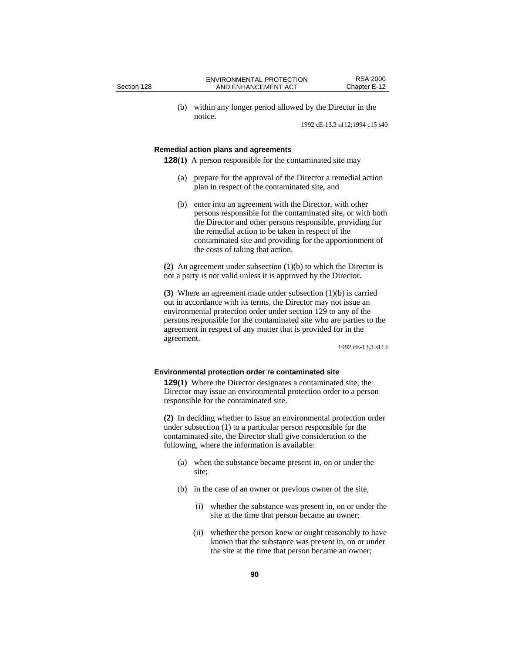(b) within any longer period allowed by the Director in the notice.

1992 cE-13.3 s112;1994 c15 s40

### **Remedial action plans and agreements**

**128(1)** A person responsible for the contaminated site may

- (a) prepare for the approval of the Director a remedial action plan in respect of the contaminated site, and
- (b) enter into an agreement with the Director, with other persons responsible for the contaminated site, or with both the Director and other persons responsible, providing for the remedial action to be taken in respect of the contaminated site and providing for the apportionment of the costs of taking that action.

**(2)** An agreement under subsection (1)(b) to which the Director is not a party is not valid unless it is approved by the Director.

**(3)** Where an agreement made under subsection (1)(b) is carried out in accordance with its terms, the Director may not issue an environmental protection order under section 129 to any of the persons responsible for the contaminated site who are parties to the agreement in respect of any matter that is provided for in the agreement.

1992 cE-13.3 s113

### **Environmental protection order re contaminated site**

**129(1)** Where the Director designates a contaminated site, the Director may issue an environmental protection order to a person responsible for the contaminated site.

**(2)** In deciding whether to issue an environmental protection order under subsection (1) to a particular person responsible for the contaminated site, the Director shall give consideration to the following, where the information is available:

- (a) when the substance became present in, on or under the site;
- (b) in the case of an owner or previous owner of the site,
	- (i) whether the substance was present in, on or under the site at the time that person became an owner;
	- (ii) whether the person knew or ought reasonably to have known that the substance was present in, on or under the site at the time that person became an owner;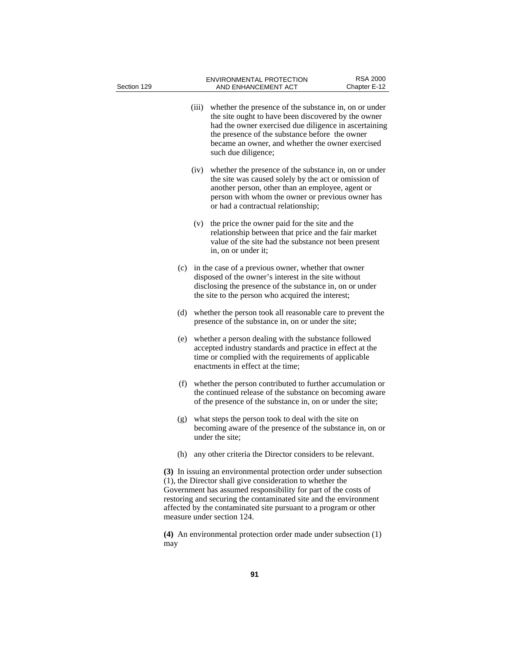| Section 129 |       | <b>ENVIRONMENTAL PROTECTION</b><br>AND ENHANCEMENT ACT                                                                                                                                                                                                                                                                                                                 | <b>RSA 2000</b><br>Chapter E-12 |
|-------------|-------|------------------------------------------------------------------------------------------------------------------------------------------------------------------------------------------------------------------------------------------------------------------------------------------------------------------------------------------------------------------------|---------------------------------|
|             | (iii) | whether the presence of the substance in, on or under<br>the site ought to have been discovered by the owner<br>had the owner exercised due diligence in ascertaining<br>the presence of the substance before the owner<br>became an owner, and whether the owner exercised<br>such due diligence;                                                                     |                                 |
|             | (iv)  | whether the presence of the substance in, on or under<br>the site was caused solely by the act or omission of<br>another person, other than an employee, agent or<br>person with whom the owner or previous owner has<br>or had a contractual relationship;                                                                                                            |                                 |
|             | (v)   | the price the owner paid for the site and the<br>relationship between that price and the fair market<br>value of the site had the substance not been present<br>in, on or under it;                                                                                                                                                                                    |                                 |
|             |       | (c) in the case of a previous owner, whether that owner<br>disposed of the owner's interest in the site without<br>disclosing the presence of the substance in, on or under<br>the site to the person who acquired the interest;                                                                                                                                       |                                 |
| (d)         |       | whether the person took all reasonable care to prevent the<br>presence of the substance in, on or under the site;                                                                                                                                                                                                                                                      |                                 |
| (e)         |       | whether a person dealing with the substance followed<br>accepted industry standards and practice in effect at the<br>time or complied with the requirements of applicable<br>enactments in effect at the time;                                                                                                                                                         |                                 |
|             |       | (f) whether the person contributed to further accumulation or<br>the continued release of the substance on becoming aware<br>of the presence of the substance in, on or under the site;                                                                                                                                                                                |                                 |
| (g)         |       | what steps the person took to deal with the site on<br>becoming aware of the presence of the substance in, on or<br>under the site;                                                                                                                                                                                                                                    |                                 |
| (h)         |       | any other criteria the Director considers to be relevant.                                                                                                                                                                                                                                                                                                              |                                 |
|             |       | (3) In issuing an environmental protection order under subsection<br>(1), the Director shall give consideration to whether the<br>Government has assumed responsibility for part of the costs of<br>restoring and securing the contaminated site and the environment<br>affected by the contaminated site pursuant to a program or other<br>measure under section 124. |                                 |
| may         |       | (4) An environmental protection order made under subsection (1)                                                                                                                                                                                                                                                                                                        |                                 |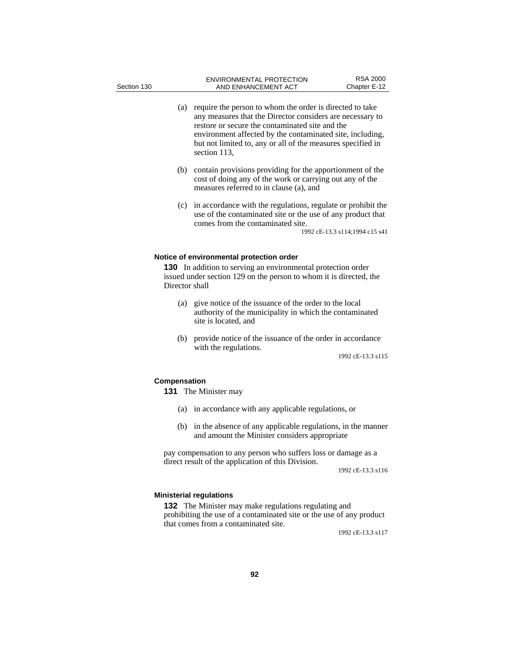- (a) require the person to whom the order is directed to take any measures that the Director considers are necessary to restore or secure the contaminated site and the environment affected by the contaminated site, including, but not limited to, any or all of the measures specified in section 113,
- (b) contain provisions providing for the apportionment of the cost of doing any of the work or carrying out any of the measures referred to in clause (a), and
- (c) in accordance with the regulations, regulate or prohibit the use of the contaminated site or the use of any product that comes from the contaminated site.

1992 cE-13.3 s114;1994 c15 s41

### **Notice of environmental protection order**

**130** In addition to serving an environmental protection order issued under section 129 on the person to whom it is directed, the Director shall

- (a) give notice of the issuance of the order to the local authority of the municipality in which the contaminated site is located, and
- (b) provide notice of the issuance of the order in accordance with the regulations.

1992 cE-13.3 s115

## **Compensation**

**131** The Minister may

- (a) in accordance with any applicable regulations, or
- (b) in the absence of any applicable regulations, in the manner and amount the Minister considers appropriate

pay compensation to any person who suffers loss or damage as a direct result of the application of this Division.

1992 cE-13.3 s116

### **Ministerial regulations**

**132** The Minister may make regulations regulating and prohibiting the use of a contaminated site or the use of any product that comes from a contaminated site.

1992 cE-13.3 s117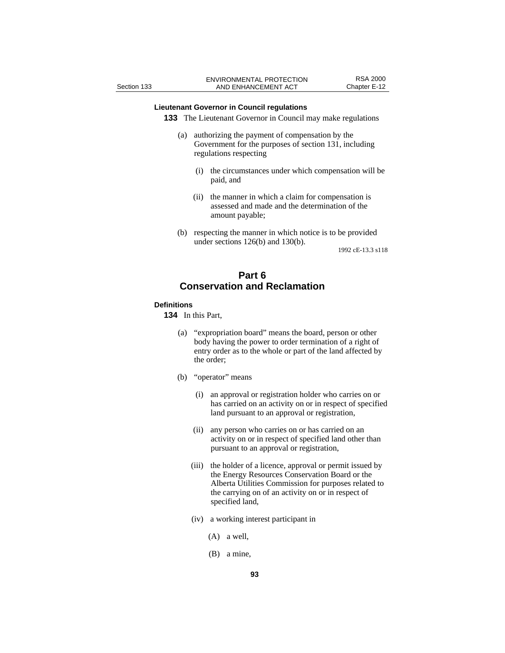# **Lieutenant Governor in Council regulations**

**133** The Lieutenant Governor in Council may make regulations

- (a) authorizing the payment of compensation by the Government for the purposes of section 131, including regulations respecting
	- (i) the circumstances under which compensation will be paid, and
	- (ii) the manner in which a claim for compensation is assessed and made and the determination of the amount payable;
- (b) respecting the manner in which notice is to be provided under sections 126(b) and 130(b).

1992 cE-13.3 s118

# **Part 6 Conservation and Reclamation**

### **Definitions**

**134** In this Part,

- (a) "expropriation board" means the board, person or other body having the power to order termination of a right of entry order as to the whole or part of the land affected by the order;
- (b) "operator" means
	- (i) an approval or registration holder who carries on or has carried on an activity on or in respect of specified land pursuant to an approval or registration,
	- (ii) any person who carries on or has carried on an activity on or in respect of specified land other than pursuant to an approval or registration,
	- (iii) the holder of a licence, approval or permit issued by the Energy Resources Conservation Board or the Alberta Utilities Commission for purposes related to the carrying on of an activity on or in respect of specified land,
	- (iv) a working interest participant in
		- (A) a well,
		- (B) a mine,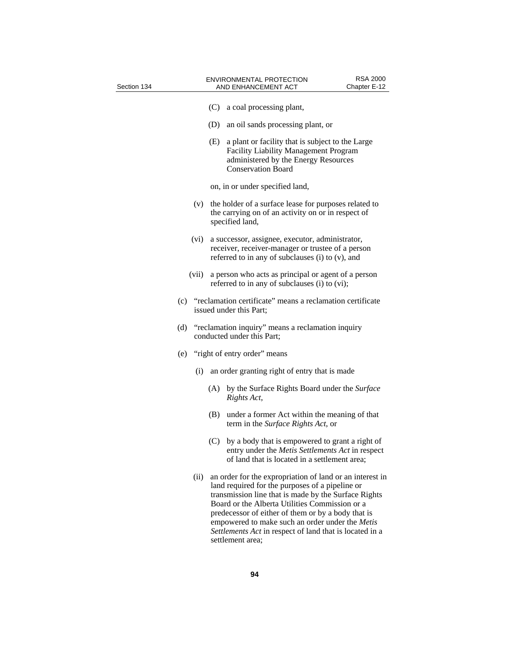| Section 134 |       | <b>ENVIRONMENTAL PROTECTION</b><br>AND ENHANCEMENT ACT                                                                                                                                                                                                                                                                                                                                                        | <b>RSA 2000</b><br>Chapter E-12 |
|-------------|-------|---------------------------------------------------------------------------------------------------------------------------------------------------------------------------------------------------------------------------------------------------------------------------------------------------------------------------------------------------------------------------------------------------------------|---------------------------------|
|             |       | (C)<br>a coal processing plant,                                                                                                                                                                                                                                                                                                                                                                               |                                 |
|             |       | (D)<br>an oil sands processing plant, or                                                                                                                                                                                                                                                                                                                                                                      |                                 |
|             |       | (E)<br>a plant or facility that is subject to the Large<br>Facility Liability Management Program<br>administered by the Energy Resources<br><b>Conservation Board</b>                                                                                                                                                                                                                                         |                                 |
|             |       | on, in or under specified land,                                                                                                                                                                                                                                                                                                                                                                               |                                 |
|             | (v)   | the holder of a surface lease for purposes related to<br>the carrying on of an activity on or in respect of<br>specified land,                                                                                                                                                                                                                                                                                |                                 |
|             | (vi)  | a successor, assignee, executor, administrator,<br>receiver, receiver-manager or trustee of a person<br>referred to in any of subclauses (i) to (v), and                                                                                                                                                                                                                                                      |                                 |
|             | (vii) | a person who acts as principal or agent of a person<br>referred to in any of subclauses (i) to (vi);                                                                                                                                                                                                                                                                                                          |                                 |
|             |       | (c) "reclamation certificate" means a reclamation certificate<br>issued under this Part;                                                                                                                                                                                                                                                                                                                      |                                 |
| (d)         |       | "reclamation inquiry" means a reclamation inquiry<br>conducted under this Part;                                                                                                                                                                                                                                                                                                                               |                                 |
|             |       | (e) "right of entry order" means                                                                                                                                                                                                                                                                                                                                                                              |                                 |
|             | (i)   | an order granting right of entry that is made                                                                                                                                                                                                                                                                                                                                                                 |                                 |
|             |       | by the Surface Rights Board under the Surface<br>(A)<br>Rights Act,                                                                                                                                                                                                                                                                                                                                           |                                 |
|             |       | (B)<br>under a former Act within the meaning of that<br>term in the Surface Rights Act, or                                                                                                                                                                                                                                                                                                                    |                                 |
|             |       | by a body that is empowered to grant a right of<br>(C)<br>entry under the Metis Settlements Act in respect<br>of land that is located in a settlement area;                                                                                                                                                                                                                                                   |                                 |
|             | (ii)  | an order for the expropriation of land or an interest in<br>land required for the purposes of a pipeline or<br>transmission line that is made by the Surface Rights<br>Board or the Alberta Utilities Commission or a<br>predecessor of either of them or by a body that is<br>empowered to make such an order under the Metis<br>Settlements Act in respect of land that is located in a<br>settlement area; |                                 |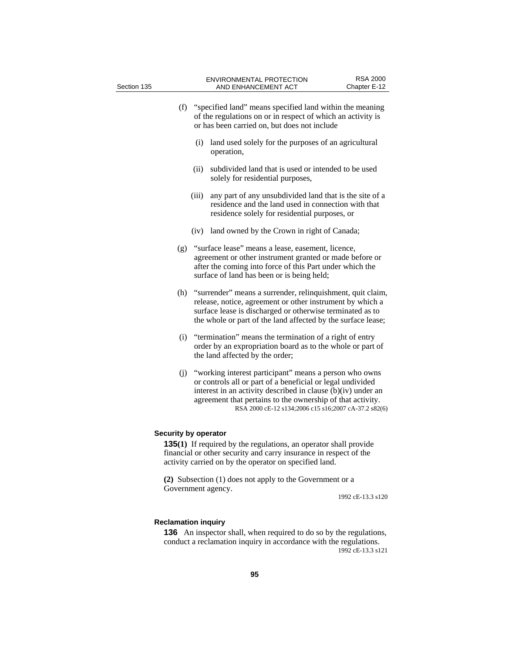| Section 135          |       | <b>ENVIRONMENTAL PROTECTION</b><br>AND ENHANCEMENT ACT                                                                                                                                                                                                                                                     | <b>RSA 2000</b><br>Chapter E-12 |
|----------------------|-------|------------------------------------------------------------------------------------------------------------------------------------------------------------------------------------------------------------------------------------------------------------------------------------------------------------|---------------------------------|
|                      |       |                                                                                                                                                                                                                                                                                                            |                                 |
| (f)                  |       | "specified land" means specified land within the meaning<br>of the regulations on or in respect of which an activity is<br>or has been carried on, but does not include                                                                                                                                    |                                 |
|                      | (i)   | land used solely for the purposes of an agricultural<br>operation,                                                                                                                                                                                                                                         |                                 |
|                      | (ii)  | subdivided land that is used or intended to be used<br>solely for residential purposes,                                                                                                                                                                                                                    |                                 |
|                      | (iii) | any part of any unsubdivided land that is the site of a<br>residence and the land used in connection with that<br>residence solely for residential purposes, or                                                                                                                                            |                                 |
|                      |       | (iv) land owned by the Crown in right of Canada;                                                                                                                                                                                                                                                           |                                 |
| (g)                  |       | "surface lease" means a lease, easement, licence,<br>agreement or other instrument granted or made before or<br>after the coming into force of this Part under which the<br>surface of land has been or is being held;                                                                                     |                                 |
| (h)                  |       | "surrender" means a surrender, relinquishment, quit claim,<br>release, notice, agreement or other instrument by which a<br>surface lease is discharged or otherwise terminated as to<br>the whole or part of the land affected by the surface lease;                                                       |                                 |
| (i)                  |       | "termination" means the termination of a right of entry<br>order by an expropriation board as to the whole or part of<br>the land affected by the order;                                                                                                                                                   |                                 |
| (j)                  |       | "working interest participant" means a person who owns<br>or controls all or part of a beneficial or legal undivided<br>interest in an activity described in clause (b)(iv) under an<br>agreement that pertains to the ownership of that activity.<br>RSA 2000 cE-12 s134;2006 c15 s16;2007 cA-37.2 s82(6) |                                 |
| Security by operator |       |                                                                                                                                                                                                                                                                                                            |                                 |
|                      |       | <b>135(1)</b> If required by the regulations, an operator shall provide<br>financial or other security and carry insurance in respect of the<br>activity carried on by the operator on specified land.                                                                                                     |                                 |
| Government agency.   |       | (2) Subsection (1) does not apply to the Government or a                                                                                                                                                                                                                                                   | 1992 cE-13.3 s120               |
|                      |       |                                                                                                                                                                                                                                                                                                            |                                 |

# **Reclamation inquiry**

**136** An inspector shall, when required to do so by the regulations, conduct a reclamation inquiry in accordance with the regulations. 1992 cE-13.3 s121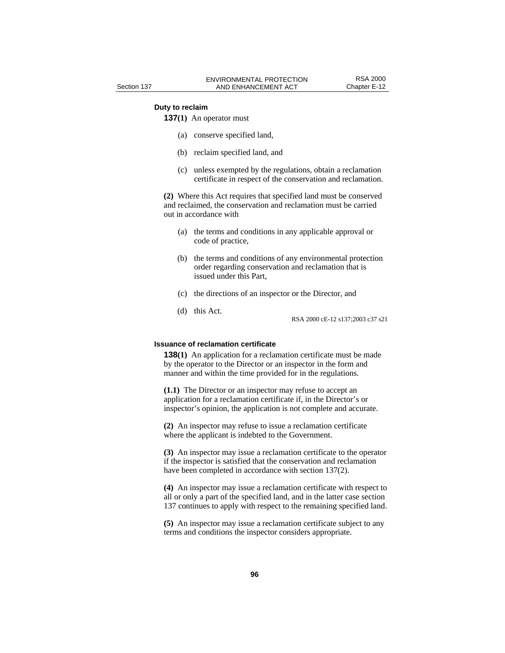### **Duty to reclaim**

**137(1)** An operator must

- (a) conserve specified land,
- (b) reclaim specified land, and
- (c) unless exempted by the regulations, obtain a reclamation certificate in respect of the conservation and reclamation.

**(2)** Where this Act requires that specified land must be conserved and reclaimed, the conservation and reclamation must be carried out in accordance with

- (a) the terms and conditions in any applicable approval or code of practice,
- (b) the terms and conditions of any environmental protection order regarding conservation and reclamation that is issued under this Part,
- (c) the directions of an inspector or the Director, and
- (d) this Act.

RSA 2000 cE-12 s137;2003 c37 s21

## **Issuance of reclamation certificate**

**138(1)** An application for a reclamation certificate must be made by the operator to the Director or an inspector in the form and manner and within the time provided for in the regulations.

**(1.1)** The Director or an inspector may refuse to accept an application for a reclamation certificate if, in the Director's or inspector's opinion, the application is not complete and accurate.

**(2)** An inspector may refuse to issue a reclamation certificate where the applicant is indebted to the Government.

**(3)** An inspector may issue a reclamation certificate to the operator if the inspector is satisfied that the conservation and reclamation have been completed in accordance with section 137(2).

**(4)** An inspector may issue a reclamation certificate with respect to all or only a part of the specified land, and in the latter case section 137 continues to apply with respect to the remaining specified land.

**(5)** An inspector may issue a reclamation certificate subject to any terms and conditions the inspector considers appropriate.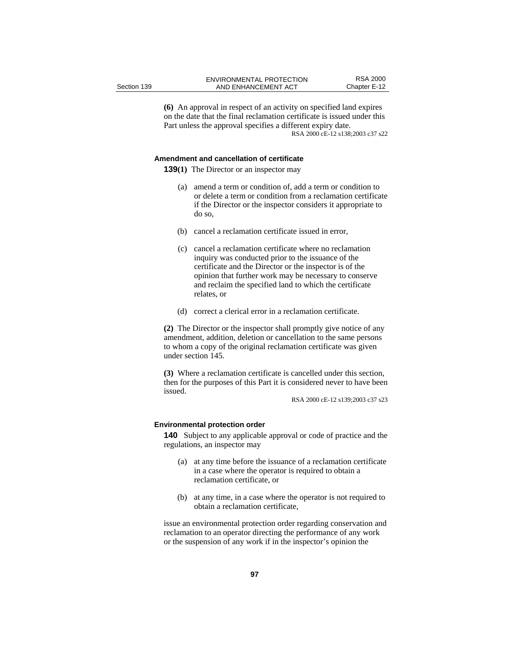**(6)** An approval in respect of an activity on specified land expires on the date that the final reclamation certificate is issued under this Part unless the approval specifies a different expiry date. RSA 2000 cE-12 s138;2003 c37 s22

### **Amendment and cancellation of certificate**

**139(1)** The Director or an inspector may

- (a) amend a term or condition of, add a term or condition to or delete a term or condition from a reclamation certificate if the Director or the inspector considers it appropriate to do so,
- (b) cancel a reclamation certificate issued in error,
- (c) cancel a reclamation certificate where no reclamation inquiry was conducted prior to the issuance of the certificate and the Director or the inspector is of the opinion that further work may be necessary to conserve and reclaim the specified land to which the certificate relates, or
- (d) correct a clerical error in a reclamation certificate.

**(2)** The Director or the inspector shall promptly give notice of any amendment, addition, deletion or cancellation to the same persons to whom a copy of the original reclamation certificate was given under section 145.

**(3)** Where a reclamation certificate is cancelled under this section, then for the purposes of this Part it is considered never to have been issued.

RSA 2000 cE-12 s139;2003 c37 s23

### **Environmental protection order**

**140** Subject to any applicable approval or code of practice and the regulations, an inspector may

- (a) at any time before the issuance of a reclamation certificate in a case where the operator is required to obtain a reclamation certificate, or
- (b) at any time, in a case where the operator is not required to obtain a reclamation certificate,

issue an environmental protection order regarding conservation and reclamation to an operator directing the performance of any work or the suspension of any work if in the inspector's opinion the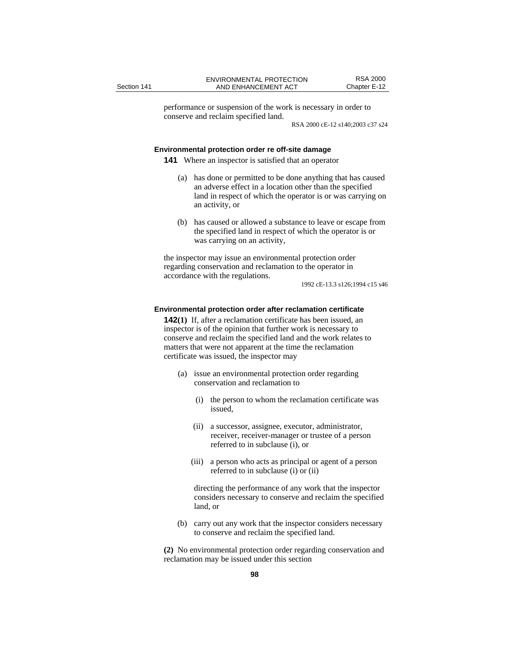performance or suspension of the work is necessary in order to conserve and reclaim specified land.

RSA 2000 cE-12 s140;2003 c37 s24

### **Environmental protection order re off-site damage**

**141** Where an inspector is satisfied that an operator

- (a) has done or permitted to be done anything that has caused an adverse effect in a location other than the specified land in respect of which the operator is or was carrying on an activity, or
- (b) has caused or allowed a substance to leave or escape from the specified land in respect of which the operator is or was carrying on an activity,

the inspector may issue an environmental protection order regarding conservation and reclamation to the operator in accordance with the regulations.

1992 cE-13.3 s126;1994 c15 s46

### **Environmental protection order after reclamation certificate**

**142(1)** If, after a reclamation certificate has been issued, an inspector is of the opinion that further work is necessary to conserve and reclaim the specified land and the work relates to matters that were not apparent at the time the reclamation certificate was issued, the inspector may

- (a) issue an environmental protection order regarding conservation and reclamation to
	- (i) the person to whom the reclamation certificate was issued,
	- (ii) a successor, assignee, executor, administrator, receiver, receiver-manager or trustee of a person referred to in subclause (i), or
	- (iii) a person who acts as principal or agent of a person referred to in subclause (i) or (ii)

 directing the performance of any work that the inspector considers necessary to conserve and reclaim the specified land, or

(b) carry out any work that the inspector considers necessary to conserve and reclaim the specified land.

**(2)** No environmental protection order regarding conservation and reclamation may be issued under this section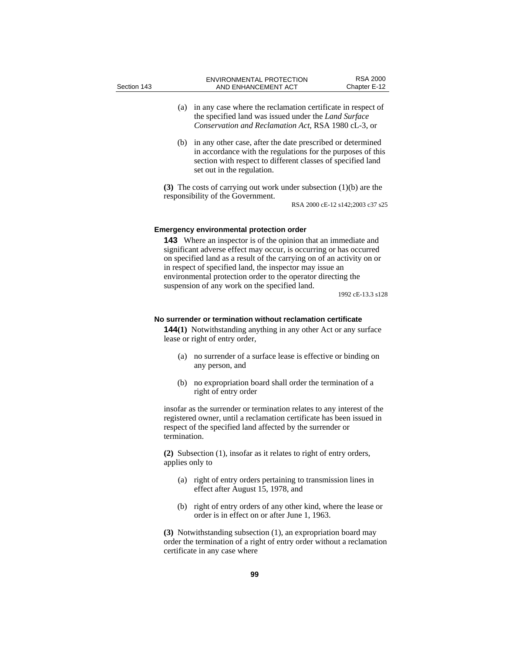- (a) in any case where the reclamation certificate in respect of the specified land was issued under the *Land Surface Conservation and Reclamation Act*, RSA 1980 cL-3, or
- (b) in any other case, after the date prescribed or determined in accordance with the regulations for the purposes of this section with respect to different classes of specified land set out in the regulation.

**(3)** The costs of carrying out work under subsection (1)(b) are the responsibility of the Government.

RSA 2000 cE-12 s142;2003 c37 s25

### **Emergency environmental protection order**

**143** Where an inspector is of the opinion that an immediate and significant adverse effect may occur, is occurring or has occurred on specified land as a result of the carrying on of an activity on or in respect of specified land, the inspector may issue an environmental protection order to the operator directing the suspension of any work on the specified land.

1992 cE-13.3 s128

## **No surrender or termination without reclamation certificate**

**144(1)** Notwithstanding anything in any other Act or any surface lease or right of entry order,

- (a) no surrender of a surface lease is effective or binding on any person, and
- (b) no expropriation board shall order the termination of a right of entry order

insofar as the surrender or termination relates to any interest of the registered owner, until a reclamation certificate has been issued in respect of the specified land affected by the surrender or termination.

**(2)** Subsection (1), insofar as it relates to right of entry orders, applies only to

- (a) right of entry orders pertaining to transmission lines in effect after August 15, 1978, and
- (b) right of entry orders of any other kind, where the lease or order is in effect on or after June 1, 1963.

**(3)** Notwithstanding subsection (1), an expropriation board may order the termination of a right of entry order without a reclamation certificate in any case where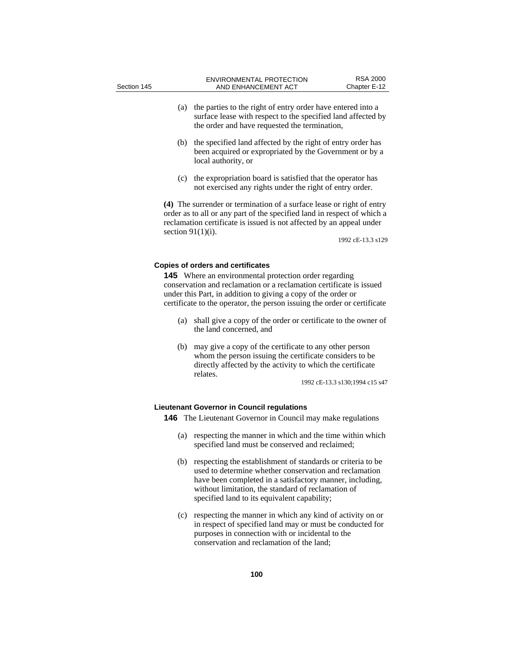- (a) the parties to the right of entry order have entered into a surface lease with respect to the specified land affected by the order and have requested the termination,
- (b) the specified land affected by the right of entry order has been acquired or expropriated by the Government or by a local authority, or
- (c) the expropriation board is satisfied that the operator has not exercised any rights under the right of entry order.

**(4)** The surrender or termination of a surface lease or right of entry order as to all or any part of the specified land in respect of which a reclamation certificate is issued is not affected by an appeal under section  $91(1)(i)$ .

1992 cE-13.3 s129

#### **Copies of orders and certificates**

**145** Where an environmental protection order regarding conservation and reclamation or a reclamation certificate is issued under this Part, in addition to giving a copy of the order or certificate to the operator, the person issuing the order or certificate

- (a) shall give a copy of the order or certificate to the owner of the land concerned, and
- (b) may give a copy of the certificate to any other person whom the person issuing the certificate considers to be directly affected by the activity to which the certificate relates.

1992 cE-13.3 s130;1994 c15 s47

# **Lieutenant Governor in Council regulations**

**146** The Lieutenant Governor in Council may make regulations

- (a) respecting the manner in which and the time within which specified land must be conserved and reclaimed;
- (b) respecting the establishment of standards or criteria to be used to determine whether conservation and reclamation have been completed in a satisfactory manner, including, without limitation, the standard of reclamation of specified land to its equivalent capability;
- (c) respecting the manner in which any kind of activity on or in respect of specified land may or must be conducted for purposes in connection with or incidental to the conservation and reclamation of the land;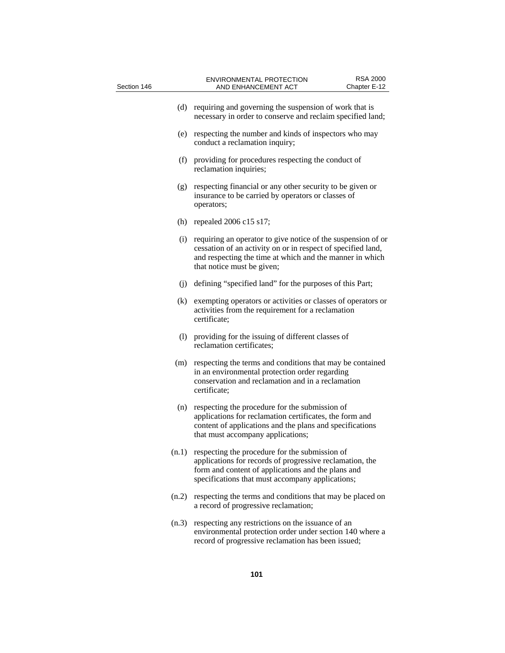| Section 146 | RSA 2000<br><b>ENVIRONMENTAL PROTECTION</b><br>AND ENHANCEMENT ACT<br>Chapter E-12                                                                                                                                           |
|-------------|------------------------------------------------------------------------------------------------------------------------------------------------------------------------------------------------------------------------------|
| (d)         | requiring and governing the suspension of work that is<br>necessary in order to conserve and reclaim specified land;                                                                                                         |
| (e)         | respecting the number and kinds of inspectors who may<br>conduct a reclamation inquiry;                                                                                                                                      |
| (f)         | providing for procedures respecting the conduct of<br>reclamation inquiries;                                                                                                                                                 |
| (g)         | respecting financial or any other security to be given or<br>insurance to be carried by operators or classes of<br>operators;                                                                                                |
|             | (h) repealed $2006$ c15 s17;                                                                                                                                                                                                 |
| (i)         | requiring an operator to give notice of the suspension of or<br>cessation of an activity on or in respect of specified land,<br>and respecting the time at which and the manner in which<br>that notice must be given;       |
| (i)         | defining "specified land" for the purposes of this Part;                                                                                                                                                                     |
| (k)         | exempting operators or activities or classes of operators or<br>activities from the requirement for a reclamation<br>certificate;                                                                                            |
| (1)         | providing for the issuing of different classes of<br>reclamation certificates;                                                                                                                                               |
|             | (m) respecting the terms and conditions that may be contained<br>in an environmental protection order regarding<br>conservation and reclamation and in a reclamation<br>certificate;                                         |
| (n)         | respecting the procedure for the submission of<br>applications for reclamation certificates, the form and<br>content of applications and the plans and specifications<br>that must accompany applications;                   |
|             | $(n.1)$ respecting the procedure for the submission of<br>applications for records of progressive reclamation, the<br>form and content of applications and the plans and<br>specifications that must accompany applications; |
| (n.2)       | respecting the terms and conditions that may be placed on<br>a record of progressive reclamation;                                                                                                                            |
| (n.3)       | respecting any restrictions on the issuance of an<br>environmental protection order under section 140 where a<br>record of progressive reclamation has been issued;                                                          |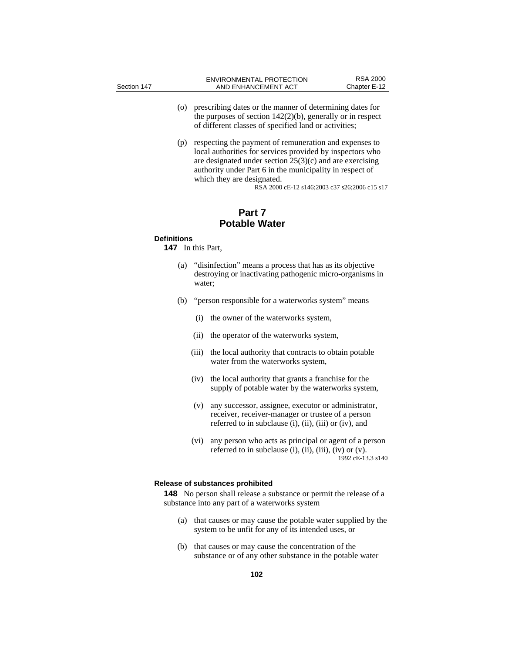- (o) prescribing dates or the manner of determining dates for the purposes of section 142(2)(b), generally or in respect of different classes of specified land or activities;
- (p) respecting the payment of remuneration and expenses to local authorities for services provided by inspectors who are designated under section 25(3)(c) and are exercising authority under Part 6 in the municipality in respect of which they are designated.

RSA 2000 cE-12 s146;2003 c37 s26;2006 c15 s17

# **Part 7 Potable Water**

## **Definitions**

**147** In this Part,

- (a) "disinfection" means a process that has as its objective destroying or inactivating pathogenic micro-organisms in water;
- (b) "person responsible for a waterworks system" means
	- (i) the owner of the waterworks system,
	- (ii) the operator of the waterworks system,
	- (iii) the local authority that contracts to obtain potable water from the waterworks system,
	- (iv) the local authority that grants a franchise for the supply of potable water by the waterworks system,
	- (v) any successor, assignee, executor or administrator, receiver, receiver-manager or trustee of a person referred to in subclause (i), (ii), (iii) or (iv), and
	- (vi) any person who acts as principal or agent of a person referred to in subclause (i), (ii), (iii), (iv) or  $(v)$ . 1992 cE-13.3 s140

### **Release of substances prohibited**

**148** No person shall release a substance or permit the release of a substance into any part of a waterworks system

- (a) that causes or may cause the potable water supplied by the system to be unfit for any of its intended uses, or
- (b) that causes or may cause the concentration of the substance or of any other substance in the potable water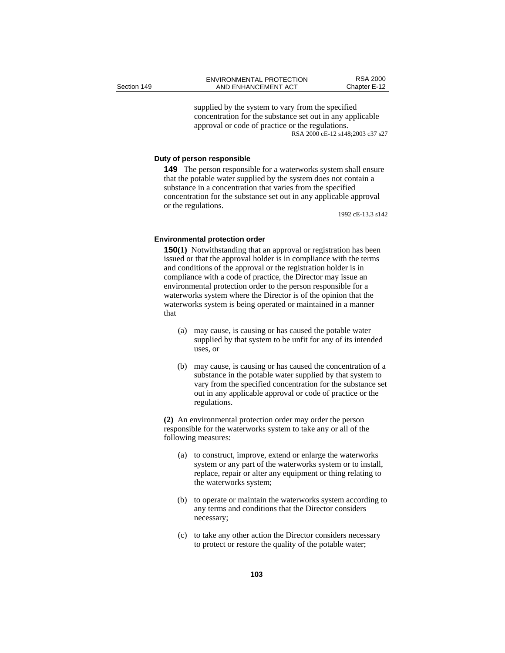supplied by the system to vary from the specified concentration for the substance set out in any applicable approval or code of practice or the regulations. RSA 2000 cE-12 s148;2003 c37 s27

## **Duty of person responsible**

**149** The person responsible for a waterworks system shall ensure that the potable water supplied by the system does not contain a substance in a concentration that varies from the specified concentration for the substance set out in any applicable approval or the regulations.

1992 cE-13.3 s142

### **Environmental protection order**

**150(1)** Notwithstanding that an approval or registration has been issued or that the approval holder is in compliance with the terms and conditions of the approval or the registration holder is in compliance with a code of practice, the Director may issue an environmental protection order to the person responsible for a waterworks system where the Director is of the opinion that the waterworks system is being operated or maintained in a manner that

- (a) may cause, is causing or has caused the potable water supplied by that system to be unfit for any of its intended uses, or
- (b) may cause, is causing or has caused the concentration of a substance in the potable water supplied by that system to vary from the specified concentration for the substance set out in any applicable approval or code of practice or the regulations.

**(2)** An environmental protection order may order the person responsible for the waterworks system to take any or all of the following measures:

- (a) to construct, improve, extend or enlarge the waterworks system or any part of the waterworks system or to install, replace, repair or alter any equipment or thing relating to the waterworks system;
- (b) to operate or maintain the waterworks system according to any terms and conditions that the Director considers necessary;
- (c) to take any other action the Director considers necessary to protect or restore the quality of the potable water;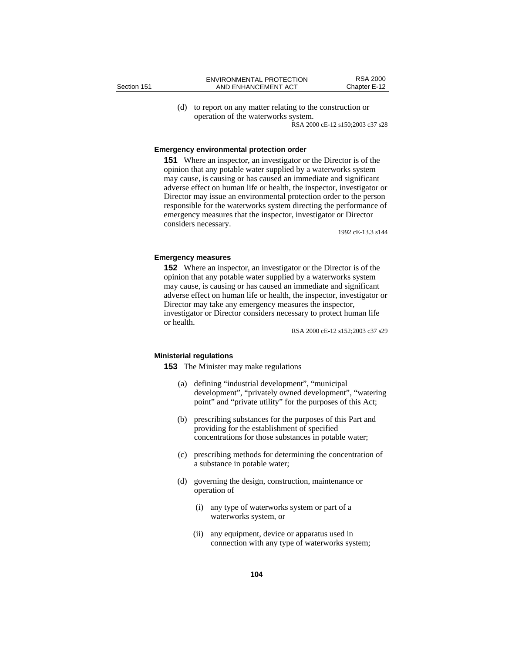(d) to report on any matter relating to the construction or operation of the waterworks system. RSA 2000 cE-12 s150;2003 c37 s28

**Emergency environmental protection order** 

**151** Where an inspector, an investigator or the Director is of the opinion that any potable water supplied by a waterworks system may cause, is causing or has caused an immediate and significant adverse effect on human life or health, the inspector, investigator or Director may issue an environmental protection order to the person responsible for the waterworks system directing the performance of emergency measures that the inspector, investigator or Director considers necessary.

1992 cE-13.3 s144

### **Emergency measures**

**152** Where an inspector, an investigator or the Director is of the opinion that any potable water supplied by a waterworks system may cause, is causing or has caused an immediate and significant adverse effect on human life or health, the inspector, investigator or Director may take any emergency measures the inspector, investigator or Director considers necessary to protect human life or health.

RSA 2000 cE-12 s152;2003 c37 s29

### **Ministerial regulations**

**153** The Minister may make regulations

- (a) defining "industrial development", "municipal development", "privately owned development", "watering point" and "private utility" for the purposes of this Act;
- (b) prescribing substances for the purposes of this Part and providing for the establishment of specified concentrations for those substances in potable water;
- (c) prescribing methods for determining the concentration of a substance in potable water;
- (d) governing the design, construction, maintenance or operation of
	- (i) any type of waterworks system or part of a waterworks system, or
	- (ii) any equipment, device or apparatus used in connection with any type of waterworks system;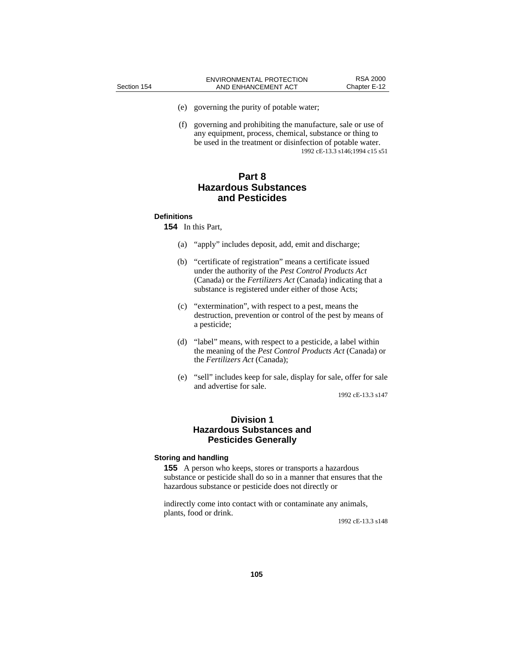- (e) governing the purity of potable water;
- (f) governing and prohibiting the manufacture, sale or use of any equipment, process, chemical, substance or thing to be used in the treatment or disinfection of potable water. 1992 cE-13.3 s146;1994 c15 s51

# **Part 8 Hazardous Substances and Pesticides**

### **Definitions**

**154** In this Part,

- (a) "apply" includes deposit, add, emit and discharge;
- (b) "certificate of registration" means a certificate issued under the authority of the *Pest Control Products Act* (Canada) or the *Fertilizers Act* (Canada) indicating that a substance is registered under either of those Acts;
- (c) "extermination", with respect to a pest, means the destruction, prevention or control of the pest by means of a pesticide;
- (d) "label" means, with respect to a pesticide, a label within the meaning of the *Pest Control Products Act* (Canada) or the *Fertilizers Act* (Canada);
- (e) "sell" includes keep for sale, display for sale, offer for sale and advertise for sale.

1992 cE-13.3 s147

# **Division 1 Hazardous Substances and Pesticides Generally**

## **Storing and handling**

**155** A person who keeps, stores or transports a hazardous substance or pesticide shall do so in a manner that ensures that the hazardous substance or pesticide does not directly or

indirectly come into contact with or contaminate any animals, plants, food or drink.

1992 cE-13.3 s148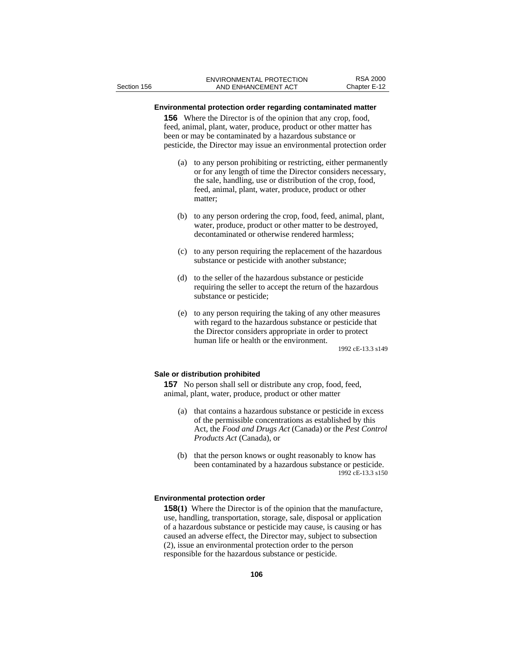# **Environmental protection order regarding contaminated matter**

**156** Where the Director is of the opinion that any crop, food, feed, animal, plant, water, produce, product or other matter has been or may be contaminated by a hazardous substance or pesticide, the Director may issue an environmental protection order

- (a) to any person prohibiting or restricting, either permanently or for any length of time the Director considers necessary, the sale, handling, use or distribution of the crop, food, feed, animal, plant, water, produce, product or other matter;
- (b) to any person ordering the crop, food, feed, animal, plant, water, produce, product or other matter to be destroyed, decontaminated or otherwise rendered harmless;
- (c) to any person requiring the replacement of the hazardous substance or pesticide with another substance;
- (d) to the seller of the hazardous substance or pesticide requiring the seller to accept the return of the hazardous substance or pesticide;
- (e) to any person requiring the taking of any other measures with regard to the hazardous substance or pesticide that the Director considers appropriate in order to protect human life or health or the environment.

1992 cE-13.3 s149

#### **Sale or distribution prohibited**

**157** No person shall sell or distribute any crop, food, feed, animal, plant, water, produce, product or other matter

- (a) that contains a hazardous substance or pesticide in excess of the permissible concentrations as established by this Act, the *Food and Drugs Act* (Canada) or the *Pest Control Products Act* (Canada), or
- (b) that the person knows or ought reasonably to know has been contaminated by a hazardous substance or pesticide. 1992 cE-13.3 s150

### **Environmental protection order**

**158(1)** Where the Director is of the opinion that the manufacture, use, handling, transportation, storage, sale, disposal or application of a hazardous substance or pesticide may cause, is causing or has caused an adverse effect, the Director may, subject to subsection (2), issue an environmental protection order to the person responsible for the hazardous substance or pesticide.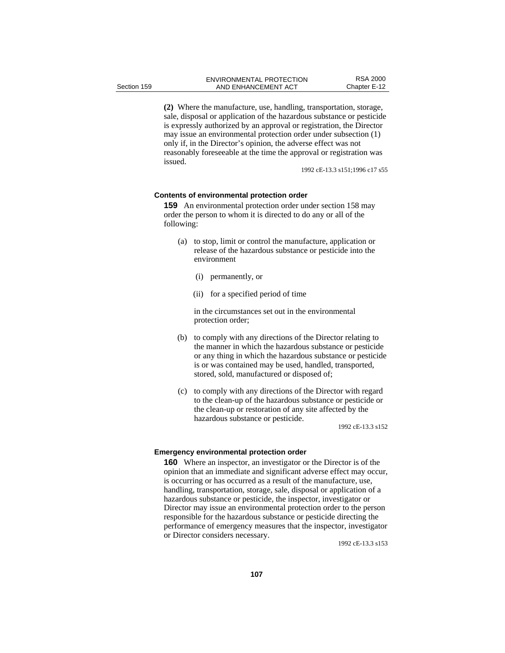**(2)** Where the manufacture, use, handling, transportation, storage, sale, disposal or application of the hazardous substance or pesticide is expressly authorized by an approval or registration, the Director may issue an environmental protection order under subsection (1) only if, in the Director's opinion, the adverse effect was not reasonably foreseeable at the time the approval or registration was issued.

1992 cE-13.3 s151;1996 c17 s55

#### **Contents of environmental protection order**

**159** An environmental protection order under section 158 may order the person to whom it is directed to do any or all of the following:

- (a) to stop, limit or control the manufacture, application or release of the hazardous substance or pesticide into the environment
	- (i) permanently, or
	- (ii) for a specified period of time

 in the circumstances set out in the environmental protection order;

- (b) to comply with any directions of the Director relating to the manner in which the hazardous substance or pesticide or any thing in which the hazardous substance or pesticide is or was contained may be used, handled, transported, stored, sold, manufactured or disposed of;
- (c) to comply with any directions of the Director with regard to the clean-up of the hazardous substance or pesticide or the clean-up or restoration of any site affected by the hazardous substance or pesticide.

1992 cE-13.3 s152

#### **Emergency environmental protection order**

**160** Where an inspector, an investigator or the Director is of the opinion that an immediate and significant adverse effect may occur, is occurring or has occurred as a result of the manufacture, use, handling, transportation, storage, sale, disposal or application of a hazardous substance or pesticide, the inspector, investigator or Director may issue an environmental protection order to the person responsible for the hazardous substance or pesticide directing the performance of emergency measures that the inspector, investigator or Director considers necessary.

1992 cE-13.3 s153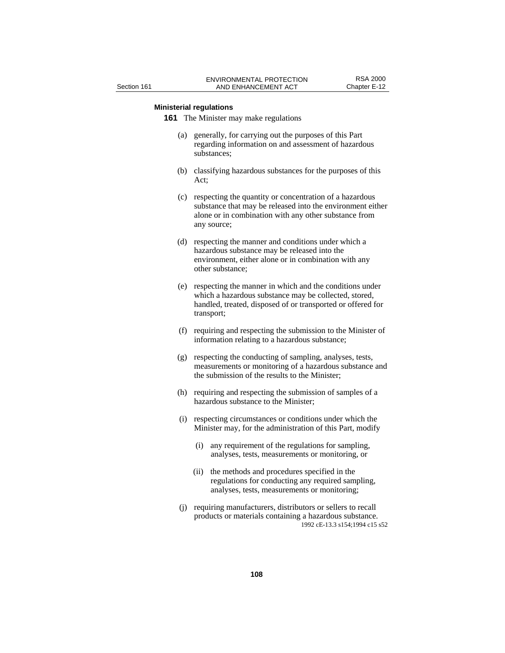## **Ministerial regulations**

**161** The Minister may make regulations

- (a) generally, for carrying out the purposes of this Part regarding information on and assessment of hazardous substances;
- (b) classifying hazardous substances for the purposes of this Act;
- (c) respecting the quantity or concentration of a hazardous substance that may be released into the environment either alone or in combination with any other substance from any source;
- (d) respecting the manner and conditions under which a hazardous substance may be released into the environment, either alone or in combination with any other substance;
- (e) respecting the manner in which and the conditions under which a hazardous substance may be collected, stored, handled, treated, disposed of or transported or offered for transport;
- (f) requiring and respecting the submission to the Minister of information relating to a hazardous substance;
- (g) respecting the conducting of sampling, analyses, tests, measurements or monitoring of a hazardous substance and the submission of the results to the Minister;
- (h) requiring and respecting the submission of samples of a hazardous substance to the Minister;
- (i) respecting circumstances or conditions under which the Minister may, for the administration of this Part, modify
	- (i) any requirement of the regulations for sampling, analyses, tests, measurements or monitoring, or
	- (ii) the methods and procedures specified in the regulations for conducting any required sampling, analyses, tests, measurements or monitoring;
- (j) requiring manufacturers, distributors or sellers to recall products or materials containing a hazardous substance. 1992 cE-13.3 s154;1994 c15 s52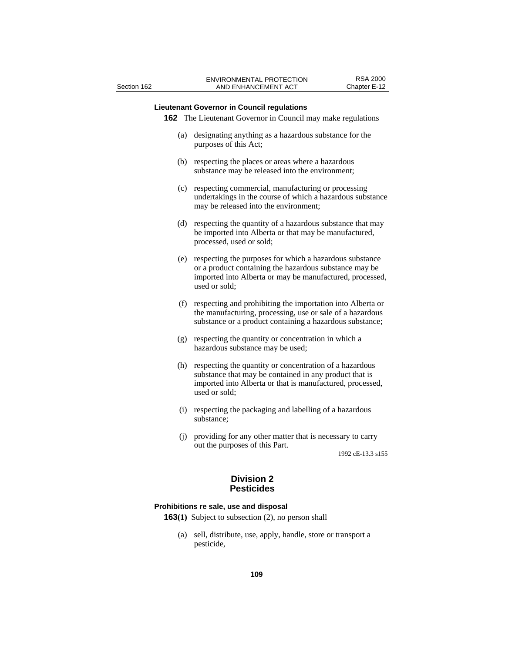# **Lieutenant Governor in Council regulations**

**162** The Lieutenant Governor in Council may make regulations

- (a) designating anything as a hazardous substance for the purposes of this Act;
- (b) respecting the places or areas where a hazardous substance may be released into the environment;
- (c) respecting commercial, manufacturing or processing undertakings in the course of which a hazardous substance may be released into the environment;
- (d) respecting the quantity of a hazardous substance that may be imported into Alberta or that may be manufactured, processed, used or sold;
- (e) respecting the purposes for which a hazardous substance or a product containing the hazardous substance may be imported into Alberta or may be manufactured, processed, used or sold;
- (f) respecting and prohibiting the importation into Alberta or the manufacturing, processing, use or sale of a hazardous substance or a product containing a hazardous substance;
- (g) respecting the quantity or concentration in which a hazardous substance may be used;
- (h) respecting the quantity or concentration of a hazardous substance that may be contained in any product that is imported into Alberta or that is manufactured, processed, used or sold;
- (i) respecting the packaging and labelling of a hazardous substance;
- (j) providing for any other matter that is necessary to carry out the purposes of this Part.

1992 cE-13.3 s155

# **Division 2 Pesticides**

#### **Prohibitions re sale, use and disposal**

- **163(1)** Subject to subsection (2), no person shall
	- (a) sell, distribute, use, apply, handle, store or transport a pesticide,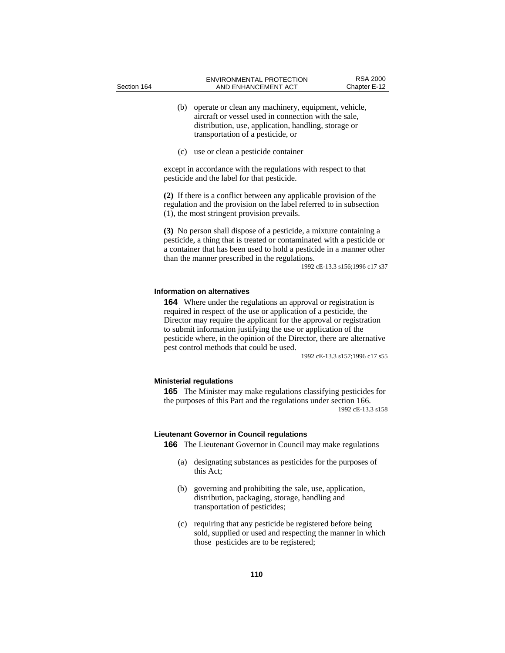- (b) operate or clean any machinery, equipment, vehicle, aircraft or vessel used in connection with the sale, distribution, use, application, handling, storage or transportation of a pesticide, or
- (c) use or clean a pesticide container

except in accordance with the regulations with respect to that pesticide and the label for that pesticide.

**(2)** If there is a conflict between any applicable provision of the regulation and the provision on the label referred to in subsection (1), the most stringent provision prevails.

**(3)** No person shall dispose of a pesticide, a mixture containing a pesticide, a thing that is treated or contaminated with a pesticide or a container that has been used to hold a pesticide in a manner other than the manner prescribed in the regulations.

1992 cE-13.3 s156;1996 c17 s37

#### **Information on alternatives**

**164** Where under the regulations an approval or registration is required in respect of the use or application of a pesticide, the Director may require the applicant for the approval or registration to submit information justifying the use or application of the pesticide where, in the opinion of the Director, there are alternative pest control methods that could be used.

1992 cE-13.3 s157;1996 c17 s55

### **Ministerial regulations**

**165** The Minister may make regulations classifying pesticides for the purposes of this Part and the regulations under section 166. 1992 cE-13.3 s158

#### **Lieutenant Governor in Council regulations**

**166** The Lieutenant Governor in Council may make regulations

- (a) designating substances as pesticides for the purposes of this Act;
- (b) governing and prohibiting the sale, use, application, distribution, packaging, storage, handling and transportation of pesticides;
- (c) requiring that any pesticide be registered before being sold, supplied or used and respecting the manner in which those pesticides are to be registered;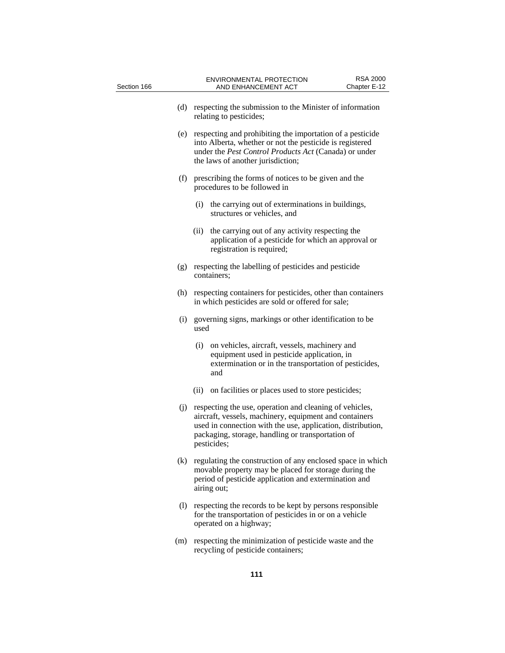| Section 166 |             | <b>ENVIRONMENTAL PROTECTION</b><br>AND ENHANCEMENT ACT                                                                                                                                                                                | <b>RSA 2000</b><br>Chapter E-12 |
|-------------|-------------|---------------------------------------------------------------------------------------------------------------------------------------------------------------------------------------------------------------------------------------|---------------------------------|
| (d)         |             | respecting the submission to the Minister of information<br>relating to pesticides;                                                                                                                                                   |                                 |
| (e)         |             | respecting and prohibiting the importation of a pesticide<br>into Alberta, whether or not the pesticide is registered<br>under the <i>Pest Control Products Act</i> (Canada) or under<br>the laws of another jurisdiction;            |                                 |
|             |             | (f) prescribing the forms of notices to be given and the<br>procedures to be followed in                                                                                                                                              |                                 |
|             |             | (i) the carrying out of exterminations in buildings,<br>structures or vehicles, and                                                                                                                                                   |                                 |
|             | (ii)        | the carrying out of any activity respecting the<br>application of a pesticide for which an approval or<br>registration is required;                                                                                                   |                                 |
| (g)         | containers: | respecting the labelling of pesticides and pesticide                                                                                                                                                                                  |                                 |
| (h)         |             | respecting containers for pesticides, other than containers<br>in which pesticides are sold or offered for sale;                                                                                                                      |                                 |
| (i)         | used        | governing signs, markings or other identification to be                                                                                                                                                                               |                                 |
|             | (i)         | on vehicles, aircraft, vessels, machinery and<br>equipment used in pesticide application, in<br>extermination or in the transportation of pesticides,<br>and                                                                          |                                 |
|             | (ii)        | on facilities or places used to store pesticides;                                                                                                                                                                                     |                                 |
| (j)         | pesticides; | respecting the use, operation and cleaning of vehicles,<br>aircraft, vessels, machinery, equipment and containers<br>used in connection with the use, application, distribution,<br>packaging, storage, handling or transportation of |                                 |
|             | airing out; | (k) regulating the construction of any enclosed space in which<br>movable property may be placed for storage during the<br>period of pesticide application and extermination and                                                      |                                 |
| (1)         |             | respecting the records to be kept by persons responsible<br>for the transportation of pesticides in or on a vehicle<br>operated on a highway;                                                                                         |                                 |
| (m)         |             | respecting the minimization of pesticide waste and the<br>recycling of pesticide containers;                                                                                                                                          |                                 |
|             |             | 111                                                                                                                                                                                                                                   |                                 |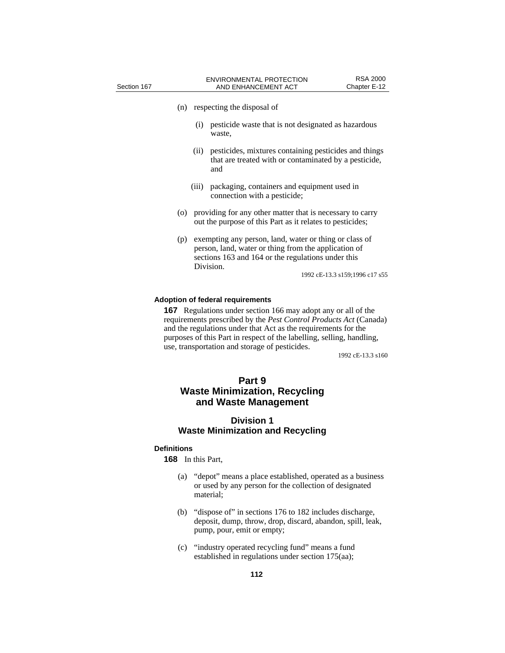| Section 167 |     |               | <b>ENVIRONMENTAL PROTECTION</b><br>AND ENHANCEMENT ACT                                                                                                               | <b>RSA 2000</b><br>Chapter E-12 |
|-------------|-----|---------------|----------------------------------------------------------------------------------------------------------------------------------------------------------------------|---------------------------------|
|             | (n) |               | respecting the disposal of                                                                                                                                           |                                 |
|             |     | (i)<br>waste. | pesticide waste that is not designated as hazardous                                                                                                                  |                                 |
|             |     | (i)<br>and    | pesticides, mixtures containing pesticides and things<br>that are treated with or contaminated by a pesticide,                                                       |                                 |
|             |     | (iii)         | packaging, containers and equipment used in<br>connection with a pesticide;                                                                                          |                                 |
|             | (0) |               | providing for any other matter that is necessary to carry<br>out the purpose of this Part as it relates to pesticides;                                               |                                 |
|             | (p) | Division.     | exempting any person, land, water or thing or class of<br>person, land, water or thing from the application of<br>sections 163 and 164 or the regulations under this | 1992 cE-13.3 s159;1996 c17 s55  |
|             |     |               |                                                                                                                                                                      |                                 |

# **Adoption of federal requirements**

**167** Regulations under section 166 may adopt any or all of the requirements prescribed by the *Pest Control Products Act* (Canada) and the regulations under that Act as the requirements for the purposes of this Part in respect of the labelling, selling, handling, use, transportation and storage of pesticides.

1992 cE-13.3 s160

# **Part 9 Waste Minimization, Recycling and Waste Management**

# **Division 1 Waste Minimization and Recycling**

# **Definitions**

**168** In this Part,

- (a) "depot" means a place established, operated as a business or used by any person for the collection of designated material;
- (b) "dispose of" in sections 176 to 182 includes discharge, deposit, dump, throw, drop, discard, abandon, spill, leak, pump, pour, emit or empty;
- (c) "industry operated recycling fund" means a fund established in regulations under section 175(aa);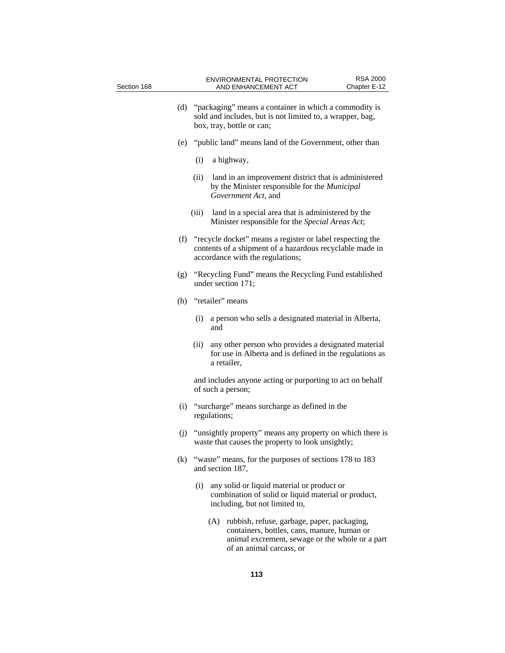| Section 168 |     | <b>RSA 2000</b><br><b>ENVIRONMENTAL PROTECTION</b><br>Chapter E-12<br>AND ENHANCEMENT ACT                                                                     |
|-------------|-----|---------------------------------------------------------------------------------------------------------------------------------------------------------------|
|             | (d) | "packaging" means a container in which a commodity is<br>sold and includes, but is not limited to, a wrapper, bag,<br>box, tray, bottle or can;               |
|             | (e) | "public land" means land of the Government, other than                                                                                                        |
|             |     | (i)<br>a highway,                                                                                                                                             |
|             |     | (ii)<br>land in an improvement district that is administered<br>by the Minister responsible for the Municipal<br>Government Act, and                          |
|             |     | land in a special area that is administered by the<br>(iii)<br>Minister responsible for the Special Areas Act;                                                |
|             |     | (f) "recycle docket" means a register or label respecting the<br>contents of a shipment of a hazardous recyclable made in<br>accordance with the regulations; |
|             | (g) | "Recycling Fund" means the Recycling Fund established<br>under section 171;                                                                                   |
|             | (h) | "retailer" means                                                                                                                                              |
|             |     | a person who sells a designated material in Alberta,<br>(i)<br>and                                                                                            |
|             |     | (ii)<br>any other person who provides a designated material<br>for use in Alberta and is defined in the regulations as<br>a retailer,                         |
|             |     | and includes anyone acting or purporting to act on behalf<br>of such a person;                                                                                |
|             | (i) | "surcharge" means surcharge as defined in the<br>regulations;                                                                                                 |
|             | (j) | "unsightly property" means any property on which there is<br>waste that causes the property to look unsightly;                                                |
|             | (k) | "waste" means, for the purposes of sections 178 to 183<br>and section 187,                                                                                    |
|             |     | any solid or liquid material or product or<br>(i)<br>combination of solid or liquid material or product,<br>including, but not limited to,                    |
|             |     | (A) rubbish, refuse, garbage, paper, packaging,<br>containers, bottles, cans, manure, human or<br>animal excrement, sewage or the whole or a part             |

of an animal carcass, or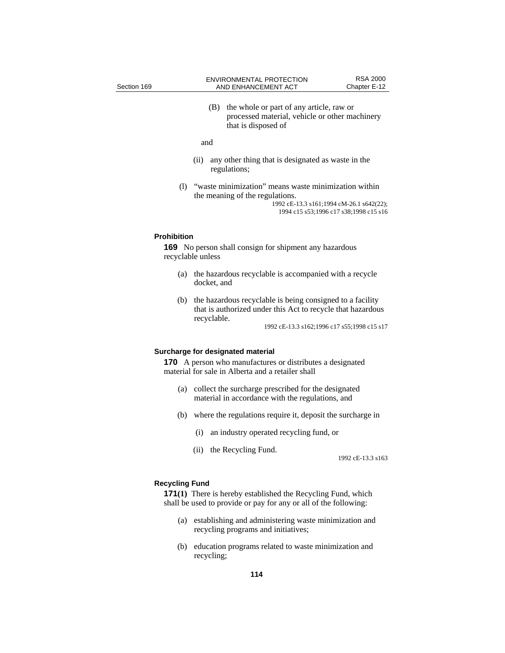(B) the whole or part of any article, raw or processed material, vehicle or other machinery that is disposed of

#### and

- (ii) any other thing that is designated as waste in the regulations;
- (l) "waste minimization" means waste minimization within the meaning of the regulations. 1992 cE-13.3 s161;1994 cM-26.1 s642(22);

1994 c15 s53;1996 c17 s38;1998 c15 s16

## **Prohibition**

**169** No person shall consign for shipment any hazardous recyclable unless

- (a) the hazardous recyclable is accompanied with a recycle docket, and
- (b) the hazardous recyclable is being consigned to a facility that is authorized under this Act to recycle that hazardous recyclable.

1992 cE-13.3 s162;1996 c17 s55;1998 c15 s17

#### **Surcharge for designated material**

**170** A person who manufactures or distributes a designated material for sale in Alberta and a retailer shall

- (a) collect the surcharge prescribed for the designated material in accordance with the regulations, and
- (b) where the regulations require it, deposit the surcharge in
	- (i) an industry operated recycling fund, or
	- (ii) the Recycling Fund.

1992 cE-13.3 s163

#### **Recycling Fund**

**171(1)** There is hereby established the Recycling Fund, which shall be used to provide or pay for any or all of the following:

- (a) establishing and administering waste minimization and recycling programs and initiatives;
- (b) education programs related to waste minimization and recycling;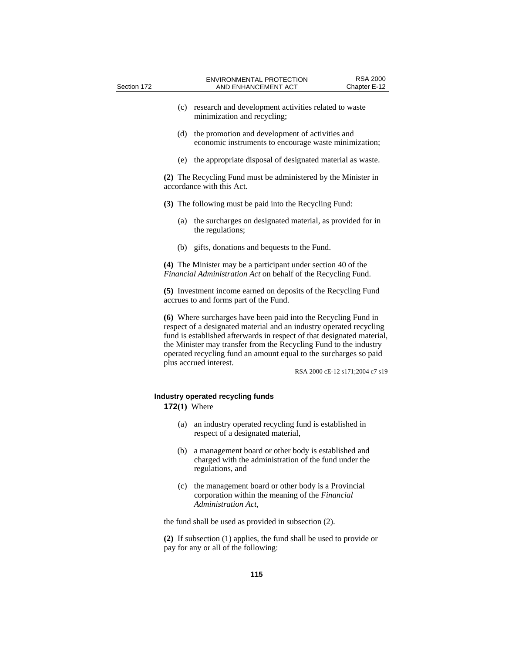| Section 172 | <b>ENVIRONMENTAL PROTECTION</b><br>AND ENHANCEMENT ACT                                                                                                                                                                                                                                                                                                                              | <b>RSA 2000</b><br>Chapter E-12 |
|-------------|-------------------------------------------------------------------------------------------------------------------------------------------------------------------------------------------------------------------------------------------------------------------------------------------------------------------------------------------------------------------------------------|---------------------------------|
|             | (c) research and development activities related to waste<br>minimization and recycling;                                                                                                                                                                                                                                                                                             |                                 |
|             | the promotion and development of activities and<br>(d)<br>economic instruments to encourage waste minimization;                                                                                                                                                                                                                                                                     |                                 |
|             | the appropriate disposal of designated material as waste.<br>(e)                                                                                                                                                                                                                                                                                                                    |                                 |
|             | (2) The Recycling Fund must be administered by the Minister in<br>accordance with this Act.                                                                                                                                                                                                                                                                                         |                                 |
|             | (3) The following must be paid into the Recycling Fund:                                                                                                                                                                                                                                                                                                                             |                                 |
|             | the surcharges on designated material, as provided for in<br>(a)<br>the regulations;                                                                                                                                                                                                                                                                                                |                                 |
|             | gifts, donations and bequests to the Fund.<br>(b)                                                                                                                                                                                                                                                                                                                                   |                                 |
|             | (4) The Minister may be a participant under section 40 of the<br>Financial Administration Act on behalf of the Recycling Fund.                                                                                                                                                                                                                                                      |                                 |
|             | (5) Investment income earned on deposits of the Recycling Fund<br>accrues to and forms part of the Fund.                                                                                                                                                                                                                                                                            |                                 |
|             | (6) Where surcharges have been paid into the Recycling Fund in<br>respect of a designated material and an industry operated recycling<br>fund is established afterwards in respect of that designated material,<br>the Minister may transfer from the Recycling Fund to the industry<br>operated recycling fund an amount equal to the surcharges so paid<br>plus accrued interest. | RSA 2000 cE-12 s171;2004 c7 s19 |
|             | Industry operated recycling funds<br>$172(1)$ Where                                                                                                                                                                                                                                                                                                                                 |                                 |
|             | $(a)$ and induction operated regarding fund is established in                                                                                                                                                                                                                                                                                                                       |                                 |

- (a) an industry operated recycling fund is established in respect of a designated material,
- (b) a management board or other body is established and charged with the administration of the fund under the regulations, and
- (c) the management board or other body is a Provincial corporation within the meaning of the *Financial Administration Act*,

the fund shall be used as provided in subsection (2).

**(2)** If subsection (1) applies, the fund shall be used to provide or pay for any or all of the following: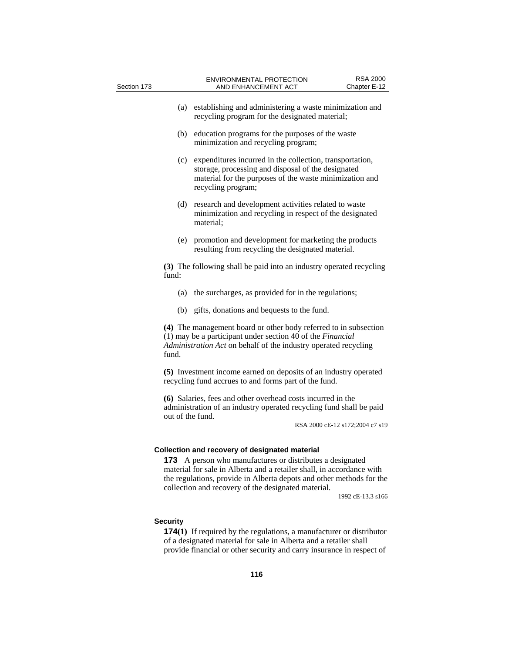| Section 173 |                                                                                                                                                                                           | <b>ENVIRONMENTAL PROTECTION</b><br>AND ENHANCEMENT ACT                                                                                                                                                                                                                                                          | <b>RSA 2000</b><br>Chapter E-12 |
|-------------|-------------------------------------------------------------------------------------------------------------------------------------------------------------------------------------------|-----------------------------------------------------------------------------------------------------------------------------------------------------------------------------------------------------------------------------------------------------------------------------------------------------------------|---------------------------------|
|             |                                                                                                                                                                                           | (a) establishing and administering a waste minimization and<br>recycling program for the designated material;                                                                                                                                                                                                   |                                 |
|             | (b)                                                                                                                                                                                       | education programs for the purposes of the waste<br>minimization and recycling program;                                                                                                                                                                                                                         |                                 |
|             | (c)                                                                                                                                                                                       | expenditures incurred in the collection, transportation,<br>storage, processing and disposal of the designated<br>material for the purposes of the waste minimization and<br>recycling program;                                                                                                                 |                                 |
|             | (d)                                                                                                                                                                                       | research and development activities related to waste<br>minimization and recycling in respect of the designated<br>material;                                                                                                                                                                                    |                                 |
|             |                                                                                                                                                                                           | (e) promotion and development for marketing the products<br>resulting from recycling the designated material.                                                                                                                                                                                                   |                                 |
|             | fund:                                                                                                                                                                                     | (3) The following shall be paid into an industry operated recycling                                                                                                                                                                                                                                             |                                 |
|             | (a)                                                                                                                                                                                       | the surcharges, as provided for in the regulations;                                                                                                                                                                                                                                                             |                                 |
|             |                                                                                                                                                                                           | (b) gifts, donations and bequests to the fund.                                                                                                                                                                                                                                                                  |                                 |
|             | fund.                                                                                                                                                                                     | (4) The management board or other body referred to in subsection<br>(1) may be a participant under section 40 of the Financial<br>Administration Act on behalf of the industry operated recycling                                                                                                               |                                 |
|             | (5) Investment income earned on deposits of an industry operated<br>recycling fund accrues to and forms part of the fund.                                                                 |                                                                                                                                                                                                                                                                                                                 |                                 |
|             | (6) Salaries, fees and other overhead costs incurred in the<br>administration of an industry operated recycling fund shall be paid<br>out of the fund.<br>RSA 2000 cE-12 s172;2004 c7 s19 |                                                                                                                                                                                                                                                                                                                 |                                 |
|             | 173                                                                                                                                                                                       | Collection and recovery of designated material<br>A person who manufactures or distributes a designated<br>material for sale in Alberta and a retailer shall, in accordance with<br>the regulations, provide in Alberta depots and other methods for the<br>collection and recovery of the designated material. | 1992 cE-13.3 s166               |
|             | <b>Security</b>                                                                                                                                                                           | <b>174(1)</b> If required by the regulations, a manufacturer or distributor<br>of a designated material for sale in Alberta and a retailer shall                                                                                                                                                                |                                 |

provide financial or other security and carry insurance in respect of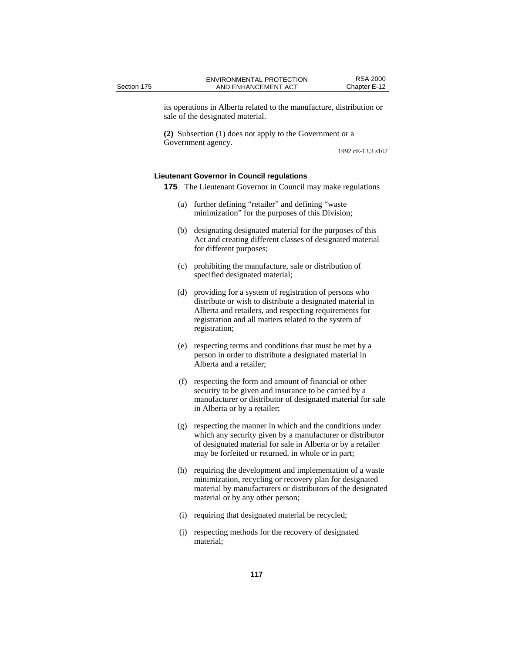its operations in Alberta related to the manufacture, distribution or sale of the designated material.

**(2)** Subsection (1) does not apply to the Government or a Government agency.

1992 cE-13.3 s167

### **Lieutenant Governor in Council regulations**

**175** The Lieutenant Governor in Council may make regulations

- (a) further defining "retailer" and defining "waste minimization" for the purposes of this Division;
- (b) designating designated material for the purposes of this Act and creating different classes of designated material for different purposes;
- (c) prohibiting the manufacture, sale or distribution of specified designated material;
- (d) providing for a system of registration of persons who distribute or wish to distribute a designated material in Alberta and retailers, and respecting requirements for registration and all matters related to the system of registration;
- (e) respecting terms and conditions that must be met by a person in order to distribute a designated material in Alberta and a retailer;
- (f) respecting the form and amount of financial or other security to be given and insurance to be carried by a manufacturer or distributor of designated material for sale in Alberta or by a retailer;
- (g) respecting the manner in which and the conditions under which any security given by a manufacturer or distributor of designated material for sale in Alberta or by a retailer may be forfeited or returned, in whole or in part;
- (h) requiring the development and implementation of a waste minimization, recycling or recovery plan for designated material by manufacturers or distributors of the designated material or by any other person;
- (i) requiring that designated material be recycled;
- (j) respecting methods for the recovery of designated material;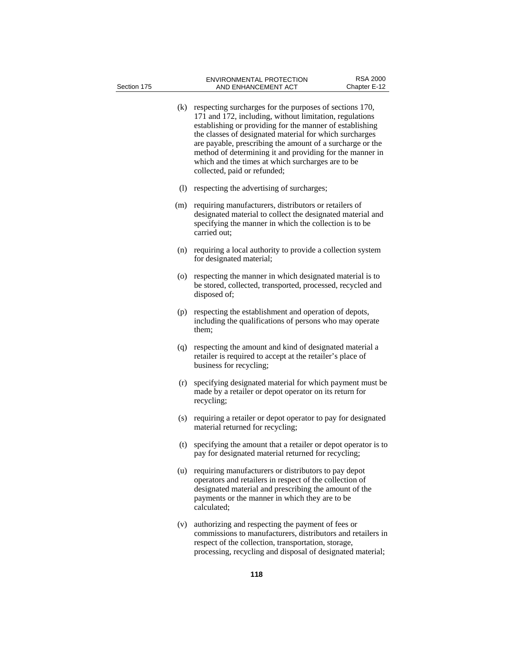- (k) respecting surcharges for the purposes of sections 170, 171 and 172, including, without limitation, regulations establishing or providing for the manner of establishing the classes of designated material for which surcharges are payable, prescribing the amount of a surcharge or the method of determining it and providing for the manner in which and the times at which surcharges are to be collected, paid or refunded; (l) respecting the advertising of surcharges; (m) requiring manufacturers, distributors or retailers of designated material to collect the designated material and specifying the manner in which the collection is to be carried out; (n) requiring a local authority to provide a collection system for designated material; (o) respecting the manner in which designated material is to be stored, collected, transported, processed, recycled and disposed of; (p) respecting the establishment and operation of depots, including the qualifications of persons who may operate them; (q) respecting the amount and kind of designated material a retailer is required to accept at the retailer's place of business for recycling; (r) specifying designated material for which payment must be made by a retailer or depot operator on its return for recycling; (s) requiring a retailer or depot operator to pay for designated material returned for recycling; (t) specifying the amount that a retailer or depot operator is to pay for designated material returned for recycling; (u) requiring manufacturers or distributors to pay depot operators and retailers in respect of the collection of designated material and prescribing the amount of the payments or the manner in which they are to be calculated;
	- (v) authorizing and respecting the payment of fees or commissions to manufacturers, distributors and retailers in respect of the collection, transportation, storage, processing, recycling and disposal of designated material;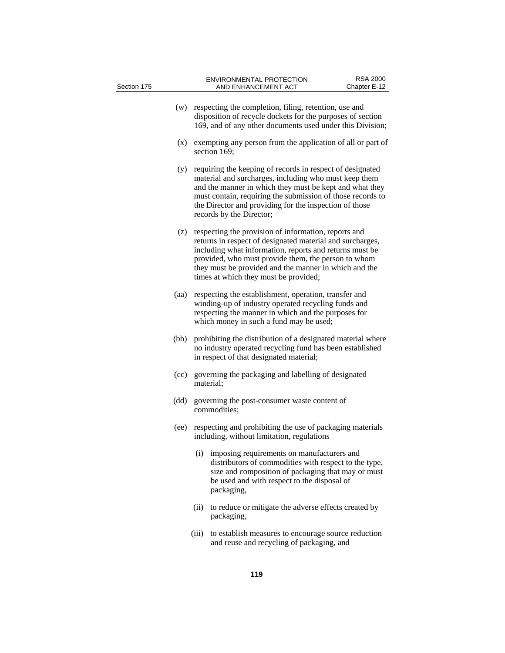| Section 175 |      |       | <b>ENVIRONMENTAL PROTECTION</b><br>AND ENHANCEMENT ACT                                                                                                                                                                                                                                                                                | <b>RSA 2000</b><br>Chapter E-12 |
|-------------|------|-------|---------------------------------------------------------------------------------------------------------------------------------------------------------------------------------------------------------------------------------------------------------------------------------------------------------------------------------------|---------------------------------|
|             | (w)  |       | respecting the completion, filing, retention, use and<br>disposition of recycle dockets for the purposes of section<br>169, and of any other documents used under this Division;                                                                                                                                                      |                                 |
|             | (x)  |       | exempting any person from the application of all or part of<br>section 169;                                                                                                                                                                                                                                                           |                                 |
|             | (y)  |       | requiring the keeping of records in respect of designated<br>material and surcharges, including who must keep them<br>and the manner in which they must be kept and what they<br>must contain, requiring the submission of those records to<br>the Director and providing for the inspection of those<br>records by the Director;     |                                 |
|             | (z)  |       | respecting the provision of information, reports and<br>returns in respect of designated material and surcharges,<br>including what information, reports and returns must be<br>provided, who must provide them, the person to whom<br>they must be provided and the manner in which and the<br>times at which they must be provided; |                                 |
|             | (aa) |       | respecting the establishment, operation, transfer and<br>winding-up of industry operated recycling funds and<br>respecting the manner in which and the purposes for<br>which money in such a fund may be used;                                                                                                                        |                                 |
|             | (bb) |       | prohibiting the distribution of a designated material where<br>no industry operated recycling fund has been established<br>in respect of that designated material;                                                                                                                                                                    |                                 |
|             | (cc) |       | governing the packaging and labelling of designated<br>material;                                                                                                                                                                                                                                                                      |                                 |
|             | (dd) |       | governing the post-consumer waste content of<br>commodities;                                                                                                                                                                                                                                                                          |                                 |
|             | (ee) |       | respecting and prohibiting the use of packaging materials<br>including, without limitation, regulations                                                                                                                                                                                                                               |                                 |
|             |      | (i)   | imposing requirements on manufacturers and<br>distributors of commodities with respect to the type,<br>size and composition of packaging that may or must<br>be used and with respect to the disposal of<br>packaging,                                                                                                                |                                 |
|             |      | (ii)  | to reduce or mitigate the adverse effects created by<br>packaging,                                                                                                                                                                                                                                                                    |                                 |
|             |      | (iii) | to establish measures to encourage source reduction<br>and reuse and recycling of packaging, and                                                                                                                                                                                                                                      |                                 |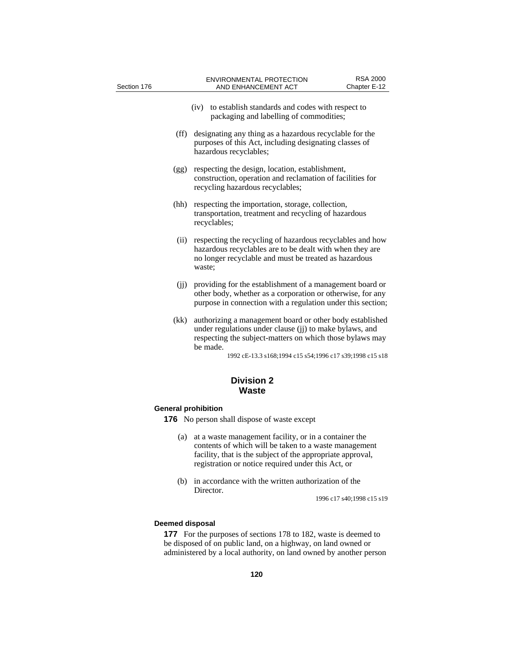| Section 176 | <b>ENVIRONMENTAL PROTECTION</b><br>AND ENHANCEMENT ACT                                                                                                                                                                                                  | <b>RSA 2000</b><br>Chapter E-12 |
|-------------|---------------------------------------------------------------------------------------------------------------------------------------------------------------------------------------------------------------------------------------------------------|---------------------------------|
|             | to establish standards and codes with respect to<br>(iv)<br>packaging and labelling of commodities;                                                                                                                                                     |                                 |
| (ff)        | designating any thing as a hazardous recyclable for the<br>purposes of this Act, including designating classes of<br>hazardous recyclables;                                                                                                             |                                 |
| (gg)        | respecting the design, location, establishment,<br>construction, operation and reclamation of facilities for<br>recycling hazardous recyclables;                                                                                                        |                                 |
| (hh)        | respecting the importation, storage, collection,<br>transportation, treatment and recycling of hazardous<br>recyclables;                                                                                                                                |                                 |
| (ii)        | respecting the recycling of hazardous recyclables and how<br>hazardous recyclables are to be dealt with when they are<br>no longer recyclable and must be treated as hazardous<br>waste;                                                                |                                 |
| (jj)        | providing for the establishment of a management board or<br>other body, whether as a corporation or otherwise, for any<br>purpose in connection with a regulation under this section;                                                                   |                                 |
| (kk)        | authorizing a management board or other body established<br>under regulations under clause (ji) to make bylaws, and<br>respecting the subject-matters on which those bylaws may<br>be made.<br>1992 cE-13.3 s168;1994 c15 s54;1996 c17 s39;1998 c15 s18 |                                 |
|             | <b>Division 2</b><br><b>Waste</b>                                                                                                                                                                                                                       |                                 |

# **General prohibition**

- **176** No person shall dispose of waste except
	- (a) at a waste management facility, or in a container the contents of which will be taken to a waste management facility, that is the subject of the appropriate approval, registration or notice required under this Act, or
	- (b) in accordance with the written authorization of the Director.

1996 c17 s40;1998 c15 s19

# **Deemed disposal**

**177** For the purposes of sections 178 to 182, waste is deemed to be disposed of on public land, on a highway, on land owned or administered by a local authority, on land owned by another person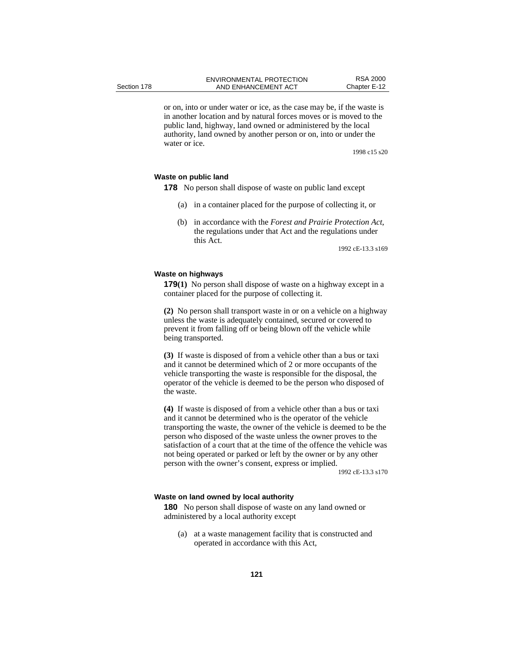or on, into or under water or ice, as the case may be, if the waste is in another location and by natural forces moves or is moved to the public land, highway, land owned or administered by the local authority, land owned by another person or on, into or under the water or ice.

1998 c15 s20

# **Waste on public land**

**178** No person shall dispose of waste on public land except

- (a) in a container placed for the purpose of collecting it, or
- (b) in accordance with the *Forest and Prairie Protection Act*, the regulations under that Act and the regulations under this Act.

1992 cE-13.3 s169

#### **Waste on highways**

**179(1)** No person shall dispose of waste on a highway except in a container placed for the purpose of collecting it.

**(2)** No person shall transport waste in or on a vehicle on a highway unless the waste is adequately contained, secured or covered to prevent it from falling off or being blown off the vehicle while being transported.

**(3)** If waste is disposed of from a vehicle other than a bus or taxi and it cannot be determined which of 2 or more occupants of the vehicle transporting the waste is responsible for the disposal, the operator of the vehicle is deemed to be the person who disposed of the waste.

**(4)** If waste is disposed of from a vehicle other than a bus or taxi and it cannot be determined who is the operator of the vehicle transporting the waste, the owner of the vehicle is deemed to be the person who disposed of the waste unless the owner proves to the satisfaction of a court that at the time of the offence the vehicle was not being operated or parked or left by the owner or by any other person with the owner's consent, express or implied.

1992 cE-13.3 s170

#### **Waste on land owned by local authority**

**180** No person shall dispose of waste on any land owned or administered by a local authority except

(a) at a waste management facility that is constructed and operated in accordance with this Act,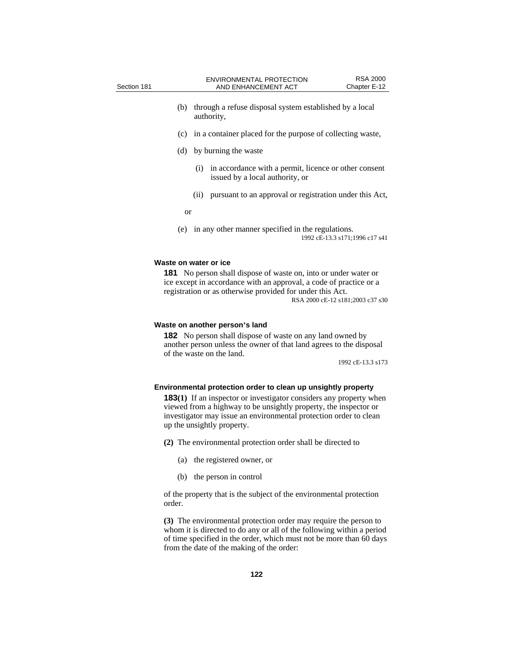- (b) through a refuse disposal system established by a local authority, (c) in a container placed for the purpose of collecting waste, (d) by burning the waste (i) in accordance with a permit, licence or other consent issued by a local authority, or
	- (ii) pursuant to an approval or registration under this Act,

or

(e) in any other manner specified in the regulations. 1992 cE-13.3 s171;1996 c17 s41

#### **Waste on water or ice**

**181** No person shall dispose of waste on, into or under water or ice except in accordance with an approval, a code of practice or a registration or as otherwise provided for under this Act. RSA 2000 cE-12 s181;2003 c37 s30

#### **Waste on another person's land**

**182** No person shall dispose of waste on any land owned by another person unless the owner of that land agrees to the disposal of the waste on the land.

1992 cE-13.3 s173

#### **Environmental protection order to clean up unsightly property**

**183(1)** If an inspector or investigator considers any property when viewed from a highway to be unsightly property, the inspector or investigator may issue an environmental protection order to clean up the unsightly property.

**(2)** The environmental protection order shall be directed to

- (a) the registered owner, or
- (b) the person in control

of the property that is the subject of the environmental protection order.

**(3)** The environmental protection order may require the person to whom it is directed to do any or all of the following within a period of time specified in the order, which must not be more than 60 days from the date of the making of the order: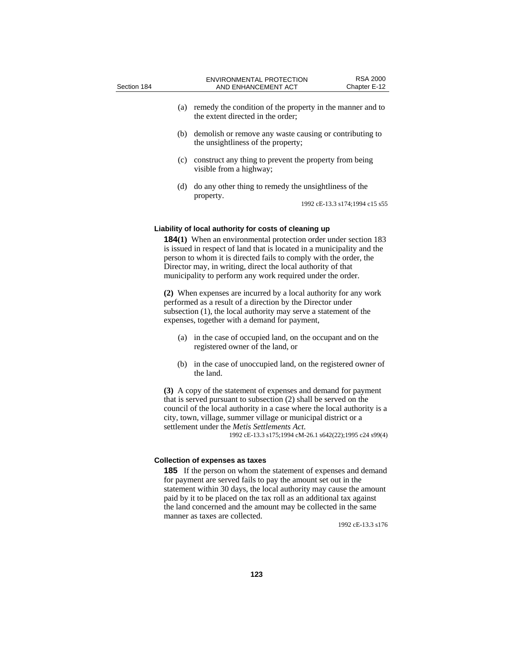- (a) remedy the condition of the property in the manner and to the extent directed in the order;
- (b) demolish or remove any waste causing or contributing to the unsightliness of the property;
- (c) construct any thing to prevent the property from being visible from a highway;
- (d) do any other thing to remedy the unsightliness of the property.

1992 cE-13.3 s174;1994 c15 s55

#### **Liability of local authority for costs of cleaning up**

**184(1)** When an environmental protection order under section 183 is issued in respect of land that is located in a municipality and the person to whom it is directed fails to comply with the order, the Director may, in writing, direct the local authority of that municipality to perform any work required under the order.

**(2)** When expenses are incurred by a local authority for any work performed as a result of a direction by the Director under subsection (1), the local authority may serve a statement of the expenses, together with a demand for payment,

- (a) in the case of occupied land, on the occupant and on the registered owner of the land, or
- (b) in the case of unoccupied land, on the registered owner of the land.

**(3)** A copy of the statement of expenses and demand for payment that is served pursuant to subsection (2) shall be served on the council of the local authority in a case where the local authority is a city, town, village, summer village or municipal district or a settlement under the *Metis Settlements Act*.<br>1992 cE-13.3 s175;1994 cM-26.1 s642(22);1995 c24 s99(4)

# **Collection of expenses as taxes**

**185** If the person on whom the statement of expenses and demand for payment are served fails to pay the amount set out in the statement within 30 days, the local authority may cause the amount paid by it to be placed on the tax roll as an additional tax against the land concerned and the amount may be collected in the same manner as taxes are collected.

1992 cE-13.3 s176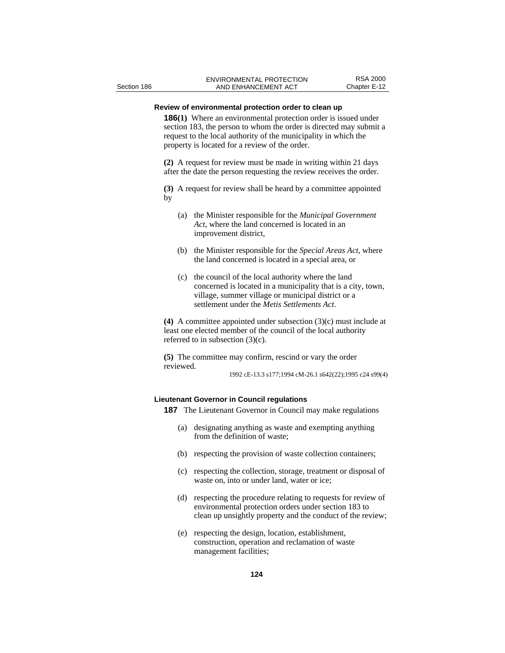## **Review of environmental protection order to clean up**

**186(1)** Where an environmental protection order is issued under section 183, the person to whom the order is directed may submit a request to the local authority of the municipality in which the property is located for a review of the order.

**(2)** A request for review must be made in writing within 21 days after the date the person requesting the review receives the order.

**(3)** A request for review shall be heard by a committee appointed by

- (a) the Minister responsible for the *Municipal Government Act*, where the land concerned is located in an improvement district,
- (b) the Minister responsible for the *Special Areas Act*, where the land concerned is located in a special area, or
- (c) the council of the local authority where the land concerned is located in a municipality that is a city, town, village, summer village or municipal district or a settlement under the *Metis Settlements Act*.

**(4)** A committee appointed under subsection (3)(c) must include at least one elected member of the council of the local authority referred to in subsection (3)(c).

**(5)** The committee may confirm, rescind or vary the order reviewed.

1992 cE-13.3 s177;1994 cM-26.1 s642(22);1995 c24 s99(4)

# **Lieutenant Governor in Council regulations**

**187** The Lieutenant Governor in Council may make regulations

- (a) designating anything as waste and exempting anything from the definition of waste;
- (b) respecting the provision of waste collection containers;
- (c) respecting the collection, storage, treatment or disposal of waste on, into or under land, water or ice;
- (d) respecting the procedure relating to requests for review of environmental protection orders under section 183 to clean up unsightly property and the conduct of the review;
- (e) respecting the design, location, establishment, construction, operation and reclamation of waste management facilities;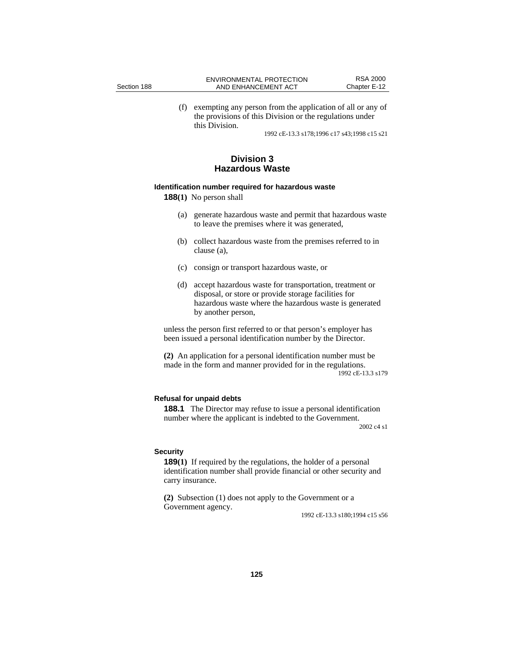|             | ENVIRONMENTAL PROTECTION | RSA 2000     |
|-------------|--------------------------|--------------|
| Section 188 | AND ENHANCEMENT ACT      | Chapter E-12 |

(f) exempting any person from the application of all or any of the provisions of this Division or the regulations under this Division.

1992 cE-13.3 s178;1996 c17 s43;1998 c15 s21

# **Division 3 Hazardous Waste**

#### **Identification number required for hazardous waste**

**188(1)** No person shall

- (a) generate hazardous waste and permit that hazardous waste to leave the premises where it was generated,
- (b) collect hazardous waste from the premises referred to in clause (a),
- (c) consign or transport hazardous waste, or
- (d) accept hazardous waste for transportation, treatment or disposal, or store or provide storage facilities for hazardous waste where the hazardous waste is generated by another person,

unless the person first referred to or that person's employer has been issued a personal identification number by the Director.

**(2)** An application for a personal identification number must be made in the form and manner provided for in the regulations. 1992 cE-13.3 s179

#### **Refusal for unpaid debts**

**188.1** The Director may refuse to issue a personal identification number where the applicant is indebted to the Government.

2002 c4 s1

#### **Security**

**189(1)** If required by the regulations, the holder of a personal identification number shall provide financial or other security and carry insurance.

**(2)** Subsection (1) does not apply to the Government or a Government agency.

1992 cE-13.3 s180;1994 c15 s56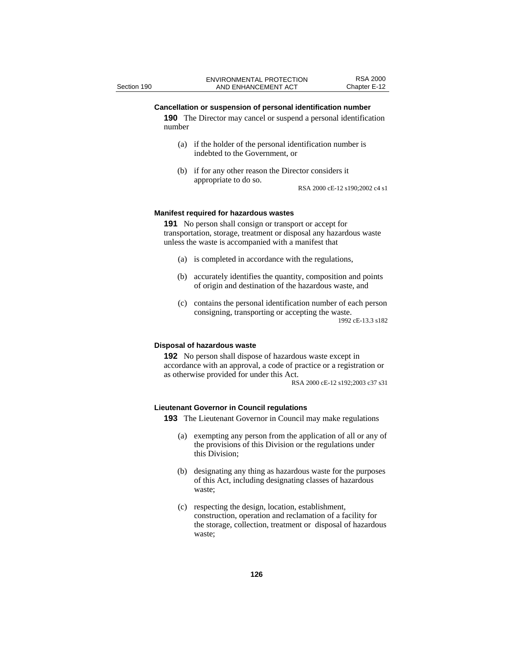#### **Cancellation or suspension of personal identification number**

**190** The Director may cancel or suspend a personal identification number

- (a) if the holder of the personal identification number is indebted to the Government, or
- (b) if for any other reason the Director considers it appropriate to do so.

RSA 2000 cE-12 s190;2002 c4 s1

#### **Manifest required for hazardous wastes**

**191** No person shall consign or transport or accept for transportation, storage, treatment or disposal any hazardous waste unless the waste is accompanied with a manifest that

- (a) is completed in accordance with the regulations,
- (b) accurately identifies the quantity, composition and points of origin and destination of the hazardous waste, and
- (c) contains the personal identification number of each person consigning, transporting or accepting the waste. 1992 cE-13.3 s182

#### **Disposal of hazardous waste**

**192** No person shall dispose of hazardous waste except in accordance with an approval, a code of practice or a registration or as otherwise provided for under this Act.

RSA 2000 cE-12 s192;2003 c37 s31

#### **Lieutenant Governor in Council regulations**

**193** The Lieutenant Governor in Council may make regulations

- (a) exempting any person from the application of all or any of the provisions of this Division or the regulations under this Division;
- (b) designating any thing as hazardous waste for the purposes of this Act, including designating classes of hazardous waste;
- (c) respecting the design, location, establishment, construction, operation and reclamation of a facility for the storage, collection, treatment or disposal of hazardous waste;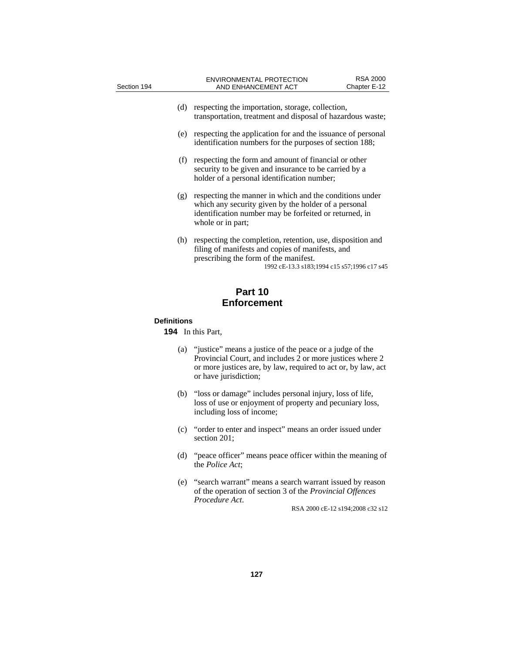| Section 194 |     | <b>ENVIRONMENTAL PROTECTION</b>                                                                                                                                                                        | <b>RSA 2000</b> |
|-------------|-----|--------------------------------------------------------------------------------------------------------------------------------------------------------------------------------------------------------|-----------------|
|             |     | AND ENHANCEMENT ACT                                                                                                                                                                                    | Chapter E-12    |
|             | (d) | respecting the importation, storage, collection,<br>transportation, treatment and disposal of hazardous waste;                                                                                         |                 |
|             | (e) | respecting the application for and the issuance of personal<br>identification numbers for the purposes of section 188;                                                                                 |                 |
|             | (f) | respecting the form and amount of financial or other<br>security to be given and insurance to be carried by a<br>holder of a personal identification number;                                           |                 |
|             | (g) | respecting the manner in which and the conditions under<br>which any security given by the holder of a personal<br>identification number may be forfeited or returned, in<br>whole or in part;         |                 |
|             | (h) | respecting the completion, retention, use, disposition and<br>filing of manifests and copies of manifests, and<br>prescribing the form of the manifest.<br>1992 cE-13.3 s183;1994 c15 s57;1996 c17 s45 |                 |
|             |     | Part 10                                                                                                                                                                                                |                 |

# **Enforcement**

# **Definitions**

**194** In this Part,

- (a) "justice" means a justice of the peace or a judge of the Provincial Court, and includes 2 or more justices where 2 or more justices are, by law, required to act or, by law, act or have jurisdiction;
- (b) "loss or damage" includes personal injury, loss of life, loss of use or enjoyment of property and pecuniary loss, including loss of income;
- (c) "order to enter and inspect" means an order issued under section 201;
- (d) "peace officer" means peace officer within the meaning of the *Police Act*;
- (e) "search warrant" means a search warrant issued by reason of the operation of section 3 of the *Provincial Offences Procedure Act*. RSA 2000 cE-12 s194;2008 c32 s12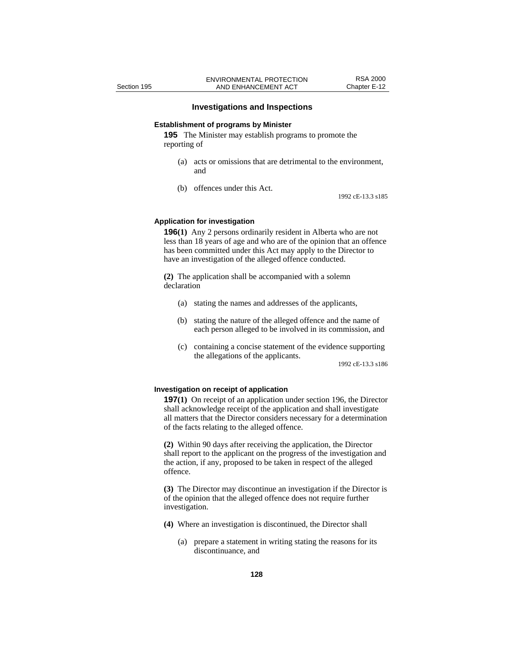#### **Investigations and Inspections**

#### **Establishment of programs by Minister**

**195** The Minister may establish programs to promote the reporting of

- (a) acts or omissions that are detrimental to the environment, and
- (b) offences under this Act.

1992 cE-13.3 s185

#### **Application for investigation**

**196(1)** Any 2 persons ordinarily resident in Alberta who are not less than 18 years of age and who are of the opinion that an offence has been committed under this Act may apply to the Director to have an investigation of the alleged offence conducted.

**(2)** The application shall be accompanied with a solemn declaration

- (a) stating the names and addresses of the applicants,
- (b) stating the nature of the alleged offence and the name of each person alleged to be involved in its commission, and
- (c) containing a concise statement of the evidence supporting the allegations of the applicants.

1992 cE-13.3 s186

#### **Investigation on receipt of application**

**197(1)** On receipt of an application under section 196, the Director shall acknowledge receipt of the application and shall investigate all matters that the Director considers necessary for a determination of the facts relating to the alleged offence.

**(2)** Within 90 days after receiving the application, the Director shall report to the applicant on the progress of the investigation and the action, if any, proposed to be taken in respect of the alleged offence.

**(3)** The Director may discontinue an investigation if the Director is of the opinion that the alleged offence does not require further investigation.

- **(4)** Where an investigation is discontinued, the Director shall
	- (a) prepare a statement in writing stating the reasons for its discontinuance, and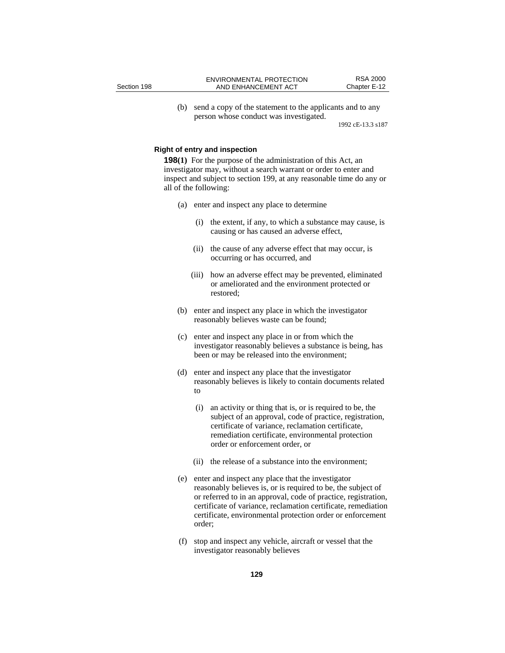(b) send a copy of the statement to the applicants and to any person whose conduct was investigated.

1992 cE-13.3 s187

#### **Right of entry and inspection**

**198(1)** For the purpose of the administration of this Act, an investigator may, without a search warrant or order to enter and inspect and subject to section 199, at any reasonable time do any or all of the following:

- (a) enter and inspect any place to determine
	- (i) the extent, if any, to which a substance may cause, is causing or has caused an adverse effect,
	- (ii) the cause of any adverse effect that may occur, is occurring or has occurred, and
	- (iii) how an adverse effect may be prevented, eliminated or ameliorated and the environment protected or restored;
- (b) enter and inspect any place in which the investigator reasonably believes waste can be found;
- (c) enter and inspect any place in or from which the investigator reasonably believes a substance is being, has been or may be released into the environment;
- (d) enter and inspect any place that the investigator reasonably believes is likely to contain documents related to
	- (i) an activity or thing that is, or is required to be, the subject of an approval, code of practice, registration, certificate of variance, reclamation certificate, remediation certificate, environmental protection order or enforcement order, or
	- (ii) the release of a substance into the environment;
- (e) enter and inspect any place that the investigator reasonably believes is, or is required to be, the subject of or referred to in an approval, code of practice, registration, certificate of variance, reclamation certificate, remediation certificate, environmental protection order or enforcement order;
- (f) stop and inspect any vehicle, aircraft or vessel that the investigator reasonably believes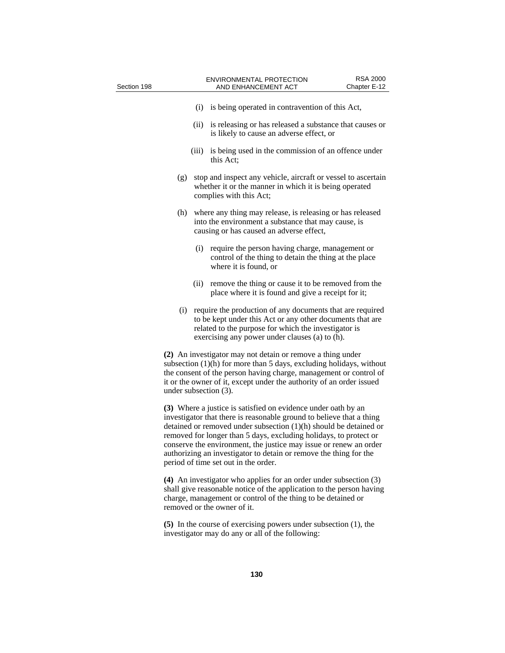| Section 198 |                       |       | <b>ENVIRONMENTAL PROTECTION</b><br>AND ENHANCEMENT ACT                                                                                                                                                                                                                                                                                                                                                                                                              | <b>RSA 2000</b><br>Chapter E-12 |
|-------------|-----------------------|-------|---------------------------------------------------------------------------------------------------------------------------------------------------------------------------------------------------------------------------------------------------------------------------------------------------------------------------------------------------------------------------------------------------------------------------------------------------------------------|---------------------------------|
|             |                       |       | (i) is being operated in contravention of this Act,                                                                                                                                                                                                                                                                                                                                                                                                                 |                                 |
|             |                       | (ii)  | is releasing or has released a substance that causes or<br>is likely to cause an adverse effect, or                                                                                                                                                                                                                                                                                                                                                                 |                                 |
|             |                       | (iii) | is being used in the commission of an offence under<br>this Act;                                                                                                                                                                                                                                                                                                                                                                                                    |                                 |
|             | (g)                   |       | stop and inspect any vehicle, aircraft or vessel to ascertain<br>whether it or the manner in which it is being operated<br>complies with this Act;                                                                                                                                                                                                                                                                                                                  |                                 |
|             | (h)                   |       | where any thing may release, is releasing or has released<br>into the environment a substance that may cause, is<br>causing or has caused an adverse effect,                                                                                                                                                                                                                                                                                                        |                                 |
|             |                       | (i)   | require the person having charge, management or<br>control of the thing to detain the thing at the place<br>where it is found, or                                                                                                                                                                                                                                                                                                                                   |                                 |
|             |                       | (ii)  | remove the thing or cause it to be removed from the<br>place where it is found and give a receipt for it;                                                                                                                                                                                                                                                                                                                                                           |                                 |
|             | (i)                   |       | require the production of any documents that are required<br>to be kept under this Act or any other documents that are<br>related to the purpose for which the investigator is<br>exercising any power under clauses (a) to (h).                                                                                                                                                                                                                                    |                                 |
|             | under subsection (3). |       | (2) An investigator may not detain or remove a thing under<br>subsection (1)(h) for more than 5 days, excluding holidays, without<br>the consent of the person having charge, management or control of<br>it or the owner of it, except under the authority of an order issued                                                                                                                                                                                      |                                 |
|             |                       |       | (3) Where a justice is satisfied on evidence under oath by an<br>investigator that there is reasonable ground to believe that a thing<br>detained or removed under subsection $(1)(h)$ should be detained or<br>removed for longer than 5 days, excluding holidays, to protect or<br>conserve the environment, the justice may issue or renew an order<br>authorizing an investigator to detain or remove the thing for the<br>period of time set out in the order. |                                 |
|             |                       |       | (4) An investigator who applies for an order under subsection (3)<br>shall give reasonable notice of the application to the person having<br>charge, management or control of the thing to be detained or<br>removed or the owner of it.                                                                                                                                                                                                                            |                                 |
|             |                       |       | $(5)$ In the course of exercising powers under subsection $(1)$ , the<br>investigator may do any or all of the following:                                                                                                                                                                                                                                                                                                                                           |                                 |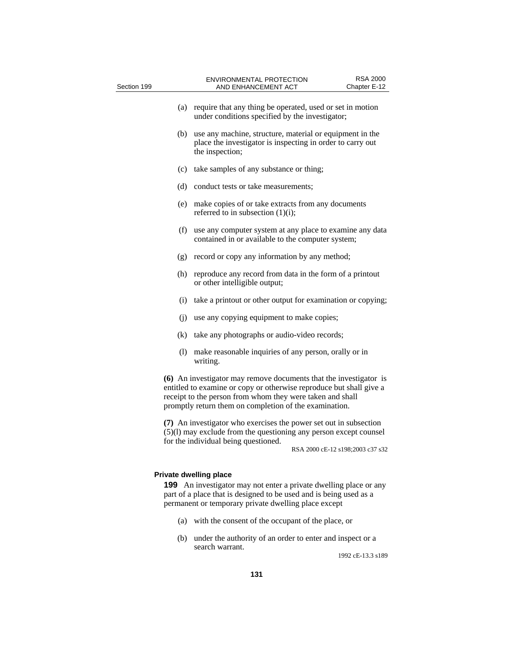| Section 199 | <b>RSA 2000</b><br><b>ENVIRONMENTAL PROTECTION</b><br>AND ENHANCEMENT ACT<br>Chapter E-12                                                                                                                                                                       |
|-------------|-----------------------------------------------------------------------------------------------------------------------------------------------------------------------------------------------------------------------------------------------------------------|
| (a)         | require that any thing be operated, used or set in motion<br>under conditions specified by the investigator;                                                                                                                                                    |
| (b)         | use any machine, structure, material or equipment in the<br>place the investigator is inspecting in order to carry out<br>the inspection;                                                                                                                       |
|             | (c) take samples of any substance or thing;                                                                                                                                                                                                                     |
|             | (d) conduct tests or take measurements;                                                                                                                                                                                                                         |
| (e)         | make copies of or take extracts from any documents<br>referred to in subsection $(1)(i)$ ;                                                                                                                                                                      |
| (f)         | use any computer system at any place to examine any data<br>contained in or available to the computer system;                                                                                                                                                   |
| (g)         | record or copy any information by any method;                                                                                                                                                                                                                   |
| (h)         | reproduce any record from data in the form of a printout<br>or other intelligible output;                                                                                                                                                                       |
|             | (i) take a printout or other output for examination or copying;                                                                                                                                                                                                 |
|             | (j) use any copying equipment to make copies;                                                                                                                                                                                                                   |
|             | (k) take any photographs or audio-video records;                                                                                                                                                                                                                |
| (1)         | make reasonable inquiries of any person, orally or in<br>writing.                                                                                                                                                                                               |
|             | (6) An investigator may remove documents that the investigator is<br>entitled to examine or copy or otherwise reproduce but shall give a<br>receipt to the person from whom they were taken and shall<br>promptly return them on completion of the examination. |
|             | (7) An investigator who exercises the power set out in subsection<br>(5)(1) may exclude from the questioning any person except counsel<br>for the individual being questioned.                                                                                  |
|             | RSA 2000 cE-12 s198;2003 c37 s32                                                                                                                                                                                                                                |
|             | <b>Private dwelling place</b>                                                                                                                                                                                                                                   |
|             | <b>199</b> An investigator may not enter a private dwelling place or any<br>والموالد ومستحدث والمناقص والمتمسوط ووالمهام والمتحاوية والموافر ومواجره كروانه                                                                                                     |

part of a place that is designed to be used and is being used as a permanent or temporary private dwelling place except

- (a) with the consent of the occupant of the place, or
- (b) under the authority of an order to enter and inspect or a search warrant.

1992 cE-13.3 s189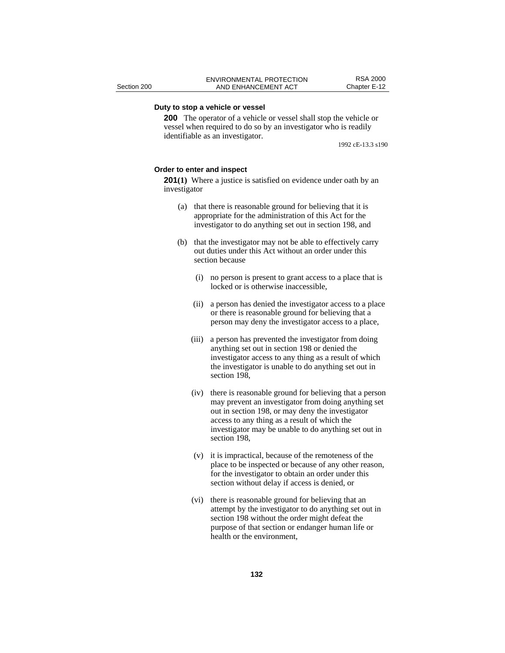# **Duty to stop a vehicle or vessel**

**200** The operator of a vehicle or vessel shall stop the vehicle or vessel when required to do so by an investigator who is readily identifiable as an investigator.

1992 cE-13.3 s190

#### **Order to enter and inspect**

**201(1)** Where a justice is satisfied on evidence under oath by an investigator

- (a) that there is reasonable ground for believing that it is appropriate for the administration of this Act for the investigator to do anything set out in section 198, and
- (b) that the investigator may not be able to effectively carry out duties under this Act without an order under this section because
	- (i) no person is present to grant access to a place that is locked or is otherwise inaccessible,
	- (ii) a person has denied the investigator access to a place or there is reasonable ground for believing that a person may deny the investigator access to a place,
	- (iii) a person has prevented the investigator from doing anything set out in section 198 or denied the investigator access to any thing as a result of which the investigator is unable to do anything set out in section 198,
	- (iv) there is reasonable ground for believing that a person may prevent an investigator from doing anything set out in section 198, or may deny the investigator access to any thing as a result of which the investigator may be unable to do anything set out in section 198,
	- (v) it is impractical, because of the remoteness of the place to be inspected or because of any other reason, for the investigator to obtain an order under this section without delay if access is denied, or
	- (vi) there is reasonable ground for believing that an attempt by the investigator to do anything set out in section 198 without the order might defeat the purpose of that section or endanger human life or health or the environment,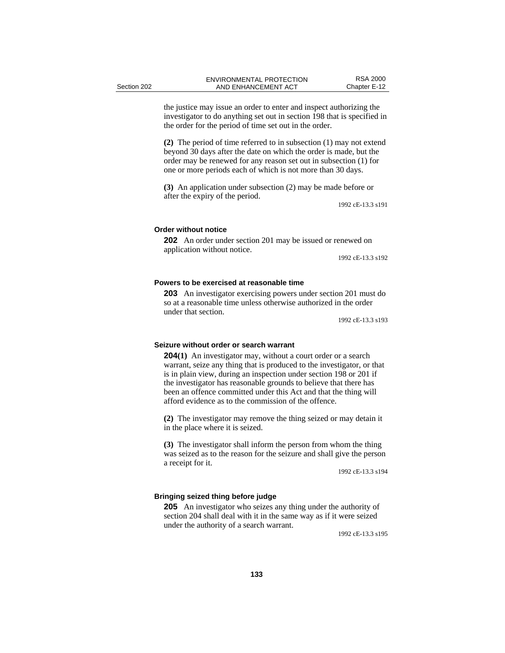the justice may issue an order to enter and inspect authorizing the investigator to do anything set out in section 198 that is specified in the order for the period of time set out in the order.

**(2)** The period of time referred to in subsection (1) may not extend beyond 30 days after the date on which the order is made, but the order may be renewed for any reason set out in subsection (1) for one or more periods each of which is not more than 30 days.

**(3)** An application under subsection (2) may be made before or after the expiry of the period.

1992 cE-13.3 s191

#### **Order without notice**

**202** An order under section 201 may be issued or renewed on application without notice.

1992 cE-13.3 s192

#### **Powers to be exercised at reasonable time**

**203** An investigator exercising powers under section 201 must do so at a reasonable time unless otherwise authorized in the order under that section.

1992 cE-13.3 s193

#### **Seizure without order or search warrant**

**204(1)** An investigator may, without a court order or a search warrant, seize any thing that is produced to the investigator, or that is in plain view, during an inspection under section 198 or 201 if the investigator has reasonable grounds to believe that there has been an offence committed under this Act and that the thing will afford evidence as to the commission of the offence.

**(2)** The investigator may remove the thing seized or may detain it in the place where it is seized.

**(3)** The investigator shall inform the person from whom the thing was seized as to the reason for the seizure and shall give the person a receipt for it.

1992 cE-13.3 s194

# **Bringing seized thing before judge**

**205** An investigator who seizes any thing under the authority of section 204 shall deal with it in the same way as if it were seized under the authority of a search warrant.

1992 cE-13.3 s195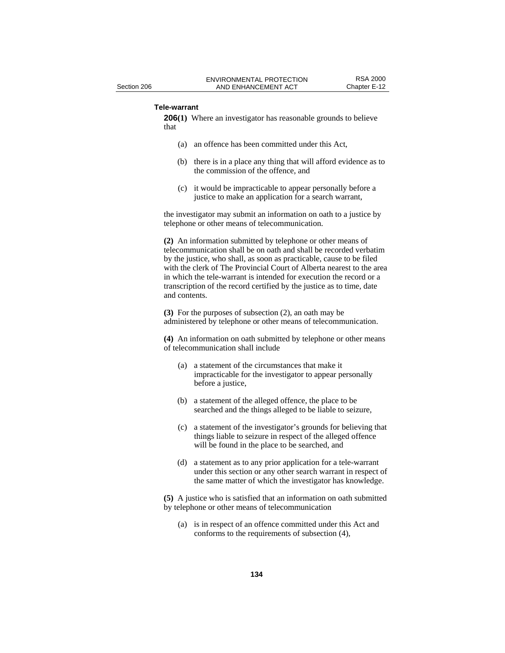### **Tele-warrant**

**206(1)** Where an investigator has reasonable grounds to believe that

- (a) an offence has been committed under this Act,
- (b) there is in a place any thing that will afford evidence as to the commission of the offence, and
- (c) it would be impracticable to appear personally before a justice to make an application for a search warrant,

the investigator may submit an information on oath to a justice by telephone or other means of telecommunication.

**(2)** An information submitted by telephone or other means of telecommunication shall be on oath and shall be recorded verbatim by the justice, who shall, as soon as practicable, cause to be filed with the clerk of The Provincial Court of Alberta nearest to the area in which the tele-warrant is intended for execution the record or a transcription of the record certified by the justice as to time, date and contents.

**(3)** For the purposes of subsection (2), an oath may be administered by telephone or other means of telecommunication.

**(4)** An information on oath submitted by telephone or other means of telecommunication shall include

- (a) a statement of the circumstances that make it impracticable for the investigator to appear personally before a justice,
- (b) a statement of the alleged offence, the place to be searched and the things alleged to be liable to seizure,
- (c) a statement of the investigator's grounds for believing that things liable to seizure in respect of the alleged offence will be found in the place to be searched, and
- (d) a statement as to any prior application for a tele-warrant under this section or any other search warrant in respect of the same matter of which the investigator has knowledge.

**(5)** A justice who is satisfied that an information on oath submitted by telephone or other means of telecommunication

(a) is in respect of an offence committed under this Act and conforms to the requirements of subsection (4),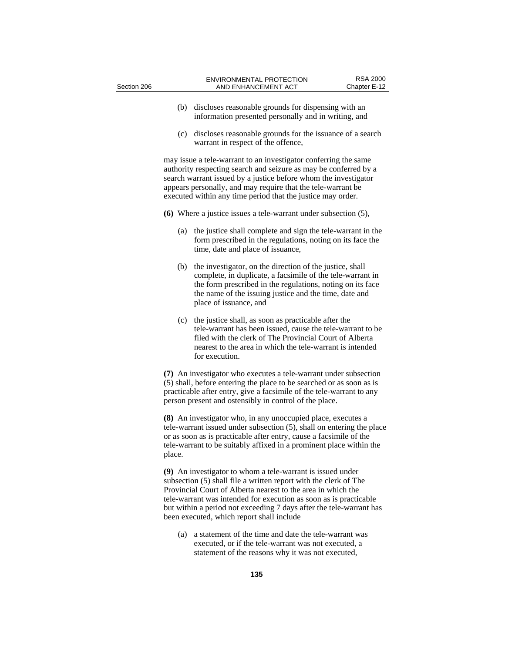| Section 206 |     | ENVIRONMENTAL PROTECTION<br>AND ENHANCEMENT ACT                                                                                                                                                                                                                                                                                       | <b>RSA 2000</b><br>Chapter E-12 |  |
|-------------|-----|---------------------------------------------------------------------------------------------------------------------------------------------------------------------------------------------------------------------------------------------------------------------------------------------------------------------------------------|---------------------------------|--|
|             | (b) | discloses reasonable grounds for dispensing with an<br>information presented personally and in writing, and                                                                                                                                                                                                                           |                                 |  |
|             | (c) | discloses reasonable grounds for the issuance of a search<br>warrant in respect of the offence,                                                                                                                                                                                                                                       |                                 |  |
|             |     | may issue a tele-warrant to an investigator conferring the same<br>authority respecting search and seizure as may be conferred by a<br>search warrant issued by a justice before whom the investigator<br>appears personally, and may require that the tele-warrant be<br>executed within any time period that the justice may order. |                                 |  |
|             |     | (6) Where a justice issues a tele-warrant under subsection $(5)$ ,                                                                                                                                                                                                                                                                    |                                 |  |
|             | (a) | the justice shall complete and sign the tele-warrant in the<br>form prescribed in the regulations, noting on its face the<br>time, date and place of issuance,                                                                                                                                                                        |                                 |  |
|             | (b) | the investigator, on the direction of the justice, shall<br>complete, in duplicate, a facsimile of the tele-warrant in<br>the form prescribed in the regulations, noting on its face<br>the name of the issuing justice and the time, date and<br>place of issuance, and                                                              |                                 |  |
|             | (c) | the justice shall, as soon as practicable after the<br>tele-warrant has been issued, cause the tele-warrant to be<br>filed with the clerk of The Provincial Court of Alberta<br>nearest to the area in which the tele-warrant is intended<br>for execution.                                                                           |                                 |  |
|             |     | (7) An investigator who executes a tele-warrant under subsection<br>(5) shall, before entering the place to be searched or as soon as is<br>practicable after entry, give a facsimile of the tele-warrant to any<br>person present and ostensibly in control of the place.                                                            |                                 |  |
|             |     | (8) An investigator who, in any unoccupied place, executes a<br>tele-warrant issued under subsection (5), shall on entering the place<br>or as soon as is practicable after entry, cause a facsimile of the                                                                                                                           |                                 |  |

tele-warrant issued under subsection (5), shall on entering the place or as soon as is practicable after entry, cause a facsimile of the tele-warrant to be suitably affixed in a prominent place within the place.

**(9)** An investigator to whom a tele-warrant is issued under subsection (5) shall file a written report with the clerk of The Provincial Court of Alberta nearest to the area in which the tele-warrant was intended for execution as soon as is practicable but within a period not exceeding 7 days after the tele-warrant has been executed, which report shall include

(a) a statement of the time and date the tele-warrant was executed, or if the tele-warrant was not executed, a statement of the reasons why it was not executed,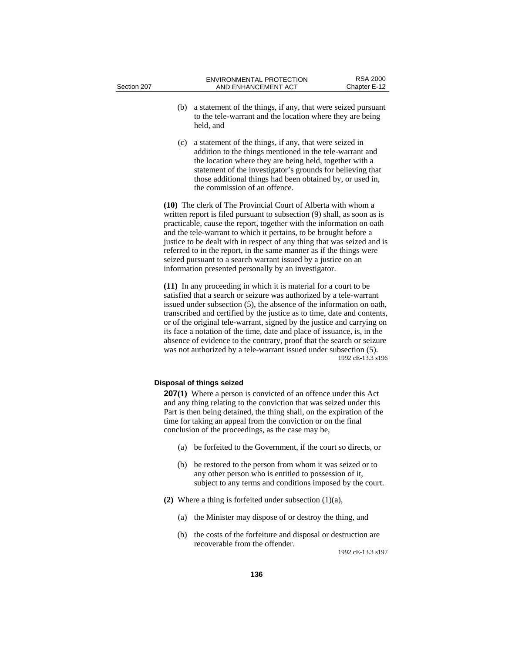- (b) a statement of the things, if any, that were seized pursuant to the tele-warrant and the location where they are being held, and
- (c) a statement of the things, if any, that were seized in addition to the things mentioned in the tele-warrant and the location where they are being held, together with a statement of the investigator's grounds for believing that those additional things had been obtained by, or used in, the commission of an offence.

**(10)** The clerk of The Provincial Court of Alberta with whom a written report is filed pursuant to subsection (9) shall, as soon as is practicable, cause the report, together with the information on oath and the tele-warrant to which it pertains, to be brought before a justice to be dealt with in respect of any thing that was seized and is referred to in the report, in the same manner as if the things were seized pursuant to a search warrant issued by a justice on an information presented personally by an investigator.

**(11)** In any proceeding in which it is material for a court to be satisfied that a search or seizure was authorized by a tele-warrant issued under subsection (5), the absence of the information on oath, transcribed and certified by the justice as to time, date and contents, or of the original tele-warrant, signed by the justice and carrying on its face a notation of the time, date and place of issuance, is, in the absence of evidence to the contrary, proof that the search or seizure was not authorized by a tele-warrant issued under subsection (5). 1992 cE-13.3 s196

## **Disposal of things seized**

**207(1)** Where a person is convicted of an offence under this Act and any thing relating to the conviction that was seized under this Part is then being detained, the thing shall, on the expiration of the time for taking an appeal from the conviction or on the final conclusion of the proceedings, as the case may be,

- (a) be forfeited to the Government, if the court so directs, or
- (b) be restored to the person from whom it was seized or to any other person who is entitled to possession of it, subject to any terms and conditions imposed by the court.
- **(2)** Where a thing is forfeited under subsection (1)(a),
	- (a) the Minister may dispose of or destroy the thing, and
	- (b) the costs of the forfeiture and disposal or destruction are recoverable from the offender.

1992 cE-13.3 s197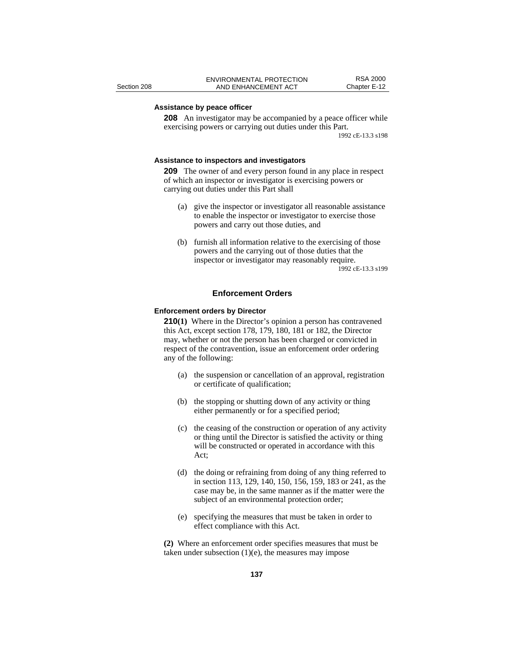# **Assistance by peace officer**

**208** An investigator may be accompanied by a peace officer while exercising powers or carrying out duties under this Part. 1992 cE-13.3 s198

#### **Assistance to inspectors and investigators**

**209** The owner of and every person found in any place in respect of which an inspector or investigator is exercising powers or carrying out duties under this Part shall

- (a) give the inspector or investigator all reasonable assistance to enable the inspector or investigator to exercise those powers and carry out those duties, and
- (b) furnish all information relative to the exercising of those powers and the carrying out of those duties that the inspector or investigator may reasonably require. 1992 cE-13.3 s199

#### **Enforcement Orders**

#### **Enforcement orders by Director**

**210(1)** Where in the Director's opinion a person has contravened this Act, except section 178, 179, 180, 181 or 182, the Director may, whether or not the person has been charged or convicted in respect of the contravention, issue an enforcement order ordering any of the following:

- (a) the suspension or cancellation of an approval, registration or certificate of qualification;
- (b) the stopping or shutting down of any activity or thing either permanently or for a specified period;
- (c) the ceasing of the construction or operation of any activity or thing until the Director is satisfied the activity or thing will be constructed or operated in accordance with this Act;
- (d) the doing or refraining from doing of any thing referred to in section 113, 129, 140, 150, 156, 159, 183 or 241, as the case may be, in the same manner as if the matter were the subject of an environmental protection order;
- (e) specifying the measures that must be taken in order to effect compliance with this Act.

**(2)** Where an enforcement order specifies measures that must be taken under subsection  $(1)(e)$ , the measures may impose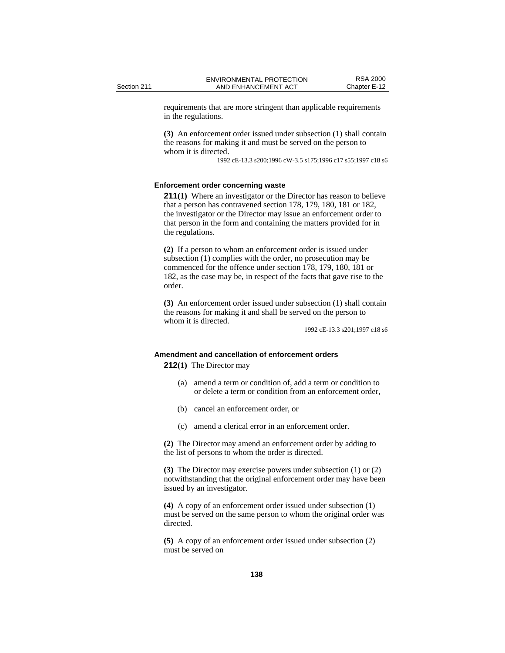requirements that are more stringent than applicable requirements in the regulations.

**(3)** An enforcement order issued under subsection (1) shall contain the reasons for making it and must be served on the person to whom it is directed.

1992 cE-13.3 s200;1996 cW-3.5 s175;1996 c17 s55;1997 c18 s6

### **Enforcement order concerning waste**

**211(1)** Where an investigator or the Director has reason to believe that a person has contravened section 178, 179, 180, 181 or 182, the investigator or the Director may issue an enforcement order to that person in the form and containing the matters provided for in the regulations.

**(2)** If a person to whom an enforcement order is issued under subsection (1) complies with the order, no prosecution may be commenced for the offence under section 178, 179, 180, 181 or 182, as the case may be, in respect of the facts that gave rise to the order.

**(3)** An enforcement order issued under subsection (1) shall contain the reasons for making it and shall be served on the person to whom it is directed.

1992 cE-13.3 s201;1997 c18 s6

## **Amendment and cancellation of enforcement orders**

**212(1)** The Director may

- (a) amend a term or condition of, add a term or condition to or delete a term or condition from an enforcement order,
- (b) cancel an enforcement order, or
- (c) amend a clerical error in an enforcement order.

**(2)** The Director may amend an enforcement order by adding to the list of persons to whom the order is directed.

**(3)** The Director may exercise powers under subsection (1) or (2) notwithstanding that the original enforcement order may have been issued by an investigator.

**(4)** A copy of an enforcement order issued under subsection (1) must be served on the same person to whom the original order was directed.

**(5)** A copy of an enforcement order issued under subsection (2) must be served on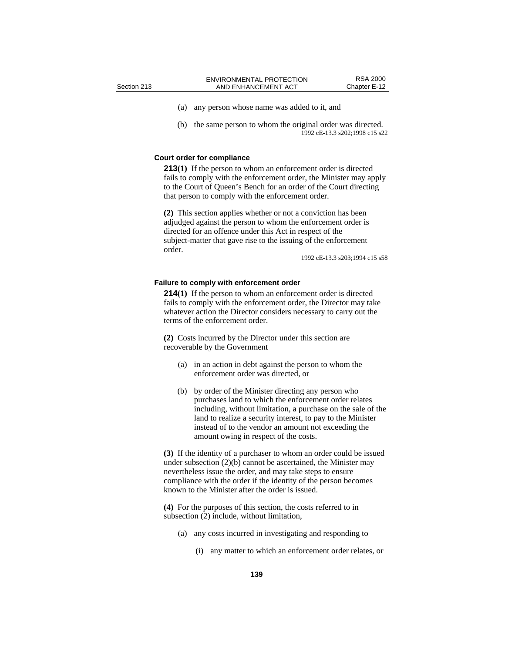(a) any person whose name was added to it, and

(b) the same person to whom the original order was directed. 1992 cE-13.3 s202;1998 c15 s22

#### **Court order for compliance**

**213(1)** If the person to whom an enforcement order is directed fails to comply with the enforcement order, the Minister may apply to the Court of Queen's Bench for an order of the Court directing that person to comply with the enforcement order.

**(2)** This section applies whether or not a conviction has been adjudged against the person to whom the enforcement order is directed for an offence under this Act in respect of the subject-matter that gave rise to the issuing of the enforcement order.

1992 cE-13.3 s203;1994 c15 s58

#### **Failure to comply with enforcement order**

**214(1)** If the person to whom an enforcement order is directed fails to comply with the enforcement order, the Director may take whatever action the Director considers necessary to carry out the terms of the enforcement order.

**(2)** Costs incurred by the Director under this section are recoverable by the Government

- (a) in an action in debt against the person to whom the enforcement order was directed, or
- (b) by order of the Minister directing any person who purchases land to which the enforcement order relates including, without limitation, a purchase on the sale of the land to realize a security interest, to pay to the Minister instead of to the vendor an amount not exceeding the amount owing in respect of the costs.

**(3)** If the identity of a purchaser to whom an order could be issued under subsection (2)(b) cannot be ascertained, the Minister may nevertheless issue the order, and may take steps to ensure compliance with the order if the identity of the person becomes known to the Minister after the order is issued.

**(4)** For the purposes of this section, the costs referred to in subsection (2) include, without limitation,

- (a) any costs incurred in investigating and responding to
	- (i) any matter to which an enforcement order relates, or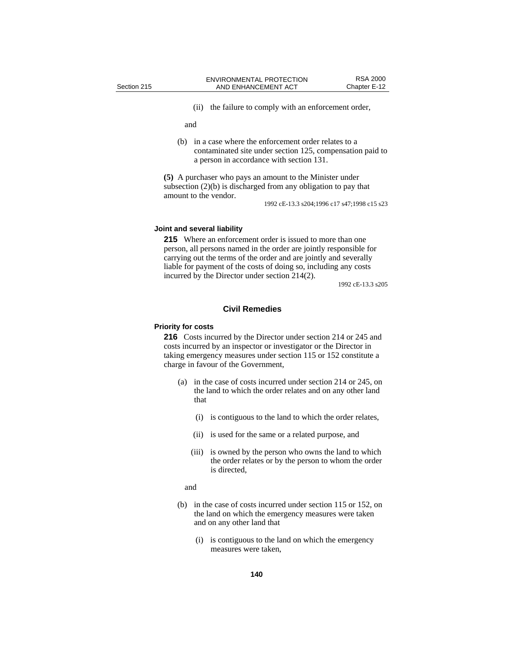(ii) the failure to comply with an enforcement order,

and

(b) in a case where the enforcement order relates to a contaminated site under section 125, compensation paid to a person in accordance with section 131.

**(5)** A purchaser who pays an amount to the Minister under subsection (2)(b) is discharged from any obligation to pay that amount to the vendor.

1992 cE-13.3 s204;1996 c17 s47;1998 c15 s23

#### **Joint and several liability**

**215** Where an enforcement order is issued to more than one person, all persons named in the order are jointly responsible for carrying out the terms of the order and are jointly and severally liable for payment of the costs of doing so, including any costs incurred by the Director under section 214(2).

1992 cE-13.3 s205

# **Civil Remedies**

# **Priority for costs**

**216** Costs incurred by the Director under section 214 or 245 and costs incurred by an inspector or investigator or the Director in taking emergency measures under section 115 or 152 constitute a charge in favour of the Government,

- (a) in the case of costs incurred under section 214 or 245, on the land to which the order relates and on any other land that
	- (i) is contiguous to the land to which the order relates,
	- (ii) is used for the same or a related purpose, and
	- (iii) is owned by the person who owns the land to which the order relates or by the person to whom the order is directed,
	- and
- (b) in the case of costs incurred under section 115 or 152, on the land on which the emergency measures were taken and on any other land that
	- (i) is contiguous to the land on which the emergency measures were taken,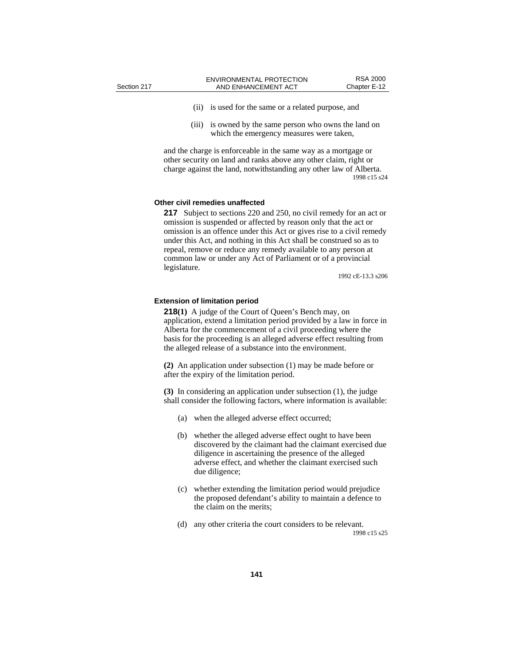- (ii) is used for the same or a related purpose, and
- (iii) is owned by the same person who owns the land on which the emergency measures were taken,

and the charge is enforceable in the same way as a mortgage or other security on land and ranks above any other claim, right or charge against the land, notwithstanding any other law of Alberta. 1998 c15 s24

#### **Other civil remedies unaffected**

**217** Subject to sections 220 and 250, no civil remedy for an act or omission is suspended or affected by reason only that the act or omission is an offence under this Act or gives rise to a civil remedy under this Act, and nothing in this Act shall be construed so as to repeal, remove or reduce any remedy available to any person at common law or under any Act of Parliament or of a provincial legislature.

1992 cE-13.3 s206

#### **Extension of limitation period**

**218(1)** A judge of the Court of Queen's Bench may, on application, extend a limitation period provided by a law in force in Alberta for the commencement of a civil proceeding where the basis for the proceeding is an alleged adverse effect resulting from the alleged release of a substance into the environment.

**(2)** An application under subsection (1) may be made before or after the expiry of the limitation period.

**(3)** In considering an application under subsection (1), the judge shall consider the following factors, where information is available:

- (a) when the alleged adverse effect occurred;
- (b) whether the alleged adverse effect ought to have been discovered by the claimant had the claimant exercised due diligence in ascertaining the presence of the alleged adverse effect, and whether the claimant exercised such due diligence;
- (c) whether extending the limitation period would prejudice the proposed defendant's ability to maintain a defence to the claim on the merits;
- (d) any other criteria the court considers to be relevant. 1998 c15 s25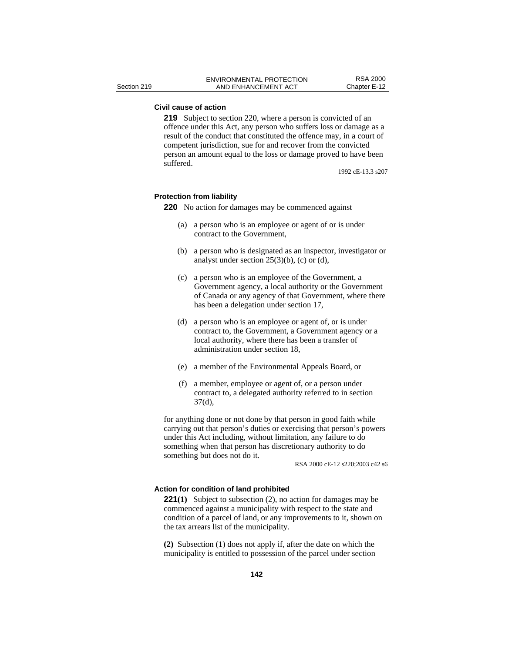# **Civil cause of action**

**219** Subject to section 220, where a person is convicted of an offence under this Act, any person who suffers loss or damage as a result of the conduct that constituted the offence may, in a court of competent jurisdiction, sue for and recover from the convicted person an amount equal to the loss or damage proved to have been suffered.

1992 cE-13.3 s207

#### **Protection from liability**

**220** No action for damages may be commenced against

- (a) a person who is an employee or agent of or is under contract to the Government,
- (b) a person who is designated as an inspector, investigator or analyst under section  $25(3)(b)$ , (c) or (d),
- (c) a person who is an employee of the Government, a Government agency, a local authority or the Government of Canada or any agency of that Government, where there has been a delegation under section 17,
- (d) a person who is an employee or agent of, or is under contract to, the Government, a Government agency or a local authority, where there has been a transfer of administration under section 18,
- (e) a member of the Environmental Appeals Board, or
- (f) a member, employee or agent of, or a person under contract to, a delegated authority referred to in section 37(d),

for anything done or not done by that person in good faith while carrying out that person's duties or exercising that person's powers under this Act including, without limitation, any failure to do something when that person has discretionary authority to do something but does not do it.

RSA 2000 cE-12 s220;2003 c42 s6

# **Action for condition of land prohibited**

**221(1)** Subject to subsection (2), no action for damages may be commenced against a municipality with respect to the state and condition of a parcel of land, or any improvements to it, shown on the tax arrears list of the municipality.

**(2)** Subsection (1) does not apply if, after the date on which the municipality is entitled to possession of the parcel under section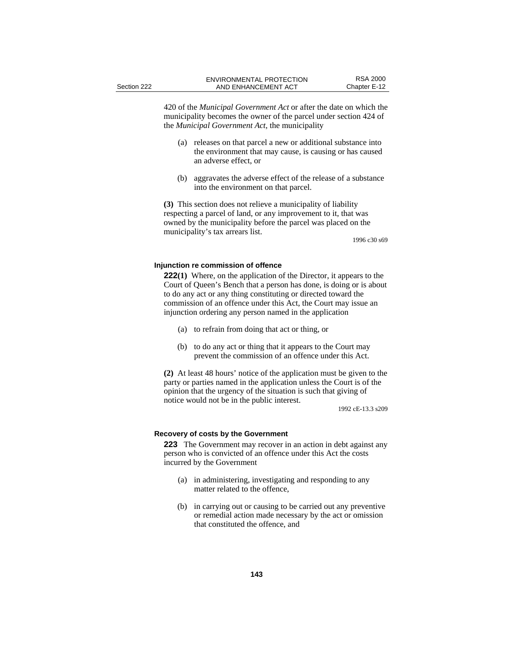420 of the *Municipal Government Act* or after the date on which the municipality becomes the owner of the parcel under section 424 of the *Municipal Government Act*, the municipality

- (a) releases on that parcel a new or additional substance into the environment that may cause, is causing or has caused an adverse effect, or
- (b) aggravates the adverse effect of the release of a substance into the environment on that parcel.

**(3)** This section does not relieve a municipality of liability respecting a parcel of land, or any improvement to it, that was owned by the municipality before the parcel was placed on the municipality's tax arrears list.

1996 c30 s69

#### **Injunction re commission of offence**

**222(1)** Where, on the application of the Director, it appears to the Court of Queen's Bench that a person has done, is doing or is about to do any act or any thing constituting or directed toward the commission of an offence under this Act, the Court may issue an injunction ordering any person named in the application

- (a) to refrain from doing that act or thing, or
- (b) to do any act or thing that it appears to the Court may prevent the commission of an offence under this Act.

**(2)** At least 48 hours' notice of the application must be given to the party or parties named in the application unless the Court is of the opinion that the urgency of the situation is such that giving of notice would not be in the public interest.

1992 cE-13.3 s209

#### **Recovery of costs by the Government**

**223** The Government may recover in an action in debt against any person who is convicted of an offence under this Act the costs incurred by the Government

- (a) in administering, investigating and responding to any matter related to the offence,
- (b) in carrying out or causing to be carried out any preventive or remedial action made necessary by the act or omission that constituted the offence, and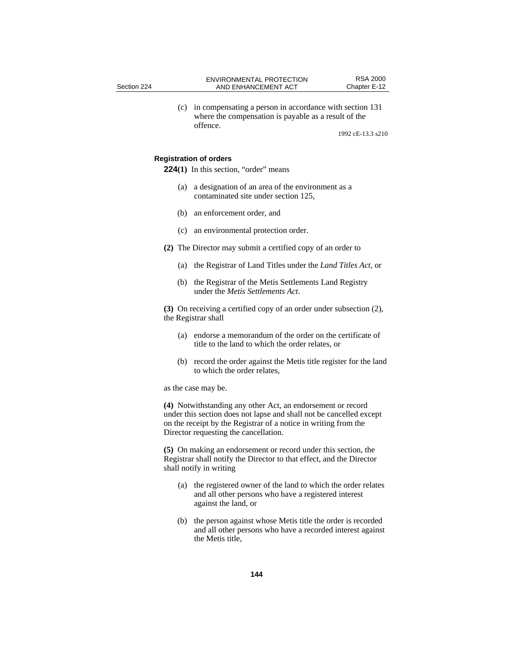| Section 224                                                                                |                                                                                                                                                                                                                                                                                                                                                                                                                                            | <b>ENVIRONMENTAL PROTECTION</b><br>AND ENHANCEMENT ACT                                                                      | <b>RSA 2000</b><br>Chapter E-12 |
|--------------------------------------------------------------------------------------------|--------------------------------------------------------------------------------------------------------------------------------------------------------------------------------------------------------------------------------------------------------------------------------------------------------------------------------------------------------------------------------------------------------------------------------------------|-----------------------------------------------------------------------------------------------------------------------------|---------------------------------|
|                                                                                            | (c)                                                                                                                                                                                                                                                                                                                                                                                                                                        | in compensating a person in accordance with section 131<br>where the compensation is payable as a result of the<br>offence. |                                 |
|                                                                                            |                                                                                                                                                                                                                                                                                                                                                                                                                                            |                                                                                                                             | 1992 cE-13.3 s210               |
|                                                                                            |                                                                                                                                                                                                                                                                                                                                                                                                                                            | <b>Registration of orders</b>                                                                                               |                                 |
|                                                                                            |                                                                                                                                                                                                                                                                                                                                                                                                                                            | 224(1) In this section, "order" means                                                                                       |                                 |
|                                                                                            | (a)                                                                                                                                                                                                                                                                                                                                                                                                                                        | a designation of an area of the environment as a<br>contaminated site under section 125,                                    |                                 |
|                                                                                            | (b)                                                                                                                                                                                                                                                                                                                                                                                                                                        | an enforcement order, and                                                                                                   |                                 |
|                                                                                            |                                                                                                                                                                                                                                                                                                                                                                                                                                            | (c) an environmental protection order.                                                                                      |                                 |
|                                                                                            | (2) The Director may submit a certified copy of an order to                                                                                                                                                                                                                                                                                                                                                                                |                                                                                                                             |                                 |
|                                                                                            | (a)                                                                                                                                                                                                                                                                                                                                                                                                                                        | the Registrar of Land Titles under the <i>Land Titles Act</i> , or                                                          |                                 |
|                                                                                            | (b)                                                                                                                                                                                                                                                                                                                                                                                                                                        | the Registrar of the Metis Settlements Land Registry<br>under the <i>Metis Settlements Act</i> .                            |                                 |
| (3) On receiving a certified copy of an order under subsection (2),<br>the Registrar shall |                                                                                                                                                                                                                                                                                                                                                                                                                                            |                                                                                                                             |                                 |
|                                                                                            | (a)                                                                                                                                                                                                                                                                                                                                                                                                                                        | endorse a memorandum of the order on the certificate of<br>title to the land to which the order relates, or                 |                                 |
|                                                                                            | (b)                                                                                                                                                                                                                                                                                                                                                                                                                                        | record the order against the Metis title register for the land<br>to which the order relates.                               |                                 |
|                                                                                            | as the case may be.<br>(4) Notwithstanding any other Act, an endorsement or record<br>under this section does not lapse and shall not be cancelled except<br>on the receipt by the Registrar of a notice in writing from the<br>Director requesting the cancellation.<br>(5) On making an endorsement or record under this section, the<br>Registrar shall notify the Director to that effect, and the Director<br>shall notify in writing |                                                                                                                             |                                 |
|                                                                                            |                                                                                                                                                                                                                                                                                                                                                                                                                                            |                                                                                                                             |                                 |
|                                                                                            |                                                                                                                                                                                                                                                                                                                                                                                                                                            |                                                                                                                             |                                 |

- (a) the registered owner of the land to which the order relates and all other persons who have a registered interest against the land, or
- (b) the person against whose Metis title the order is recorded and all other persons who have a recorded interest against the Metis title,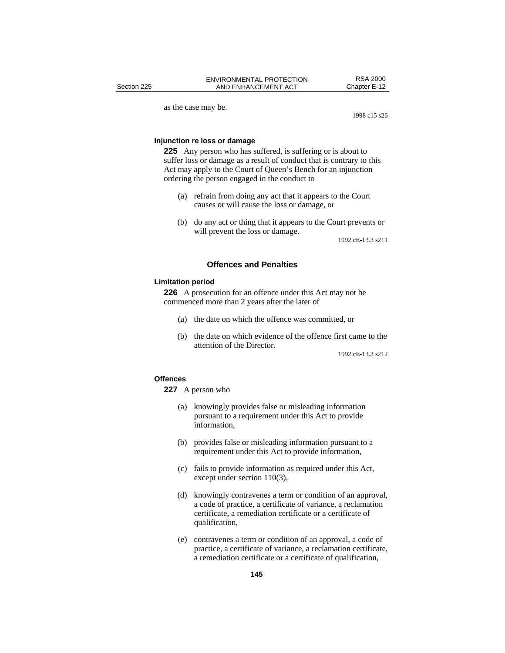as the case may be.

1998 c15 s26

# **Injunction re loss or damage**

**225** Any person who has suffered, is suffering or is about to suffer loss or damage as a result of conduct that is contrary to this Act may apply to the Court of Queen's Bench for an injunction ordering the person engaged in the conduct to

- (a) refrain from doing any act that it appears to the Court causes or will cause the loss or damage, or
- (b) do any act or thing that it appears to the Court prevents or will prevent the loss or damage.

1992 cE-13.3 s211

# **Offences and Penalties**

#### **Limitation period**

**226** A prosecution for an offence under this Act may not be commenced more than 2 years after the later of

- (a) the date on which the offence was committed, or
- (b) the date on which evidence of the offence first came to the attention of the Director.

1992 cE-13.3 s212

#### **Offences**

**227** A person who

- (a) knowingly provides false or misleading information pursuant to a requirement under this Act to provide information,
- (b) provides false or misleading information pursuant to a requirement under this Act to provide information,
- (c) fails to provide information as required under this Act, except under section 110(3),
- (d) knowingly contravenes a term or condition of an approval, a code of practice, a certificate of variance, a reclamation certificate, a remediation certificate or a certificate of qualification,
- (e) contravenes a term or condition of an approval, a code of practice, a certificate of variance, a reclamation certificate, a remediation certificate or a certificate of qualification,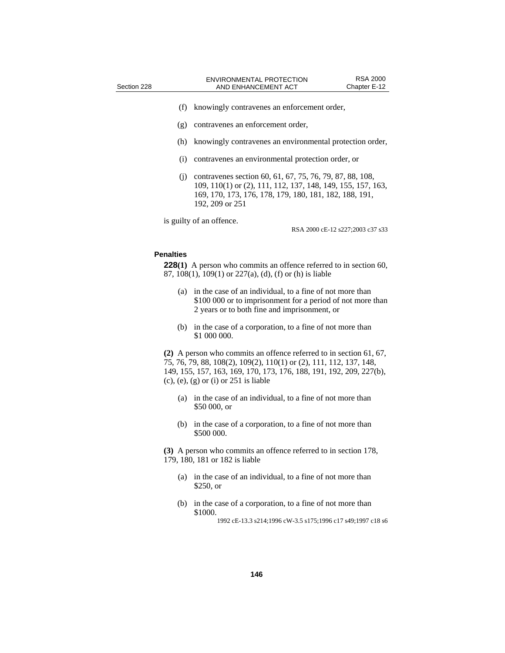- (f) knowingly contravenes an enforcement order,
- (g) contravenes an enforcement order,
- (h) knowingly contravenes an environmental protection order,
- (i) contravenes an environmental protection order, or
- (j) contravenes section 60, 61, 67, 75, 76, 79, 87, 88, 108, 109, 110(1) or (2), 111, 112, 137, 148, 149, 155, 157, 163, 169, 170, 173, 176, 178, 179, 180, 181, 182, 188, 191, 192, 209 or 251

is guilty of an offence.

RSA 2000 cE-12 s227;2003 c37 s33

## **Penalties**

**228(1)** A person who commits an offence referred to in section 60, 87, 108(1), 109(1) or 227(a), (d), (f) or (h) is liable

- (a) in the case of an individual, to a fine of not more than \$100 000 or to imprisonment for a period of not more than 2 years or to both fine and imprisonment, or
- (b) in the case of a corporation, to a fine of not more than \$1 000 000.

**(2)** A person who commits an offence referred to in section 61, 67, 75, 76, 79, 88, 108(2), 109(2), 110(1) or (2), 111, 112, 137, 148, 149, 155, 157, 163, 169, 170, 173, 176, 188, 191, 192, 209, 227(b),  $(c)$ ,  $(e)$ ,  $(g)$  or  $(i)$  or  $251$  is liable

- (a) in the case of an individual, to a fine of not more than \$50 000, or
- (b) in the case of a corporation, to a fine of not more than \$500 000.

**(3)** A person who commits an offence referred to in section 178, 179, 180, 181 or 182 is liable

- (a) in the case of an individual, to a fine of not more than \$250, or
- (b) in the case of a corporation, to a fine of not more than \$1000.

<sup>1992</sup> cE-13.3 s214;1996 cW-3.5 s175;1996 c17 s49;1997 c18 s6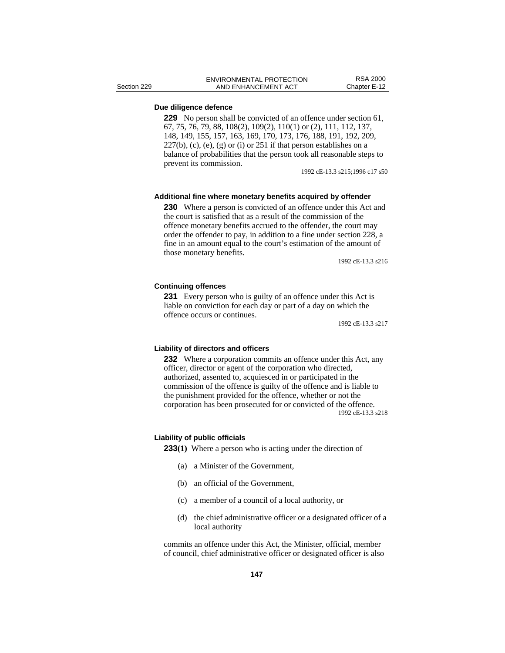# **Due diligence defence**

**229** No person shall be convicted of an offence under section 61, 67, 75, 76, 79, 88, 108(2), 109(2), 110(1) or (2), 111, 112, 137, 148, 149, 155, 157, 163, 169, 170, 173, 176, 188, 191, 192, 209,  $227(b)$ , (c), (e), (g) or (i) or  $251$  if that person establishes on a balance of probabilities that the person took all reasonable steps to prevent its commission.

1992 cE-13.3 s215;1996 c17 s50

#### **Additional fine where monetary benefits acquired by offender**

**230** Where a person is convicted of an offence under this Act and the court is satisfied that as a result of the commission of the offence monetary benefits accrued to the offender, the court may order the offender to pay, in addition to a fine under section 228, a fine in an amount equal to the court's estimation of the amount of those monetary benefits.

1992 cE-13.3 s216

# **Continuing offences**

**231** Every person who is guilty of an offence under this Act is liable on conviction for each day or part of a day on which the offence occurs or continues.

1992 cE-13.3 s217

# **Liability of directors and officers**

**232** Where a corporation commits an offence under this Act, any officer, director or agent of the corporation who directed, authorized, assented to, acquiesced in or participated in the commission of the offence is guilty of the offence and is liable to the punishment provided for the offence, whether or not the corporation has been prosecuted for or convicted of the offence. 1992 cE-13.3 s218

## **Liability of public officials**

**233(1)** Where a person who is acting under the direction of

- (a) a Minister of the Government,
- (b) an official of the Government,
- (c) a member of a council of a local authority, or
- (d) the chief administrative officer or a designated officer of a local authority

commits an offence under this Act, the Minister, official, member of council, chief administrative officer or designated officer is also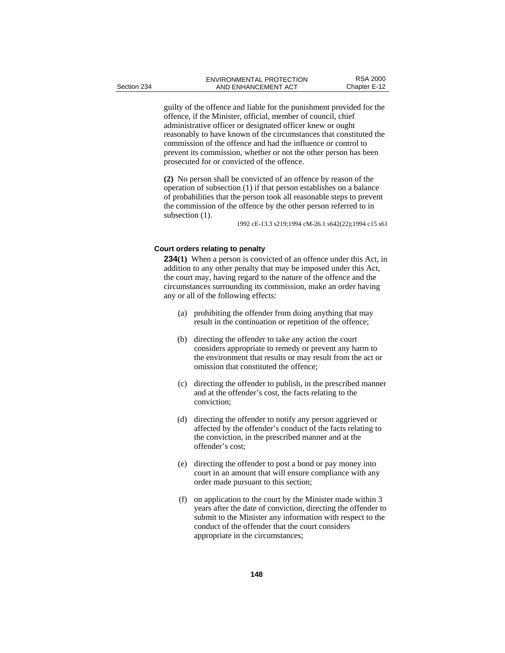guilty of the offence and liable for the punishment provided for the offence, if the Minister, official, member of council, chief administrative officer or designated officer knew or ought reasonably to have known of the circumstances that constituted the commission of the offence and had the influence or control to prevent its commission, whether or not the other person has been prosecuted for or convicted of the offence.

**(2)** No person shall be convicted of an offence by reason of the operation of subsection (1) if that person establishes on a balance of probabilities that the person took all reasonable steps to prevent the commission of the offence by the other person referred to in subsection  $(1)$ .

1992 cE-13.3 s219;1994 cM-26.1 s642(22);1994 c15 s61

# **Court orders relating to penalty**

**234(1)** When a person is convicted of an offence under this Act, in addition to any other penalty that may be imposed under this Act, the court may, having regard to the nature of the offence and the circumstances surrounding its commission, make an order having any or all of the following effects:

- (a) prohibiting the offender from doing anything that may result in the continuation or repetition of the offence;
- (b) directing the offender to take any action the court considers appropriate to remedy or prevent any harm to the environment that results or may result from the act or omission that constituted the offence;
- (c) directing the offender to publish, in the prescribed manner and at the offender's cost, the facts relating to the conviction;
- (d) directing the offender to notify any person aggrieved or affected by the offender's conduct of the facts relating to the conviction, in the prescribed manner and at the offender's cost;
- (e) directing the offender to post a bond or pay money into court in an amount that will ensure compliance with any order made pursuant to this section;
- (f) on application to the court by the Minister made within 3 years after the date of conviction, directing the offender to submit to the Minister any information with respect to the conduct of the offender that the court considers appropriate in the circumstances;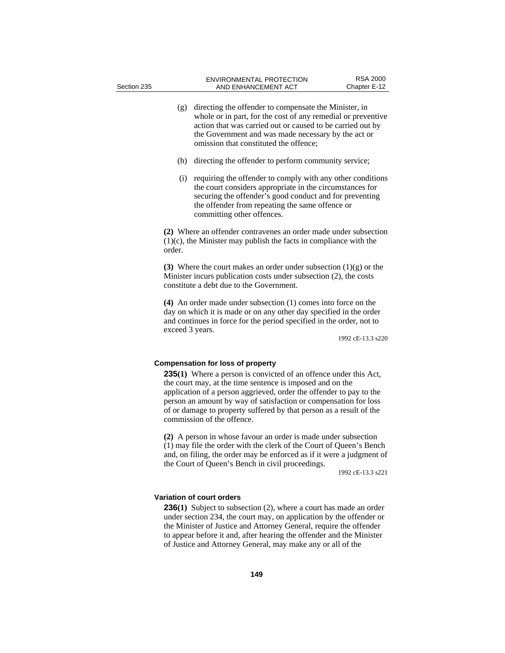- (g) directing the offender to compensate the Minister, in whole or in part, for the cost of any remedial or preventive action that was carried out or caused to be carried out by the Government and was made necessary by the act or omission that constituted the offence;
- (h) directing the offender to perform community service;
- (i) requiring the offender to comply with any other conditions the court considers appropriate in the circumstances for securing the offender's good conduct and for preventing the offender from repeating the same offence or committing other offences.

**(2)** Where an offender contravenes an order made under subsection (1)(c), the Minister may publish the facts in compliance with the order.

**(3)** Where the court makes an order under subsection (1)(g) or the Minister incurs publication costs under subsection (2), the costs constitute a debt due to the Government.

**(4)** An order made under subsection (1) comes into force on the day on which it is made or on any other day specified in the order and continues in force for the period specified in the order, not to exceed 3 years.

1992 cE-13.3 s220

## **Compensation for loss of property**

**235(1)** Where a person is convicted of an offence under this Act, the court may, at the time sentence is imposed and on the application of a person aggrieved, order the offender to pay to the person an amount by way of satisfaction or compensation for loss of or damage to property suffered by that person as a result of the commission of the offence.

**(2)** A person in whose favour an order is made under subsection (1) may file the order with the clerk of the Court of Queen's Bench and, on filing, the order may be enforced as if it were a judgment of the Court of Queen's Bench in civil proceedings.

1992 cE-13.3 s221

## **Variation of court orders**

**236(1)** Subject to subsection (2), where a court has made an order under section 234, the court may, on application by the offender or the Minister of Justice and Attorney General, require the offender to appear before it and, after hearing the offender and the Minister of Justice and Attorney General, may make any or all of the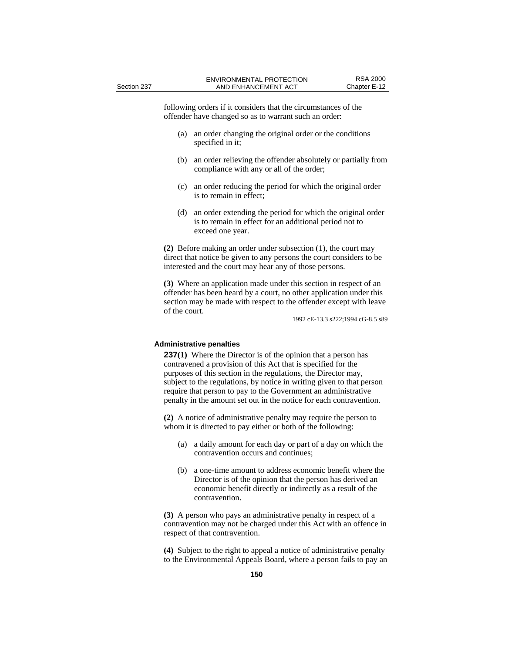following orders if it considers that the circumstances of the offender have changed so as to warrant such an order:

- (a) an order changing the original order or the conditions specified in it;
- (b) an order relieving the offender absolutely or partially from compliance with any or all of the order;
- (c) an order reducing the period for which the original order is to remain in effect;
- (d) an order extending the period for which the original order is to remain in effect for an additional period not to exceed one year.

**(2)** Before making an order under subsection (1), the court may direct that notice be given to any persons the court considers to be interested and the court may hear any of those persons.

**(3)** Where an application made under this section in respect of an offender has been heard by a court, no other application under this section may be made with respect to the offender except with leave of the court.

1992 cE-13.3 s222;1994 cG-8.5 s89

## **Administrative penalties**

**237(1)** Where the Director is of the opinion that a person has contravened a provision of this Act that is specified for the purposes of this section in the regulations, the Director may, subject to the regulations, by notice in writing given to that person require that person to pay to the Government an administrative penalty in the amount set out in the notice for each contravention.

**(2)** A notice of administrative penalty may require the person to whom it is directed to pay either or both of the following:

- (a) a daily amount for each day or part of a day on which the contravention occurs and continues;
- (b) a one-time amount to address economic benefit where the Director is of the opinion that the person has derived an economic benefit directly or indirectly as a result of the contravention.

**(3)** A person who pays an administrative penalty in respect of a contravention may not be charged under this Act with an offence in respect of that contravention.

**(4)** Subject to the right to appeal a notice of administrative penalty to the Environmental Appeals Board, where a person fails to pay an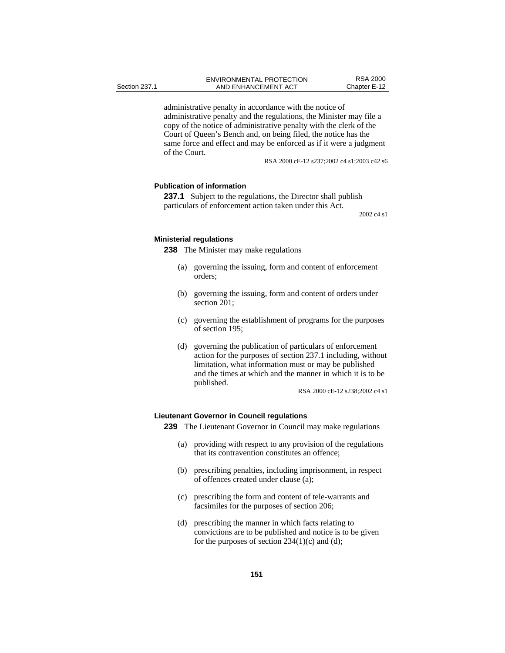administrative penalty in accordance with the notice of administrative penalty and the regulations, the Minister may file a copy of the notice of administrative penalty with the clerk of the Court of Queen's Bench and, on being filed, the notice has the same force and effect and may be enforced as if it were a judgment of the Court.

RSA 2000 cE-12 s237;2002 c4 s1;2003 c42 s6

# **Publication of information**

**237.1** Subject to the regulations, the Director shall publish particulars of enforcement action taken under this Act.

2002 c4 s1

#### **Ministerial regulations**

**238** The Minister may make regulations

- (a) governing the issuing, form and content of enforcement orders;
- (b) governing the issuing, form and content of orders under section 201;
- (c) governing the establishment of programs for the purposes of section 195;
- (d) governing the publication of particulars of enforcement action for the purposes of section 237.1 including, without limitation, what information must or may be published and the times at which and the manner in which it is to be published.

RSA 2000 cE-12 s238;2002 c4 s1

## **Lieutenant Governor in Council regulations**

**239** The Lieutenant Governor in Council may make regulations

- (a) providing with respect to any provision of the regulations that its contravention constitutes an offence;
- (b) prescribing penalties, including imprisonment, in respect of offences created under clause (a);
- (c) prescribing the form and content of tele-warrants and facsimiles for the purposes of section 206;
- (d) prescribing the manner in which facts relating to convictions are to be published and notice is to be given for the purposes of section  $234(1)(c)$  and (d);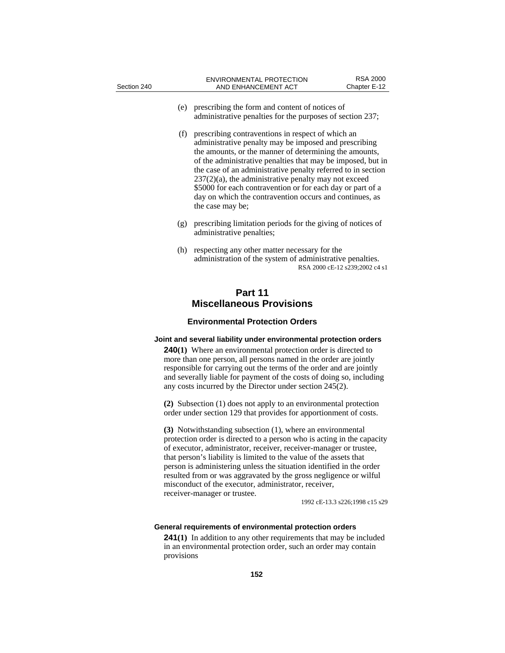| Section 240                                                                                                                                                                                                                                                                                                                                                                                                                                                                                                                                                                                                                                               | <b>ENVIRONMENTAL PROTECTION</b><br>AND ENHANCEMENT ACT                                                                                                                                                                                                                                                                                                                                                                                                                                                      | <b>RSA 2000</b><br>Chapter E-12 |  |  |
|-----------------------------------------------------------------------------------------------------------------------------------------------------------------------------------------------------------------------------------------------------------------------------------------------------------------------------------------------------------------------------------------------------------------------------------------------------------------------------------------------------------------------------------------------------------------------------------------------------------------------------------------------------------|-------------------------------------------------------------------------------------------------------------------------------------------------------------------------------------------------------------------------------------------------------------------------------------------------------------------------------------------------------------------------------------------------------------------------------------------------------------------------------------------------------------|---------------------------------|--|--|
| (e)                                                                                                                                                                                                                                                                                                                                                                                                                                                                                                                                                                                                                                                       | prescribing the form and content of notices of<br>administrative penalties for the purposes of section 237;                                                                                                                                                                                                                                                                                                                                                                                                 |                                 |  |  |
| (f)                                                                                                                                                                                                                                                                                                                                                                                                                                                                                                                                                                                                                                                       | prescribing contraventions in respect of which an<br>administrative penalty may be imposed and prescribing<br>the amounts, or the manner of determining the amounts,<br>of the administrative penalties that may be imposed, but in<br>the case of an administrative penalty referred to in section<br>$237(2)(a)$ , the administrative penalty may not exceed<br>\$5000 for each contravention or for each day or part of a<br>day on which the contravention occurs and continues, as<br>the case may be; |                                 |  |  |
| (g)                                                                                                                                                                                                                                                                                                                                                                                                                                                                                                                                                                                                                                                       | prescribing limitation periods for the giving of notices of<br>administrative penalties;                                                                                                                                                                                                                                                                                                                                                                                                                    |                                 |  |  |
| (h)                                                                                                                                                                                                                                                                                                                                                                                                                                                                                                                                                                                                                                                       | respecting any other matter necessary for the<br>administration of the system of administrative penalties.                                                                                                                                                                                                                                                                                                                                                                                                  | RSA 2000 cE-12 s239;2002 c4 s1  |  |  |
| Part 11<br><b>Miscellaneous Provisions</b>                                                                                                                                                                                                                                                                                                                                                                                                                                                                                                                                                                                                                |                                                                                                                                                                                                                                                                                                                                                                                                                                                                                                             |                                 |  |  |
| <b>Environmental Protection Orders</b>                                                                                                                                                                                                                                                                                                                                                                                                                                                                                                                                                                                                                    |                                                                                                                                                                                                                                                                                                                                                                                                                                                                                                             |                                 |  |  |
| Joint and several liability under environmental protection orders<br><b>240(1)</b> Where an environmental protection order is directed to<br>more than one person, all persons named in the order are jointly<br>responsible for carrying out the terms of the order and are jointly<br>and severally liable for payment of the costs of doing so, including<br>any costs incurred by the Director under section 245(2).<br>$(4)$ $(1)$ $(1)$ $(1)$ $(1)$ $(1)$ $(1)$ $(1)$ $(1)$ $(1)$ $(1)$ $(1)$ $(1)$ $(1)$ $(1)$ $(1)$ $(1)$ $(1)$ $(1)$ $(1)$ $(1)$ $(1)$ $(1)$ $(1)$ $(1)$ $(1)$ $(1)$ $(1)$ $(1)$ $(1)$ $(1)$ $(1)$ $(1)$ $(1)$ $(1)$ $(1)$ $(1)$ |                                                                                                                                                                                                                                                                                                                                                                                                                                                                                                             |                                 |  |  |
|                                                                                                                                                                                                                                                                                                                                                                                                                                                                                                                                                                                                                                                           |                                                                                                                                                                                                                                                                                                                                                                                                                                                                                                             |                                 |  |  |

**(2)** Subsection (1) does not apply to an environmental protection order under section 129 that provides for apportionment of costs.

**(3)** Notwithstanding subsection (1), where an environmental protection order is directed to a person who is acting in the capacity of executor, administrator, receiver, receiver-manager or trustee, that person's liability is limited to the value of the assets that person is administering unless the situation identified in the order resulted from or was aggravated by the gross negligence or wilful misconduct of the executor, administrator, receiver, receiver-manager or trustee.

1992 cE-13.3 s226;1998 c15 s29

# **General requirements of environmental protection orders**

**241(1)** In addition to any other requirements that may be included in an environmental protection order, such an order may contain provisions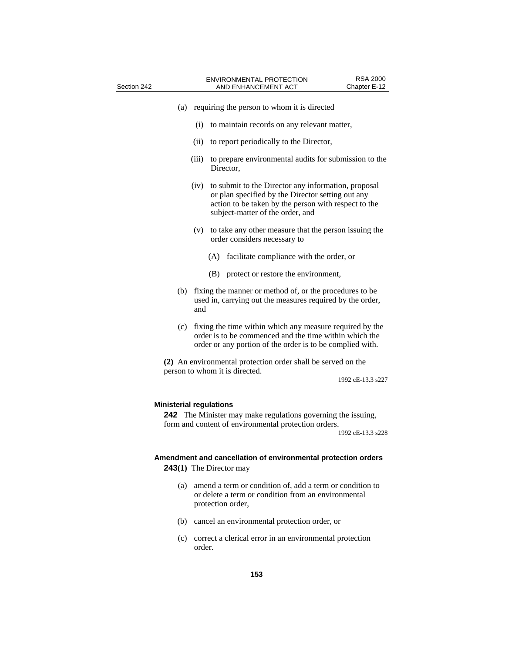| Section 242                                                                                                                                                                        |                                                                                                                             | <b>RSA 2000</b><br><b>ENVIRONMENTAL PROTECTION</b><br>AND ENHANCEMENT ACT<br>Chapter E-12                                                                                                            |  |  |
|------------------------------------------------------------------------------------------------------------------------------------------------------------------------------------|-----------------------------------------------------------------------------------------------------------------------------|------------------------------------------------------------------------------------------------------------------------------------------------------------------------------------------------------|--|--|
| (a)                                                                                                                                                                                |                                                                                                                             | requiring the person to whom it is directed                                                                                                                                                          |  |  |
|                                                                                                                                                                                    | (i)                                                                                                                         | to maintain records on any relevant matter,                                                                                                                                                          |  |  |
|                                                                                                                                                                                    | (ii)                                                                                                                        | to report periodically to the Director,                                                                                                                                                              |  |  |
|                                                                                                                                                                                    | (iii)                                                                                                                       | to prepare environmental audits for submission to the<br>Director,                                                                                                                                   |  |  |
|                                                                                                                                                                                    | (iv)                                                                                                                        | to submit to the Director any information, proposal<br>or plan specified by the Director setting out any<br>action to be taken by the person with respect to the<br>subject-matter of the order, and |  |  |
|                                                                                                                                                                                    | (v)                                                                                                                         | to take any other measure that the person issuing the<br>order considers necessary to                                                                                                                |  |  |
|                                                                                                                                                                                    |                                                                                                                             | facilitate compliance with the order, or<br>(A)                                                                                                                                                      |  |  |
|                                                                                                                                                                                    |                                                                                                                             | (B) protect or restore the environment,                                                                                                                                                              |  |  |
| (b)                                                                                                                                                                                | fixing the manner or method of, or the procedures to be<br>used in, carrying out the measures required by the order,<br>and |                                                                                                                                                                                                      |  |  |
| (c)                                                                                                                                                                                |                                                                                                                             | fixing the time within which any measure required by the<br>order is to be commenced and the time within which the<br>order or any portion of the order is to be complied with.                      |  |  |
| (2) An environmental protection order shall be served on the<br>person to whom it is directed.<br>1992 cE-13.3 s227                                                                |                                                                                                                             |                                                                                                                                                                                                      |  |  |
| <b>Ministerial regulations</b><br><b>242</b> The Minister may make regulations governing the issuing,<br>form and content of environmental protection orders.<br>1992 cE-13.3 s228 |                                                                                                                             |                                                                                                                                                                                                      |  |  |
|                                                                                                                                                                                    |                                                                                                                             | Amendment and cancellation of environmental protection orders<br><b>243(1)</b> The Director may                                                                                                      |  |  |
| (a)                                                                                                                                                                                |                                                                                                                             | amend a term or condition of, add a term or condition to<br>or delete a term or condition from an environmental<br>protection order,                                                                 |  |  |
| (b)                                                                                                                                                                                |                                                                                                                             | cancel an environmental protection order, or                                                                                                                                                         |  |  |

(c) correct a clerical error in an environmental protection order.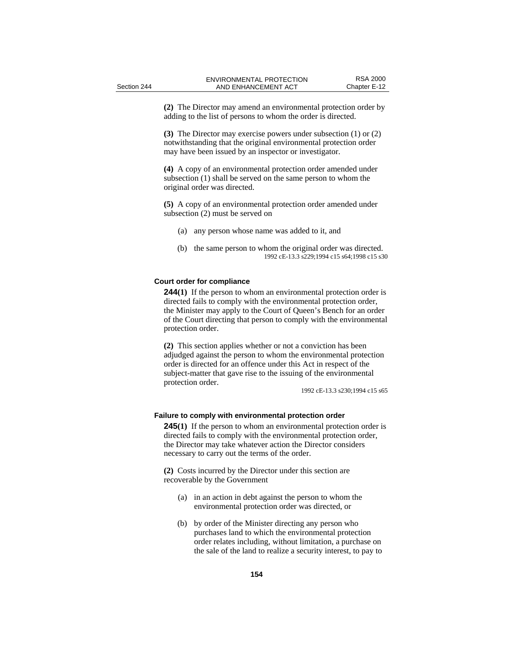**(2)** The Director may amend an environmental protection order by adding to the list of persons to whom the order is directed.

**(3)** The Director may exercise powers under subsection (1) or (2) notwithstanding that the original environmental protection order may have been issued by an inspector or investigator.

**(4)** A copy of an environmental protection order amended under subsection (1) shall be served on the same person to whom the original order was directed.

**(5)** A copy of an environmental protection order amended under subsection (2) must be served on

- (a) any person whose name was added to it, and
- (b) the same person to whom the original order was directed. 1992 cE-13.3 s229;1994 c15 s64;1998 c15 s30

# **Court order for compliance**

**244(1)** If the person to whom an environmental protection order is directed fails to comply with the environmental protection order, the Minister may apply to the Court of Queen's Bench for an order of the Court directing that person to comply with the environmental protection order.

**(2)** This section applies whether or not a conviction has been adjudged against the person to whom the environmental protection order is directed for an offence under this Act in respect of the subject-matter that gave rise to the issuing of the environmental protection order.

1992 cE-13.3 s230;1994 c15 s65

#### **Failure to comply with environmental protection order**

**245**(1) If the person to whom an environmental protection order is directed fails to comply with the environmental protection order, the Director may take whatever action the Director considers necessary to carry out the terms of the order.

**(2)** Costs incurred by the Director under this section are recoverable by the Government

- (a) in an action in debt against the person to whom the environmental protection order was directed, or
- (b) by order of the Minister directing any person who purchases land to which the environmental protection order relates including, without limitation, a purchase on the sale of the land to realize a security interest, to pay to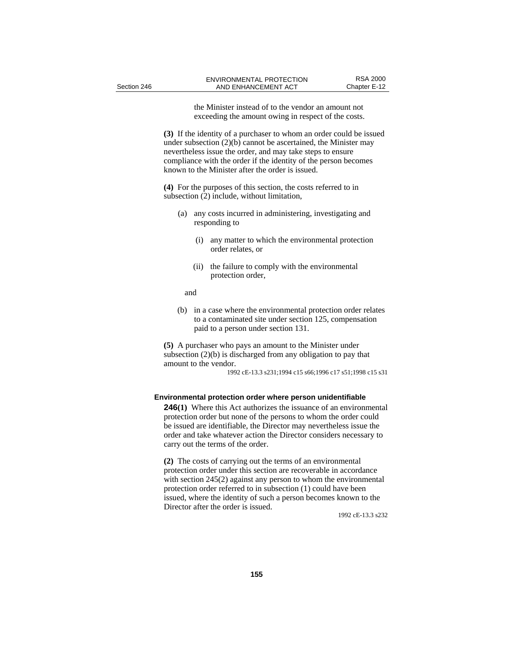the Minister instead of to the vendor an amount not exceeding the amount owing in respect of the costs.

**(3)** If the identity of a purchaser to whom an order could be issued under subsection (2)(b) cannot be ascertained, the Minister may nevertheless issue the order, and may take steps to ensure compliance with the order if the identity of the person becomes known to the Minister after the order is issued.

**(4)** For the purposes of this section, the costs referred to in subsection (2) include, without limitation,

- (a) any costs incurred in administering, investigating and responding to
	- (i) any matter to which the environmental protection order relates, or
	- (ii) the failure to comply with the environmental protection order,

and

(b) in a case where the environmental protection order relates to a contaminated site under section 125, compensation paid to a person under section 131.

**(5)** A purchaser who pays an amount to the Minister under subsection (2)(b) is discharged from any obligation to pay that amount to the vendor.

1992 cE-13.3 s231;1994 c15 s66;1996 c17 s51;1998 c15 s31

#### **Environmental protection order where person unidentifiable**

**246(1)** Where this Act authorizes the issuance of an environmental protection order but none of the persons to whom the order could be issued are identifiable, the Director may nevertheless issue the order and take whatever action the Director considers necessary to carry out the terms of the order.

**(2)** The costs of carrying out the terms of an environmental protection order under this section are recoverable in accordance with section 245(2) against any person to whom the environmental protection order referred to in subsection (1) could have been issued, where the identity of such a person becomes known to the Director after the order is issued.

1992 cE-13.3 s232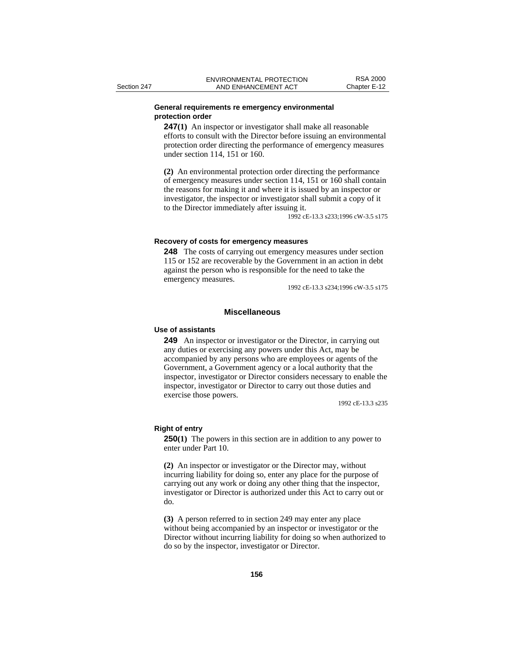#### **General requirements re emergency environmental protection order**

**247(1)** An inspector or investigator shall make all reasonable efforts to consult with the Director before issuing an environmental protection order directing the performance of emergency measures under section 114, 151 or 160.

**(2)** An environmental protection order directing the performance of emergency measures under section 114, 151 or 160 shall contain the reasons for making it and where it is issued by an inspector or investigator, the inspector or investigator shall submit a copy of it to the Director immediately after issuing it.

1992 cE-13.3 s233;1996 cW-3.5 s175

#### **Recovery of costs for emergency measures**

**248** The costs of carrying out emergency measures under section 115 or 152 are recoverable by the Government in an action in debt against the person who is responsible for the need to take the emergency measures.

1992 cE-13.3 s234;1996 cW-3.5 s175

# **Miscellaneous**

# **Use of assistants**

**249** An inspector or investigator or the Director, in carrying out any duties or exercising any powers under this Act, may be accompanied by any persons who are employees or agents of the Government, a Government agency or a local authority that the inspector, investigator or Director considers necessary to enable the inspector, investigator or Director to carry out those duties and exercise those powers.

1992 cE-13.3 s235

#### **Right of entry**

**250(1)** The powers in this section are in addition to any power to enter under Part 10.

**(2)** An inspector or investigator or the Director may, without incurring liability for doing so, enter any place for the purpose of carrying out any work or doing any other thing that the inspector, investigator or Director is authorized under this Act to carry out or do.

**(3)** A person referred to in section 249 may enter any place without being accompanied by an inspector or investigator or the Director without incurring liability for doing so when authorized to do so by the inspector, investigator or Director.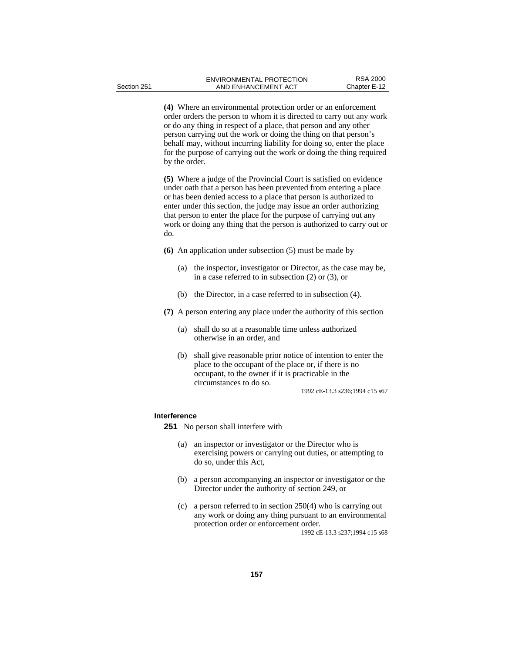**(4)** Where an environmental protection order or an enforcement order orders the person to whom it is directed to carry out any work or do any thing in respect of a place, that person and any other person carrying out the work or doing the thing on that person's behalf may, without incurring liability for doing so, enter the place for the purpose of carrying out the work or doing the thing required by the order.

**(5)** Where a judge of the Provincial Court is satisfied on evidence under oath that a person has been prevented from entering a place or has been denied access to a place that person is authorized to enter under this section, the judge may issue an order authorizing that person to enter the place for the purpose of carrying out any work or doing any thing that the person is authorized to carry out or do.

- **(6)** An application under subsection (5) must be made by
	- (a) the inspector, investigator or Director, as the case may be, in a case referred to in subsection (2) or (3), or
	- (b) the Director, in a case referred to in subsection (4).
- **(7)** A person entering any place under the authority of this section
	- (a) shall do so at a reasonable time unless authorized otherwise in an order, and
	- (b) shall give reasonable prior notice of intention to enter the place to the occupant of the place or, if there is no occupant, to the owner if it is practicable in the circumstances to do so.

1992 cE-13.3 s236;1994 c15 s67

#### **Interference**

**251** No person shall interfere with

- (a) an inspector or investigator or the Director who is exercising powers or carrying out duties, or attempting to do so, under this Act,
- (b) a person accompanying an inspector or investigator or the Director under the authority of section 249, or
- (c) a person referred to in section 250(4) who is carrying out any work or doing any thing pursuant to an environmental protection order or enforcement order. 1992 cE-13.3 s237;1994 c15 s68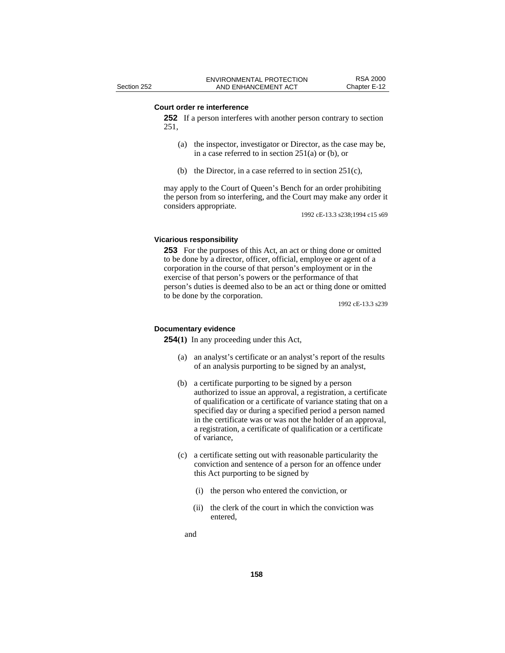#### **Court order re interference**

**252** If a person interferes with another person contrary to section 251,

- (a) the inspector, investigator or Director, as the case may be, in a case referred to in section  $251(a)$  or (b), or
- (b) the Director, in a case referred to in section 251(c),

may apply to the Court of Queen's Bench for an order prohibiting the person from so interfering, and the Court may make any order it considers appropriate.

1992 cE-13.3 s238;1994 c15 s69

# **Vicarious responsibility**

**253** For the purposes of this Act, an act or thing done or omitted to be done by a director, officer, official, employee or agent of a corporation in the course of that person's employment or in the exercise of that person's powers or the performance of that person's duties is deemed also to be an act or thing done or omitted to be done by the corporation.

1992 cE-13.3 s239

#### **Documentary evidence**

**254(1)** In any proceeding under this Act,

- (a) an analyst's certificate or an analyst's report of the results of an analysis purporting to be signed by an analyst,
- (b) a certificate purporting to be signed by a person authorized to issue an approval, a registration, a certificate of qualification or a certificate of variance stating that on a specified day or during a specified period a person named in the certificate was or was not the holder of an approval, a registration, a certificate of qualification or a certificate of variance,
- (c) a certificate setting out with reasonable particularity the conviction and sentence of a person for an offence under this Act purporting to be signed by
	- (i) the person who entered the conviction, or
	- (ii) the clerk of the court in which the conviction was entered,
	- and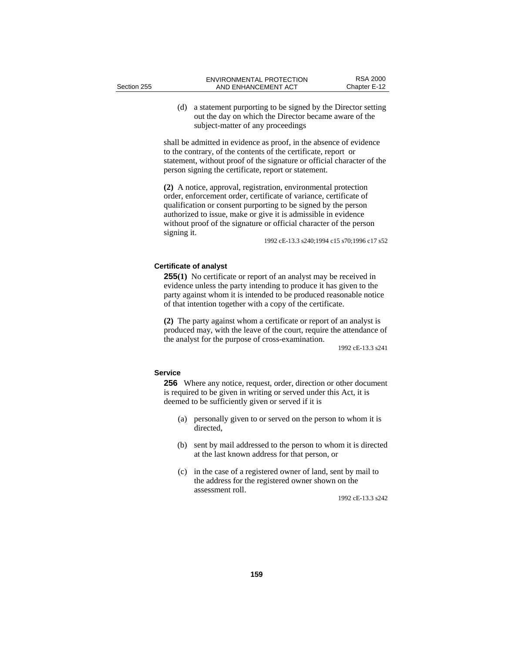(d) a statement purporting to be signed by the Director setting out the day on which the Director became aware of the subject-matter of any proceedings

shall be admitted in evidence as proof, in the absence of evidence to the contrary, of the contents of the certificate, report or statement, without proof of the signature or official character of the person signing the certificate, report or statement.

**(2)** A notice, approval, registration, environmental protection order, enforcement order, certificate of variance, certificate of qualification or consent purporting to be signed by the person authorized to issue, make or give it is admissible in evidence without proof of the signature or official character of the person signing it.

1992 cE-13.3 s240;1994 c15 s70;1996 c17 s52

## **Certificate of analyst**

**255(1)** No certificate or report of an analyst may be received in evidence unless the party intending to produce it has given to the party against whom it is intended to be produced reasonable notice of that intention together with a copy of the certificate.

**(2)** The party against whom a certificate or report of an analyst is produced may, with the leave of the court, require the attendance of the analyst for the purpose of cross-examination.

1992 cE-13.3 s241

# **Service**

**256** Where any notice, request, order, direction or other document is required to be given in writing or served under this Act, it is deemed to be sufficiently given or served if it is

- (a) personally given to or served on the person to whom it is directed,
- (b) sent by mail addressed to the person to whom it is directed at the last known address for that person, or
- (c) in the case of a registered owner of land, sent by mail to the address for the registered owner shown on the assessment roll.

1992 cE-13.3 s242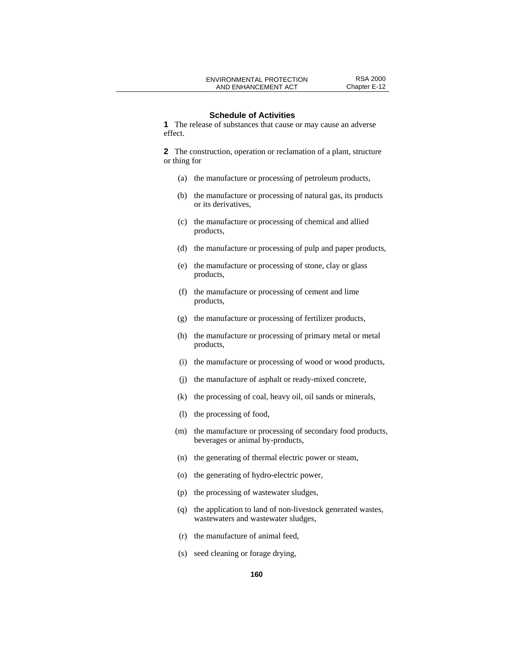#### **Schedule of Activities**

**1** The release of substances that cause or may cause an adverse effect.

**2** The construction, operation or reclamation of a plant, structure or thing for

- (a) the manufacture or processing of petroleum products,
- (b) the manufacture or processing of natural gas, its products or its derivatives,
- (c) the manufacture or processing of chemical and allied products,
- (d) the manufacture or processing of pulp and paper products,
- (e) the manufacture or processing of stone, clay or glass products,
- (f) the manufacture or processing of cement and lime products,
- (g) the manufacture or processing of fertilizer products,
- (h) the manufacture or processing of primary metal or metal products,
- (i) the manufacture or processing of wood or wood products,
- (j) the manufacture of asphalt or ready-mixed concrete,
- (k) the processing of coal, heavy oil, oil sands or minerals,
- (l) the processing of food,
- (m) the manufacture or processing of secondary food products, beverages or animal by-products,
- (n) the generating of thermal electric power or steam,
- (o) the generating of hydro-electric power,
- (p) the processing of wastewater sludges,
- (q) the application to land of non-livestock generated wastes, wastewaters and wastewater sludges,
- (r) the manufacture of animal feed,
- (s) seed cleaning or forage drying,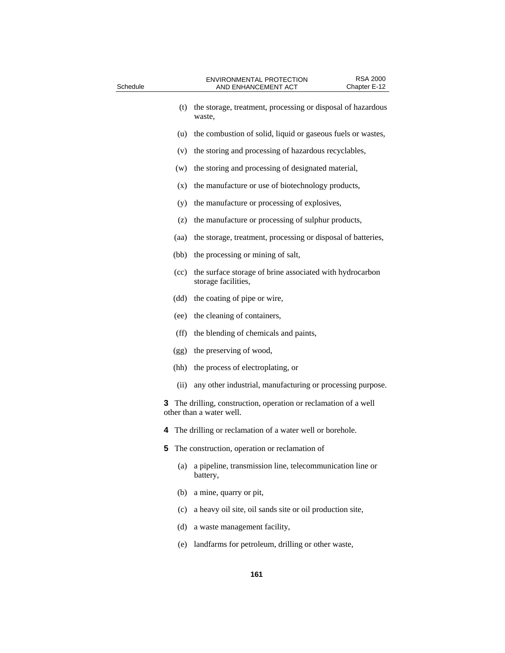| Schedule                                                                                            |                                               | <b>RSA 2000</b><br>ENVIRONMENTAL PROTECTION<br>AND ENHANCEMENT ACT<br>Chapter E-12 |  |  |
|-----------------------------------------------------------------------------------------------------|-----------------------------------------------|------------------------------------------------------------------------------------|--|--|
|                                                                                                     | (t)                                           | the storage, treatment, processing or disposal of hazardous<br>waste,              |  |  |
|                                                                                                     | (u)                                           | the combustion of solid, liquid or gaseous fuels or wastes,                        |  |  |
|                                                                                                     | (v)                                           | the storing and processing of hazardous recyclables,                               |  |  |
|                                                                                                     | (w)                                           | the storing and processing of designated material,                                 |  |  |
|                                                                                                     | (x)                                           | the manufacture or use of biotechnology products,                                  |  |  |
|                                                                                                     | (y)                                           | the manufacture or processing of explosives,                                       |  |  |
|                                                                                                     | (z)                                           | the manufacture or processing of sulphur products,                                 |  |  |
|                                                                                                     | (aa)                                          | the storage, treatment, processing or disposal of batteries,                       |  |  |
|                                                                                                     | (bb)                                          | the processing or mining of salt,                                                  |  |  |
|                                                                                                     | (cc)                                          | the surface storage of brine associated with hydrocarbon<br>storage facilities,    |  |  |
|                                                                                                     | (dd)                                          | the coating of pipe or wire,                                                       |  |  |
|                                                                                                     | (ee)                                          | the cleaning of containers,                                                        |  |  |
|                                                                                                     | $(f\bar{f})$                                  | the blending of chemicals and paints,                                              |  |  |
|                                                                                                     | (gg)                                          | the preserving of wood,                                                            |  |  |
|                                                                                                     | (hh)                                          | the process of electroplating, or                                                  |  |  |
|                                                                                                     | (ii)                                          | any other industrial, manufacturing or processing purpose.                         |  |  |
| <b>3</b> The drilling, construction, operation or reclamation of a well<br>other than a water well. |                                               |                                                                                    |  |  |
|                                                                                                     |                                               | 4 The drilling or reclamation of a water well or borehole.                         |  |  |
|                                                                                                     | The construction, operation or reclamation of |                                                                                    |  |  |
|                                                                                                     | (a)                                           | a pipeline, transmission line, telecommunication line or<br>battery,               |  |  |
|                                                                                                     | (b)                                           | a mine, quarry or pit,                                                             |  |  |
|                                                                                                     | (c)                                           | a heavy oil site, oil sands site or oil production site,                           |  |  |
|                                                                                                     | (d)                                           | a waste management facility,                                                       |  |  |

(e) landfarms for petroleum, drilling or other waste,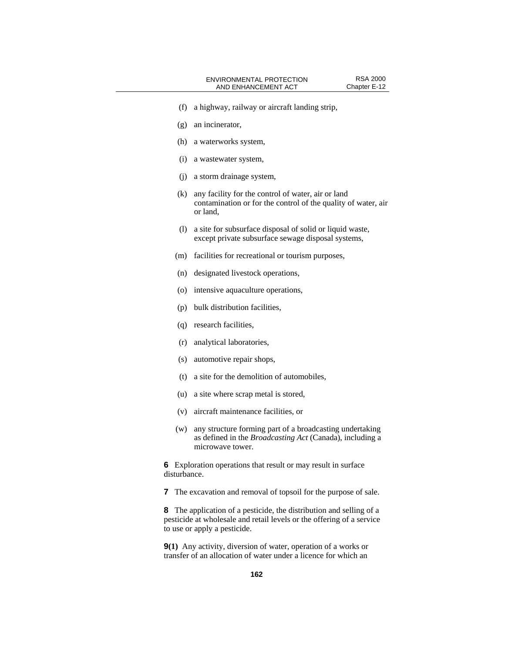- (f) a highway, railway or aircraft landing strip,
- (g) an incinerator,
- (h) a waterworks system,
- (i) a wastewater system,
- (j) a storm drainage system,
- (k) any facility for the control of water, air or land contamination or for the control of the quality of water, air or land,
- (l) a site for subsurface disposal of solid or liquid waste, except private subsurface sewage disposal systems,
- (m) facilities for recreational or tourism purposes,
- (n) designated livestock operations,
- (o) intensive aquaculture operations,
- (p) bulk distribution facilities,
- (q) research facilities,
- (r) analytical laboratories,
- (s) automotive repair shops,
- (t) a site for the demolition of automobiles,
- (u) a site where scrap metal is stored,
- (v) aircraft maintenance facilities, or
- (w) any structure forming part of a broadcasting undertaking as defined in the *Broadcasting Act* (Canada), including a microwave tower.

**6** Exploration operations that result or may result in surface disturbance.

**7** The excavation and removal of topsoil for the purpose of sale.

**8** The application of a pesticide, the distribution and selling of a pesticide at wholesale and retail levels or the offering of a service to use or apply a pesticide.

**9(1)** Any activity, diversion of water, operation of a works or transfer of an allocation of water under a licence for which an